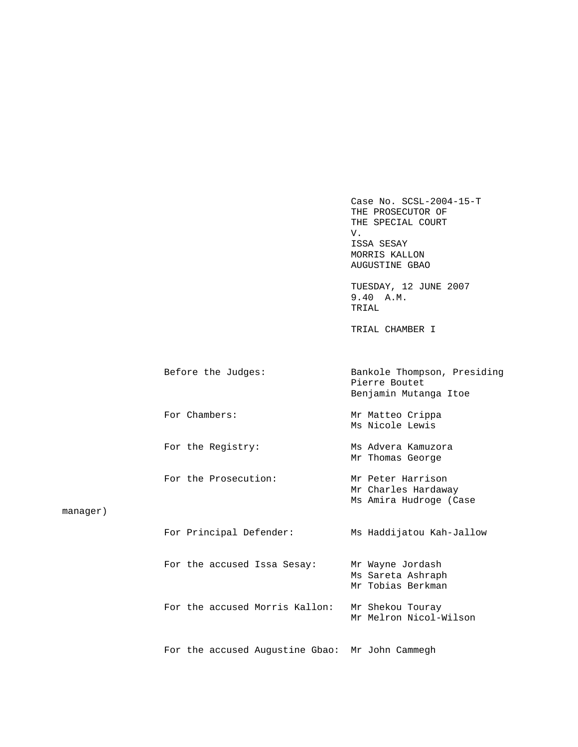Case No. SCSL-2004-15-T THE PROSECUTOR OF THE SPECIAL COURT V. V. ISSA SESAY MORRIS KALLON AUGUSTINE GBAO

 TUESDAY, 12 JUNE 2007 9.40 A.M. TRIAL

TRIAL CHAMBER I

|          | Before the Judges:      | Bankole Thompson, Presiding<br>Pierre Boutet<br>Benjamin Mutanga Itoe |
|----------|-------------------------|-----------------------------------------------------------------------|
|          | For Chambers:           | Mr Matteo Crippa<br>Ms Nicole Lewis                                   |
|          | For the Registry:       | Ms Advera Kamuzora<br>Mr Thomas George                                |
| manaqer) | For the Prosecution:    | Mr Peter Harrison<br>Mr Charles Hardaway<br>Ms Amira Hudroge (Case    |
|          | For Principal Defender: | Ms Haddijatou Kah-Jallow                                              |

|  | For the accused Issa Sesay: |                                | Mr Wayne Jordash | Ms Sareta Ashraph<br>Mr Tobias Berkman |
|--|-----------------------------|--------------------------------|------------------|----------------------------------------|
|  |                             | For the accused Morris Kallon: | Mr Shekou Touray | Mr Melron Nicol-Wilson                 |

For the accused Augustine Gbao: Mr John Cammegh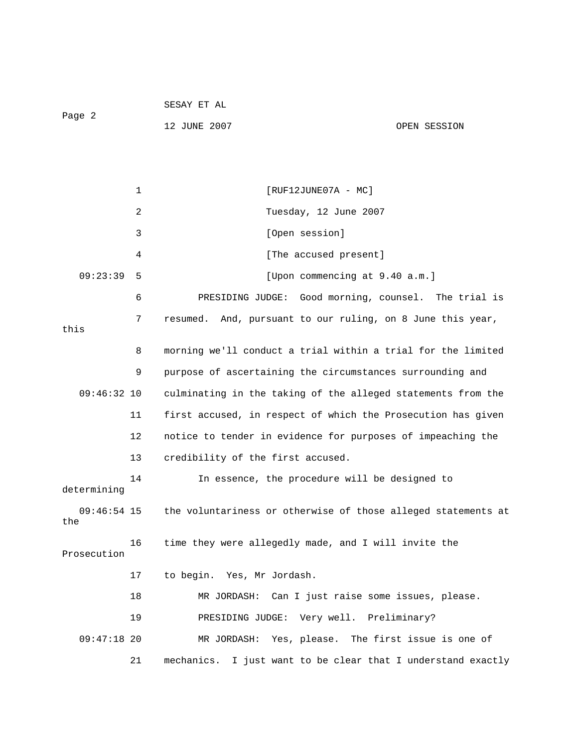| Page 2               |    | 12 JUNE 2007                                                  | OPEN SESSION                        |
|----------------------|----|---------------------------------------------------------------|-------------------------------------|
|                      |    |                                                               |                                     |
|                      | 1  | $[RUF12JUNE07A - MC]$                                         |                                     |
|                      | 2  | Tuesday, 12 June 2007                                         |                                     |
|                      | 3  | [Open session]                                                |                                     |
|                      | 4  | [The accused present]                                         |                                     |
| 09:23:39             | 5  | [Upon commencing at 9.40 a.m.]                                |                                     |
|                      | 6  | PRESIDING JUDGE:                                              | Good morning, counsel. The trial is |
| this                 | 7  | resumed. And, pursuant to our ruling, on 8 June this year,    |                                     |
|                      | 8  | morning we'll conduct a trial within a trial for the limited  |                                     |
|                      | 9  | purpose of ascertaining the circumstances surrounding and     |                                     |
| $09:46:32$ 10        |    | culminating in the taking of the alleged statements from the  |                                     |
|                      | 11 | first accused, in respect of which the Prosecution has given  |                                     |
|                      | 12 | notice to tender in evidence for purposes of impeaching the   |                                     |
|                      | 13 | credibility of the first accused.                             |                                     |
| determining          | 14 | In essence, the procedure will be designed to                 |                                     |
| $09:46:54$ 15<br>the |    | the voluntariness or otherwise of those alleged statements at |                                     |
| Prosecution          | 16 | time they were allegedly made, and I will invite the          |                                     |
|                      | 17 | to begin. Yes, Mr Jordash.                                    |                                     |
|                      | 18 | MR JORDASH: Can I just raise some issues, please.             |                                     |
|                      | 19 | PRESIDING JUDGE: Very well. Preliminary?                      |                                     |
| $09:47:18$ 20        |    | MR JORDASH: Yes, please. The first issue is one of            |                                     |
|                      | 21 | mechanics. I just want to be clear that I understand exactly  |                                     |

SESAY ET AL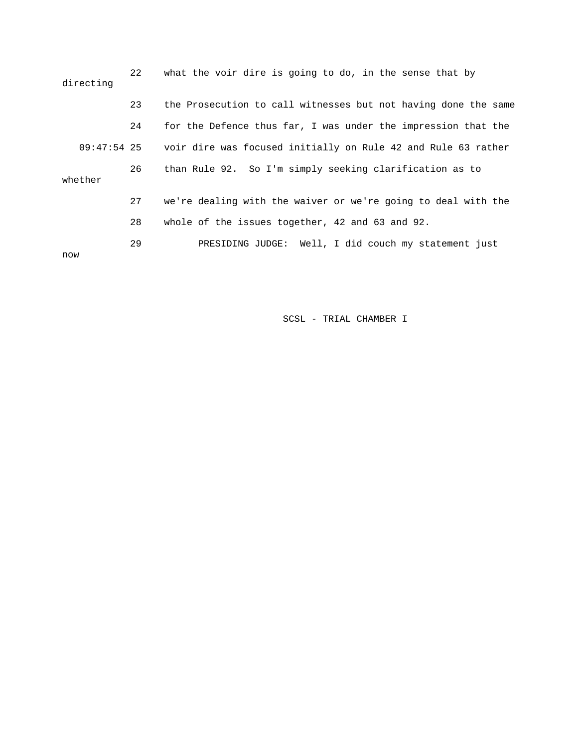| directing   | 22 | what the voir dire is going to do, in the sense that by        |
|-------------|----|----------------------------------------------------------------|
|             | 23 | the Prosecution to call witnesses but not having done the same |
|             | 24 | for the Defence thus far, I was under the impression that the  |
| 09:47:54 25 |    | voir dire was focused initially on Rule 42 and Rule 63 rather  |
| whether     | 26 | than Rule 92. So I'm simply seeking clarification as to        |
|             | 27 | we're dealing with the waiver or we're going to deal with the  |
|             | 28 | whole of the issues together, 42 and 63 and 92.                |
| now         | 29 | PRESIDING JUDGE: Well, I did couch my statement just           |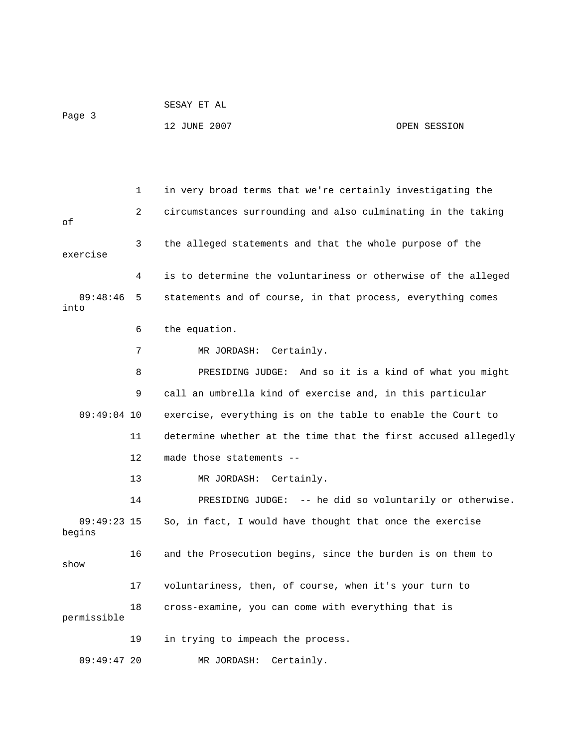|        | SESAY ET AL  |              |  |
|--------|--------------|--------------|--|
| Page 3 |              |              |  |
|        | 12 JUNE 2007 | OPEN SESSION |  |

 1 in very broad terms that we're certainly investigating the 2 circumstances surrounding and also culminating in the taking of 3 the alleged statements and that the whole purpose of the exercise 4 is to determine the voluntariness or otherwise of the alleged 09:48:46 5 statements and of course, in that process, everything comes into 6 the equation. 7 MR JORDASH: Certainly. 8 PRESIDING JUDGE: And so it is a kind of what you might 9 call an umbrella kind of exercise and, in this particular 09:49:04 10 exercise, everything is on the table to enable the Court to 11 determine whether at the time that the first accused allegedly 12 made those statements -- 13 MR JORDASH: Certainly. 14 PRESIDING JUDGE: -- he did so voluntarily or otherwise. 09:49:23 15 So, in fact, I would have thought that once the exercise begins 16 and the Prosecution begins, since the burden is on them to show 17 voluntariness, then, of course, when it's your turn to 18 cross-examine, you can come with everything that is permissible 19 in trying to impeach the process. 09:49:47 20 MR JORDASH: Certainly.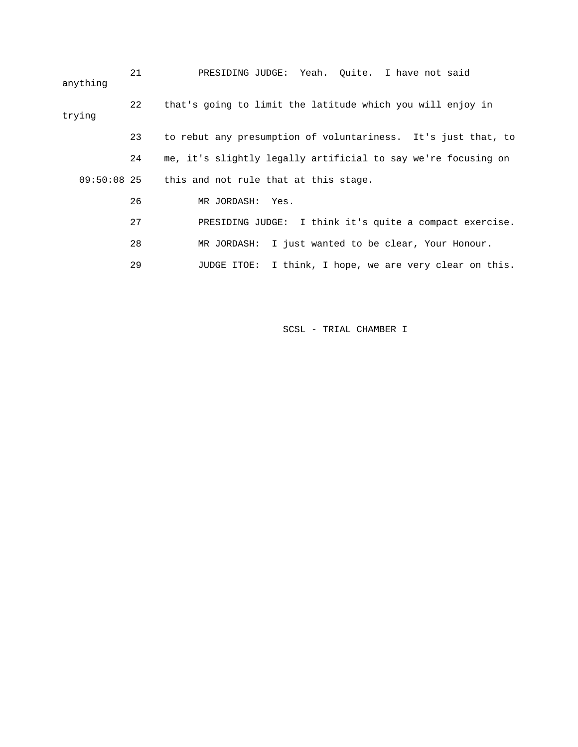21 PRESIDING JUDGE: Yeah. Quite. I have not said anything 22 that's going to limit the latitude which you will enjoy in trying 23 to rebut any presumption of voluntariness. It's just that, to 24 me, it's slightly legally artificial to say we're focusing on 09:50:08 25 this and not rule that at this stage. 26 MR JORDASH: Yes. 27 PRESIDING JUDGE: I think it's quite a compact exercise. 28 MR JORDASH: I just wanted to be clear, Your Honour. 29 JUDGE ITOE: I think, I hope, we are very clear on this.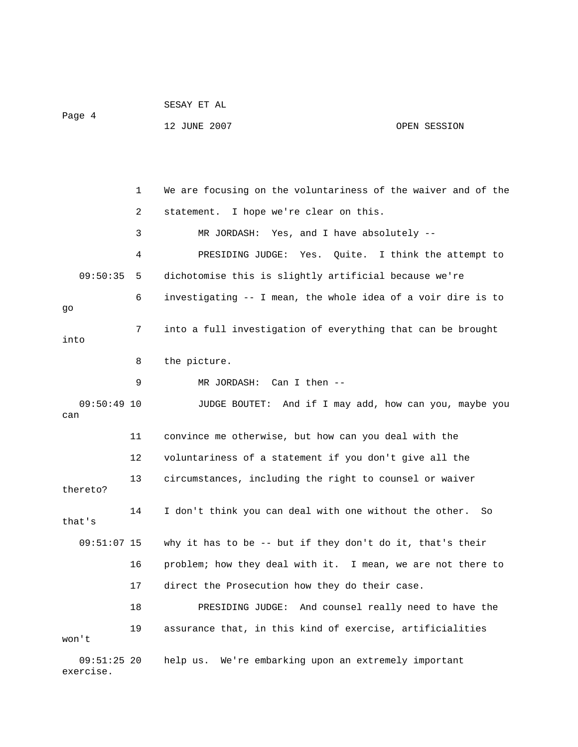|                            |    | SESAY ET AL                                                   |                               |
|----------------------------|----|---------------------------------------------------------------|-------------------------------|
| Page 4                     |    | 12 JUNE 2007                                                  | OPEN SESSION                  |
|                            |    |                                                               |                               |
|                            |    |                                                               |                               |
|                            | 1  | We are focusing on the voluntariness of the waiver and of the |                               |
|                            | 2  | statement. I hope we're clear on this.                        |                               |
|                            | 3  | MR JORDASH: Yes, and I have absolutely --                     |                               |
|                            | 4  | PRESIDING JUDGE:<br>Yes.                                      | Quite. I think the attempt to |
| 09:50:35                   | 5. | dichotomise this is slightly artificial because we're         |                               |
| go                         | 6  | investigating -- I mean, the whole idea of a voir dire is to  |                               |
| into                       | 7  | into a full investigation of everything that can be brought   |                               |
|                            | 8  | the picture.                                                  |                               |
|                            | 9  | MR JORDASH: Can I then --                                     |                               |
| $09:50:49$ 10<br>can       |    | JUDGE BOUTET: And if I may add, how can you, maybe you        |                               |
|                            | 11 | convince me otherwise, but how can you deal with the          |                               |
|                            | 12 | voluntariness of a statement if you don't give all the        |                               |
| thereto?                   | 13 | circumstances, including the right to counsel or waiver       |                               |
| that's                     | 14 | I don't think you can deal with one without the other.        | So                            |
| $09:51:07$ 15              |    | why it has to be -- but if they don't do it, that's their     |                               |
|                            | 16 | problem; how they deal with it. I mean, we are not there to   |                               |
|                            | 17 | direct the Prosecution how they do their case.                |                               |
|                            | 18 | PRESIDING JUDGE: And counsel really need to have the          |                               |
| won't                      | 19 | assurance that, in this kind of exercise, artificialities     |                               |
| $09:51:25$ 20<br>exercise. |    | help us. We're embarking upon an extremely important          |                               |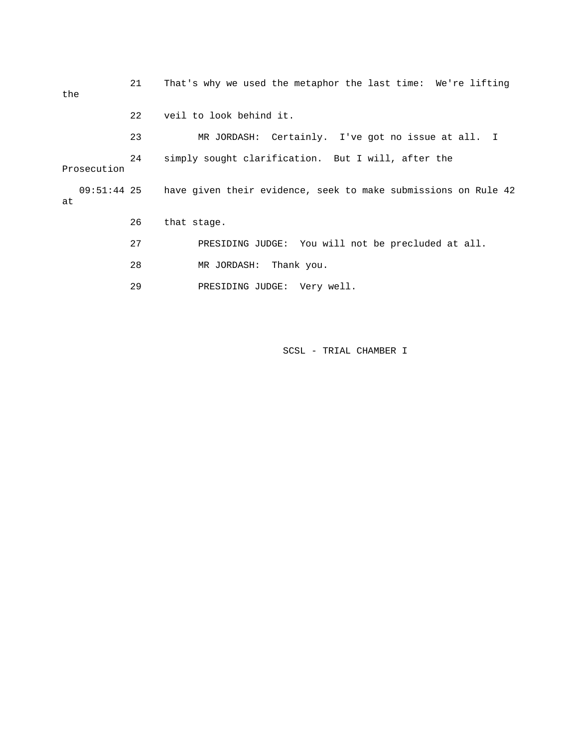| the         | 21 | That's why we used the metaphor the last time: We're lifting               |
|-------------|----|----------------------------------------------------------------------------|
|             | 22 | veil to look behind it.                                                    |
|             | 23 | MR JORDASH: Certainly. I've got no issue at all. I                         |
| Prosecution | 24 | simply sought clarification. But I will, after the                         |
| at          |    | 09:51:44 25 have given their evidence, seek to make submissions on Rule 42 |
|             | 26 | that stage.                                                                |
|             | 27 | PRESIDING JUDGE: You will not be precluded at all.                         |
|             | 28 | MR JORDASH: Thank you.                                                     |
|             | 29 | PRESIDING JUDGE: Very well.                                                |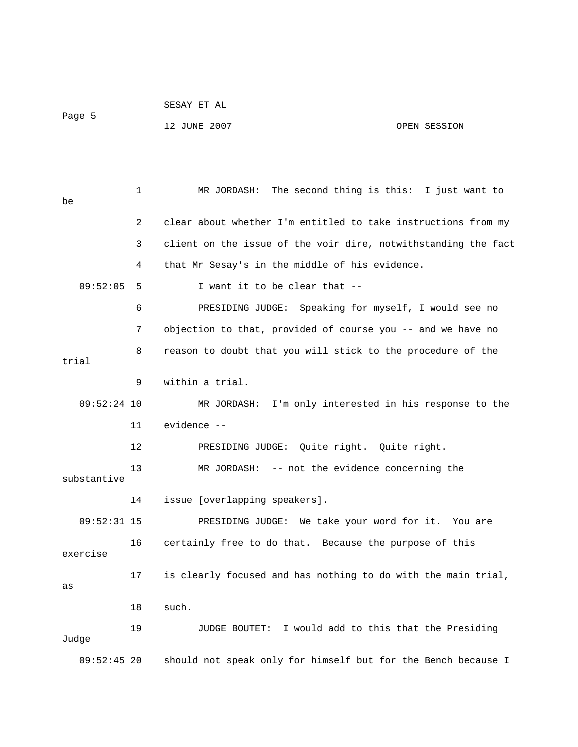|        | SESAY ET AL  |              |
|--------|--------------|--------------|
| Page 5 |              |              |
|        | 12 JUNE 2007 | OPEN SESSION |

 1 MR JORDASH: The second thing is this: I just want to be 2 clear about whether I'm entitled to take instructions from my 3 client on the issue of the voir dire, notwithstanding the fact 4 that Mr Sesay's in the middle of his evidence.  $09:52:05$  5 I want it to be clear that  $-$  6 PRESIDING JUDGE: Speaking for myself, I would see no 7 objection to that, provided of course you -- and we have no 8 reason to doubt that you will stick to the procedure of the trial 9 within a trial. 09:52:24 10 MR JORDASH: I'm only interested in his response to the 11 evidence -- 12 PRESIDING JUDGE: Quite right. Quite right. 13 MR JORDASH: -- not the evidence concerning the substantive 14 issue [overlapping speakers]. 09:52:31 15 PRESIDING JUDGE: We take your word for it. You are 16 certainly free to do that. Because the purpose of this exercise 17 is clearly focused and has nothing to do with the main trial, as 18 such. 19 JUDGE BOUTET: I would add to this that the Presiding Judge 09:52:45 20 should not speak only for himself but for the Bench because I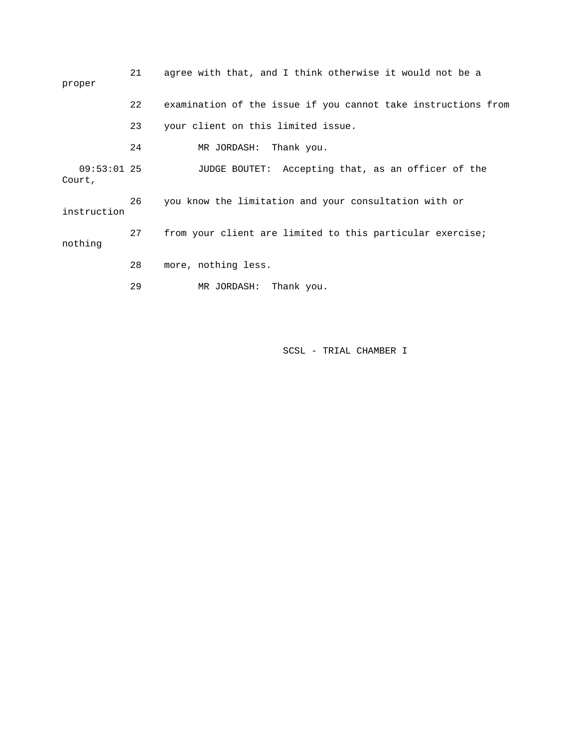| proper                  | 21 | agree with that, and I think otherwise it would not be a      |
|-------------------------|----|---------------------------------------------------------------|
|                         | 22 | examination of the issue if you cannot take instructions from |
|                         | 23 | your client on this limited issue.                            |
|                         | 24 | MR JORDASH: Thank you.                                        |
| $09:53:01$ 25<br>Court, |    | JUDGE BOUTET: Accepting that, as an officer of the            |
| instruction             | 26 | you know the limitation and your consultation with or         |
| nothing                 | 27 | from your client are limited to this particular exercise;     |
|                         | 28 | more, nothing less.                                           |
|                         | 29 | Thank you.<br>MR JORDASH:                                     |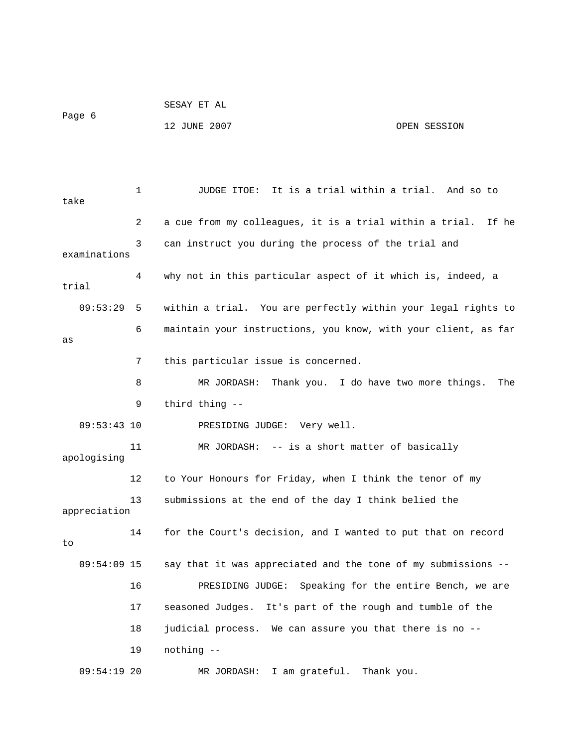```
 SESAY ET AL 
Page 6 
             12 JUNE 2007 OPEN SESSION
```
 1 JUDGE ITOE: It is a trial within a trial. And so to take 2 a cue from my colleagues, it is a trial within a trial. If he 3 can instruct you during the process of the trial and examinations 4 why not in this particular aspect of it which is, indeed, a trial 09:53:29 5 within a trial. You are perfectly within your legal rights to 6 maintain your instructions, you know, with your client, as far as 7 this particular issue is concerned. 8 MR JORDASH: Thank you. I do have two more things. The 09:53:43 10 PRESIDING JUDGE: Very well. 11 MR JORDASH: -- is a short matter of basically 12 to Your Honours for Friday, when I think the tenor of my 4 for the Court's decision, and I wanted to put that on record 09:54:09 15 say that it was appreciated and the tone of my submissions -- MR JORDASH: I am grateful. Thank you. 9 third thing - apologising 13 submissions at the end of the day I think belied the appreciation 1 to 16 PRESIDING JUDGE: Speaking for the entire Bench, we are 17 seasoned Judges. It's part of the rough and tumble of the 18 judicial process. We can assure you that there is no -- 19 nothing --  $09:54:19$  20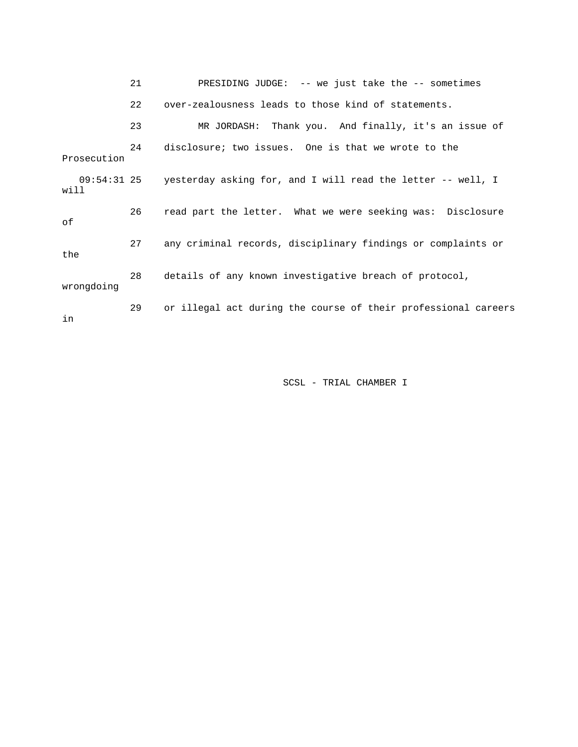21 PRESIDING JUDGE: -- we just take the -- sometimes ssue of 23 MR JORDASH: Thank you. And finally, it's an i Prosecution yesterday asking for, and I will read the letter -- well, I will 26 read part the letter. What we were seeking was: Disclosure 27 any criminal records, disciplinary findings or complaints or the 28 details of any known investigative breach of protocol, wrongdoing 29 or illegal act during the course of their professional careers 22 over-zealousness leads to those kind of statements. 24 disclosure; two issues. One is that we wrote to the 09:54:31 2 of in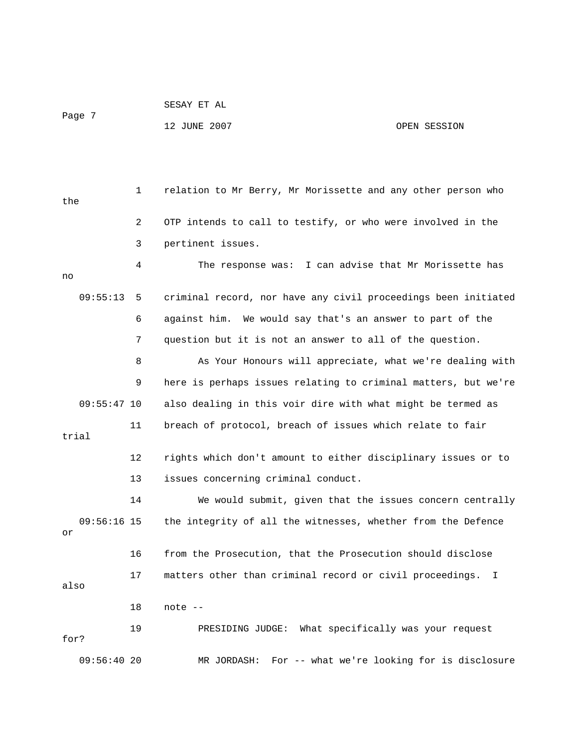```
 SESAY ET AL
```
Page 7

## 12 JUNE 2007 OPEN SESSION

 1 relation to Mr Berry, Mr Morissette and any other person who the 2 OTP intends to call to testify, or who were involved in the 3 pertinent issues. 4 The response was: I can advise that Mr Morissette has no 09:55:13 5 criminal record, nor have any civil proceedings been initiated 6 against him. We would say that's an answer to part of the 7 question but it is not an answer to all of the question. 8 As Your Honours will appreciate, what we're dealing with 9 here is perhaps issues relating to criminal matters, but we're 09:55:47 10 also dealing in this voir dire with what might be termed as 11 breach of protocol, breach of issues which relate to fair trial 12 rights which don't amount to either disciplinary issues or to 13 issues concerning criminal conduct. 14 We would submit, given that the issues concern centrally 09:56:16 15 the integrity of all the witnesses, whether from the Defence or 16 from the Prosecution, that the Prosecution should disclose 17 matters other than criminal record or civil proceedings. I also 18 note -- 19 PRESIDING JUDGE: What specifically was your request for? 09:56:40 20 MR JORDASH: For -- what we're looking for is disclosure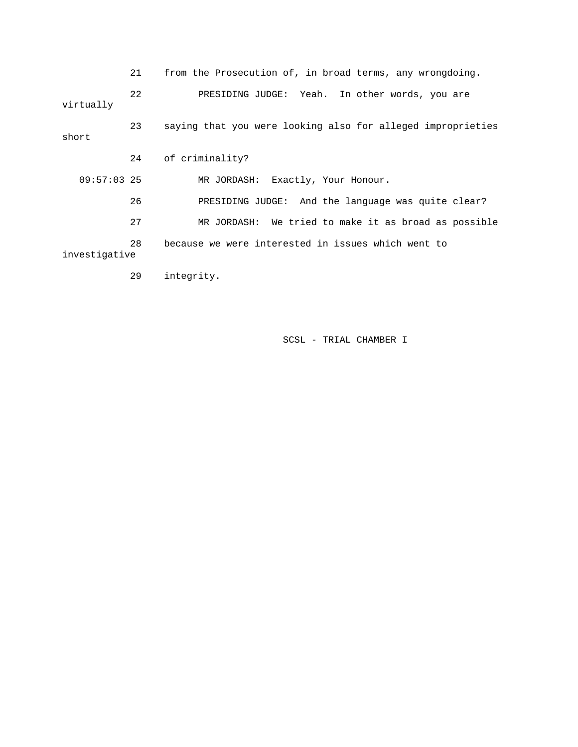|               | 21 | from the Prosecution of, in broad terms, any wrongdoing.    |
|---------------|----|-------------------------------------------------------------|
| virtually     | 22 | PRESIDING JUDGE: Yeah. In other words, you are              |
| short         | 23 | saying that you were looking also for alleged improprieties |
|               | 24 | of criminality?                                             |
| $09:57:03$ 25 |    | MR JORDASH: Exactly, Your Honour.                           |
|               | 26 | PRESIDING JUDGE: And the language was quite clear?          |
|               | 27 | MR JORDASH: We tried to make it as broad as possible        |
| investigative | 28 | because we were interested in issues which went to          |
|               | 29 | integrity.                                                  |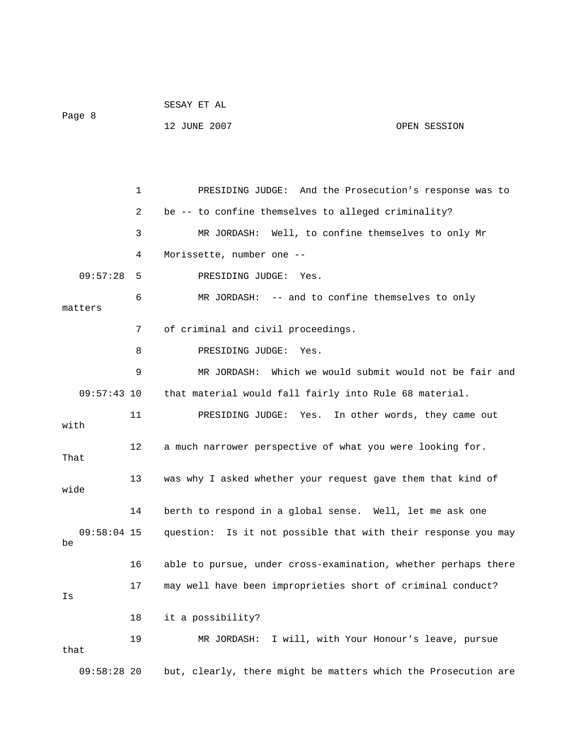|               |             | 12 JUNE 2007                                        | OPEN SESSION                                                |
|---------------|-------------|-----------------------------------------------------|-------------------------------------------------------------|
|               |             |                                                     |                                                             |
|               |             |                                                     |                                                             |
|               | $\mathbf 1$ |                                                     | PRESIDING JUDGE: And the Prosecution's response was to      |
|               | 2           | be -- to confine themselves to alleged criminality? |                                                             |
|               | 3           |                                                     | MR JORDASH: Well, to confine themselves to only Mr          |
|               | 4           | Morissette, number one --                           |                                                             |
| 09:57:28      | 5           | PRESIDING JUDGE: Yes.                               |                                                             |
|               | 6           |                                                     | MR JORDASH: -- and to confine themselves to only            |
| matters       |             |                                                     |                                                             |
|               | 7           | of criminal and civil proceedings.                  |                                                             |
|               | 8           | PRESIDING JUDGE: Yes.                               |                                                             |
|               | 9           |                                                     | MR JORDASH: Which we would submit would not be fair and     |
| $09:57:43$ 10 |             |                                                     | that material would fall fairly into Rule 68 material.      |
| with          | 11          |                                                     | PRESIDING JUDGE: Yes. In other words, they came out         |
| That          | 12          |                                                     | a much narrower perspective of what you were looking for.   |
|               | 13          |                                                     | was why I asked whether your request gave them that kind of |

SESAY ET AL

Page 8

wide 14 berth to respond in a global sense. Well, let me ask one 09:58:04 15 question: Is it not possible that with their response you may be 16 able to pursue, under cross-examination, whether perhaps there 17 may well have been improprieties short of criminal conduct? Is 18 it a possibility? 19 MR JORDASH: I will, with Your Honour's leave, pursue that

09:58:28 20 but, clearly, there might be matters which the Prosecution are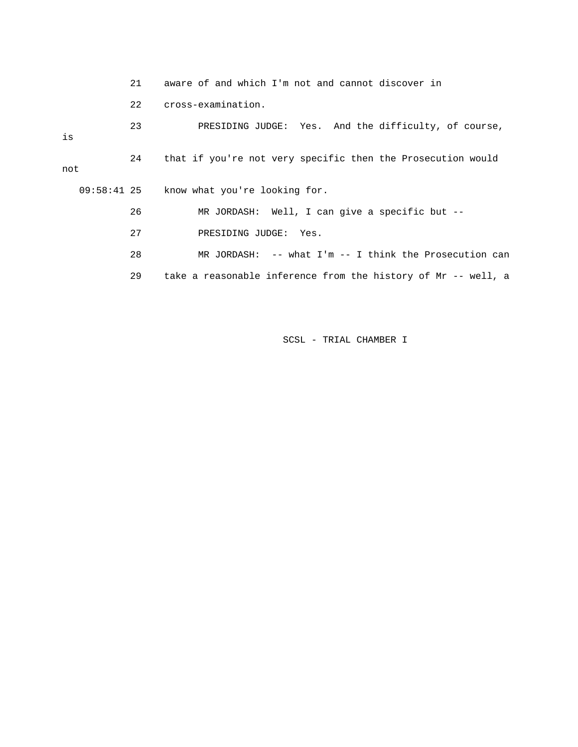|     | 21 | aware of and which I'm not and cannot discover in             |
|-----|----|---------------------------------------------------------------|
|     | 22 | cross-examination.                                            |
| is  | 23 | PRESIDING JUDGE: Yes. And the difficulty, of course,          |
| not | 24 | that if you're not very specific then the Prosecution would   |
|     |    | 09:58:41 25 know what you're looking for.                     |
|     | 26 | MR JORDASH: Well, I can give a specific but $--$              |
|     | 27 | PRESIDING JUDGE: Yes.                                         |
|     | 28 | MR JORDASH: $--$ what I'm $--$ I think the Prosecution can    |
|     | 29 | take a reasonable inference from the history of Mr -- well, a |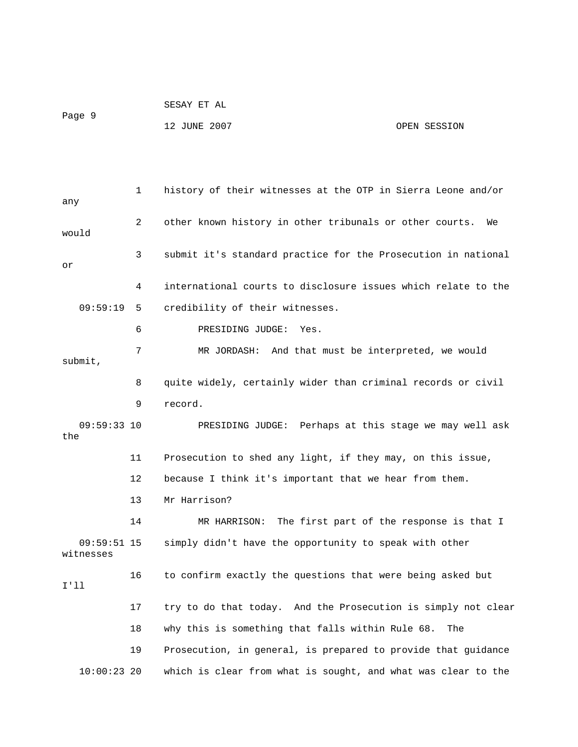|        | SESAY ET AL  |              |
|--------|--------------|--------------|
| Page 9 |              |              |
|        | 12 JUNE 2007 | OPEN SESSION |

 1 history of their witnesses at the OTP in Sierra Leone and/or any 2 other known history in other tribunals or other courts. We would 3 submit it's standard practice for the Prosecution in national or 4 international courts to disclosure issues which relate to the 09:59:19 5 credibility of their witnesses. 6 PRESIDING JUDGE: Yes. 7 MR JORDASH: And that must be interpreted, we would submit, 8 quite widely, certainly wider than criminal records or civil 9 record. 09:59:33 10 PRESIDING JUDGE: Perhaps at this stage we may well ask the 11 Prosecution to shed any light, if they may, on this issue, 12 because I think it's important that we hear from them. 13 Mr Harrison? 14 MR HARRISON: The first part of the response is that I 09:59:51 15 simply didn't have the opportunity to speak with other witnesses 16 to confirm exactly the questions that were being asked but I'll 17 try to do that today. And the Prosecution is simply not clear 18 why this is something that falls within Rule 68. The 19 Prosecution, in general, is prepared to provide that guidance 10:00:23 20 which is clear from what is sought, and what was clear to the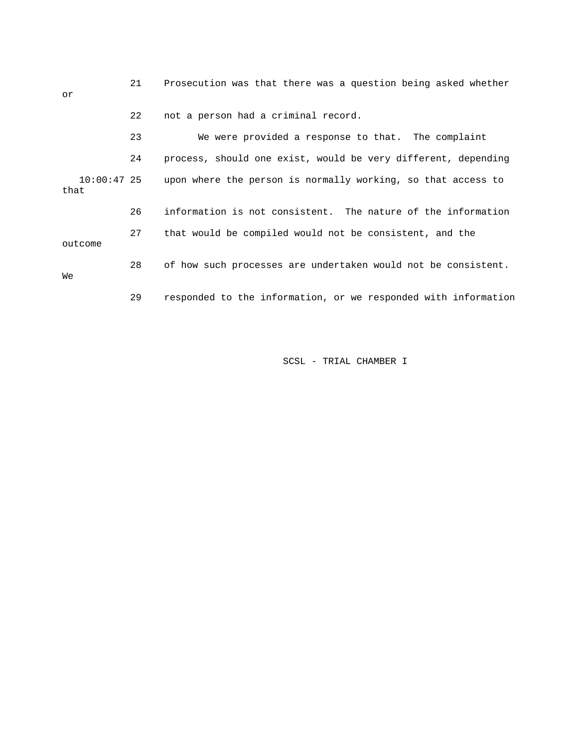| or                    | 21 | Prosecution was that there was a question being asked whether  |
|-----------------------|----|----------------------------------------------------------------|
|                       | 22 | not a person had a criminal record.                            |
|                       | 23 | We were provided a response to that. The complaint             |
|                       | 24 | process, should one exist, would be very different, depending  |
| $10:00:47$ 25<br>that |    | upon where the person is normally working, so that access to   |
|                       | 26 | information is not consistent. The nature of the information   |
| outcome               | 27 | that would be compiled would not be consistent, and the        |
| Wе                    | 28 | of how such processes are undertaken would not be consistent.  |
|                       | 29 | responded to the information, or we responded with information |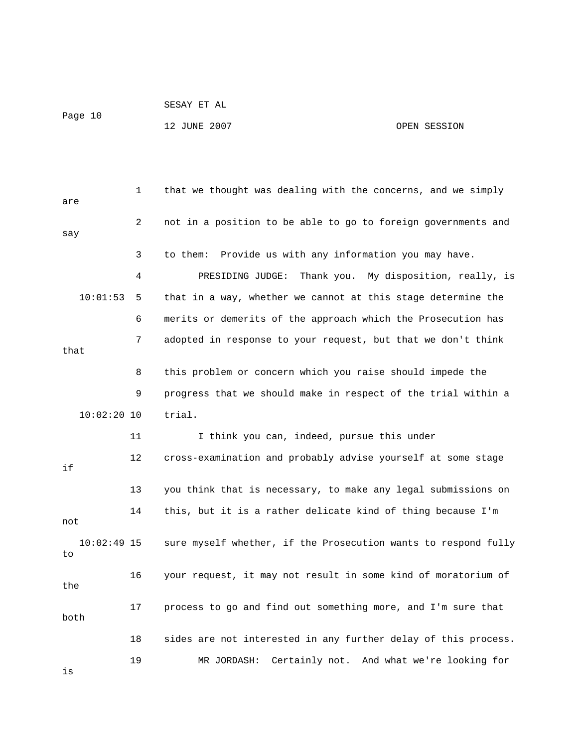```
 SESAY ET AL
```
Page 10

12 JUNE 2007 OPEN SESSION

 1 that we thought was dealing with the concerns, and we simply are 2 not in a position to be able to go to foreign governments and say 3 to them: Provide us with any information you may have. 4 PRESIDING JUDGE: Thank you. My disposition, really, is 10:01:53 5 that in a way, whether we cannot at this stage determine the 6 merits or demerits of the approach which the Prosecution has 7 adopted in response to your request, but that we don't think that 8 this problem or concern which you raise should impede the 9 progress that we should make in respect of the trial within a 10:02:20 10 trial. 11 I think you can, indeed, pursue this under 12 cross-examination and probably advise yourself at some stage if 13 you think that is necessary, to make any legal submissions on 14 this, but it is a rather delicate kind of thing because I'm not 10:02:49 15 sure myself whether, if the Prosecution wants to respond fully to 16 your request, it may not result in some kind of moratorium of the 17 process to go and find out something more, and I'm sure that both 18 sides are not interested in any further delay of this process. 19 MR JORDASH: Certainly not. And what we're looking for is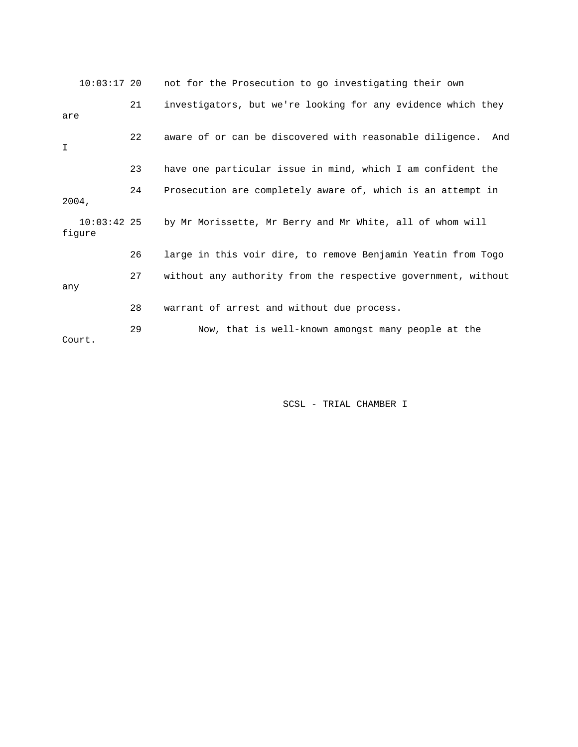|        | $10:03:17$ 20 | not for the Prosecution to go investigating their own           |
|--------|---------------|-----------------------------------------------------------------|
| are    | 21            | investigators, but we're looking for any evidence which they    |
| I      | 22            | aware of or can be discovered with reasonable diligence.<br>And |
|        | 23            | have one particular issue in mind, which I am confident the     |
| 2004.  | 24            | Prosecution are completely aware of, which is an attempt in     |
| figure | $10:03:42$ 25 | by Mr Morissette, Mr Berry and Mr White, all of whom will       |
|        | 26            | large in this voir dire, to remove Benjamin Yeatin from Togo    |
| any    | 27            | without any authority from the respective government, without   |
|        | 28            | warrant of arrest and without due process.                      |
| Court. | 29            | Now, that is well-known amongst many people at the              |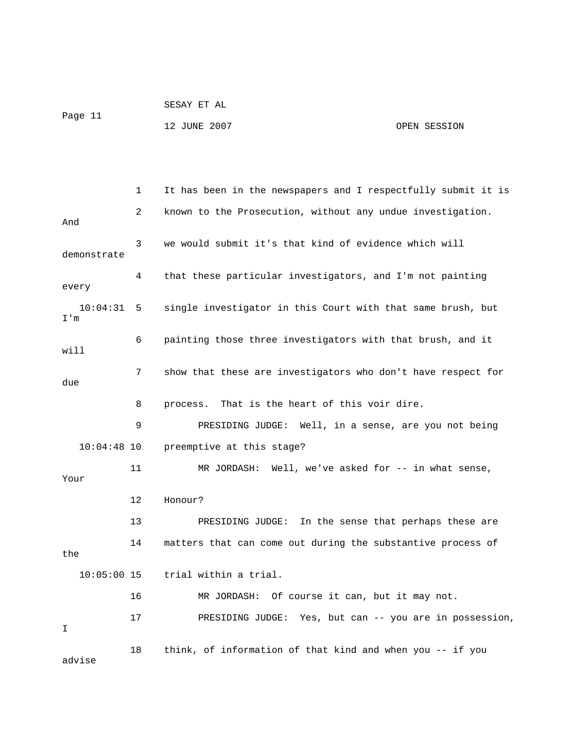|         | SESAY ET AL  |              |
|---------|--------------|--------------|
| Page 11 | 12 JUNE 2007 | OPEN SESSION |

 1 It has been in the newspapers and I respectfully submit it is 7 show that these are investigators who don't have respect for 8 process. That is the heart of this voir dire. 9 PRESIDING JUDGE: Well, in a sense, are you not being 10:04:48 10 preemptive at this stage? 11 MR JORDASH: Well, we've asked for -- in what sense, 12 Honour? 13 PRESIDING JUDGE: In the sense that perhaps these are 14 matters that can come out during the substantive process of 10:05:00 15 trial within a trial. 16 MR JORDASH: Of course it can, but it may not. 17 PRESIDING JUDGE: Yes, but can -- you are in possession, 18 think, of information of that kind and when you -- if you 2 known to the Prosecution, without any undue investigation. And 3 we would submit it's that kind of evidence which will demonstrate 4 that these particular investigators, and I'm not painting every 10:04:31 5 single investigator in this Court with that same brush, but I'm 6 painting those three investigators with that brush, and it will due Your the I advise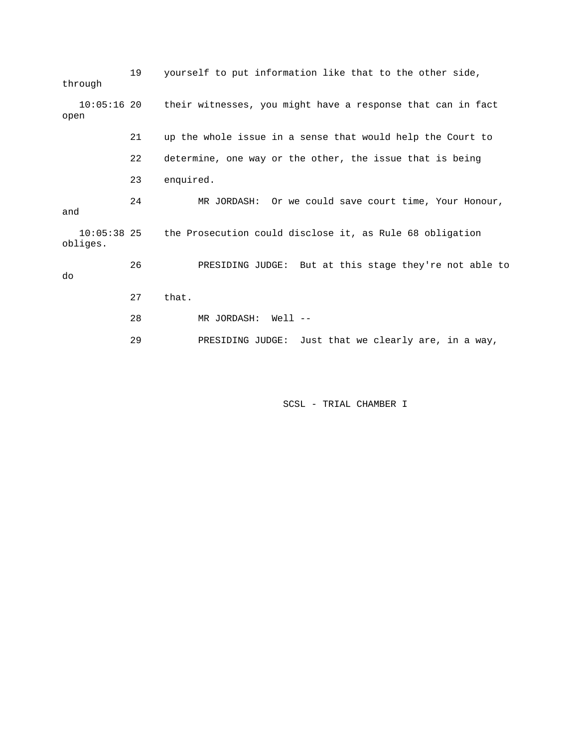| through  | 19 | yourself to put information like that to the other side,                |
|----------|----|-------------------------------------------------------------------------|
| open     |    | 10:05:16 20 their witnesses, you might have a response that can in fact |
|          | 21 | up the whole issue in a sense that would help the Court to              |
|          | 22 | determine, one way or the other, the issue that is being                |
|          | 23 | enquired.                                                               |
| and      | 24 | MR JORDASH: Or we could save court time, Your Honour,                   |
| obliges. |    | 10:05:38 25 the Prosecution could disclose it, as Rule 68 obligation    |
| do       | 26 | PRESIDING JUDGE: But at this stage they're not able to                  |
|          | 27 | that.                                                                   |
|          | 28 | MR JORDASH:<br>Well --                                                  |
|          | 29 | PRESIDING JUDGE:<br>Just that we clearly are, in a way,                 |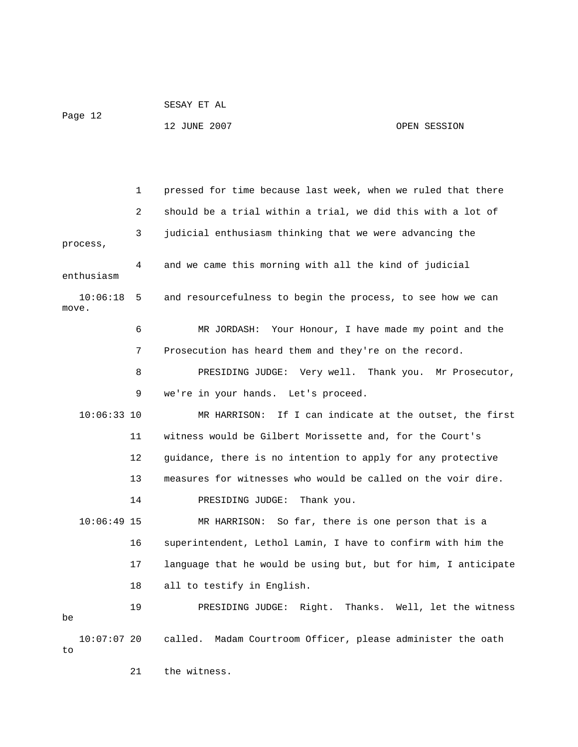SESAY ET AL Page 12 12 JUNE 2007 OPEN SESSION

 1 pressed for time because last week, when we ruled that there 2 should be a trial within a trial, we did this with a lot of 3 judicial enthusiasm thinking that we were advancing the process, 4 and we came this morning with all the kind of judicial enthusiasm 10:06:18 5 and resourcefulness to begin the process, to see how we can move. 6 MR JORDASH: Your Honour, I have made my point and the 7 Prosecution has heard them and they're on the record. 8 PRESIDING JUDGE: Very well. Thank you. Mr Prosecutor, 9 we're in your hands. Let's proceed. 10:06:33 10 MR HARRISON: If I can indicate at the outset, the first 11 witness would be Gilbert Morissette and, for the Court's 12 guidance, there is no intention to apply for any protective 13 measures for witnesses who would be called on the voir dire. 14 PRESIDING JUDGE: Thank you. 10:06:49 15 MR HARRISON: So far, there is one person that is a 16 superintendent, Lethol Lamin, I have to confirm with him the 17 language that he would be using but, but for him, I anticipate 18 all to testify in English. 19 PRESIDING JUDGE: Right. Thanks. Well, let the witness be 10:07:07 20 called. Madam Courtroom Officer, please administer the oath

to

21 the witness.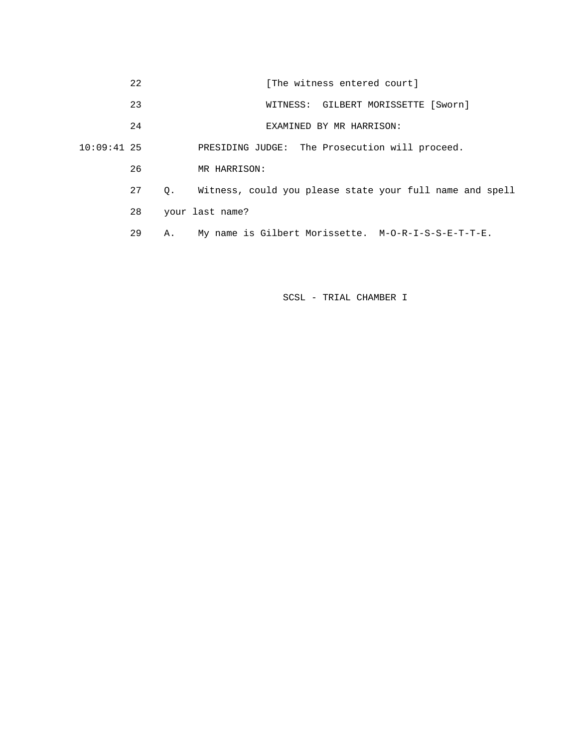|               | 22              | [The witness entered court]                              |
|---------------|-----------------|----------------------------------------------------------|
|               | 23              | WITNESS: GILBERT MORISSETTE [Sworn]                      |
|               | 24              | EXAMINED BY MR HARRISON:                                 |
| $10:09:41$ 25 |                 | PRESIDING JUDGE: The Prosecution will proceed.           |
|               | 26              | MR HARRISON:                                             |
|               | 27<br>$\circ$ . | Witness, could you please state your full name and spell |
|               | 28              | your last name?                                          |
|               | 29<br>Α.        | My name is Gilbert Morissette. M-O-R-I-S-S-E-T-T-E.      |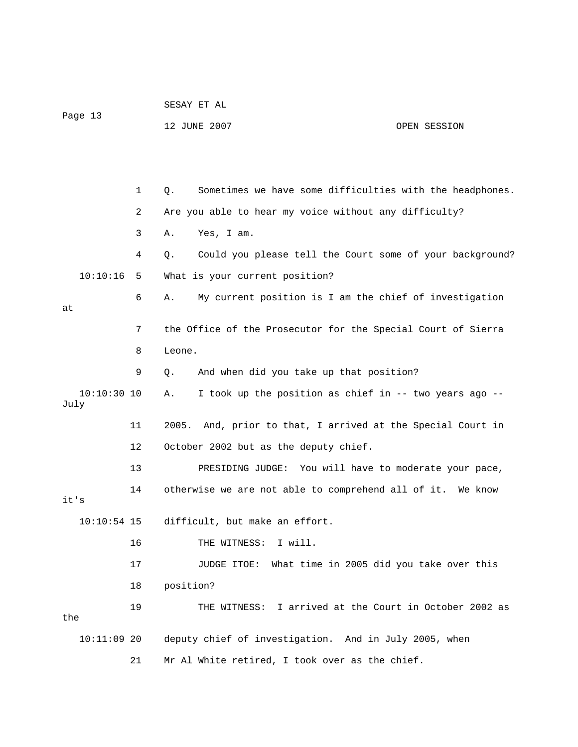|               |    | SESAY ET AL                                                    |  |
|---------------|----|----------------------------------------------------------------|--|
| Page 13       |    | 12 JUNE 2007<br>OPEN SESSION                                   |  |
|               |    |                                                                |  |
|               |    |                                                                |  |
|               | 1  | Sometimes we have some difficulties with the headphones.<br>Q. |  |
|               | 2  | Are you able to hear my voice without any difficulty?          |  |
|               | 3  | Yes, I am.<br>Α.                                               |  |
|               | 4  | Could you please tell the Court some of your background?<br>Q. |  |
| 10:10:16      | 5  | What is your current position?                                 |  |
| at            | 6  | My current position is I am the chief of investigation<br>Α.   |  |
|               | 7  | the Office of the Prosecutor for the Special Court of Sierra   |  |
|               | 8  | Leone.                                                         |  |
|               | 9  | And when did you take up that position?<br>$Q$ .               |  |
| $10:10:30$ 10 |    | I took up the position as chief in -- two years ago --<br>Α.   |  |
| July          |    |                                                                |  |
|               | 11 | 2005. And, prior to that, I arrived at the Special Court in    |  |
|               | 12 | October 2002 but as the deputy chief.                          |  |
|               | 13 | PRESIDING JUDGE: You will have to moderate your pace,          |  |
| it's          | 14 | otherwise we are not able to comprehend all of it. We know     |  |
| $10:10:54$ 15 |    | difficult, but make an effort.                                 |  |
|               | 16 | THE WITNESS: I will.                                           |  |
|               | 17 | What time in 2005 did you take over this<br>JUDGE ITOE:        |  |
|               | 18 | position?                                                      |  |
|               | 19 | THE WITNESS: I arrived at the Court in October 2002 as         |  |
| the           |    |                                                                |  |
| $10:11:09$ 20 |    | deputy chief of investigation. And in July 2005, when          |  |
|               | 21 | Mr Al White retired, I took over as the chief.                 |  |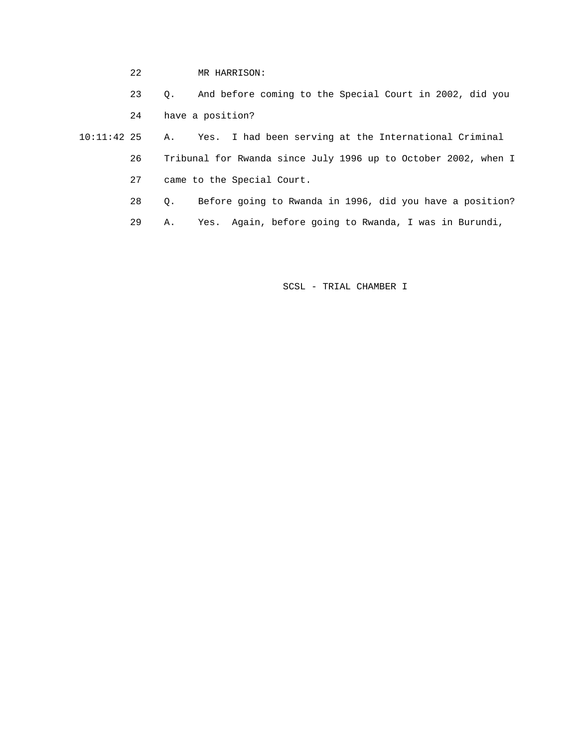22 MR HARRISON:

23 Q. And before coming to the Special Court in 2002, did you

24 have a position?

 10:11:42 25 A. Yes. I had been serving at the International Criminal 26 Tribunal for Rwanda since July 1996 up to October 2002, when I 27 came to the Special Court.

28 Q. Before going to Rwanda in 1996, did you have a position?

29 A. Yes. Again, before going to Rwanda, I was in Burundi,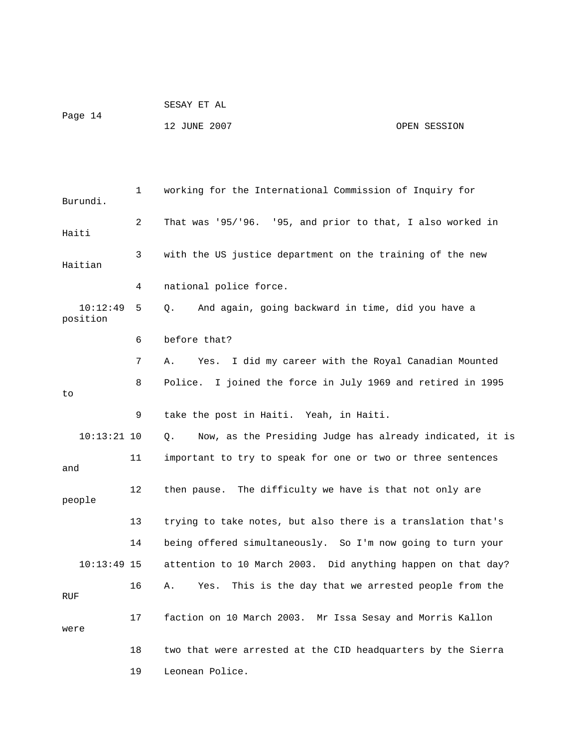|         | SESAY ET AL  |              |
|---------|--------------|--------------|
| Page 14 | 12 JUNE 2007 | OPEN SESSION |

 1 working for the International Commission of Inquiry for Burundi. 2 That was '95/'96. '95, and prior to that, I also worked in Haiti 3 with the US justice department on the training of the new Haitian 4 national police force. 10:12:49 5 Q. And again, going backward in time, did you have a position 6 before that? 7 A. Yes. I did my career with the Royal Canadian Mounted 8 Police. I joined the force in July 1969 and retired in 1995 to 9 take the post in Haiti. Yeah, in Haiti. 10:13:21 10 Q. Now, as the Presiding Judge has already indicated, it is 11 important to try to speak for one or two or three sentences and 12 then pause. The difficulty we have is that not only are people 13 trying to take notes, but also there is a translation that's 14 being offered simultaneously. So I'm now going to turn your 10:13:49 15 attention to 10 March 2003. Did anything happen on that day? 16 A. Yes. This is the day that we arrested people from the RUF 17 faction on 10 March 2003. Mr Issa Sesay and Morris Kallon were 18 two that were arrested at the CID headquarters by the Sierra 19 Leonean Police.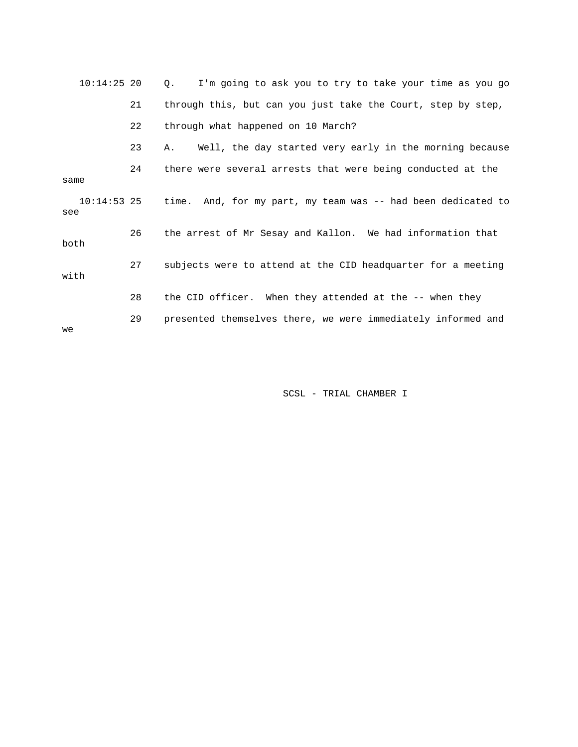| $10:14:25$ 20        |    | I'm going to ask you to try to take your time as you go<br>$Q_{\star}$ |
|----------------------|----|------------------------------------------------------------------------|
|                      | 21 | through this, but can you just take the Court, step by step,           |
|                      | 22 | through what happened on 10 March?                                     |
|                      | 23 | Well, the day started very early in the morning because<br>A.          |
| same                 | 24 | there were several arrests that were being conducted at the            |
| $10:14:53$ 25<br>see |    | time. And, for my part, my team was -- had been dedicated to           |
| both                 | 26 | the arrest of Mr Sesay and Kallon. We had information that             |
| with                 | 27 | subjects were to attend at the CID headquarter for a meeting           |
|                      | 28 | the CID officer. When they attended at the -- when they                |
| we                   | 29 | presented themselves there, we were immediately informed and           |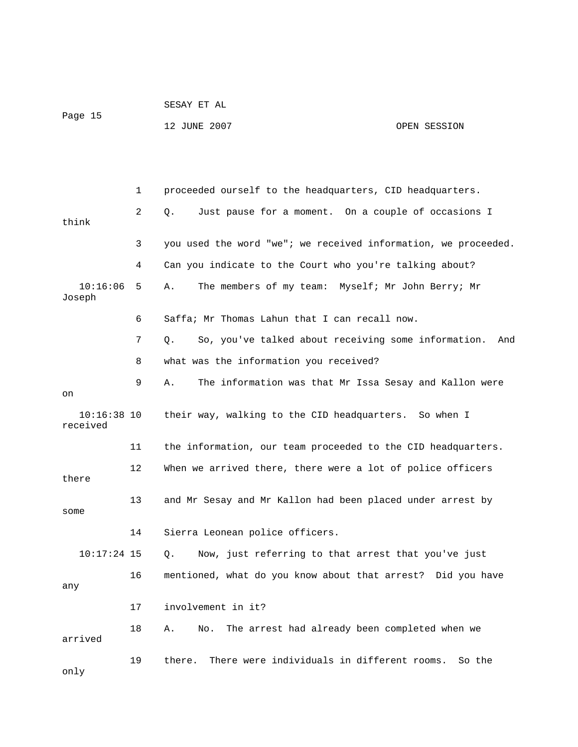|         | SESAY ET AL  |              |
|---------|--------------|--------------|
| Page 15 |              |              |
|         | 12 JUNE 2007 | OPEN SESSION |

|                           | $\mathbf 1$ | proceeded ourself to the headquarters, CID headquarters.       |
|---------------------------|-------------|----------------------------------------------------------------|
| think                     | 2           | Just pause for a moment. On a couple of occasions I<br>Q.      |
|                           | 3           | you used the word "we"; we received information, we proceeded. |
|                           | 4           | Can you indicate to the Court who you're talking about?        |
| 10:16:06<br>Joseph        | 5           | The members of my team: Myself; Mr John Berry; Mr<br>Α.        |
|                           | 6           | Saffa; Mr Thomas Lahun that I can recall now.                  |
|                           | 7           | So, you've talked about receiving some information. And<br>Q.  |
|                           | 8           | what was the information you received?                         |
| on                        | 9           | Α.<br>The information was that Mr Issa Sesay and Kallon were   |
| $10:16:38$ 10<br>received |             | their way, walking to the CID headquarters. So when I          |
|                           | 11          | the information, our team proceeded to the CID headquarters.   |
| there                     | 12          | When we arrived there, there were a lot of police officers     |
| some                      | 13          | and Mr Sesay and Mr Kallon had been placed under arrest by     |
|                           | 14          | Sierra Leonean police officers.                                |
| $10:17:24$ 15             |             | О.<br>Now, just referring to that arrest that you've just      |
| any                       | 16          | mentioned, what do you know about that arrest? Did you have    |
|                           | 17          | involvement in it?                                             |
| arrived                   | 18          | The arrest had already been completed when we<br>Α.<br>No.     |
| only                      | 19          | There were individuals in different rooms.<br>there.<br>So the |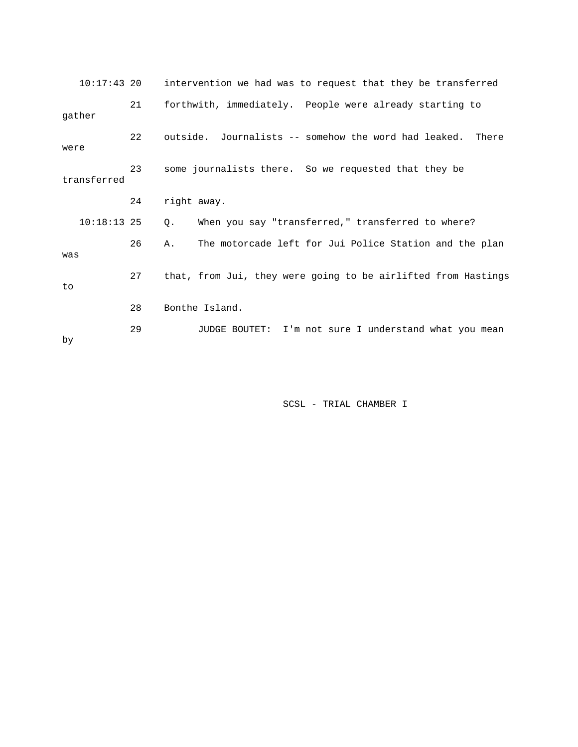| $10:17:43$ 20 |    | intervention we had was to request that they be transferred   |
|---------------|----|---------------------------------------------------------------|
| gather        | 21 | forthwith, immediately. People were already starting to       |
| were          | 22 | outside. Journalists -- somehow the word had leaked.<br>There |
| transferred   | 23 | some journalists there. So we requested that they be          |
|               | 24 | right away.                                                   |
| $10:18:13$ 25 |    | When you say "transferred," transferred to where?<br>Q.       |
| was           | 26 | The motorcade left for Jui Police Station and the plan<br>Α.  |
| to            | 27 | that, from Jui, they were going to be airlifted from Hastings |
|               | 28 | Bonthe Island.                                                |
| by            | 29 | JUDGE BOUTET: I'm not sure I understand what you mean         |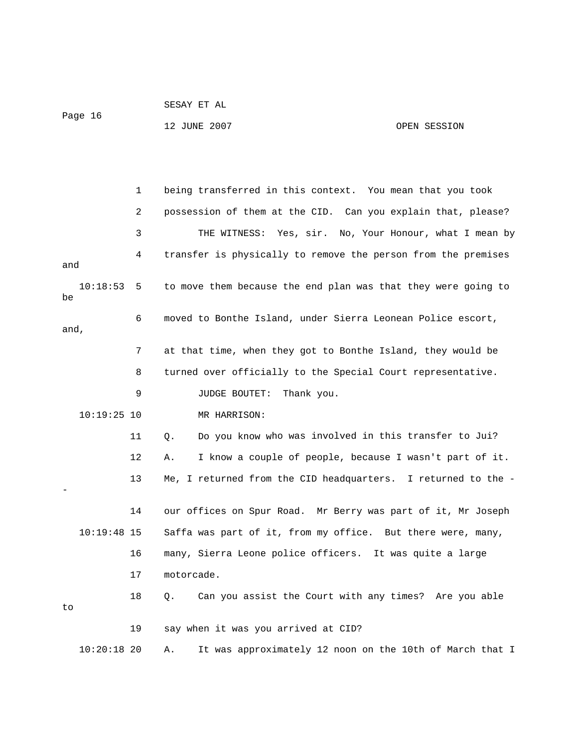|      | Page 16       |    | 12 JUNE 2007                        | OPEN SESSION                                                  |  |
|------|---------------|----|-------------------------------------|---------------------------------------------------------------|--|
|      |               |    |                                     |                                                               |  |
|      |               | 1  |                                     | being transferred in this context. You mean that you took     |  |
|      |               | 2  |                                     | possession of them at the CID. Can you explain that, please?  |  |
|      |               | 3  |                                     | THE WITNESS: Yes, sir. No, Your Honour, what I mean by        |  |
| and  |               | 4  |                                     | transfer is physically to remove the person from the premises |  |
| be   | 10:18:53      | 5  |                                     | to move them because the end plan was that they were going to |  |
| and, |               | 6  |                                     | moved to Bonthe Island, under Sierra Leonean Police escort,   |  |
|      |               | 7  |                                     | at that time, when they got to Bonthe Island, they would be   |  |
|      |               | 8  |                                     | turned over officially to the Special Court representative.   |  |
|      |               | 9  | JUDGE BOUTET:                       | Thank you.                                                    |  |
|      | $10:19:25$ 10 |    | MR HARRISON:                        |                                                               |  |
|      |               | 11 | Q.                                  | Do you know who was involved in this transfer to Jui?         |  |
|      |               | 12 | Α.                                  | I know a couple of people, because I wasn't part of it.       |  |
|      |               | 13 |                                     | Me, I returned from the CID headquarters. I returned to the - |  |
|      |               | 14 |                                     | our offices on Spur Road. Mr Berry was part of it, Mr Joseph  |  |
|      | $10:19:48$ 15 |    |                                     | Saffa was part of it, from my office. But there were, many,   |  |
|      |               | 16 |                                     | many, Sierra Leone police officers. It was quite a large      |  |
|      |               | 17 | motorcade.                          |                                                               |  |
| to   |               | 18 | Q.                                  | Can you assist the Court with any times? Are you able         |  |
|      |               | 19 | say when it was you arrived at CID? |                                                               |  |
|      | $10:20:18$ 20 |    | Α.                                  | It was approximately 12 noon on the 10th of March that I      |  |

SESAY ET AL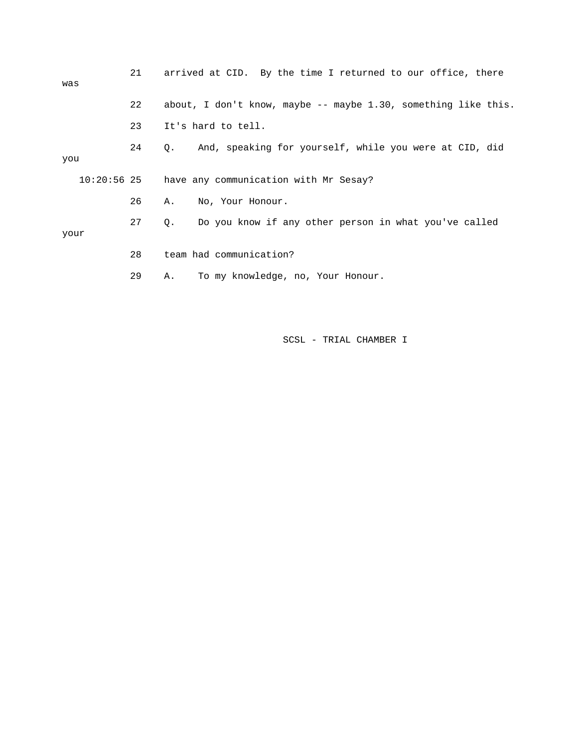| was  | 21 | arrived at CID. By the time I returned to our office, there       |
|------|----|-------------------------------------------------------------------|
|      | 22 | about, I don't know, maybe $-$ - maybe 1.30, something like this. |
|      | 23 | It's hard to tell.                                                |
| you  | 24 | And, speaking for yourself, while you were at CID, did<br>Q.      |
|      |    | 10:20:56 25 have any communication with Mr Sesay?                 |
|      | 26 | No, Your Honour.<br>Α.                                            |
| your | 27 | Do you know if any other person in what you've called<br>Q.       |
|      | 28 | team had communication?                                           |
|      | 29 | To my knowledge, no, Your Honour.<br>Α.                           |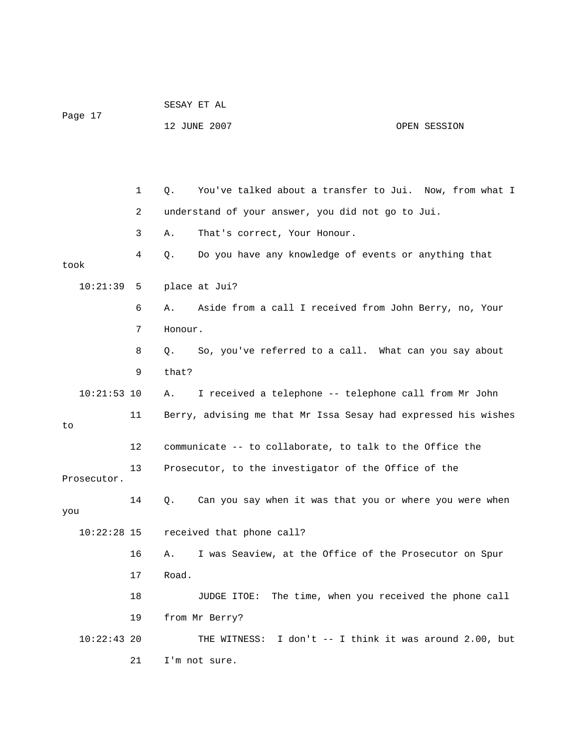|               |              |         | SESAY ET AL                                                    |                                            |  |
|---------------|--------------|---------|----------------------------------------------------------------|--------------------------------------------|--|
| Page 17       |              |         | 12 JUNE 2007                                                   | OPEN SESSION                               |  |
|               |              |         |                                                                |                                            |  |
|               |              |         |                                                                |                                            |  |
|               | $\mathbf{1}$ | Q.      | You've talked about a transfer to Jui. Now, from what I        |                                            |  |
|               | 2            |         | understand of your answer, you did not go to Jui.              |                                            |  |
|               | 3            | Α.      | That's correct, Your Honour.                                   |                                            |  |
| took          | 4            | Q.      | Do you have any knowledge of events or anything that           |                                            |  |
| 10:21:39      | 5            |         | place at Jui?                                                  |                                            |  |
|               | 6            | Α.      | Aside from a call I received from John Berry, no, Your         |                                            |  |
|               | 7            | Honour. |                                                                |                                            |  |
|               | 8            | Q.      | So, you've referred to a call. What can you say about          |                                            |  |
|               | 9            | that?   |                                                                |                                            |  |
| $10:21:53$ 10 |              | Α.      | I received a telephone -- telephone call from Mr John          |                                            |  |
| to            | 11           |         | Berry, advising me that Mr Issa Sesay had expressed his wishes |                                            |  |
|               | 12           |         | communicate -- to collaborate, to talk to the Office the       |                                            |  |
|               | 13           |         | Prosecutor, to the investigator of the Office of the           |                                            |  |
| Prosecutor.   |              |         |                                                                |                                            |  |
| you           | 14           | Q.      | Can you say when it was that you or where you were when        |                                            |  |
| $10:22:28$ 15 |              |         | received that phone call?                                      |                                            |  |
|               | 16           | Α.      | I was Seaview, at the Office of the Prosecutor on Spur         |                                            |  |
|               | 17           | Road.   |                                                                |                                            |  |
|               | 18           |         | The time, when you received the phone call<br>JUDGE ITOE:      |                                            |  |
|               | 19           |         | from Mr Berry?                                                 |                                            |  |
| $10:22:43$ 20 |              |         | THE WITNESS:                                                   | I don't -- I think it was around 2.00, but |  |
|               | 21           |         | I'm not sure.                                                  |                                            |  |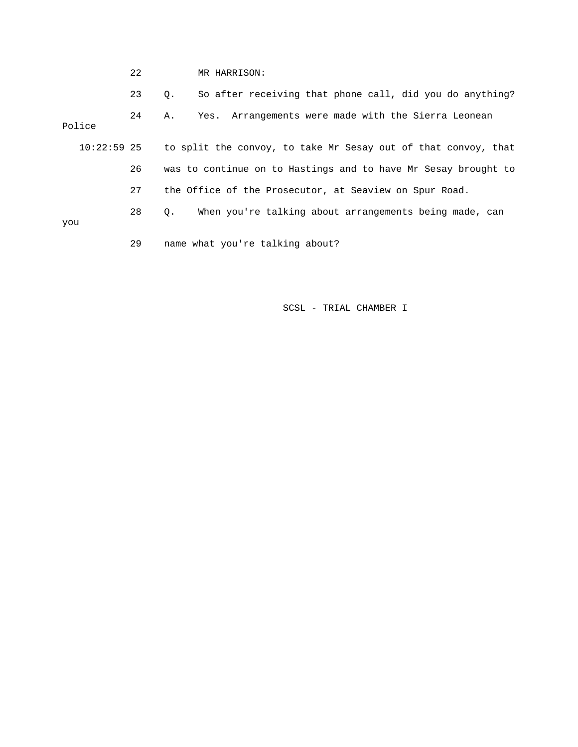|               | 22 | MR HARRISON:                                                   |
|---------------|----|----------------------------------------------------------------|
|               | 23 | So after receiving that phone call, did you do anything?<br>Q. |
| Police        | 24 | Yes. Arrangements were made with the Sierra Leonean<br>А.      |
| $10:22:59$ 25 |    | to split the convoy, to take Mr Sesay out of that convoy, that |
|               | 26 | was to continue on to Hastings and to have Mr Sesay brought to |
|               | 27 | the Office of the Prosecutor, at Seaview on Spur Road.         |
|               | 28 | When you're talking about arrangements being made, can<br>Q.   |
| you           |    |                                                                |
|               | 29 | name what you're talking about?                                |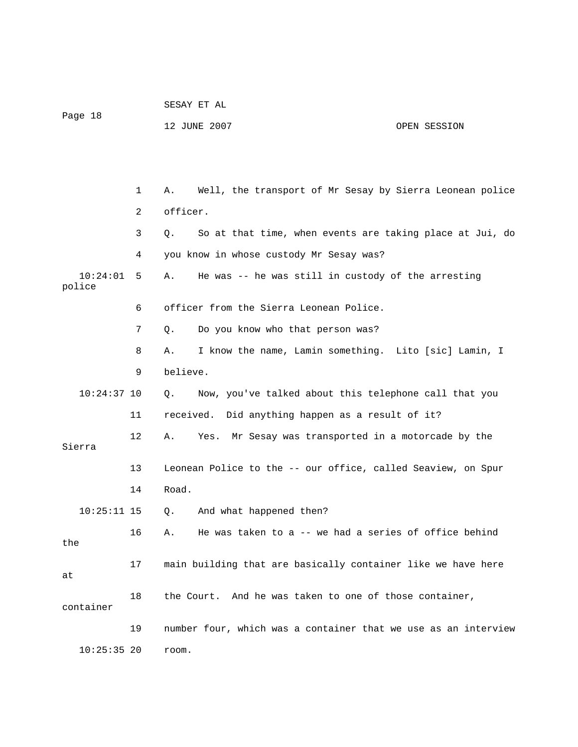|                    |              | SESAY ET AL                                                          |  |  |
|--------------------|--------------|----------------------------------------------------------------------|--|--|
| Page 18            |              | 12 JUNE 2007<br>OPEN SESSION                                         |  |  |
|                    |              |                                                                      |  |  |
|                    |              |                                                                      |  |  |
|                    | $\mathbf{1}$ | Well, the transport of Mr Sesay by Sierra Leonean police<br>Α.       |  |  |
| officer.<br>2      |              |                                                                      |  |  |
|                    | 3            | So at that time, when events are taking place at Jui, do<br>Q.       |  |  |
|                    | 4            | you know in whose custody Mr Sesay was?                              |  |  |
| 10:24:01<br>police | 5            | He was -- he was still in custody of the arresting<br>Α.             |  |  |
|                    | 6            | officer from the Sierra Leonean Police.                              |  |  |
|                    | 7            | Do you know who that person was?<br>Q.                               |  |  |
|                    | 8            | I know the name, Lamin something. Lito [sic] Lamin, I<br>Α.          |  |  |
|                    | 9            | believe.                                                             |  |  |
| $10:24:37$ 10      |              | Now, you've talked about this telephone call that you<br>$Q_{\star}$ |  |  |
|                    | 11           | received. Did anything happen as a result of it?                     |  |  |
| Sierra             | 12           | Mr Sesay was transported in a motorcade by the<br>Α.<br>Yes.         |  |  |
|                    | 13           | Leonean Police to the -- our office, called Seaview, on Spur         |  |  |
|                    | 14           | Road.                                                                |  |  |
| $10:25:11$ 15      |              | And what happened then?<br>О.                                        |  |  |
| the                | 16           | He was taken to a $-$ - we had a series of office behind<br>Α.       |  |  |
| at                 | 17           | main building that are basically container like we have here         |  |  |
| container          | 18           | the Court. And he was taken to one of those container,               |  |  |
|                    | 19           | number four, which was a container that we use as an interview       |  |  |
| $10:25:35$ 20      |              | room.                                                                |  |  |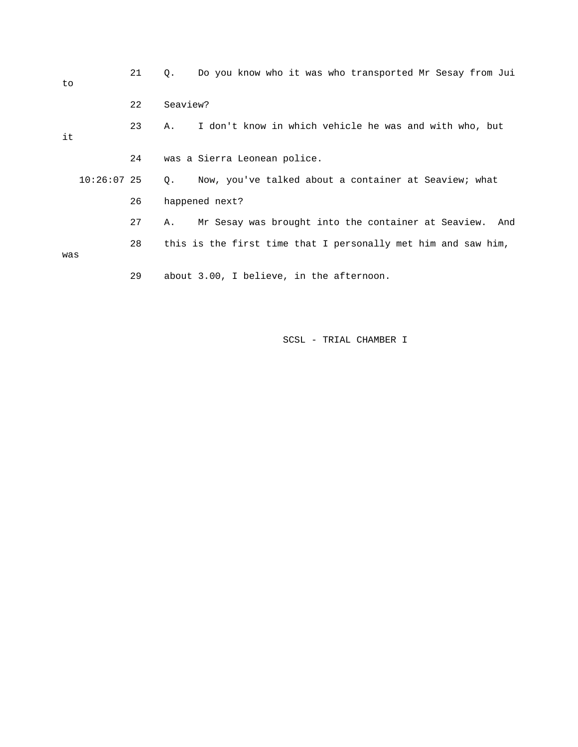| to            | 21 | Do you know who it was who transported Mr Sesay from Jui<br>Q. |
|---------------|----|----------------------------------------------------------------|
|               | 22 | Seaview?                                                       |
| it            | 23 | I don't know in which vehicle he was and with who, but<br>Α.   |
|               | 24 | was a Sierra Leonean police.                                   |
| $10:26:07$ 25 |    | Now, you've talked about a container at Seaview; what<br>Q.    |
|               | 26 | happened next?                                                 |
|               | 27 | Mr Sesay was brought into the container at Seaview. And<br>Α.  |
| was           | 28 | this is the first time that I personally met him and saw him,  |
|               | 29 | about 3.00, I believe, in the afternoon.                       |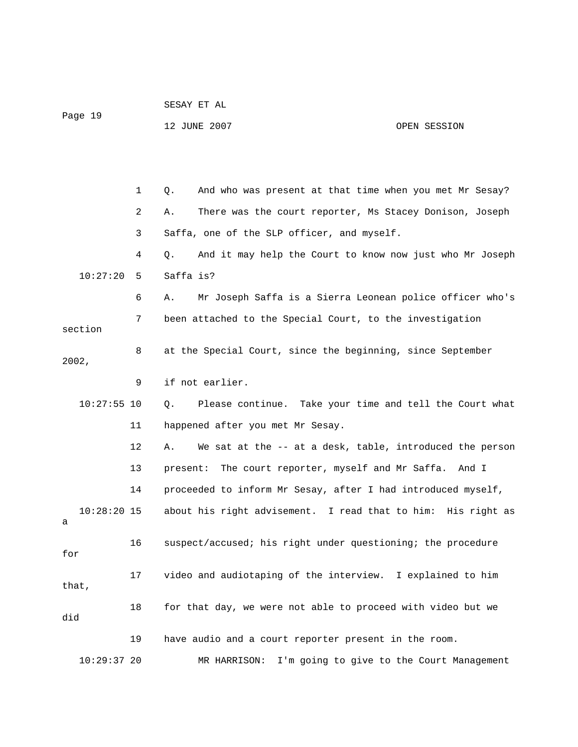| Page 19 |               |              |                                                                |                                           |
|---------|---------------|--------------|----------------------------------------------------------------|-------------------------------------------|
|         |               |              | 12 JUNE 2007                                                   | OPEN SESSION                              |
|         |               |              |                                                                |                                           |
|         |               |              |                                                                |                                           |
|         |               |              |                                                                |                                           |
|         |               | $\mathbf{1}$ | And who was present at that time when you met Mr Sesay?<br>Q.  |                                           |
|         |               | 2            | There was the court reporter, Ms Stacey Donison, Joseph<br>Α.  |                                           |
|         |               | 3            | Saffa, one of the SLP officer, and myself.                     |                                           |
|         |               | 4            | And it may help the Court to know now just who Mr Joseph<br>Q. |                                           |
|         | 10:27:20      | 5            | Saffa is?                                                      |                                           |
|         |               | 6            | Mr Joseph Saffa is a Sierra Leonean police officer who's<br>Α. |                                           |
|         | section       | 7            | been attached to the Special Court, to the investigation       |                                           |
|         | 2002,         | 8            | at the Special Court, since the beginning, since September     |                                           |
|         |               | 9            | if not earlier.                                                |                                           |
|         | $10:27:55$ 10 |              | Please continue. Take your time and tell the Court what<br>Q.  |                                           |
|         |               | 11           | happened after you met Mr Sesay.                               |                                           |
|         |               | 12           | We sat at the -- at a desk, table, introduced the person<br>Α. |                                           |
|         |               | 13           | The court reporter, myself and Mr Saffa. And I<br>present:     |                                           |
|         |               | 14           | proceeded to inform Mr Sesay, after I had introduced myself,   |                                           |
| а       | $10:28:20$ 15 |              | about his right advisement. I read that to him: His right as   |                                           |
| for     |               | 16           | suspect/accused; his right under questioning; the procedure    |                                           |
|         | that,         | 17           | video and audiotaping of the interview. I explained to him     |                                           |
| did     |               | 18           | for that day, we were not able to proceed with video but we    |                                           |
|         |               | 19           | have audio and a court reporter present in the room.           |                                           |
|         | $10:29:37$ 20 |              | MR HARRISON:                                                   | I'm going to give to the Court Management |

SESAY ET AL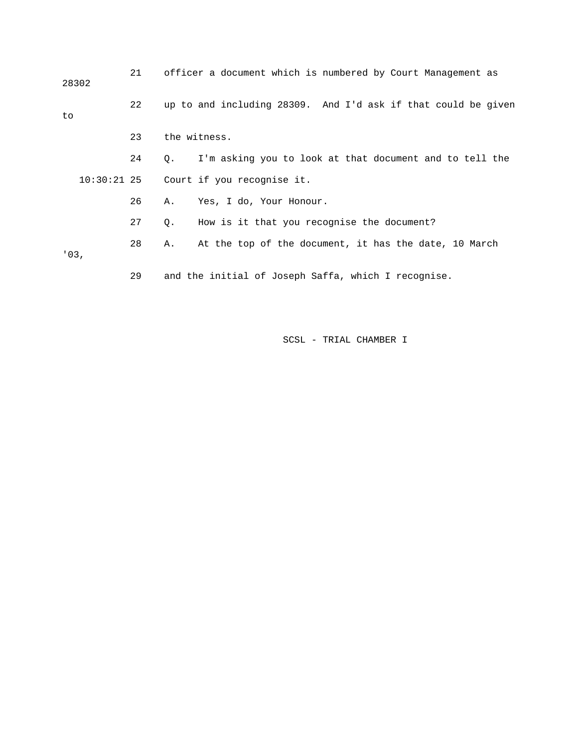| 28302 | 21 | officer a document which is numbered by Court Management as          |
|-------|----|----------------------------------------------------------------------|
| to    | 22 | up to and including 28309. And I'd ask if that could be given        |
|       | 23 | the witness.                                                         |
|       | 24 | I'm asking you to look at that document and to tell the<br>$\circ$ . |
|       |    | 10:30:21 25 Court if you recognise it.                               |
|       | 26 | Yes, I do, Your Honour.<br>Α.                                        |
|       | 27 | How is it that you recognise the document?<br>Q.                     |
| '03.  | 28 | At the top of the document, it has the date, 10 March<br>Α.          |
|       | 29 | and the initial of Joseph Saffa, which I recognise.                  |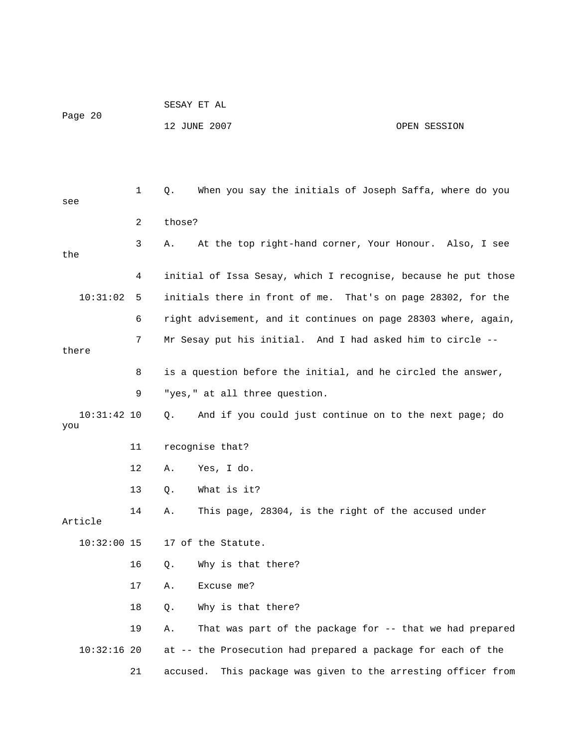| Page 20 | SESAY ET AL  |              |
|---------|--------------|--------------|
|         | 12 JUNE 2007 | OPEN SESSION |

| see                  | 1  | When you say the initials of Joseph Saffa, where do you<br>Q.    |
|----------------------|----|------------------------------------------------------------------|
|                      | 2  | those?                                                           |
| the                  | 3  | At the top right-hand corner, Your Honour. Also, I see<br>Α.     |
|                      | 4  | initial of Issa Sesay, which I recognise, because he put those   |
| 10:31:02             | 5  | initials there in front of me. That's on page 28302, for the     |
|                      | 6  | right advisement, and it continues on page 28303 where, again,   |
| there                | 7  | Mr Sesay put his initial. And I had asked him to circle --       |
|                      | 8  | is a question before the initial, and he circled the answer,     |
|                      | 9  | "yes," at all three question.                                    |
| $10:31:42$ 10<br>you |    | And if you could just continue on to the next page; do<br>Q.     |
|                      | 11 | recognise that?                                                  |
|                      | 12 | Yes, I do.<br>Α.                                                 |
|                      | 13 | What is it?<br>Q.                                                |
| Article              | 14 | This page, 28304, is the right of the accused under<br>Α.        |
| $10:32:00$ 15        |    | 17 of the Statute.                                               |
|                      | 16 | Why is that there?<br>Q.                                         |
|                      | 17 | Excuse me?<br>Α.                                                 |
|                      | 18 | Why is that there?<br>Q.                                         |
|                      | 19 | That was part of the package for -- that we had prepared<br>Α.   |
| $10:32:16$ 20        |    | at -- the Prosecution had prepared a package for each of the     |
|                      | 21 | This package was given to the arresting officer from<br>accused. |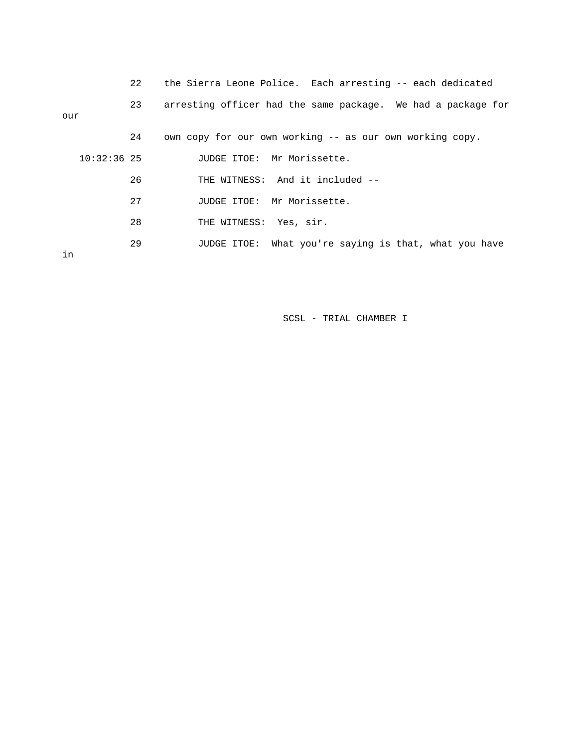|               | 22 | the Sierra Leone Police. Each arresting -- each dedicated    |
|---------------|----|--------------------------------------------------------------|
| our           | 23 | arresting officer had the same package. We had a package for |
|               | 24 | own copy for our own working -- as our own working copy.     |
| $10:32:36$ 25 |    | JUDGE ITOE: Mr Morissette.                                   |
|               | 26 | THE WITNESS: And it included --                              |
|               | 27 | JUDGE ITOE: Mr Morissette.                                   |
|               | 28 | THE WITNESS: Yes, sir.                                       |
| in            | 29 | JUDGE ITOE: What you're saying is that, what you have        |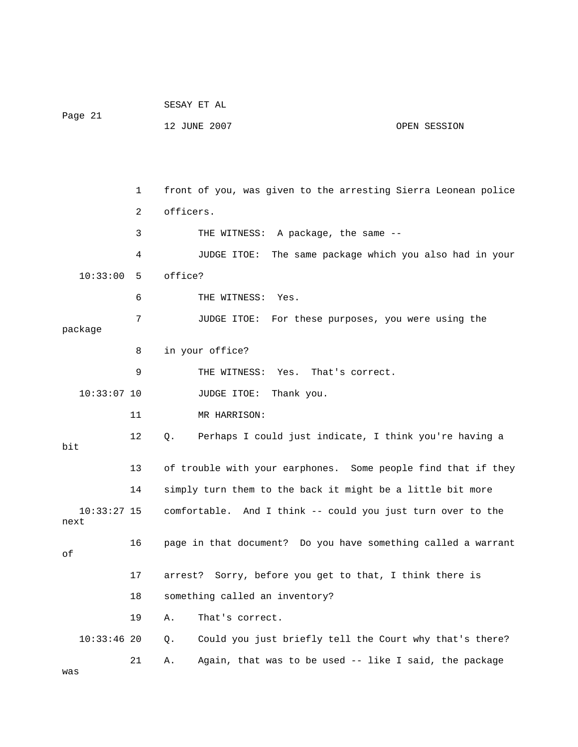|                       |    | SESAY ET AL                                                    |              |  |
|-----------------------|----|----------------------------------------------------------------|--------------|--|
| Page 21               |    | 12 JUNE 2007                                                   | OPEN SESSION |  |
|                       |    |                                                                |              |  |
|                       |    |                                                                |              |  |
|                       | 1  | front of you, was given to the arresting Sierra Leonean police |              |  |
|                       | 2  | officers.                                                      |              |  |
|                       | 3  | THE WITNESS: A package, the same --                            |              |  |
|                       | 4  | JUDGE ITOE:<br>The same package which you also had in your     |              |  |
| 10:33:00              | 5  | office?                                                        |              |  |
|                       | 6  | THE WITNESS: Yes.                                              |              |  |
|                       | 7  | For these purposes, you were using the<br>JUDGE ITOE:          |              |  |
| package               | 8  |                                                                |              |  |
|                       |    | in your office?                                                |              |  |
|                       | 9  | THE WITNESS: Yes. That's correct.                              |              |  |
| $10:33:07$ 10         |    | JUDGE ITOE:<br>Thank you.                                      |              |  |
|                       | 11 | MR HARRISON:                                                   |              |  |
| bit                   | 12 | Perhaps I could just indicate, I think you're having a<br>Q.   |              |  |
|                       | 13 | of trouble with your earphones. Some people find that if they  |              |  |
|                       | 14 | simply turn them to the back it might be a little bit more     |              |  |
| $10:33:27$ 15<br>next |    | comfortable. And I think -- could you just turn over to the    |              |  |
| οf                    | 16 | page in that document? Do you have something called a warrant  |              |  |
|                       | 17 | Sorry, before you get to that, I think there is<br>arrest?     |              |  |
|                       | 18 | something called an inventory?                                 |              |  |
|                       | 19 | Α.<br>That's correct.                                          |              |  |
| $10:33:46$ 20         |    | Could you just briefly tell the Court why that's there?<br>Q.  |              |  |
|                       | 21 | Again, that was to be used -- like I said, the package<br>Α.   |              |  |
| was                   |    |                                                                |              |  |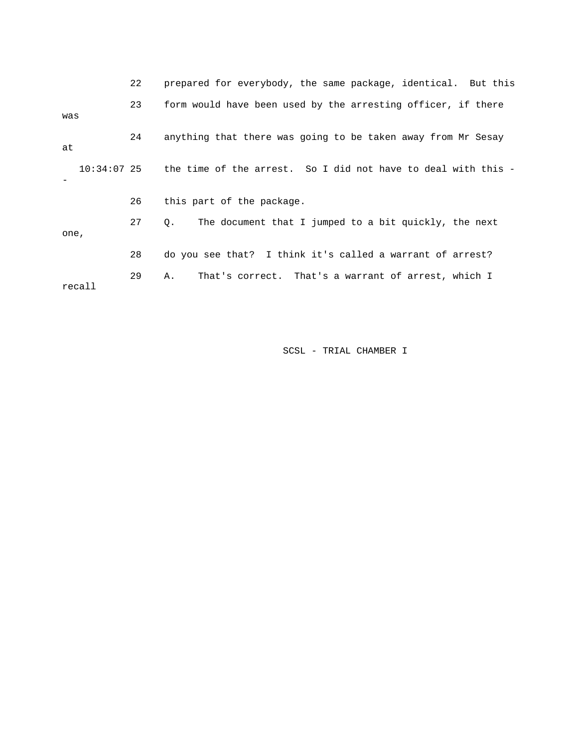|        | 22 | prepared for everybody, the same package, identical. But this             |
|--------|----|---------------------------------------------------------------------------|
| was    | 23 | form would have been used by the arresting officer, if there              |
| at     | 24 | anything that there was going to be taken away from Mr Sesay              |
|        |    | 10:34:07 25 the time of the arrest. So I did not have to deal with this - |
|        | 26 | this part of the package.                                                 |
| one,   | 27 | The document that I jumped to a bit quickly, the next<br>Q.               |
|        | 28 | do you see that? I think it's called a warrant of arrest?                 |
| recall | 29 | That's correct. That's a warrant of arrest, which I<br>Α.                 |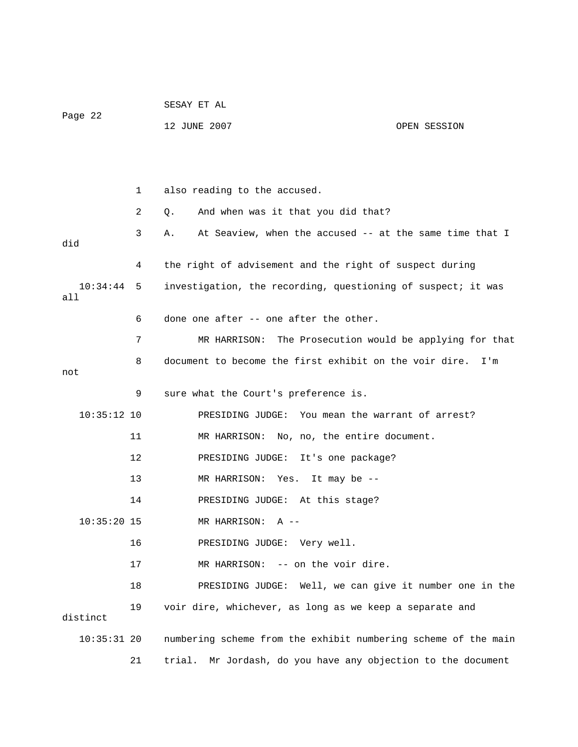|                 |    | SESAY ET AL                                                    |                                        |  |
|-----------------|----|----------------------------------------------------------------|----------------------------------------|--|
| Page 22         |    | 12 JUNE 2007                                                   | OPEN SESSION                           |  |
|                 |    |                                                                |                                        |  |
|                 |    |                                                                |                                        |  |
|                 | 1  | also reading to the accused.                                   |                                        |  |
|                 | 2  | And when was it that you did that?<br>Q.                       |                                        |  |
| did             | 3  | At Seaview, when the accused -- at the same time that I<br>Α.  |                                        |  |
|                 | 4  | the right of advisement and the right of suspect during        |                                        |  |
| 10:34:44<br>all | 5  | investigation, the recording, questioning of suspect; it was   |                                        |  |
|                 | 6  | done one after -- one after the other.                         |                                        |  |
|                 | 7  | MR HARRISON: The Prosecution would be applying for that        |                                        |  |
| not             | 8  | document to become the first exhibit on the voir dire.         | I'm                                    |  |
|                 | 9  | sure what the Court's preference is.                           |                                        |  |
| $10:35:12$ 10   |    | PRESIDING JUDGE: You mean the warrant of arrest?               |                                        |  |
|                 | 11 | MR HARRISON: No, no, the entire document.                      |                                        |  |
|                 | 12 | PRESIDING JUDGE: It's one package?                             |                                        |  |
|                 | 13 | MR HARRISON: Yes. It may be --                                 |                                        |  |
|                 | 14 | PRESIDING JUDGE: At this stage?                                |                                        |  |
| $10:35:20$ 15   |    | MR HARRISON:<br>$A$ --                                         |                                        |  |
|                 | 16 | PRESIDING JUDGE: Very well.                                    |                                        |  |
|                 | 17 | -- on the voir dire.<br>MR HARRISON:                           |                                        |  |
|                 | 18 | PRESIDING JUDGE:                                               | Well, we can give it number one in the |  |
| distinct        | 19 | voir dire, whichever, as long as we keep a separate and        |                                        |  |
| $10:35:31$ 20   |    | numbering scheme from the exhibit numbering scheme of the main |                                        |  |
|                 | 21 | trial. Mr Jordash, do you have any objection to the document   |                                        |  |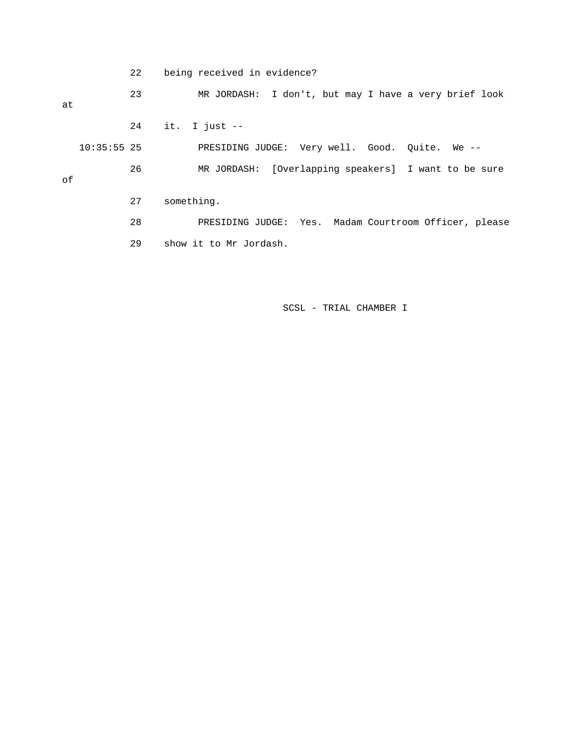22 being received in evidence?

 23 MR JORDASH: I don't, but may I have a very brief look at 24 it. I just -- 10:35:55 25 PRESIDING JUDGE: Very well. Good. Quite. We --

of

27 something.

 28 PRESIDING JUDGE: Yes. Madam Courtroom Officer, please 29 show it to Mr Jordash.

26 MR JORDASH: [Overlapping speakers] I want to be sure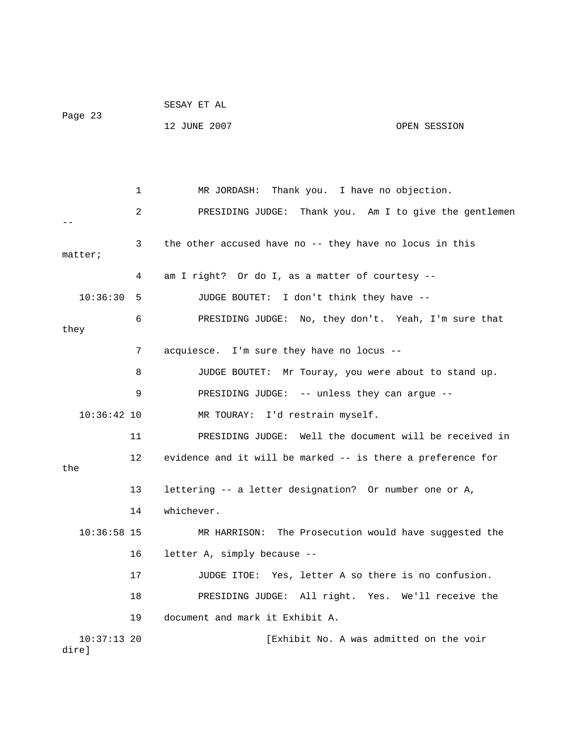|                        |                 | SESAY ET AL                                                 |              |
|------------------------|-----------------|-------------------------------------------------------------|--------------|
| Page 23                |                 | 12 JUNE 2007                                                | OPEN SESSION |
|                        |                 |                                                             |              |
|                        |                 |                                                             |              |
|                        | 1               | MR JORDASH: Thank you. I have no objection.                 |              |
|                        | 2               | PRESIDING JUDGE: Thank you. Am I to give the gentlemen      |              |
| matter;                | 3               | the other accused have no -- they have no locus in this     |              |
|                        | 4               | am I right? Or do I, as a matter of courtesy --             |              |
| 10:36:30               | 5               | JUDGE BOUTET: I don't think they have --                    |              |
| they                   | 6               | PRESIDING JUDGE: No, they don't. Yeah, I'm sure that        |              |
|                        | 7               | acquiesce. I'm sure they have no locus --                   |              |
|                        | 8               | JUDGE BOUTET: Mr Touray, you were about to stand up.        |              |
|                        | 9               | PRESIDING JUDGE: -- unless they can argue --                |              |
| $10:36:42$ 10          |                 | MR TOURAY: I'd restrain myself.                             |              |
|                        | 11              | PRESIDING JUDGE: Well the document will be received in      |              |
| the                    | 12 <sup>°</sup> | evidence and it will be marked -- is there a preference for |              |
|                        | 13              | lettering -- a letter designation? Or number one or A,      |              |
|                        | 14              | whichever.                                                  |              |
| 10:36:58 15            |                 | MR HARRISON: The Prosecution would have suggested the       |              |
|                        | 16              | letter A, simply because --                                 |              |
|                        | 17              | JUDGE ITOE: Yes, letter A so there is no confusion.         |              |
|                        |                 |                                                             |              |
|                        | 18              | PRESIDING JUDGE: All right. Yes. We'll receive the          |              |
|                        | 19              | document and mark it Exhibit A.                             |              |
| $10:37:13$ 20<br>dire] |                 | [Exhibit No. A was admitted on the voir                     |              |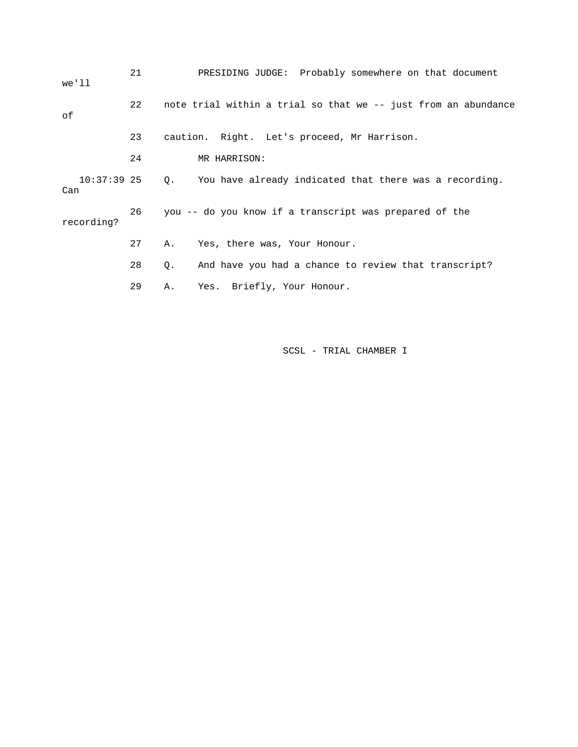| we'll                | 21 | PRESIDING JUDGE: Probably somewhere on that document           |  |
|----------------------|----|----------------------------------------------------------------|--|
| оf                   | 22 | note trial within a trial so that we -- just from an abundance |  |
|                      | 23 | caution. Right. Let's proceed, Mr Harrison.                    |  |
|                      | 24 | MR HARRISON:                                                   |  |
| $10:37:39$ 25<br>Can |    | 0. You have already indicated that there was a recording.      |  |
| recording?           | 26 | you -- do you know if a transcript was prepared of the         |  |
|                      | 27 | Yes, there was, Your Honour.<br>Α.                             |  |
|                      | 28 | And have you had a chance to review that transcript?<br>Q.     |  |
|                      | 29 | Yes. Briefly, Your Honour.<br>Α.                               |  |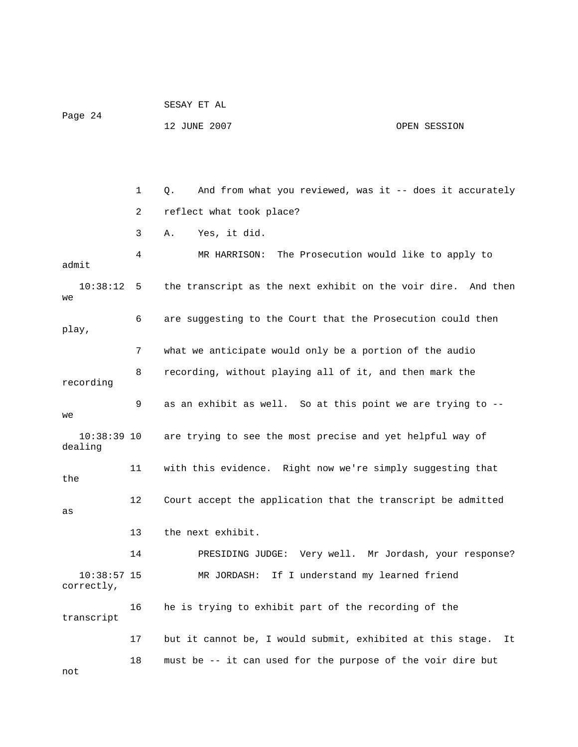|                             |    | SESAY ET AL                                                     |              |
|-----------------------------|----|-----------------------------------------------------------------|--------------|
| Page 24                     |    | 12 JUNE 2007                                                    | OPEN SESSION |
|                             |    |                                                                 |              |
|                             |    |                                                                 |              |
|                             | 1  | And from what you reviewed, was it $-$ does it accurately<br>Q. |              |
|                             | 2  | reflect what took place?                                        |              |
|                             | 3  | Yes, it did.<br>Α.                                              |              |
| admit                       | 4  | MR HARRISON: The Prosecution would like to apply to             |              |
| 10:38:12<br>we              | 5  | the transcript as the next exhibit on the voir dire. And then   |              |
| play,                       | 6  | are suggesting to the Court that the Prosecution could then     |              |
|                             | 7  | what we anticipate would only be a portion of the audio         |              |
| recording                   | 8  | recording, without playing all of it, and then mark the         |              |
| we                          | 9  | as an exhibit as well. So at this point we are trying to --     |              |
| $10:38:39$ 10<br>dealing    |    | are trying to see the most precise and yet helpful way of       |              |
| the                         | 11 | with this evidence. Right now we're simply suggesting that      |              |
| as                          | 12 | Court accept the application that the transcript be admitted    |              |
|                             | 13 | the next exhibit.                                               |              |
|                             | 14 | PRESIDING JUDGE: Very well. Mr Jordash, your response?          |              |
| $10:38:57$ 15<br>correctly, |    | MR JORDASH: If I understand my learned friend                   |              |
| transcript                  | 16 | he is trying to exhibit part of the recording of the            |              |
|                             | 17 | but it cannot be, I would submit, exhibited at this stage.      | It           |
| not                         | 18 | must be -- it can used for the purpose of the voir dire but     |              |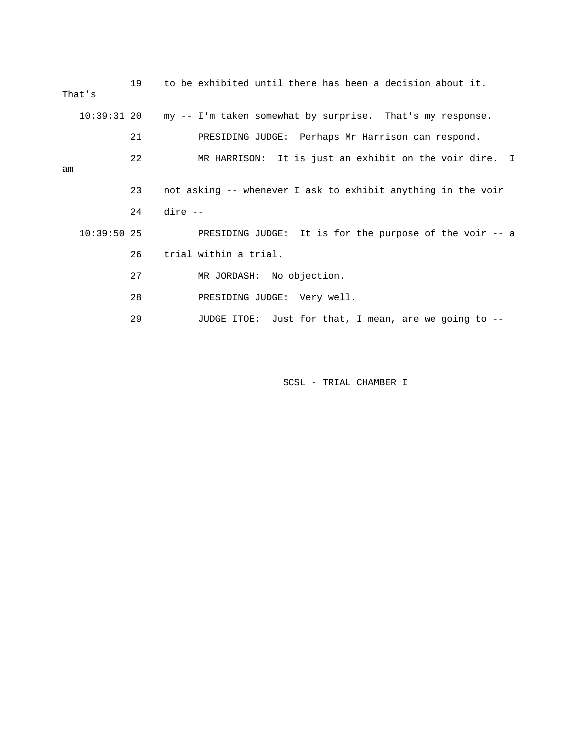|    | That's        | 19 | to be exhibited until there has been a decision about it.             |
|----|---------------|----|-----------------------------------------------------------------------|
|    |               |    | 10:39:31 20 my -- I'm taken somewhat by surprise. That's my response. |
|    |               | 21 | PRESIDING JUDGE: Perhaps Mr Harrison can respond.                     |
| am |               | 22 | MR HARRISON: It is just an exhibit on the voir dire. I                |
|    |               | 23 | not asking -- whenever I ask to exhibit anything in the voir          |
|    |               | 24 | dire --                                                               |
|    | $10:39:50$ 25 |    | PRESIDING JUDGE: It is for the purpose of the voir -- a               |
|    |               | 26 | trial within a trial.                                                 |
|    |               | 27 | MR JORDASH: No objection.                                             |
|    |               | 28 | PRESIDING JUDGE: Very well.                                           |

29 JUDGE ITOE: Just for that, I mean, are we going to --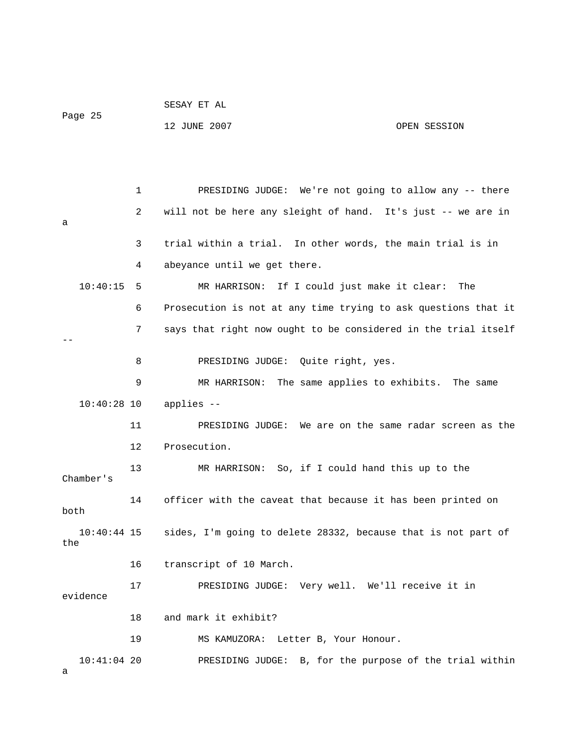| Page 25              |    | 12 JUNE 2007                                                   | OPEN SESSION |
|----------------------|----|----------------------------------------------------------------|--------------|
|                      |    |                                                                |              |
|                      | 1  | PRESIDING JUDGE: We're not going to allow any -- there         |              |
| а                    | 2  | will not be here any sleight of hand. It's just -- we are in   |              |
|                      | 3  | trial within a trial. In other words, the main trial is in     |              |
|                      | 4  | abeyance until we get there.                                   |              |
| 10:40:15             | 5  | MR HARRISON: If I could just make it clear:                    | The          |
|                      | 6  | Prosecution is not at any time trying to ask questions that it |              |
|                      | 7  | says that right now ought to be considered in the trial itself |              |
|                      | 8  | PRESIDING JUDGE: Quite right, yes.                             |              |
|                      | 9  | MR HARRISON: The same applies to exhibits.                     | The same     |
| $10:40:28$ 10        |    | applies --                                                     |              |
|                      | 11 | PRESIDING JUDGE: We are on the same radar screen as the        |              |
|                      | 12 | Prosecution.                                                   |              |
| Chamber's            | 13 | MR HARRISON: So, if I could hand this up to the                |              |
| both                 | 14 | officer with the caveat that because it has been printed on    |              |
| $10:40:44$ 15<br>the |    | sides, I'm going to delete 28332, because that is not part of  |              |
|                      | 16 | transcript of 10 March.                                        |              |
| evidence             | 17 | PRESIDING JUDGE: Very well. We'll receive it in                |              |

18 and mark it exhibit?

SESAY ET AL

19 MS KAMUZORA: Letter B, Your Honour.

10:41:04 20 PRESIDING JUDGE: B, for the purpose of the trial within

a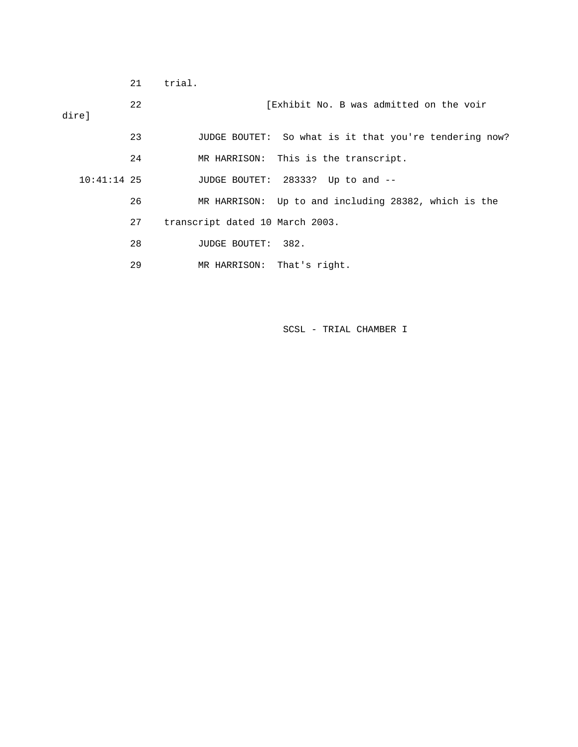|               | 21 | trial.                                                 |
|---------------|----|--------------------------------------------------------|
| direl         | 22 | [Exhibit No. B was admitted on the voir                |
|               | 23 | JUDGE BOUTET: So what is it that you're tendering now? |
|               | 24 | MR HARRISON: This is the transcript.                   |
| $10:41:14$ 25 |    | JUDGE BOUTET: 28333? Up to and --                      |
|               | 26 | MR HARRISON: Up to and including 28382, which is the   |
|               | 27 | transcript dated 10 March 2003.                        |
|               | 28 | JUDGE BOUTET: 382.                                     |
|               | 29 | MR HARRISON: That's right.                             |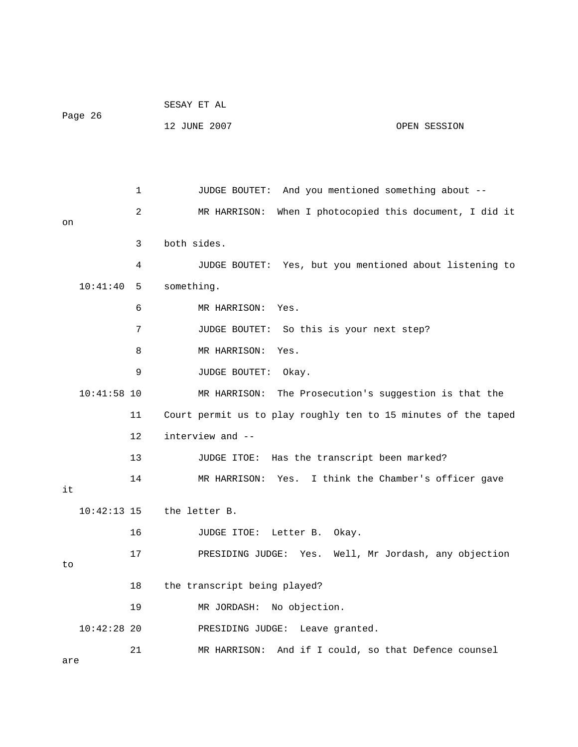| Page 26       |    | SESAY ET AL                                                    |
|---------------|----|----------------------------------------------------------------|
|               |    | 12 JUNE 2007<br>OPEN SESSION                                   |
|               |    |                                                                |
|               |    |                                                                |
|               | 1  | And you mentioned something about --<br>JUDGE BOUTET:          |
|               | 2  | MR HARRISON: When I photocopied this document, I did it        |
| on            |    |                                                                |
|               | 3  | both sides.                                                    |
|               | 4  | JUDGE BOUTET: Yes, but you mentioned about listening to        |
| 10:41:40      | 5  | something.                                                     |
|               | 6  | MR HARRISON: Yes.                                              |
|               | 7  | So this is your next step?<br>JUDGE BOUTET:                    |
|               | 8  | MR HARRISON:<br>Yes.                                           |
|               | 9  | JUDGE BOUTET:<br>Okay.                                         |
| $10:41:58$ 10 |    | MR HARRISON: The Prosecution's suggestion is that the          |
|               | 11 | Court permit us to play roughly ten to 15 minutes of the taped |
|               | 12 | interview and --                                               |
|               | 13 | Has the transcript been marked?<br>JUDGE ITOE:                 |
|               | 14 | MR HARRISON: Yes. I think the Chamber's officer gave           |
| it            |    |                                                                |
| $10:42:13$ 15 |    | the letter B.                                                  |
|               | 16 | Letter B. Okay.<br>JUDGE ITOE:                                 |
| to            | 17 | Well, Mr Jordash, any objection<br>PRESIDING JUDGE:<br>Yes.    |
|               |    |                                                                |
|               | 18 | the transcript being played?                                   |
|               | 19 | No objection.<br>MR JORDASH:                                   |
| $10:42:28$ 20 |    | PRESIDING JUDGE: Leave granted.                                |
|               | 21 | And if I could, so that Defence counsel<br>MR HARRISON:        |
| are           |    |                                                                |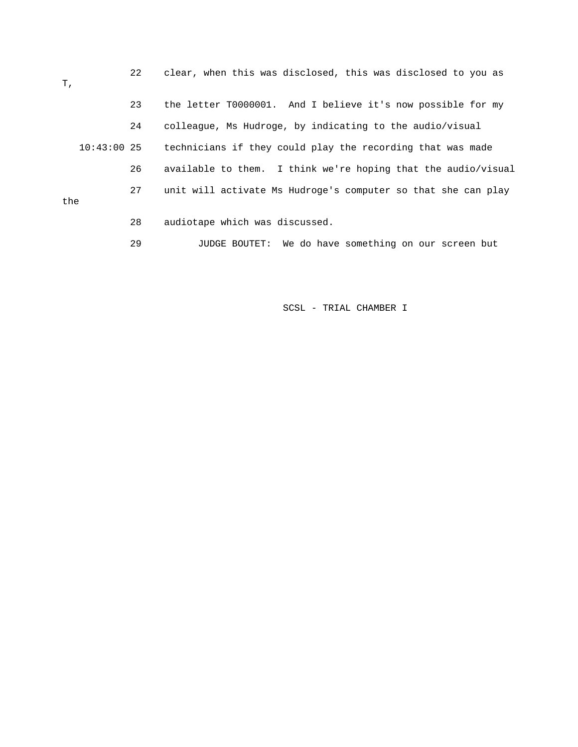22 clear, when this was disclosed, this was disclosed to you as T, 23 the letter T0000001. And I believe it's now possible for my 24 colleague, Ms Hudroge, by indicating to the audio/visual 10:43:00 25 technicians if they could play the recording that was made 26 available to them. I think we're hoping that the audio/visual 27 unit will activate Ms Hudroge's computer so that she can play the 28 audiotape which was discussed.

29 JUDGE BOUTET: We do have something on our screen but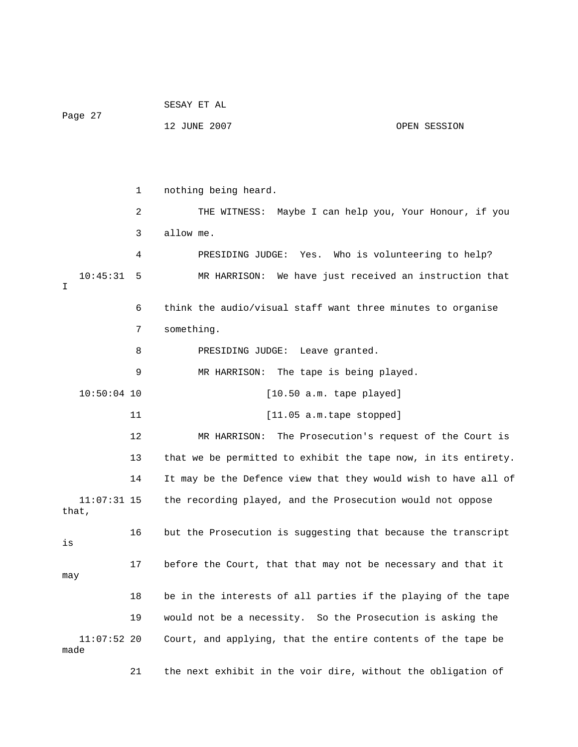SESAY ET AL Page 27 12 JUNE 2007 OPEN SESSION 1 nothing being heard. 2 THE WITNESS: Maybe I can help you, Your Honour, if you 3 allow me. 4 PRESIDING JUDGE: Yes. Who is volunteering to help? 10:45:31 5 MR HARRISON: We have just received an instruction that I 6 think the audio/visual staff want three minutes to organise 7 something. 8 PRESIDING JUDGE: Leave granted. 9 MR HARRISON: The tape is being played. 10:50:04 10 [10.50 a.m. tape played] 11 [11.05 a.m.tape stopped] 12 MR HARRISON: The Prosecution's request of the Court is 13 that we be permitted to exhibit the tape now, in its entirety. 14 It may be the Defence view that they would wish to have all of 11:07:31 15 the recording played, and the Prosecution would not oppose that, 16 but the Prosecution is suggesting that because the transcript is 17 before the Court, that that may not be necessary and that it may 18 be in the interests of all parties if the playing of the tape 19 would not be a necessity. So the Prosecution is asking the 11:07:52 20 Court, and applying, that the entire contents of the tape be made 21 the next exhibit in the voir dire, without the obligation of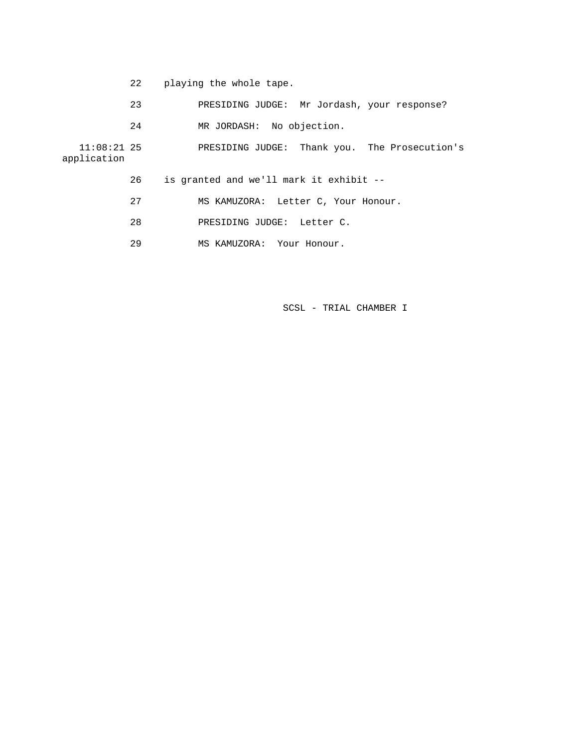- 22 playing the whole tape.
- 23 PRESIDING JUDGE: Mr Jordash, your response?
- 24 MR JORDASH: No objection.

 11:08:21 25 PRESIDING JUDGE: Thank you. The Prosecution's application

- 26 is granted and we'll mark it exhibit --
- 27 MS KAMUZORA: Letter C, Your Honour.
- 28 PRESIDING JUDGE: Letter C.
- 29 MS KAMUZORA: Your Honour.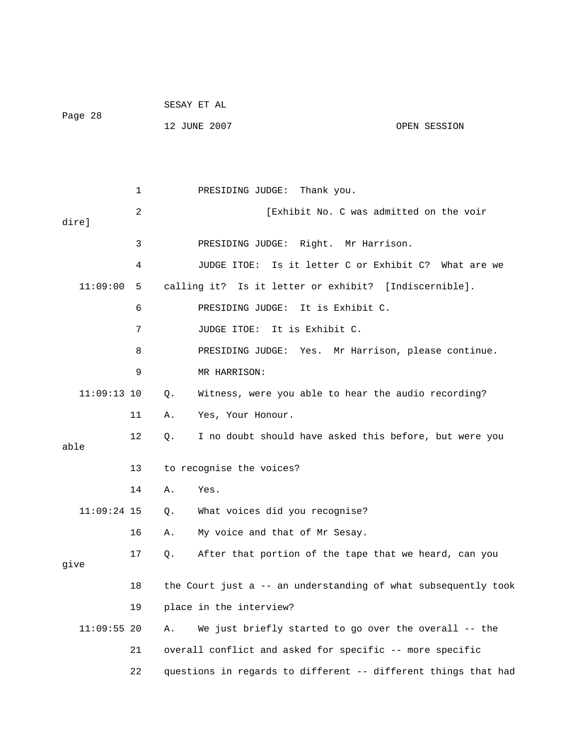|               |    | SESAY ET AL |                                                       |                  |                                                                |
|---------------|----|-------------|-------------------------------------------------------|------------------|----------------------------------------------------------------|
| Page 28       |    |             | 12 JUNE 2007                                          |                  | OPEN SESSION                                                   |
|               |    |             |                                                       |                  |                                                                |
|               |    |             |                                                       |                  |                                                                |
|               | 1  |             | PRESIDING JUDGE:                                      | Thank you.       |                                                                |
| dire]         | 2  |             |                                                       |                  | [Exhibit No. C was admitted on the voir                        |
|               | 3  |             | PRESIDING JUDGE: Right. Mr Harrison.                  |                  |                                                                |
|               | 4  |             | JUDGE ITOE:                                           |                  | Is it letter C or Exhibit C? What are we                       |
| 11:09:00      | 5  |             | calling it? Is it letter or exhibit? [Indiscernible]. |                  |                                                                |
|               | 6  |             | PRESIDING JUDGE:                                      | It is Exhibit C. |                                                                |
|               | 7  |             | JUDGE ITOE: It is Exhibit C.                          |                  |                                                                |
|               | 8  |             |                                                       |                  | PRESIDING JUDGE: Yes. Mr Harrison, please continue.            |
|               | 9  |             | MR HARRISON:                                          |                  |                                                                |
| $11:09:13$ 10 |    | Q.          |                                                       |                  | Witness, were you able to hear the audio recording?            |
|               | 11 | Α.          | Yes, Your Honour.                                     |                  |                                                                |
| able          | 12 | Q.          |                                                       |                  | I no doubt should have asked this before, but were you         |
|               | 13 |             | to recognise the voices?                              |                  |                                                                |
|               | 14 | Α.          | Yes.                                                  |                  |                                                                |
| $11:09:24$ 15 |    | $Q$ .       | What voices did you recognise?                        |                  |                                                                |
|               | 16 | Α.          | My voice and that of Mr Sesay.                        |                  |                                                                |
| give          | 17 | Q.          |                                                       |                  | After that portion of the tape that we heard, can you          |
|               | 18 |             |                                                       |                  | the Court just a -- an understanding of what subsequently took |
|               | 19 |             | place in the interview?                               |                  |                                                                |
| $11:09:55$ 20 |    | Α.          |                                                       |                  | We just briefly started to go over the overall -- the          |
|               | 21 |             |                                                       |                  | overall conflict and asked for specific -- more specific       |
|               | 22 |             |                                                       |                  | questions in regards to different -- different things that had |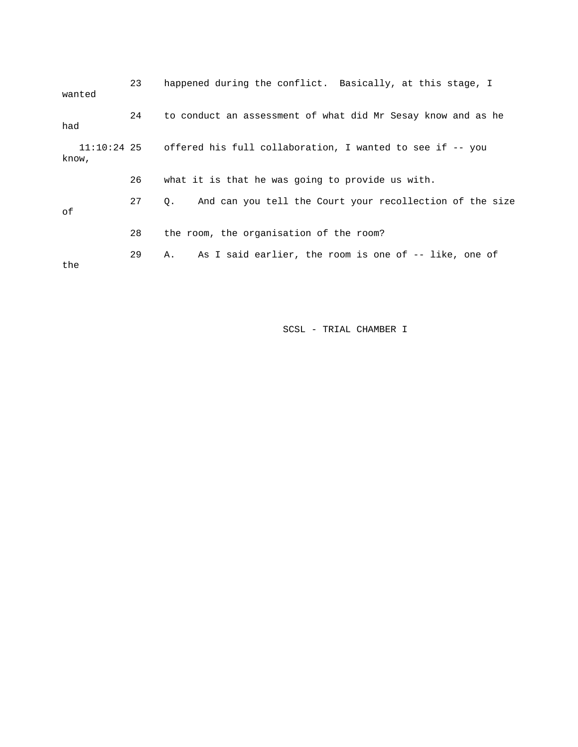| wanted | 23 | happened during the conflict. Basically, at this stage, I             |
|--------|----|-----------------------------------------------------------------------|
| had    | 24 | to conduct an assessment of what did Mr Sesay know and as he          |
| know,  |    | 11:10:24 25 offered his full collaboration, I wanted to see if -- you |
|        | 26 | what it is that he was going to provide us with.                      |
| оf     | 27 | And can you tell the Court your recollection of the size<br>0.        |
|        | 28 | the room, the organisation of the room?                               |
| the    | 29 | As I said earlier, the room is one of -- like, one of<br>Α.           |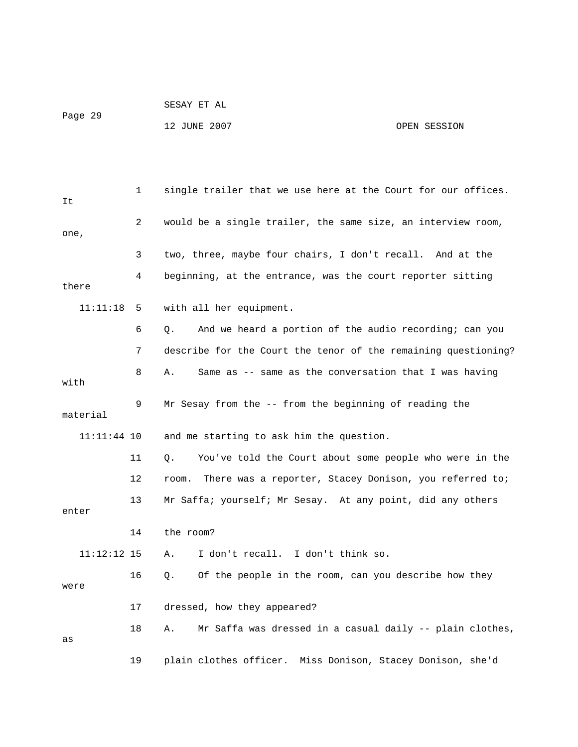```
Page 29
```
SESAY ET AL

## 12 JUNE 2007 CPEN SESSION

| It            | 1  | single trailer that we use here at the Court for our offices.   |
|---------------|----|-----------------------------------------------------------------|
| one,          | 2  | would be a single trailer, the same size, an interview room,    |
|               | 3  | two, three, maybe four chairs, I don't recall. And at the       |
| there         | 4  | beginning, at the entrance, was the court reporter sitting      |
| 11:11:18      | 5  | with all her equipment.                                         |
|               | 6  | And we heard a portion of the audio recording; can you<br>Q.    |
|               | 7  | describe for the Court the tenor of the remaining questioning?  |
| with          | 8  | Same as -- same as the conversation that I was having<br>Α.     |
| material      | 9  | Mr Sesay from the -- from the beginning of reading the          |
| 11:11:44 10   |    | and me starting to ask him the question.                        |
|               | 11 | You've told the Court about some people who were in the<br>Q.   |
|               | 12 | There was a reporter, Stacey Donison, you referred to;<br>room. |
| enter         | 13 | Mr Saffa; yourself; Mr Sesay. At any point, did any others      |
|               | 14 | the room?                                                       |
| $11:12:12$ 15 |    | I don't recall. I don't think so.<br>Α.                         |
| were          | 16 | Of the people in the room, can you describe how they<br>Q.      |
|               | 17 | dressed, how they appeared?                                     |
| as            | 18 | Mr Saffa was dressed in a casual daily -- plain clothes,<br>А.  |
|               | 19 | plain clothes officer.<br>Miss Donison, Stacey Donison, she'd   |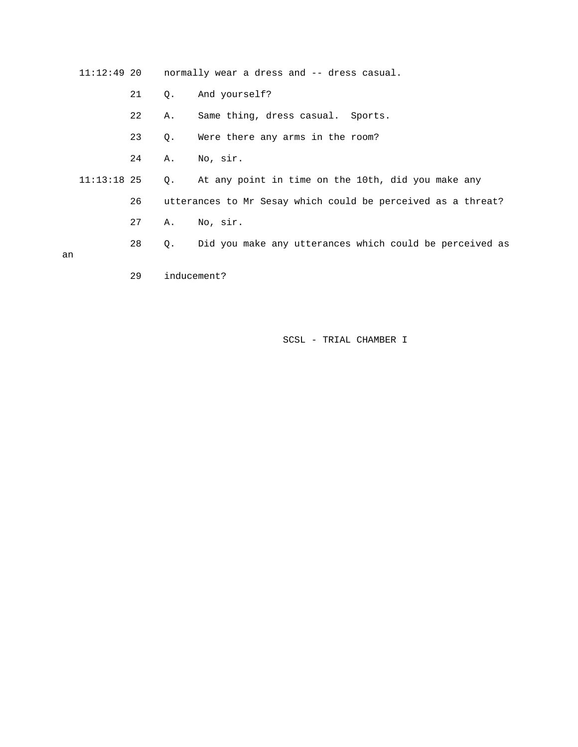11:12:49 20 normally wear a dress and -- dress casual.

- 21 Q. And yourself?
- 22 A. Same thing, dress casual. Sports.
- 23 Q. Were there any arms in the room?
- 24 A. No, sir.
- 11:13:18 25 Q. At any point in time on the 10th, did you make any
	- 26 utterances to Mr Sesay which could be perceived as a threat?
		- 27 A. No, sir.
	- 28 Q. Did you make any utterances which could be perceived as

an

29 inducement?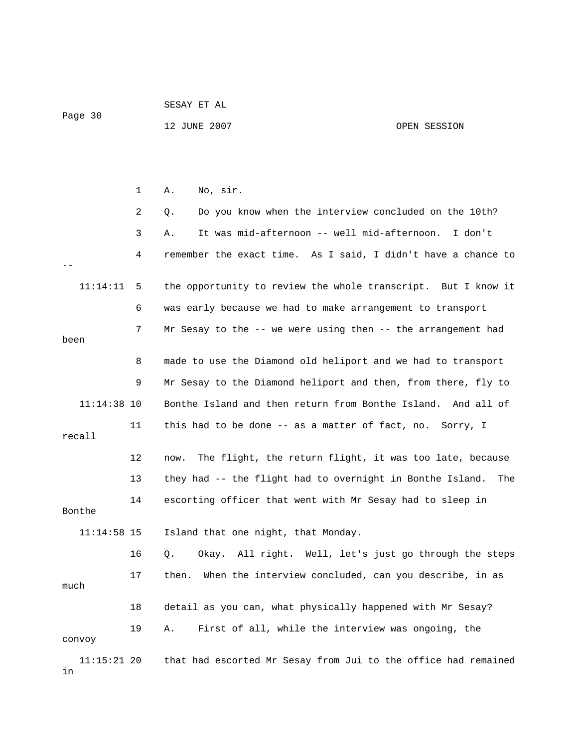|                     |    | SESAY ET AL                                                     |              |  |
|---------------------|----|-----------------------------------------------------------------|--------------|--|
| Page 30             |    | 12 JUNE 2007                                                    | OPEN SESSION |  |
|                     |    |                                                                 |              |  |
|                     |    |                                                                 |              |  |
|                     | 1  | No, sir.<br>Α.                                                  |              |  |
|                     | 2  | Do you know when the interview concluded on the 10th?<br>Q.     |              |  |
|                     | 3  | It was mid-afternoon -- well mid-afternoon.<br>Α.               | I don't      |  |
|                     | 4  | remember the exact time. As I said, I didn't have a chance to   |              |  |
| 11:14:11            | 5  | the opportunity to review the whole transcript. But I know it   |              |  |
|                     | 6  | was early because we had to make arrangement to transport       |              |  |
| been                | 7  | Mr Sesay to the -- we were using then -- the arrangement had    |              |  |
|                     | 8  | made to use the Diamond old heliport and we had to transport    |              |  |
|                     | 9  | Mr Sesay to the Diamond heliport and then, from there, fly to   |              |  |
| $11:14:38$ 10       |    | Bonthe Island and then return from Bonthe Island. And all of    |              |  |
| recall              | 11 | this had to be done -- as a matter of fact, no. Sorry, I        |              |  |
|                     | 12 | The flight, the return flight, it was too late, because<br>now. |              |  |
|                     | 13 | they had -- the flight had to overnight in Bonthe Island.       | The          |  |
| Bonthe              | 14 | escorting officer that went with Mr Sesay had to sleep in       |              |  |
| $11:14:58$ 15       |    | Island that one night, that Monday.                             |              |  |
|                     | 16 | All right. Well, let's just go through the steps<br>Q.<br>Okay. |              |  |
| much                | 17 | When the interview concluded, can you describe, in as<br>then.  |              |  |
|                     | 18 | detail as you can, what physically happened with Mr Sesay?      |              |  |
| convoy              | 19 | First of all, while the interview was ongoing, the<br>Α.        |              |  |
| $11:15:21$ 20<br>in |    | that had escorted Mr Sesay from Jui to the office had remained  |              |  |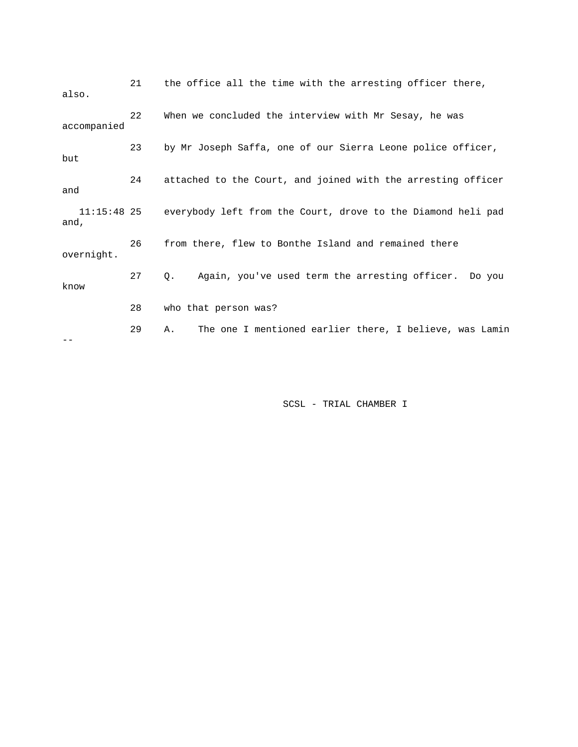| also.               | 21 | the office all the time with the arresting officer there,     |
|---------------------|----|---------------------------------------------------------------|
| accompanied         | 22 | When we concluded the interview with Mr Sesay, he was         |
| but                 | 23 | by Mr Joseph Saffa, one of our Sierra Leone police officer,   |
| and                 | 24 | attached to the Court, and joined with the arresting officer  |
| 11:15:48 25<br>and, |    | everybody left from the Court, drove to the Diamond heli pad  |
| overnight.          | 26 | from there, flew to Bonthe Island and remained there          |
| know                | 27 | Again, you've used term the arresting officer. Do you<br>Q.   |
|                     | 28 | who that person was?                                          |
|                     | 29 | The one I mentioned earlier there, I believe, was Lamin<br>Α. |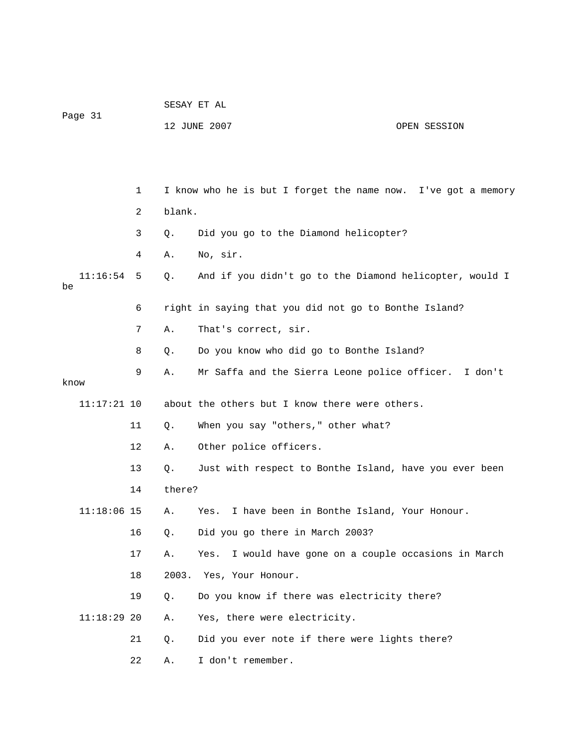| Page 31 |               |    | SESAY ET AL |                                                               |  |  |
|---------|---------------|----|-------------|---------------------------------------------------------------|--|--|
|         |               |    |             | 12 JUNE 2007<br>OPEN SESSION                                  |  |  |
|         |               |    |             |                                                               |  |  |
|         |               |    |             |                                                               |  |  |
|         |               | 1  |             | I know who he is but I forget the name now. I've got a memory |  |  |
|         |               | 2  | blank.      |                                                               |  |  |
|         |               | 3  | Q.          | Did you go to the Diamond helicopter?                         |  |  |
|         |               | 4  | Α.          | No, sir.                                                      |  |  |
| be      | 11:16:54      | 5  | $Q$ .       | And if you didn't go to the Diamond helicopter, would I       |  |  |
|         |               | 6  |             | right in saying that you did not go to Bonthe Island?         |  |  |
|         |               | 7  | Α.          | That's correct, sir.                                          |  |  |
|         |               | 8  | Q.          | Do you know who did go to Bonthe Island?                      |  |  |
| know    |               | 9  | Α.          | Mr Saffa and the Sierra Leone police officer.<br>I don't      |  |  |
|         | $11:17:21$ 10 |    |             | about the others but I know there were others.                |  |  |
|         |               | 11 | Q.          | When you say "others," other what?                            |  |  |
|         |               | 12 | Α.          | Other police officers.                                        |  |  |
|         |               | 13 | Q.          | Just with respect to Bonthe Island, have you ever been        |  |  |
|         |               | 14 | there?      |                                                               |  |  |
|         | $11:18:06$ 15 |    | Α.          | I have been in Bonthe Island, Your Honour.<br>Yes.            |  |  |
|         |               | 16 | Q.          | Did you go there in March 2003?                               |  |  |
|         |               | 17 | Α.          | I would have gone on a couple occasions in March<br>Yes.      |  |  |
|         |               | 18 | 2003.       | Yes, Your Honour.                                             |  |  |
|         |               | 19 | $Q$ .       | Do you know if there was electricity there?                   |  |  |
|         | $11:18:29$ 20 |    | Α.          | Yes, there were electricity.                                  |  |  |
|         |               | 21 | Q.          | Did you ever note if there were lights there?                 |  |  |
|         |               | 22 | Α.          | I don't remember.                                             |  |  |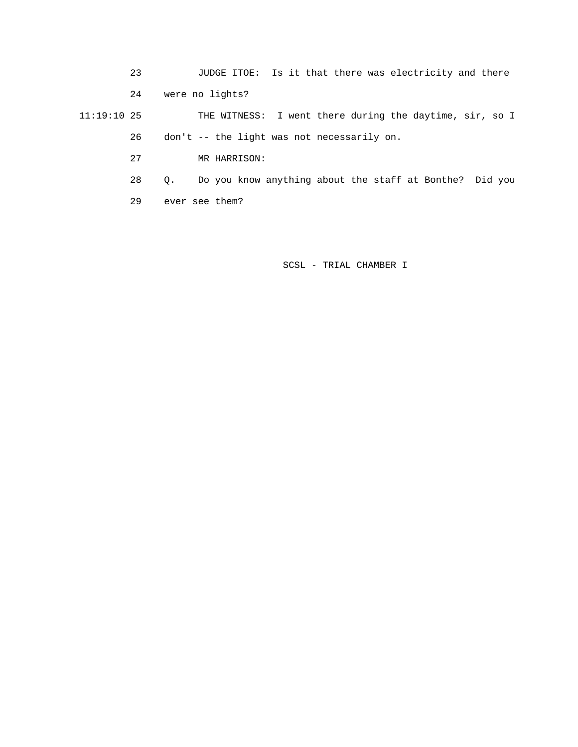23 JUDGE ITOE: Is it that there was electricity and there 24 were no lights? 11:19:10 25 THE WITNESS: I went there during the daytime, sir, so I 26 don't -- the light was not necessarily on.

27 MR HARRISON:

28 Q. Do you know anything about the staff at Bonthe? Did you

29 ever see them?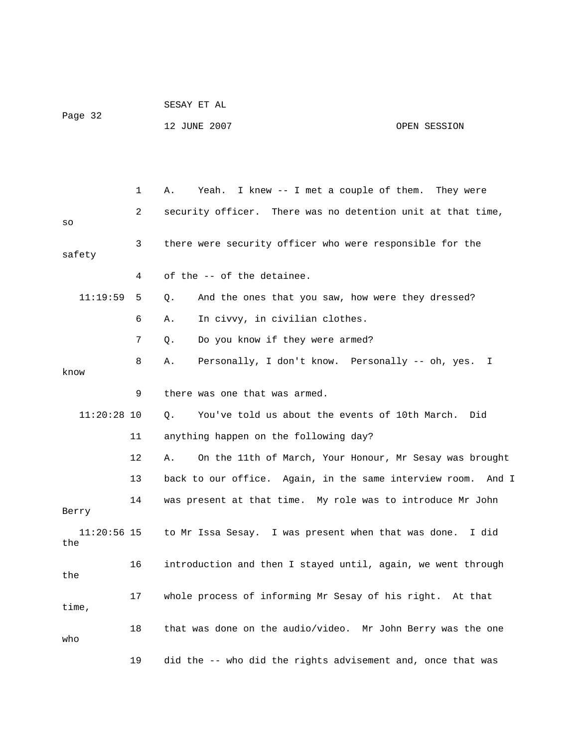|                      |    | SESAY ET AL                                                   |              |  |  |
|----------------------|----|---------------------------------------------------------------|--------------|--|--|
| Page 32              |    | 12 JUNE 2007                                                  | OPEN SESSION |  |  |
|                      |    |                                                               |              |  |  |
|                      |    |                                                               |              |  |  |
|                      | 1  | Yeah. I knew -- I met a couple of them. They were<br>Α.       |              |  |  |
| SO                   | 2  | security officer. There was no detention unit at that time,   |              |  |  |
| safety               | 3  | there were security officer who were responsible for the      |              |  |  |
|                      | 4  | of the -- of the detainee.                                    |              |  |  |
| 11:19:59             | 5  | And the ones that you saw, how were they dressed?<br>Q.       |              |  |  |
|                      | 6  | In civvy, in civilian clothes.<br>Α.                          |              |  |  |
|                      | 7  | Do you know if they were armed?<br>Q.                         |              |  |  |
| know                 | 8  | Personally, I don't know. Personally -- oh, yes. I<br>Α.      |              |  |  |
|                      | 9  | there was one that was armed.                                 |              |  |  |
| $11:20:28$ 10        |    | You've told us about the events of 10th March. Did<br>Q.      |              |  |  |
|                      | 11 | anything happen on the following day?                         |              |  |  |
|                      | 12 | On the 11th of March, Your Honour, Mr Sesay was brought<br>Α. |              |  |  |
|                      | 13 | back to our office. Again, in the same interview room.        | And I        |  |  |
| Berry                | 14 | was present at that time. My role was to introduce Mr John    |              |  |  |
| $11:20:56$ 15<br>the |    | to Mr Issa Sesay. I was present when that was done.           | I did        |  |  |
| the                  | 16 | introduction and then I stayed until, again, we went through  |              |  |  |
| time,                | 17 | whole process of informing Mr Sesay of his right. At that     |              |  |  |
| who                  | 18 | that was done on the audio/video. Mr John Berry was the one   |              |  |  |
|                      | 19 | did the -- who did the rights advisement and, once that was   |              |  |  |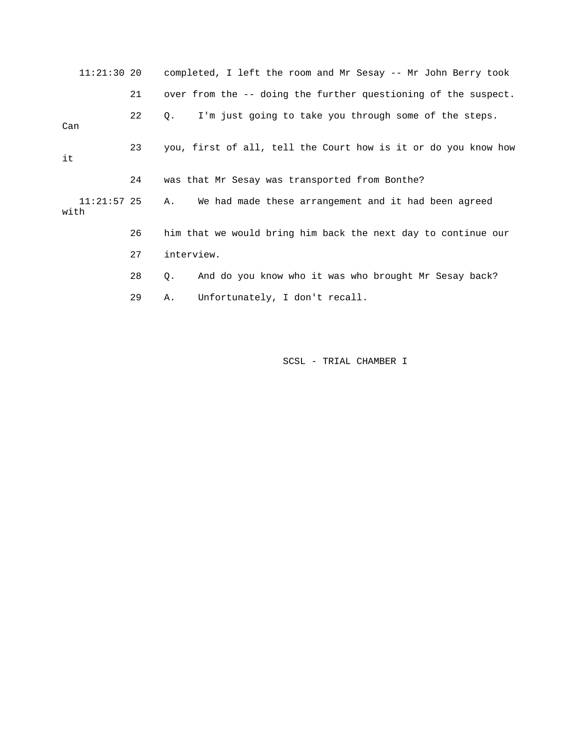11:21:30 20 completed, I left the room and Mr Sesay -- Mr John Berry took 21 over from the -- doing the further questioning of the suspect. 22 Q. I'm just going to take you through some of the steps. Can 23 you, first of all, tell the Court how is it or do you know how it 24 was that Mr Sesay was transported from Bonthe? 11:21:57 25 A. We had made these arrangement and it had been agreed with 26 him that we would bring him back the next day to continue our 27 interview. 28 Q. And do you know who it was who brought Mr Sesay back? 29 A. Unfortunately, I don't recall.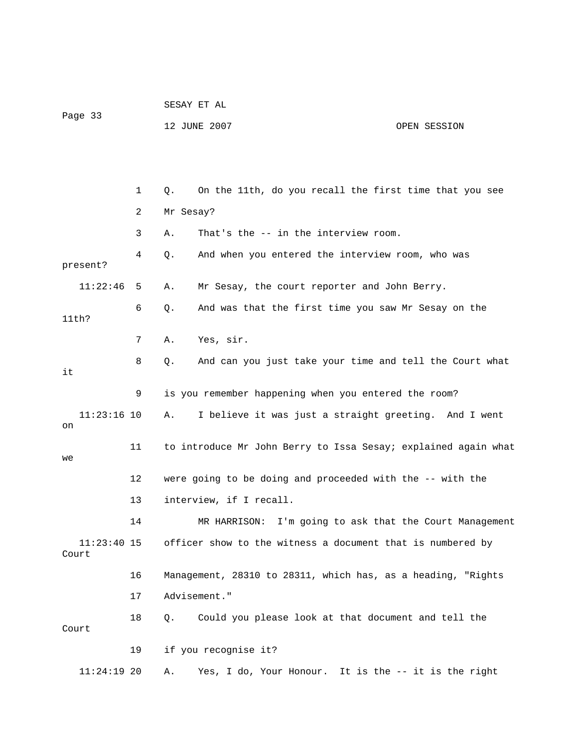|                        |    | SESAY ET AL                                                    |  |  |  |
|------------------------|----|----------------------------------------------------------------|--|--|--|
| Page 33                |    | 12 JUNE 2007<br>OPEN SESSION                                   |  |  |  |
|                        |    |                                                                |  |  |  |
|                        |    |                                                                |  |  |  |
|                        | 1  | On the 11th, do you recall the first time that you see<br>Q.   |  |  |  |
|                        | 2  | Mr Sesay?                                                      |  |  |  |
|                        | 3  | That's the -- in the interview room.<br>Α.                     |  |  |  |
| present?               | 4  | And when you entered the interview room, who was<br>Q.         |  |  |  |
| 11:22:46               | 5  | Mr Sesay, the court reporter and John Berry.<br>Α.             |  |  |  |
| 11th?                  | 6  | Q.<br>And was that the first time you saw Mr Sesay on the      |  |  |  |
|                        | 7  | Yes, sir.<br>Α.                                                |  |  |  |
| it                     | 8  | And can you just take your time and tell the Court what<br>Q.  |  |  |  |
|                        | 9  | is you remember happening when you entered the room?           |  |  |  |
| $11:23:16$ 10<br>on    |    | I believe it was just a straight greeting. And I went<br>Α.    |  |  |  |
| we                     | 11 | to introduce Mr John Berry to Issa Sesay; explained again what |  |  |  |
|                        | 12 | were going to be doing and proceeded with the -- with the      |  |  |  |
|                        | 13 | interview, if I recall.                                        |  |  |  |
|                        | 14 | I'm going to ask that the Court Management<br>MR HARRISON:     |  |  |  |
| $11:23:40$ 15<br>Court |    | officer show to the witness a document that is numbered by     |  |  |  |
|                        | 16 | Management, 28310 to 28311, which has, as a heading, "Rights   |  |  |  |
|                        | 17 | Advisement."                                                   |  |  |  |
| Court                  | 18 | Could you please look at that document and tell the<br>Q.      |  |  |  |
|                        | 19 | if you recognise it?                                           |  |  |  |
| $11:24:19$ 20          |    | Yes, I do, Your Honour. It is the -- it is the right<br>Α.     |  |  |  |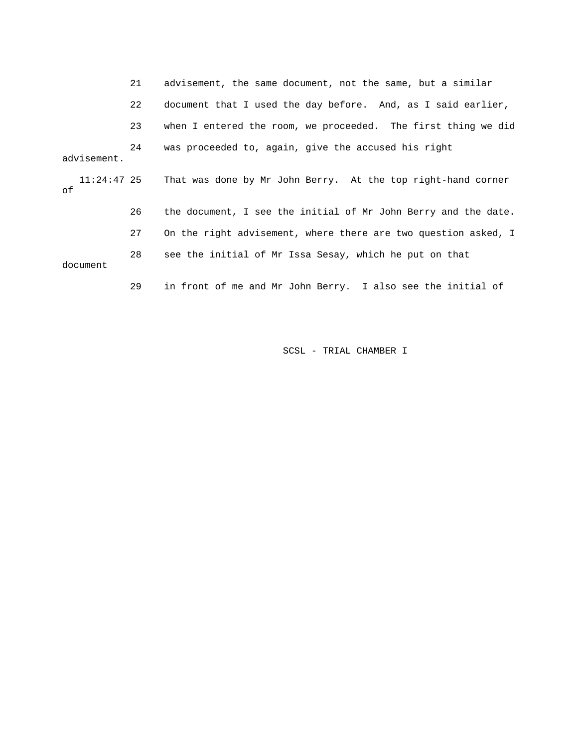|                   | 21 | advisement, the same document, not the same, but a similar     |
|-------------------|----|----------------------------------------------------------------|
|                   | 22 | document that I used the day before. And, as I said earlier,   |
|                   | 23 | when I entered the room, we proceeded. The first thing we did  |
| advisement.       | 24 | was proceeded to, again, give the accused his right            |
| 11:24:47 25<br>оf |    | That was done by Mr John Berry. At the top right-hand corner   |
|                   | 26 | the document, I see the initial of Mr John Berry and the date. |
|                   | 27 | On the right advisement, where there are two question asked, I |
| document          | 28 | see the initial of Mr Issa Sesay, which he put on that         |
|                   | 29 | in front of me and Mr John Berry. I also see the initial of    |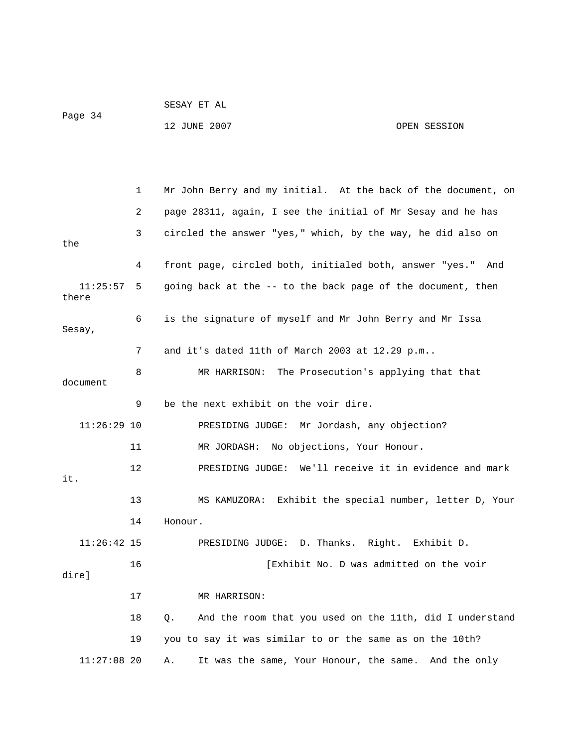|                   |    | 12 JUNE 2007                                                   | OPEN SESSION |
|-------------------|----|----------------------------------------------------------------|--------------|
|                   |    |                                                                |              |
|                   |    |                                                                |              |
|                   | 1  | Mr John Berry and my initial. At the back of the document, on  |              |
|                   | 2  | page 28311, again, I see the initial of Mr Sesay and he has    |              |
| the               | 3  | circled the answer "yes," which, by the way, he did also on    |              |
|                   | 4  | front page, circled both, initialed both, answer "yes."        | And          |
| 11:25:57<br>there | 5  | going back at the -- to the back page of the document, then    |              |
| Sesay,            | 6  | is the signature of myself and Mr John Berry and Mr Issa       |              |
|                   | 7  | and it's dated 11th of March 2003 at 12.29 p.m                 |              |
| document          | 8  | MR HARRISON:<br>The Prosecution's applying that that           |              |
|                   | 9  | be the next exhibit on the voir dire.                          |              |
| $11:26:29$ 10     |    | PRESIDING JUDGE:<br>Mr Jordash, any objection?                 |              |
|                   | 11 | No objections, Your Honour.<br>MR JORDASH:                     |              |
| it.               | 12 | PRESIDING JUDGE: We'll receive it in evidence and mark         |              |
|                   | 13 | Exhibit the special number, letter D, Your<br>MS KAMUZORA:     |              |
|                   | 14 | Honour.                                                        |              |
| $11:26:42$ 15     |    | D. Thanks.<br>Right.<br>PRESIDING JUDGE:                       | Exhibit D.   |
| dire]             | 16 | [Exhibit No. D was admitted on the voir                        |              |
|                   | 17 | MR HARRISON:                                                   |              |
|                   | 18 | And the room that you used on the 11th, did I understand<br>Q. |              |
|                   | 19 | you to say it was similar to or the same as on the 10th?       |              |
| $11:27:08$ 20     |    | It was the same, Your Honour, the same. And the only<br>Α.     |              |

SESAY ET AL

Page 34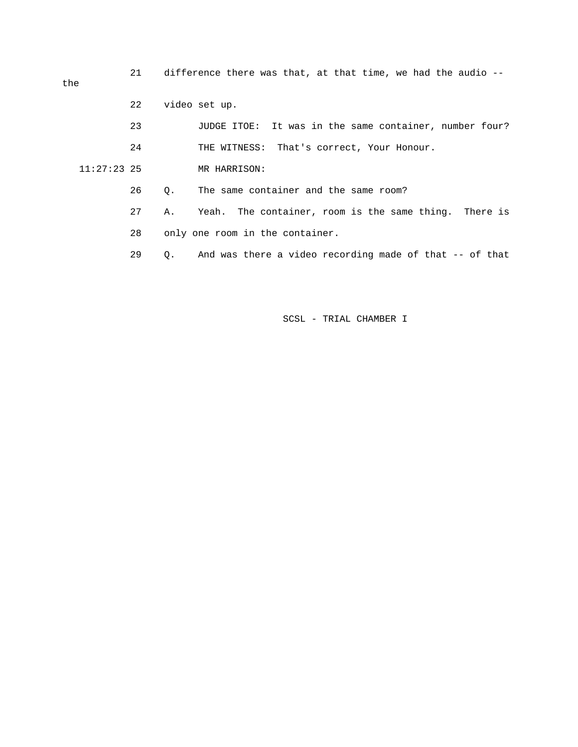21 difference there was that, at that time, we had the audio --

the

|               | 22 |           | video set up.                                           |
|---------------|----|-----------|---------------------------------------------------------|
|               | 23 |           | JUDGE ITOE: It was in the same container, number four?  |
|               | 24 |           | THE WITNESS: That's correct, Your Honour.               |
| $11:27:23$ 25 |    |           | MR HARRISON:                                            |
|               | 26 | О.        | The same container and the same room?                   |
|               | 27 | Α.        | Yeah. The container, room is the same thing. There is   |
|               | 28 |           | only one room in the container.                         |
|               | 29 | $\circ$ . | And was there a video recording made of that -- of that |
|               |    |           |                                                         |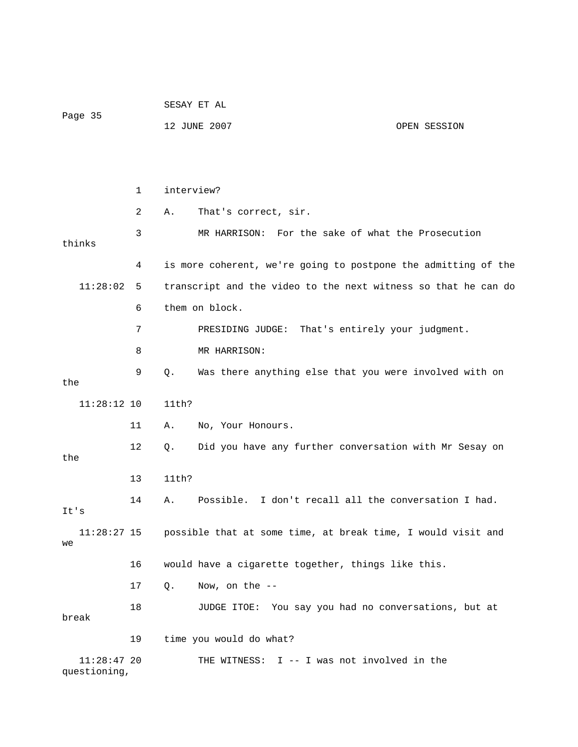|                               |              | SESAY ET AL    |                                                                          |              |  |
|-------------------------------|--------------|----------------|--------------------------------------------------------------------------|--------------|--|
| Page 35                       |              |                | 12 JUNE 2007                                                             | OPEN SESSION |  |
|                               |              |                |                                                                          |              |  |
|                               |              |                |                                                                          |              |  |
|                               | $\mathbf{1}$ | interview?     |                                                                          |              |  |
|                               | 2            | Α.             | That's correct, sir.                                                     |              |  |
| thinks                        | 3            |                | MR HARRISON: For the sake of what the Prosecution                        |              |  |
|                               | 4            |                | is more coherent, we're going to postpone the admitting of the           |              |  |
| 11:28:02                      | 5            |                | transcript and the video to the next witness so that he can do           |              |  |
|                               | 6            | them on block. |                                                                          |              |  |
|                               | 7            |                | PRESIDING JUDGE: That's entirely your judgment.                          |              |  |
|                               | 8            |                | MR HARRISON:                                                             |              |  |
| the                           | 9            | Q.             | Was there anything else that you were involved with on                   |              |  |
| $11:28:12$ 10                 |              | 11th?          |                                                                          |              |  |
|                               | 11           | Α.             | No, Your Honours.                                                        |              |  |
| the                           | 12           | Q.             | Did you have any further conversation with Mr Sesay on                   |              |  |
|                               | 13           | 11th?          |                                                                          |              |  |
| It's                          | 14           | Α.             | Possible. I don't recall all the conversation I had.                     |              |  |
| we                            |              |                | 11:28:27 15 possible that at some time, at break time, I would visit and |              |  |
|                               | 16           |                | would have a cigarette together, things like this.                       |              |  |
|                               | 17           | Q.             | Now, on the --                                                           |              |  |
| break                         | 18           |                | JUDGE ITOE: You say you had no conversations, but at                     |              |  |
|                               | 19           |                | time you would do what?                                                  |              |  |
| $11:28:47$ 20<br>questioning, |              |                | THE WITNESS: I -- I was not involved in the                              |              |  |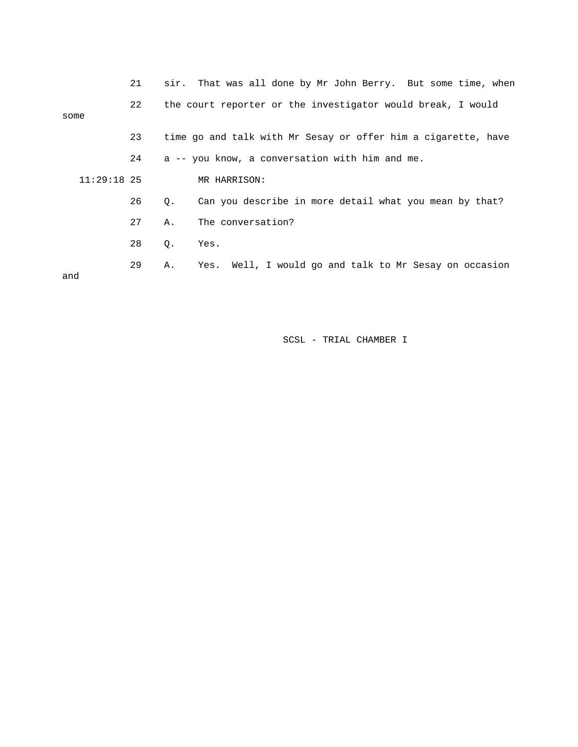|               | 21 |             | sir. That was all done by Mr John Berry. But some time, when  |
|---------------|----|-------------|---------------------------------------------------------------|
| some          | 22 |             | the court reporter or the investigator would break, I would   |
|               | 23 |             | time go and talk with Mr Sesay or offer him a cigarette, have |
|               | 24 |             | a -- you know, a conversation with him and me.                |
| $11:29:18$ 25 |    |             | MR HARRISON:                                                  |
|               | 26 | $Q_{\star}$ | Can you describe in more detail what you mean by that?        |
|               | 27 | Α.          | The conversation?                                             |
|               | 28 | Q.          | Yes.                                                          |
| and           | 29 | Α.          | Yes. Well, I would go and talk to Mr Sesay on occasion        |
|               |    |             |                                                               |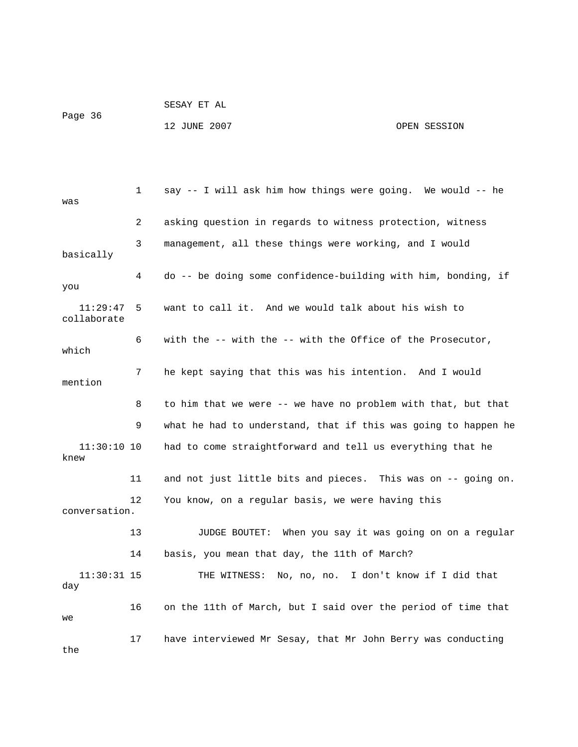| Page 36 | SESAY ET AL  |              |
|---------|--------------|--------------|
|         | 12 JUNE 2007 | OPEN SESSION |

| was                     | 1  | say -- I will ask him how things were going. We would -- he    |
|-------------------------|----|----------------------------------------------------------------|
|                         | 2  | asking question in regards to witness protection, witness      |
| basically               | 3  | management, all these things were working, and I would         |
| you                     | 4  | do -- be doing some confidence-building with him, bonding, if  |
| 11:29:47<br>collaborate | 5. | want to call it. And we would talk about his wish to           |
| which                   | 6  | with the -- with the -- with the Office of the Prosecutor,     |
| mention                 | 7  | he kept saying that this was his intention. And I would        |
|                         | 8  | to him that we were -- we have no problem with that, but that  |
|                         | 9  | what he had to understand, that if this was going to happen he |
| $11:30:10$ 10<br>knew   |    | had to come straightforward and tell us everything that he     |
|                         | 11 | and not just little bits and pieces. This was on -- going on.  |
| conversation.           | 12 | You know, on a regular basis, we were having this              |
|                         | 13 | JUDGE BOUTET: When you say it was going on on a regular        |
|                         | 14 | basis, you mean that day, the 11th of March?                   |
| $11:30:31$ 15<br>day    |    | THE WITNESS: No, no, no. I don't know if I did that            |
| we                      | 16 | on the 11th of March, but I said over the period of time that  |
| the                     | 17 | have interviewed Mr Sesay, that Mr John Berry was conducting   |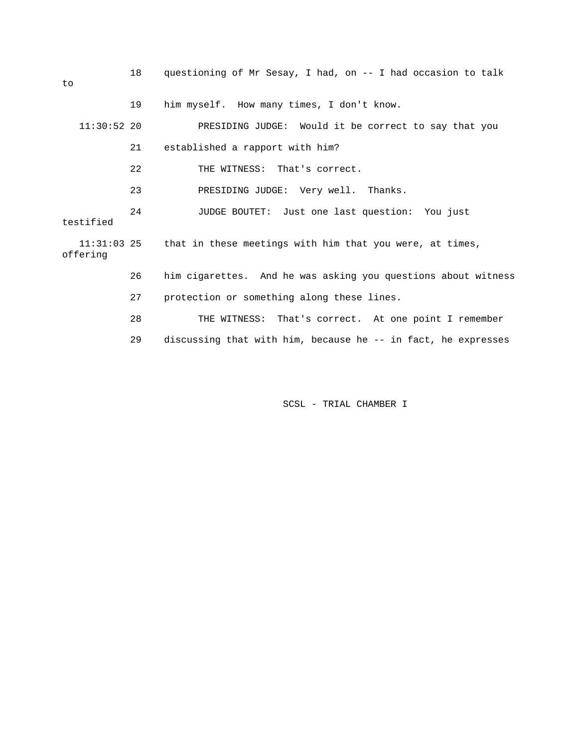18 questioning of Mr Sesay, I had, on -- I had occasion to talk to 19 him myself. How many times, I don't know. 11:30:52 20 PRESIDING JUDGE: Would it be correct to say that you 21 established a rapport with him? 22 THE WITNESS: That's correct. 23 PRESIDING JUDGE: Very well. Thanks. 24 JUDGE BOUTET: Just one last question: You just testified 11:31:03 25 that in these meetings with him that you were, at times, offering 26 him cigarettes. And he was asking you questions about witness 27 protection or something along these lines. 28 THE WITNESS: That's correct. At one point I remember 29 discussing that with him, because he -- in fact, he expresses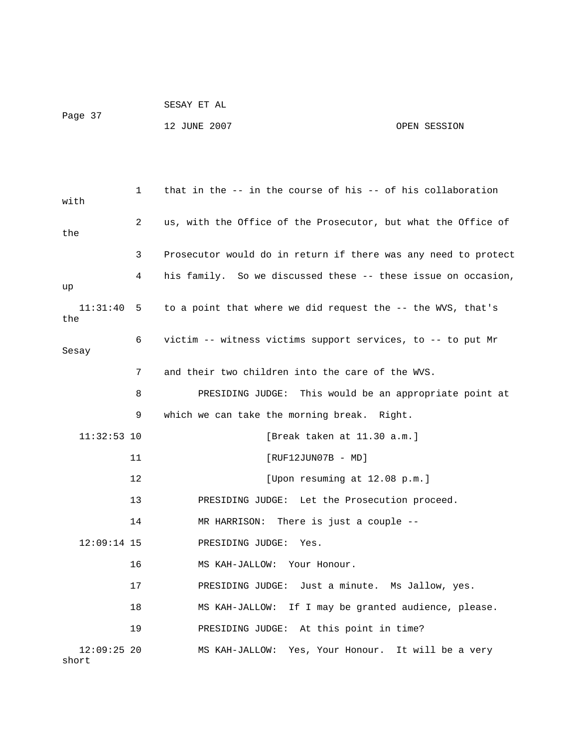```
 SESAY ET AL 
Page 37 
             12 JUNE 2007 OPEN SESSION
```
 1 that in the -- in the course of his -- of his collaboration with 2 us, with the Office of the Prosecutor, but what the Office of the 3 Prosecutor would do in return if there was any need to protect 4 his family. So we discussed these -- these issue on occasion, up 11:31:40 5 to a point that where we did request the -- the WVS, that's the 6 victim -- witness victims support services, to -- to put Mr Sesay 7 and their two children into the care of the WVS. 8 PRESIDING JUDGE: This would be an appropriate point at 9 which we can take the morning break. Right. 11:32:53 10 [Break taken at 11.30 a.m.] 11 [RUF12JUN07B - MD] 12 [Upon resuming at 12.08 p.m.] 13 PRESIDING JUDGE: Let the Prosecution proceed. 14 MR HARRISON: There is just a couple -- 12:09:14 15 PRESIDING JUDGE: Yes. 16 MS KAH-JALLOW: Your Honour. 17 PRESIDING JUDGE: Just a minute. Ms Jallow, yes. 18 MS KAH-JALLOW: If I may be granted audience, please. 19 PRESIDING JUDGE: At this point in time? 12:09:25 20 MS KAH-JALLOW: Yes, Your Honour. It will be a very short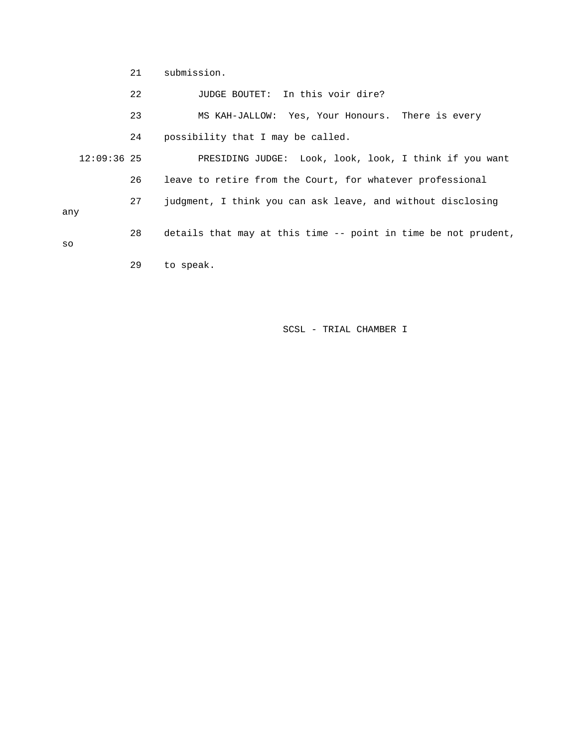21 submission.

- 22 JUDGE BOUTET: In this voir dire?
- 23 MS KAH-JALLOW: Yes, Your Honours. There is every
- 24 possibility that I may be called.

 12:09:36 25 PRESIDING JUDGE: Look, look, look, I think if you want 26 leave to retire from the Court, for whatever professional 27 judgment, I think you can ask leave, and without disclosing any 28 details that may at this time -- point in time be not prudent, 29 to speak. so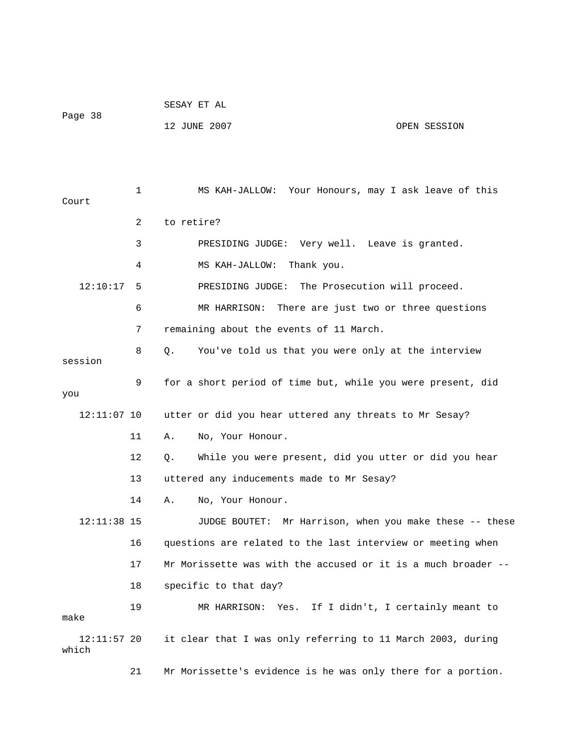|         | SESAY ET AL  |              |
|---------|--------------|--------------|
| Page 38 |              |              |
|         | 12 JUNE 2007 | OPEN SESSION |

 1 MS KAH-JALLOW: Your Honours, may I ask leave of this Court 2 to retire? 3 PRESIDING JUDGE: Very well. Leave is granted. 4 MS KAH-JALLOW: Thank you. 12:10:17 5 PRESIDING JUDGE: The Prosecution will proceed. 6 MR HARRISON: There are just two or three questions 7 remaining about the events of 11 March. 8 Q. You've told us that you were only at the interview 9 for a short period of time but, while you were present, did 12:11:07 10 utter or did you hear uttered any threats to Mr Sesay? 12 Q. While you were present, did you utter or did you hear 13 uttered any inducements made to Mr Sesay? 12:11:38 15 JUDGE BOUTET: Mr Harrison, when you make these -- these 16 questions are related to the last interview or meeting when 17 Mr Morissette was with the accused or it is a much broader -- 18 specific to that day? 19 MR HARRISON: Yes. If I didn't, I certainly meant to 21 Mr Morissette's evidence is he was only there for a portion. session you 11 A. No, Your Honour. 14 A. No, Your Honour. make 12:11:57 20 it clear that I was only referring to 11 March 2003, during which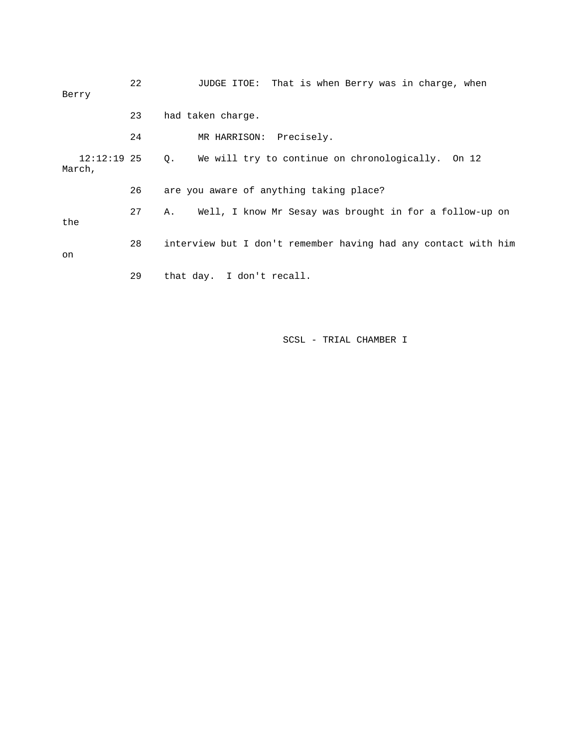| Berry                 | 22 | JUDGE ITOE: That is when Berry was in charge, when             |
|-----------------------|----|----------------------------------------------------------------|
|                       | 23 | had taken charge.                                              |
|                       | 24 | MR HARRISON: Precisely.                                        |
| 12:12:19 25<br>March, |    | Q. We will try to continue on chronologically. On 12           |
|                       | 26 | are you aware of anything taking place?                        |
| the                   | 27 | Well, I know Mr Sesay was brought in for a follow-up on<br>Α.  |
| on                    | 28 | interview but I don't remember having had any contact with him |
|                       | 29 | that day. I don't recall.                                      |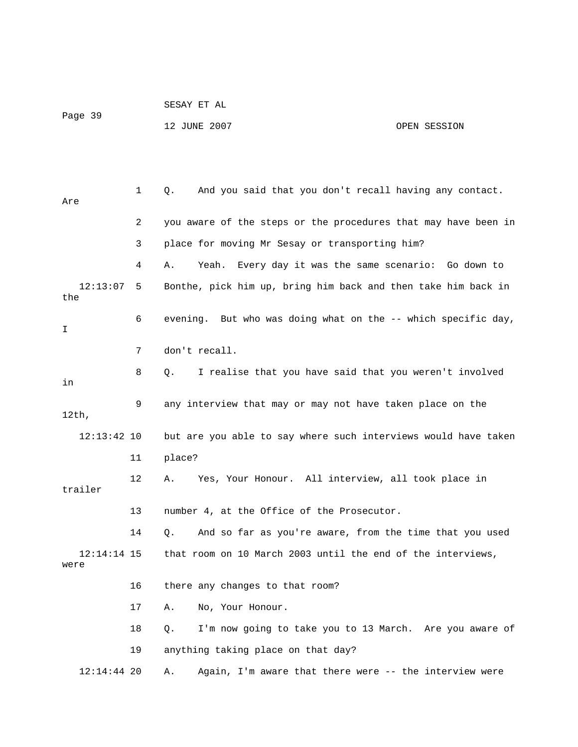|                       |    | SESAY ET AL                                                    |              |
|-----------------------|----|----------------------------------------------------------------|--------------|
| Page 39               |    | 12 JUNE 2007                                                   | OPEN SESSION |
|                       |    |                                                                |              |
|                       |    |                                                                |              |
| Are                   | 1  | And you said that you don't recall having any contact.<br>Q.   |              |
|                       | 2  | you aware of the steps or the procedures that may have been in |              |
|                       | 3  | place for moving Mr Sesay or transporting him?                 |              |
|                       | 4  | Yeah.<br>Every day it was the same scenario: Go down to<br>Α.  |              |
| 12:13:07<br>the       | 5  | Bonthe, pick him up, bring him back and then take him back in  |              |
| I                     | 6  | evening. But who was doing what on the -- which specific day,  |              |
|                       | 7  | don't recall.                                                  |              |
| in                    | 8  | I realise that you have said that you weren't involved<br>Q.   |              |
| $12th$ ,              | 9  | any interview that may or may not have taken place on the      |              |
| $12:13:42$ 10         |    | but are you able to say where such interviews would have taken |              |
|                       | 11 | place?                                                         |              |
| trailer               | 12 | Yes, Your Honour. All interview, all took place in<br>Α.       |              |
|                       | 13 | number 4, at the Office of the Prosecutor.                     |              |
|                       | 14 | And so far as you're aware, from the time that you used<br>Q.  |              |
| $12:14:14$ 15<br>were |    | that room on 10 March 2003 until the end of the interviews,    |              |
|                       | 16 | there any changes to that room?                                |              |
|                       | 17 | No, Your Honour.<br>Α.                                         |              |
|                       | 18 | I'm now going to take you to 13 March. Are you aware of<br>Q.  |              |
|                       | 19 | anything taking place on that day?                             |              |
| $12:14:44$ 20         |    | Again, I'm aware that there were -- the interview were<br>Α.   |              |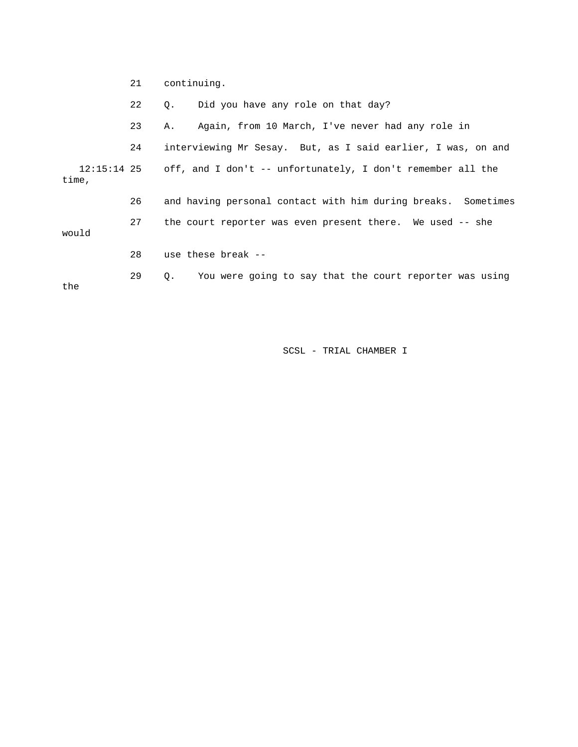21 continuing.

22 Q. Did you have any role on that day?

23 A. Again, from 10 March, I've never had any role in

 12:15:14 25 off, and I don't -- unfortunately, I don't remember all the 24 interviewing Mr Sesay. But, as I said earlier, I was, on and

time,

 26 and having personal contact with him during breaks. Sometimes 27 the court reporter was even present there. We used -- she

would

28 use these break --

29 Q. You were going to say that the court reporter was using

the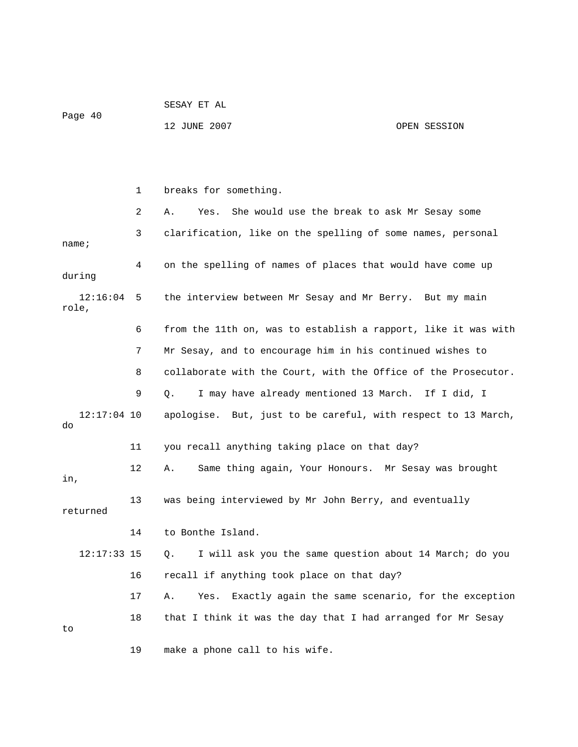SESAY ET AL Page 40

12 JUNE 2007 OPEN SESSION

 1 breaks for something. 2 A. Yes. She would use the break to ask Mr Sesay some 3 clarification, like on the spelling of some names, personal name; 4 on the spelling of names of places that would have come up during 12:16:04 5 the interview between Mr Sesay and Mr Berry. But my main role, 6 from the 11th on, was to establish a rapport, like it was with 7 Mr Sesay, and to encourage him in his continued wishes to 8 collaborate with the Court, with the Office of the Prosecutor. 9 Q. I may have already mentioned 13 March. If I did, I 12:17:04 10 apologise. But, just to be careful, with respect to 13 March, do 11 you recall anything taking place on that day? 12 A. Same thing again, Your Honours. Mr Sesay was brought in, 13 was being interviewed by Mr John Berry, and eventually returned 14 to Bonthe Island. 12:17:33 15 Q. I will ask you the same question about 14 March; do you 16 recall if anything took place on that day? 17 A. Yes. Exactly again the same scenario, for the exception 18 that I think it was the day that I had arranged for Mr Sesay to 19 make a phone call to his wife.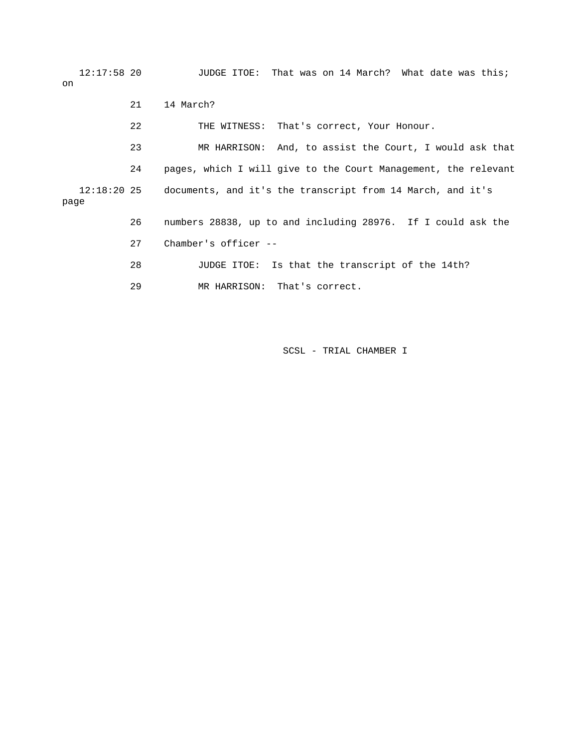12:17:58 20 JUDGE ITOE: That was on 14 March? What date was this; on 21 14 March?

 22 THE WITNESS: That's correct, Your Honour. 23 MR HARRISON: And, to assist the Court, I would ask that 24 pages, which I will give to the Court Management, the relevant 12:18:20 25 documents, and it's the transcript from 14 March, and it's page 26 numbers 28838, up to and including 28976. If I could ask the 27 Chamber's officer -- 28 JUDGE ITOE: Is that the transcript of the 14th?

29 MR HARRISON: That's correct.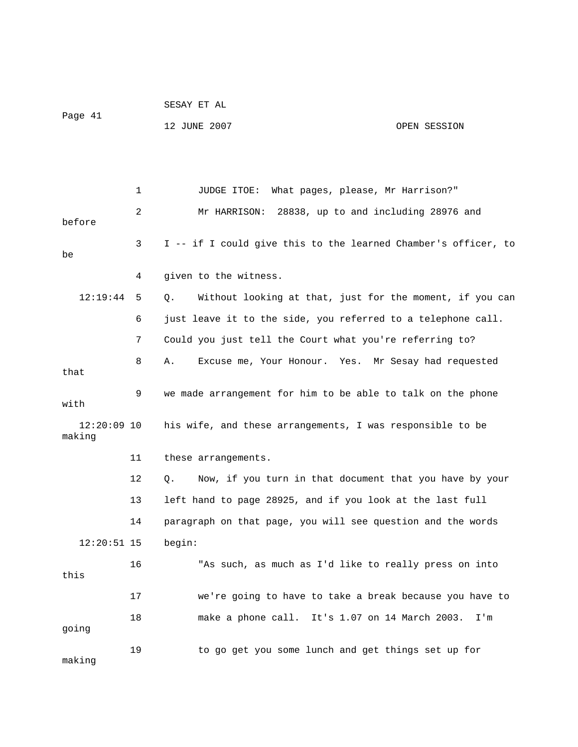| Page 41                 |    | 12 JUNE 2007                                                   | OPEN SESSION |
|-------------------------|----|----------------------------------------------------------------|--------------|
|                         |    |                                                                |              |
|                         | 1  | What pages, please, Mr Harrison?"<br>JUDGE ITOE:               |              |
| before                  | 2  | 28838, up to and including 28976 and<br>Mr HARRISON:           |              |
| be                      | 3  | I -- if I could give this to the learned Chamber's officer, to |              |
|                         | 4  | given to the witness.                                          |              |
| 12:19:44                | 5  | Without looking at that, just for the moment, if you can<br>Q. |              |
|                         | 6  | just leave it to the side, you referred to a telephone call.   |              |
|                         | 7  | Could you just tell the Court what you're referring to?        |              |
| that                    | 8  | Excuse me, Your Honour. Yes. Mr Sesay had requested<br>Α.      |              |
| with                    | 9  | we made arrangement for him to be able to talk on the phone    |              |
| $12:20:09$ 10<br>making |    | his wife, and these arrangements, I was responsible to be      |              |
|                         | 11 | these arrangements.                                            |              |
|                         | 12 | Now, if you turn in that document that you have by your<br>Q.  |              |
|                         | 13 | left hand to page 28925, and if you look at the last full      |              |
|                         | 14 | paragraph on that page, you will see question and the words    |              |
| $12:20:51$ 15           |    | begin:                                                         |              |
| this                    | 16 | "As such, as much as I'd like to really press on into          |              |
|                         | 17 | we're going to have to take a break because you have to        |              |
| going                   | 18 | make a phone call. It's 1.07 on 14 March 2003.                 | I'm          |
| making                  | 19 | to go get you some lunch and get things set up for             |              |

SESAY ET AL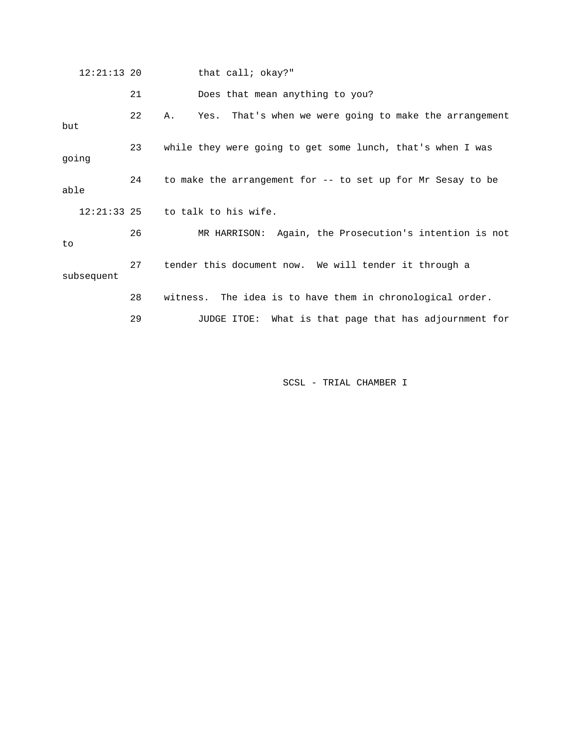| $12:21:13$ 20 |    | that call; okay?"                                            |
|---------------|----|--------------------------------------------------------------|
|               | 21 | Does that mean anything to you?                              |
| but           | 22 | Yes. That's when we were going to make the arrangement<br>Α. |
| going         | 23 | while they were going to get some lunch, that's when I was   |
| able          | 24 | to make the arrangement for -- to set up for Mr Sesay to be  |
| $12:21:33$ 25 |    | to talk to his wife.                                         |
| to            | 26 | MR HARRISON: Again, the Prosecution's intention is not       |
| subsequent    | 27 | tender this document now. We will tender it through a        |
|               | 28 | witness. The idea is to have them in chronological order.    |
|               | 29 | JUDGE ITOE: What is that page that has adjournment for       |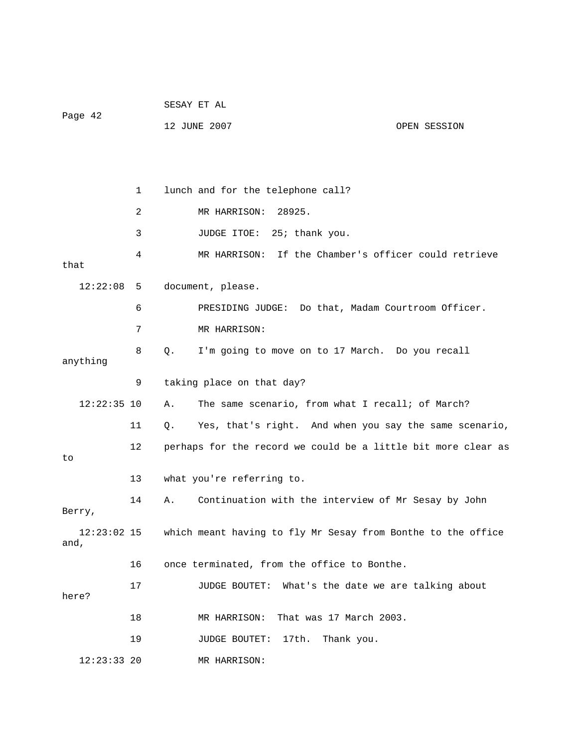| Page 42             |    | SESAY ET AL |                                                               |              |
|---------------------|----|-------------|---------------------------------------------------------------|--------------|
|                     |    |             | 12 JUNE 2007                                                  | OPEN SESSION |
|                     |    |             |                                                               |              |
|                     |    |             |                                                               |              |
|                     | 1  |             | lunch and for the telephone call?                             |              |
|                     | 2  |             | 28925.<br>MR HARRISON:                                        |              |
|                     | 3  |             | JUDGE ITOE: 25; thank you.                                    |              |
| that                | 4  |             | If the Chamber's officer could retrieve<br>MR HARRISON:       |              |
| 12:22:08            | -5 |             | document, please.                                             |              |
|                     | 6  |             | PRESIDING JUDGE: Do that, Madam Courtroom Officer.            |              |
|                     | 7  |             | MR HARRISON:                                                  |              |
| anything            | 8  | Q.          | I'm going to move on to 17 March. Do you recall               |              |
|                     | 9  |             | taking place on that day?                                     |              |
| $12:22:35$ 10       |    | Α.          | The same scenario, from what I recall; of March?              |              |
|                     | 11 | Q.          | Yes, that's right. And when you say the same scenario,        |              |
| to                  | 12 |             | perhaps for the record we could be a little bit more clear as |              |
|                     | 13 |             | what you're referring to.                                     |              |
| Berry,              | 14 | Α.          | Continuation with the interview of Mr Sesay by John           |              |
| 12:23:02 15<br>and, |    |             | which meant having to fly Mr Sesay from Bonthe to the office  |              |
|                     | 16 |             | once terminated, from the office to Bonthe.                   |              |
| here?               | 17 |             | JUDGE BOUTET: What's the date we are talking about            |              |
|                     | 18 |             | That was 17 March 2003.<br>MR HARRISON:                       |              |
|                     | 19 |             | 17th.<br><b>JUDGE BOUTET:</b><br>Thank you.                   |              |
| 12:23:33 20         |    |             | MR HARRISON:                                                  |              |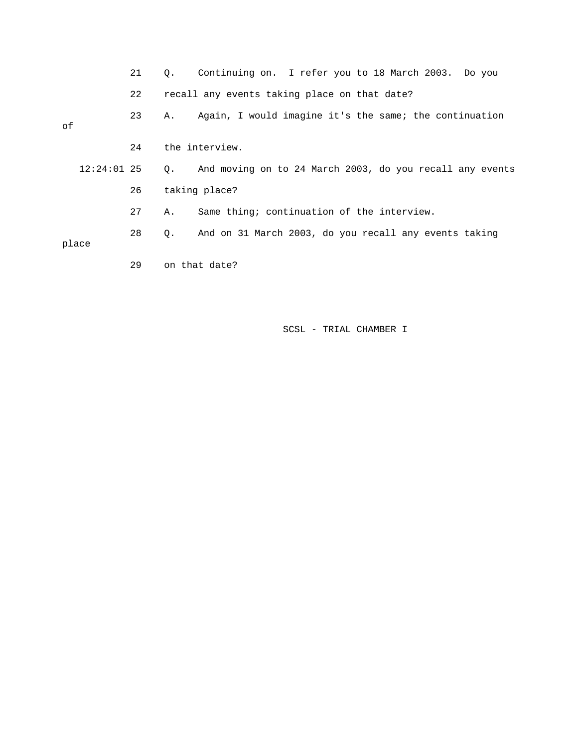|    |               | 21 | 0. | Continuing on. I refer you to 18 March 2003. Do you      |
|----|---------------|----|----|----------------------------------------------------------|
|    |               | 22 |    | recall any events taking place on that date?             |
| οf |               | 23 | Α. | Again, I would imagine it's the same; the continuation   |
|    |               | 24 |    | the interview.                                           |
|    | $12:24:01$ 25 |    | 0. | And moving on to 24 March 2003, do you recall any events |
|    |               | 26 |    | taking place?                                            |
|    |               | 27 | Α. | Same thing; continuation of the interview.               |
|    | place         | 28 | Q. | And on 31 March 2003, do you recall any events taking    |

29 on that date?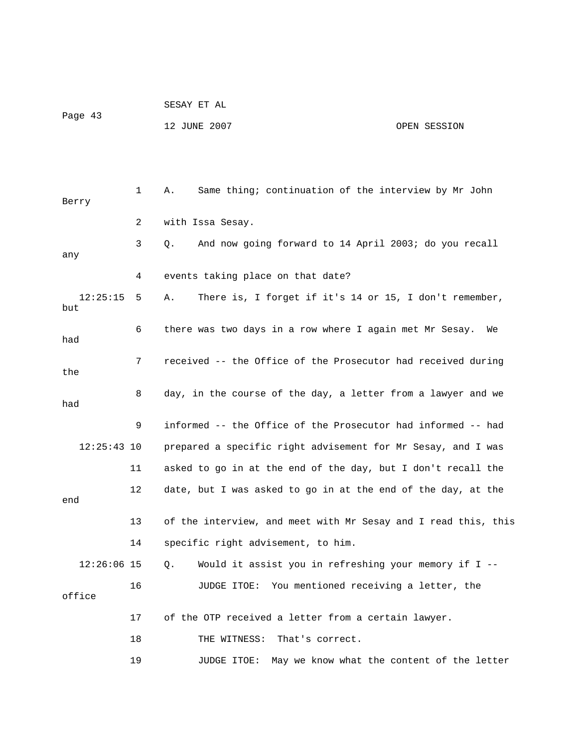SESAY ET AL Page 43 12 JUNE 2007 OPEN SESSION

 1 A. Same thing; continuation of the interview by Mr John Berry 2 with Issa Sesay. 3 Q. And now going forward to 14 April 2003; do you recall any 4 events taking place on that date? 12:25:15 5 A. There is, I forget if it's 14 or 15, I don't remember, but 6 there was two days in a row where I again met Mr Sesay. We had 7 received -- the Office of the Prosecutor had received during the 8 day, in the course of the day, a letter from a lawyer and we had 9 informed -- the Office of the Prosecutor had informed -- had 12:25:43 10 prepared a specific right advisement for Mr Sesay, and I was 12 date, but I was asked to go in at the end of the day, at the 13 of the interview, and meet with Mr Sesay and I read this, this 14 specific right advisement, to him. 12:26:06 15 Q. Would it assist you in refreshing your memory if I -- 16 JUDGE ITOE: You mentioned receiving a letter, the 17 of the OTP received a letter from a certain lawyer. 19 JUDGE ITOE: May we know what the content of the letter 11 asked to go in at the end of the day, but I don't recall the end office 18 THE WITNESS: That's correct.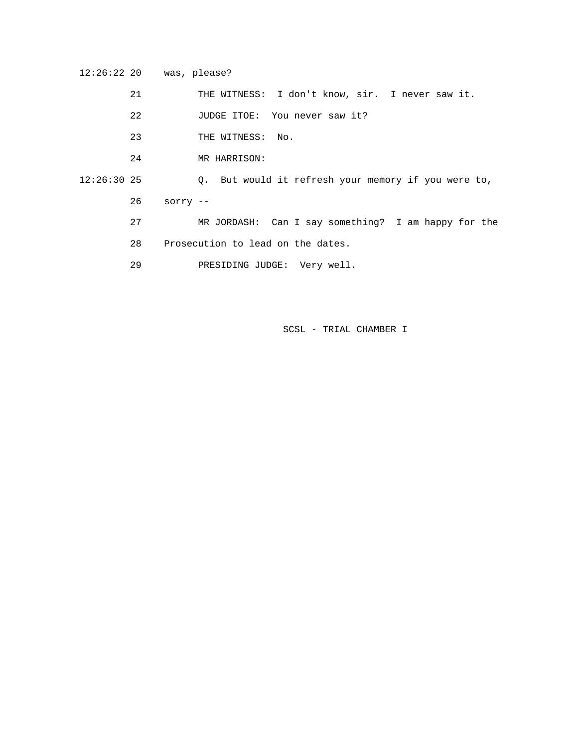12:26:22 20 was, please?

21 THE WITNESS: I don't know, sir. I never saw it.

- 22 JUDGE ITOE: You never saw it?
- 23 THE WITNESS: No.
- 24 MR HARRISON:

12:26:30 25 Q. But would it refresh your memory if you were to,

26 sorry --

- 27 MR JORDASH: Can I say something? I am happy for the
	- 28 Prosecution to lead on the dates.
	- 29 PRESIDING JUDGE: Very well.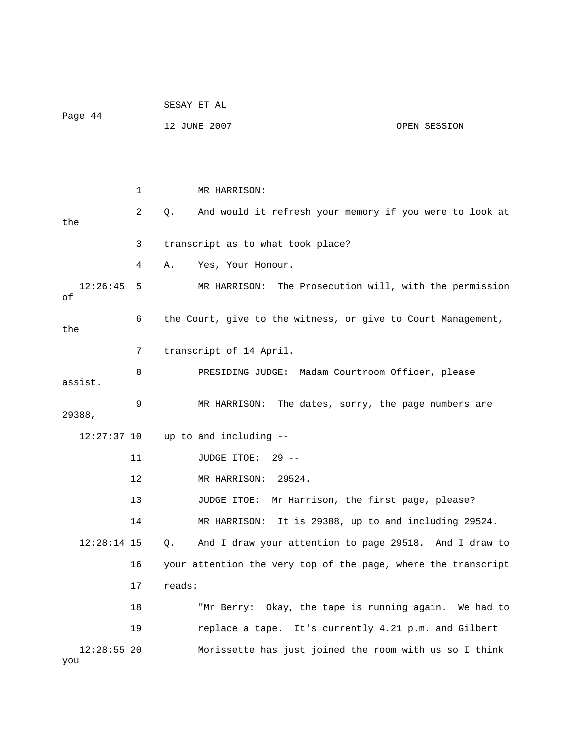| Page 44              |    | SESAY ET AL |                                                               |              |  |
|----------------------|----|-------------|---------------------------------------------------------------|--------------|--|
|                      |    |             | 12 JUNE 2007                                                  | OPEN SESSION |  |
|                      |    |             |                                                               |              |  |
|                      |    |             |                                                               |              |  |
|                      | 1  |             | MR HARRISON:                                                  |              |  |
| the                  | 2  | Q.          | And would it refresh your memory if you were to look at       |              |  |
|                      | 3  |             | transcript as to what took place?                             |              |  |
|                      | 4  | Α.          | Yes, Your Honour.                                             |              |  |
| 12:26:45<br>οf       | 5  |             | MR HARRISON:<br>The Prosecution will, with the permission     |              |  |
| the                  | 6  |             | the Court, give to the witness, or give to Court Management,  |              |  |
|                      | 7  |             | transcript of 14 April.                                       |              |  |
| assist.              | 8  |             | PRESIDING JUDGE: Madam Courtroom Officer, please              |              |  |
| 29388,               | 9  |             | The dates, sorry, the page numbers are<br>MR HARRISON:        |              |  |
| 12:27:37 10          |    |             | up to and including --                                        |              |  |
|                      | 11 |             | JUDGE ITOE:<br>$29 - -$                                       |              |  |
|                      | 12 |             | MR HARRISON:<br>29524.                                        |              |  |
|                      | 13 |             | Mr Harrison, the first page, please?<br>JUDGE ITOE:           |              |  |
|                      | 14 |             | MR HARRISON: It is 29388, up to and including 29524.          |              |  |
| $12:28:14$ 15        |    | Q.          | And I draw your attention to page 29518. And I draw to        |              |  |
|                      | 16 |             | your attention the very top of the page, where the transcript |              |  |
|                      | 17 | reads:      |                                                               |              |  |
|                      | 18 |             | "Mr Berry: Okay, the tape is running again. We had to         |              |  |
|                      | 19 |             | replace a tape. It's currently 4.21 p.m. and Gilbert          |              |  |
| $12:28:55$ 20<br>you |    |             | Morissette has just joined the room with us so I think        |              |  |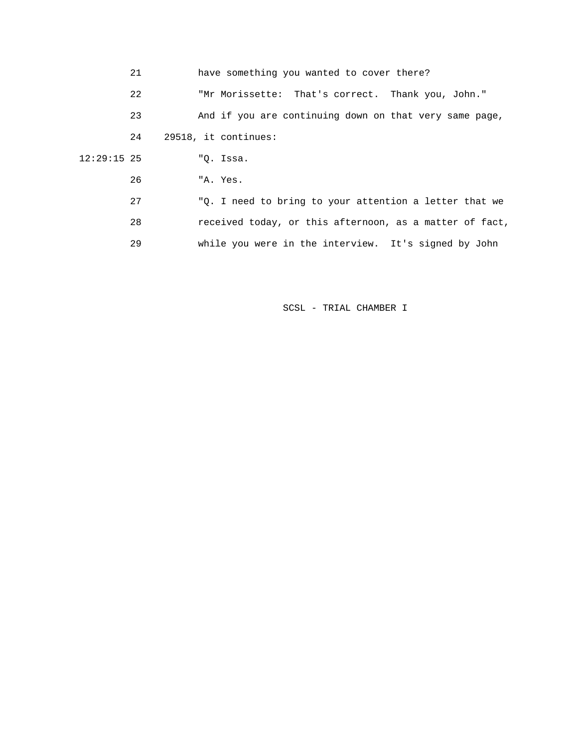| 21            | have something you wanted to cover there?               |
|---------------|---------------------------------------------------------|
| 22            | "Mr Morissette: That's correct. Thank you, John."       |
| 23            | And if you are continuing down on that very same page,  |
| 24            | 29518, it continues:                                    |
| $12:29:15$ 25 | "O. Issa.                                               |
| 26            | "A. Yes.                                                |
| 27            | "Q. I need to bring to your attention a letter that we  |
| 28            | received today, or this afternoon, as a matter of fact, |
| 29            | while you were in the interview. It's signed by John    |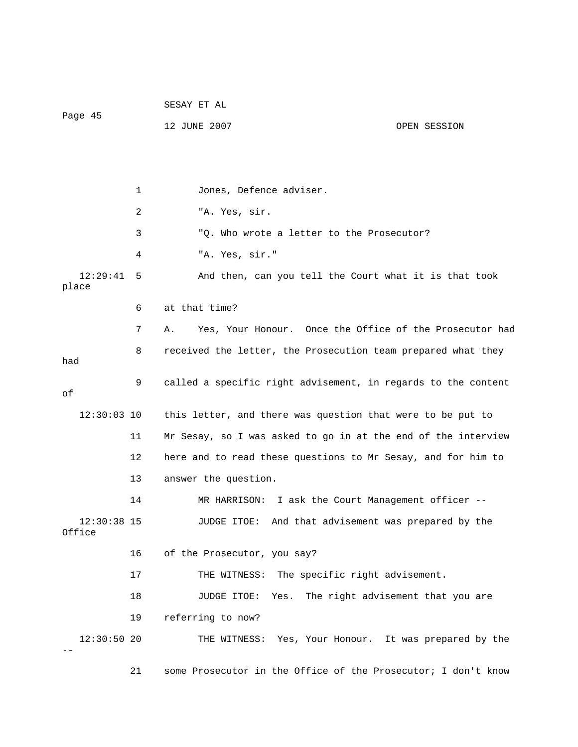SESAY ET AL Page 45 12 JUNE 2007 OPEN SESSION 1 Jones, Defence adviser. 3 "Q. Who wrote a letter to the Prosecutor? 4 "A. Yes, sir." 7 A. Yes, Your Honour. Once the Office of the Prosecutor had 8 received the letter, the Prosecution team prepared what they 9 called a specific right advisement, in regards to the content 12:30:03 10 this letter, and there was question that were to be put to 11 Mr Sesay, so I was asked to go in at the end of the interview 12 here and to read these questions to Mr Sesay, and for him to 13 answer the question. 14 MR HARRISON: I ask the Court Management officer -- 12:30:38 15 JUDGE ITOE: And that advisement was prepared by the 16 of the Prosecutor, you say? 17 THE WITNESS: The specific right advisement. 18 JUDGE ITOE: Yes. The right advisement that you are 19 referring to now? 21 some Prosecutor in the Office of the Prosecutor; I don't know 2 "A. Yes, sir. 12:29:41 5 And then, can you tell the Court what it is that took place 6 at that time? had of Office 12:30:50 20 THE WITNESS: Yes, Your Honour. It was prepared by the --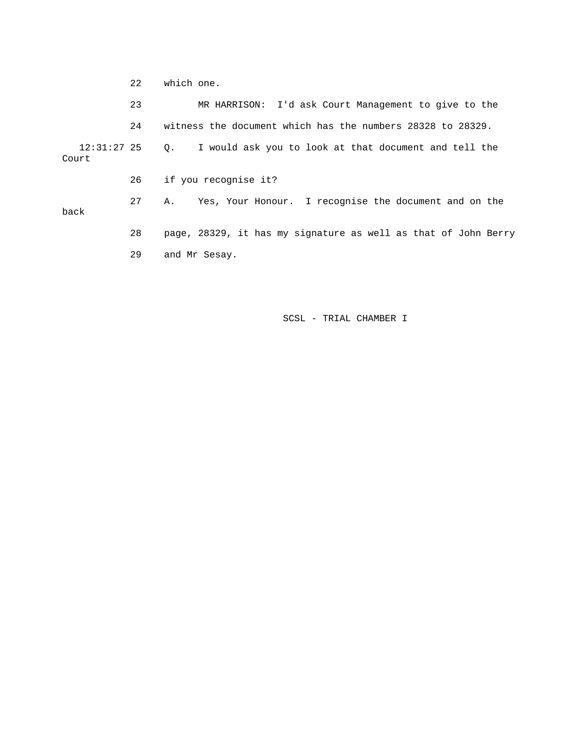22 which one.

|                        | 23 | MR HARRISON: I'd ask Court Management to give to the               |
|------------------------|----|--------------------------------------------------------------------|
|                        | 24 | witness the document which has the numbers 28328 to 28329.         |
| $12:31:27$ 25<br>Court |    | I would ask you to look at that document and tell the<br>$\circ$ . |
|                        | 26 | if you recognise it?                                               |
| back                   | 27 | Yes, Your Honour. I recognise the document and on the<br>Α.        |
|                        | 28 | page, 28329, it has my signature as well as that of John Berry     |
|                        | 29 | and Mr Sesay.                                                      |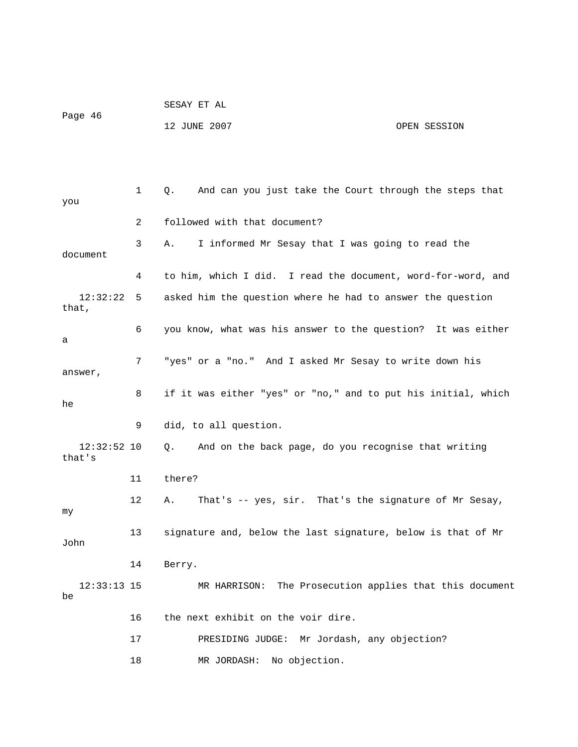| Page 46 | SESAY ET AL  |              |
|---------|--------------|--------------|
|         | 12 JUNE 2007 | OPEN SESSION |

| you                     | 1  | And can you just take the Court through the steps that<br>О.     |
|-------------------------|----|------------------------------------------------------------------|
|                         | 2  | followed with that document?                                     |
| document                | 3  | I informed Mr Sesay that I was going to read the<br>Α.           |
|                         | 4  | to him, which I did. I read the document, word-for-word, and     |
| 12:32:22<br>that,       | 5  | asked him the question where he had to answer the question       |
| а                       | 6  | you know, what was his answer to the question? It was either     |
| answer,                 | 7  | "yes" or a "no." And I asked Mr Sesay to write down his          |
| he                      | 8  | if it was either "yes" or "no," and to put his initial, which    |
|                         | 9  | did, to all question.                                            |
| $12:32:52$ 10<br>that's |    | And on the back page, do you recognise that writing<br>$\circ$ . |
|                         | 11 | there?                                                           |
| my                      | 12 | That's -- yes, sir. That's the signature of Mr Sesay,<br>Α.      |
| John                    | 13 | signature and, below the last signature, below is that of Mr     |
|                         | 14 | Berry.                                                           |
| $12:33:13$ 15<br>be     |    | The Prosecution applies that this document<br>MR HARRISON:       |
|                         | 16 | the next exhibit on the voir dire.                               |
|                         | 17 | PRESIDING JUDGE: Mr Jordash, any objection?                      |
|                         | 18 | No objection.<br>MR JORDASH:                                     |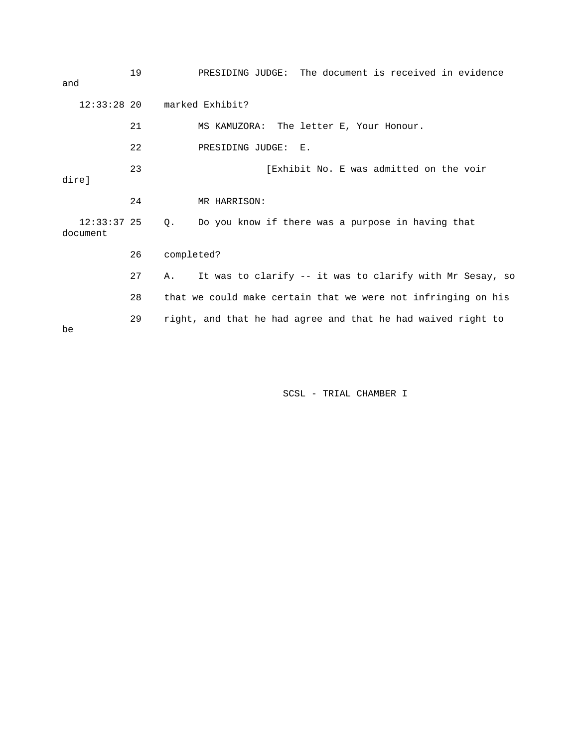| and                       | 19 | PRESIDING JUDGE: The document is received in evidence          |
|---------------------------|----|----------------------------------------------------------------|
| $12:33:28$ 20             |    | marked Exhibit?                                                |
|                           | 21 | MS KAMUZORA: The letter E, Your Honour.                        |
|                           | 22 | PRESIDING JUDGE:<br>$E$ .                                      |
| dire]                     | 23 | [Exhibit No. E was admitted on the voir                        |
|                           | 24 | MR HARRISON:                                                   |
| $12:33:37$ 25<br>document |    | Do you know if there was a purpose in having that<br>Q.        |
|                           | 26 | completed?                                                     |
|                           | 27 | It was to clarify -- it was to clarify with Mr Sesay, so<br>Α. |
|                           | 28 | that we could make certain that we were not infringing on his  |
| be                        | 29 | right, and that he had agree and that he had waived right to   |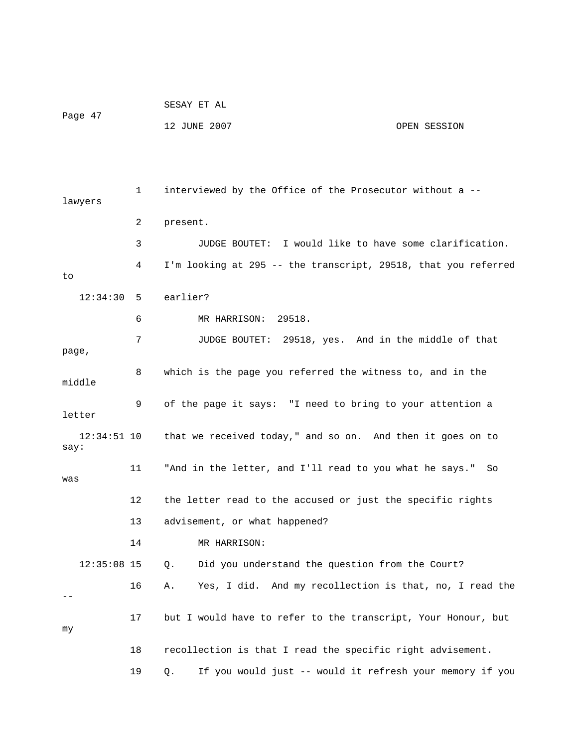|         | SESAY ET AL  |              |
|---------|--------------|--------------|
| Page 47 |              |              |
|         | 12 JUNE 2007 | OPEN SESSION |

 1 interviewed by the Office of the Prosecutor without a - lawyers 2 present. 3 JUDGE BOUTET: I would like to have some clarification. 4 I'm looking at 295 -- the transcript, 29518, that you referred to 12:34:30 5 earlier? 6 MR HARRISON: 29518. 7 JUDGE BOUTET: 29518, yes. And in the middle of that page, 8 which is the page you referred the witness to, and in the middle 9 of the page it says: "I need to bring to your attention a letter 12:34:51 10 that we received today," and so on. And then it goes on to say: 11 "And in the letter, and I'll read to you what he says." So was 12 the letter read to the accused or just the specific rights 13 advisement, or what happened? 14 MR HARRISON: 12:35:08 15 Q. Did you understand the question from the Court? 16 A. Yes, I did. And my recollection is that, no, I read the -- 17 but I would have to refer to the transcript, Your Honour, but my 18 recollection is that I read the specific right advisement. 19 Q. If you would just -- would it refresh your memory if you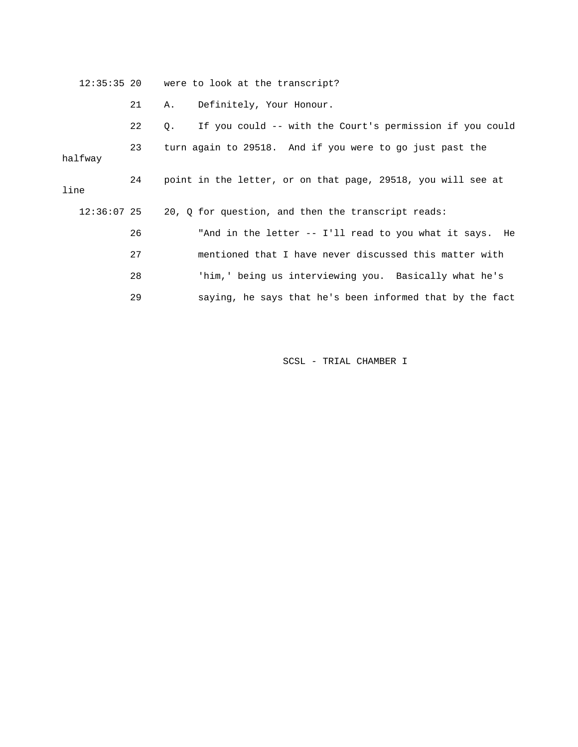|               |    | 12:35:35 20 were to look at the transcript?                       |
|---------------|----|-------------------------------------------------------------------|
|               | 21 | Definitely, Your Honour.<br>Α.                                    |
|               | 22 | If you could -- with the Court's permission if you could<br>$Q$ . |
| halfway       | 23 | turn again to 29518. And if you were to go just past the          |
| line          | 24 | point in the letter, or on that page, 29518, you will see at      |
| $12:36:07$ 25 |    | 20, Q for question, and then the transcript reads:                |
|               | 26 | "And in the letter -- I'll read to you what it says. He           |
|               | 27 | mentioned that I have never discussed this matter with            |
|               | 28 | 'him,' being us interviewing you. Basically what he's             |
|               | 29 | saying, he says that he's been informed that by the fact          |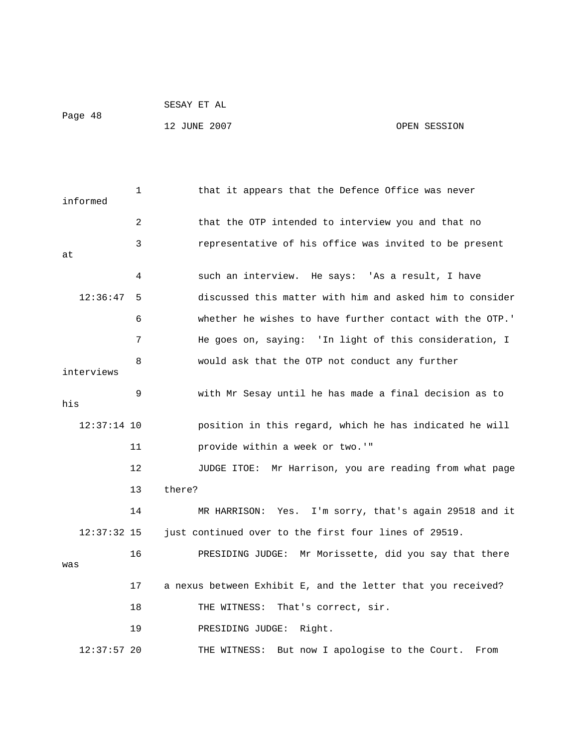```
 SESAY ET AL
```
Page 48

12 JUNE 2007 CPEN SESSION

| informed      | 1  | that it appears that the Defence Office was never            |
|---------------|----|--------------------------------------------------------------|
|               | 2  | that the OTP intended to interview you and that no           |
| at            | 3  | representative of his office was invited to be present       |
|               | 4  | such an interview. He says: 'As a result, I have             |
| 12:36:47      | 5  | discussed this matter with him and asked him to consider     |
|               | 6  | whether he wishes to have further contact with the OTP.'     |
|               | 7  | He goes on, saying: 'In light of this consideration, I       |
| interviews    | 8  | would ask that the OTP not conduct any further               |
| his           | 9  | with Mr Sesay until he has made a final decision as to       |
| $12:37:14$ 10 |    | position in this regard, which he has indicated he will      |
|               | 11 | provide within a week or two.'"                              |
|               | 12 | Mr Harrison, you are reading from what page<br>JUDGE ITOE:   |
|               | 13 | there?                                                       |
|               | 14 | I'm sorry, that's again 29518 and it<br>MR HARRISON:<br>Yes. |
| $12:37:32$ 15 |    | just continued over to the first four lines of 29519.        |
| was           | 16 | PRESIDING JUDGE: Mr Morissette, did you say that there       |
|               | 17 | a nexus between Exhibit E, and the letter that you received? |
|               | 18 | That's correct, sir.<br>THE WITNESS:                         |
|               | 19 | PRESIDING JUDGE:<br>Right.                                   |
| $12:37:57$ 20 |    | THE WITNESS: But now I apologise to the Court.<br>From       |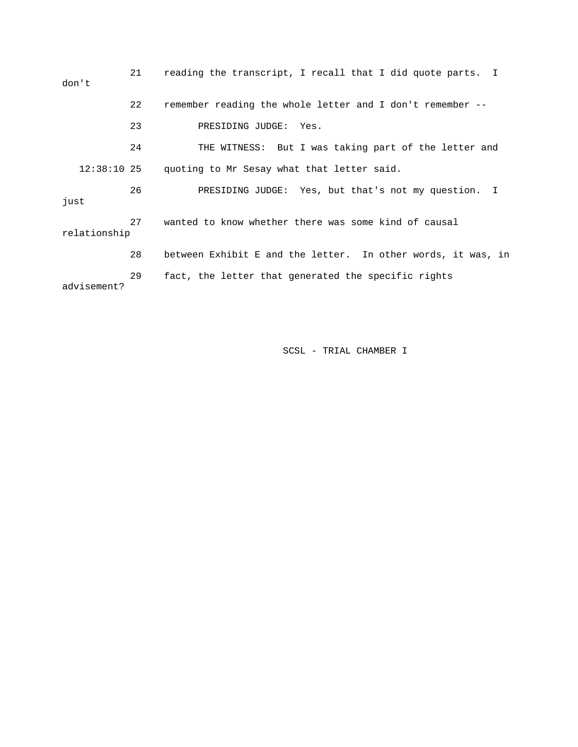21 reading the transcript, I recall that I did quote parts. I don't 22 remember reading the whole letter and I don't remember -- 23 PRESIDING JUDGE: Yes. 24 THE WITNESS: But I was taking part of the letter and 12:38:10 25 quoting to Mr Sesay what that letter said. 26 PRESIDING JUDGE: Yes, but that's not my question. I just 27 wanted to know whether there was some kind of causal relationship 28 between Exhibit E and the letter. In other words, it was, in 29 fact, the letter that generated the specific rights advisement?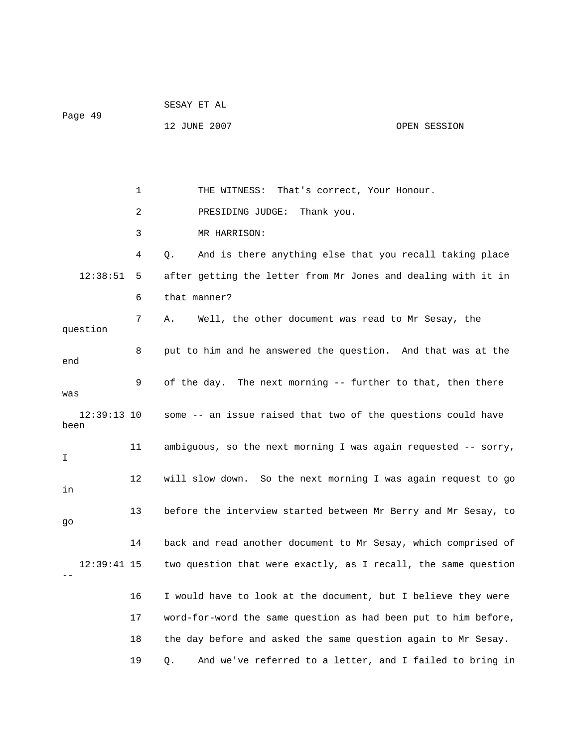|                       |    | SESAY ET AL                                                    |              |  |  |
|-----------------------|----|----------------------------------------------------------------|--------------|--|--|
| Page 49               |    | 12 JUNE 2007                                                   | OPEN SESSION |  |  |
|                       |    |                                                                |              |  |  |
|                       |    |                                                                |              |  |  |
|                       | 1  | THE WITNESS: That's correct, Your Honour.                      |              |  |  |
|                       | 2  | PRESIDING JUDGE:<br>Thank you.                                 |              |  |  |
|                       | 3  | MR HARRISON:                                                   |              |  |  |
|                       | 4  | And is there anything else that you recall taking place<br>Q.  |              |  |  |
| 12:38:51              | 5  | after getting the letter from Mr Jones and dealing with it in  |              |  |  |
|                       | 6  | that manner?                                                   |              |  |  |
|                       | 7  | Well, the other document was read to Mr Sesay, the<br>Α.       |              |  |  |
| question              |    |                                                                |              |  |  |
| end                   | 8  | put to him and he answered the question. And that was at the   |              |  |  |
| was                   | 9  | of the day. The next morning -- further to that, then there    |              |  |  |
| $12:39:13$ 10<br>been |    | some -- an issue raised that two of the questions could have   |              |  |  |
| I.                    | 11 | ambiguous, so the next morning I was again requested -- sorry, |              |  |  |
| in                    | 12 | will slow down. So the next morning I was again request to go  |              |  |  |
| go                    | 13 | before the interview started between Mr Berry and Mr Sesay, to |              |  |  |
|                       | 14 | back and read another document to Mr Sesay, which comprised of |              |  |  |
| $12:39:41$ 15         |    | two question that were exactly, as I recall, the same question |              |  |  |
|                       | 16 | I would have to look at the document, but I believe they were  |              |  |  |
|                       | 17 | word-for-word the same question as had been put to him before, |              |  |  |
|                       | 18 | the day before and asked the same question again to Mr Sesay.  |              |  |  |
|                       | 19 | And we've referred to a letter, and I failed to bring in<br>Q. |              |  |  |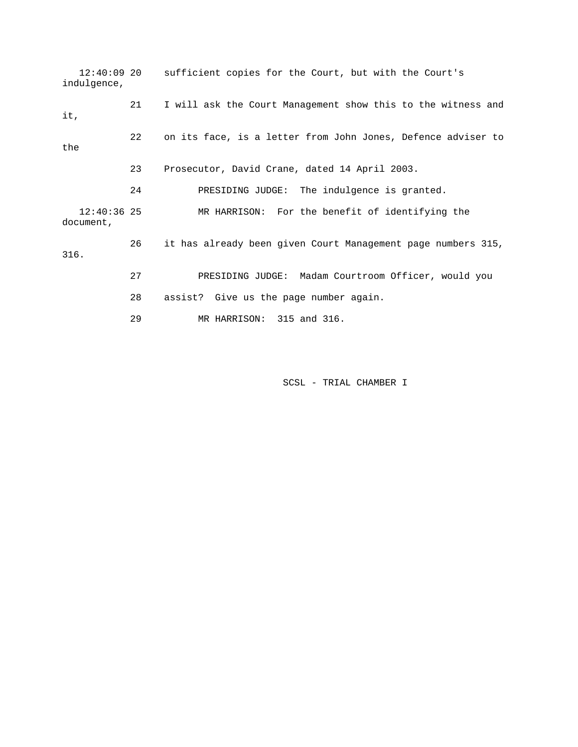12:40:09 20 sufficient copies for the Court, but with the Court's indulgence, 21 I will ask the Court Management show this to the witness and it, 22 on its face, is a letter from John Jones, Defence adviser to the 23 Prosecutor, David Crane, dated 14 April 2003. 24 PRESIDING JUDGE: The indulgence is granted. 12:40:36 25 MR HARRISON: For the benefit of identifying the document, 26 it has already been given Court Management page numbers 315, 316. 27 PRESIDING JUDGE: Madam Courtroom Officer, would you 28 assist? Give us the page number again. 29 MR HARRISON: 315 and 316.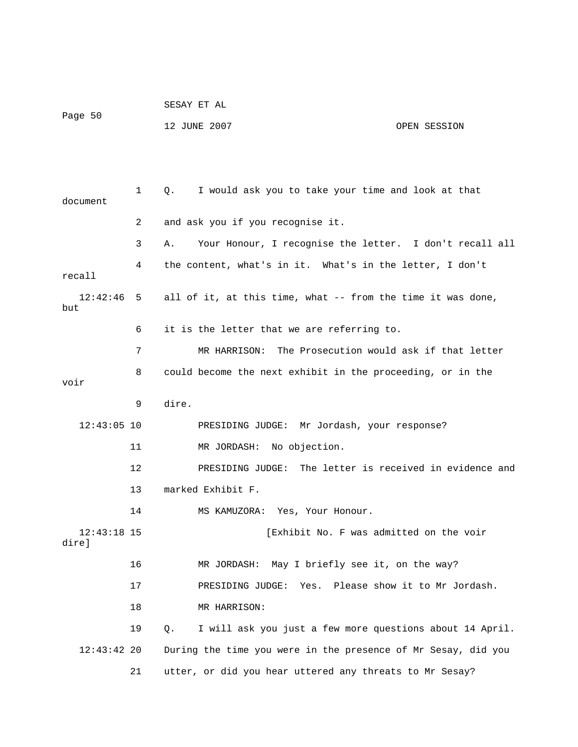| Page 50 | SESAY ET AL  |              |
|---------|--------------|--------------|
|         | 12 JUNE 2007 | OPEN SESSION |

| document               | 1  | I would ask you to take your time and look at that<br>Q.       |
|------------------------|----|----------------------------------------------------------------|
|                        | 2  | and ask you if you recognise it.                               |
|                        | 3  | Your Honour, I recognise the letter. I don't recall all<br>Α.  |
| recall                 | 4  | the content, what's in it. What's in the letter, I don't       |
| 12:42:46<br>but        | 5  | all of it, at this time, what -- from the time it was done,    |
|                        | 6  | it is the letter that we are referring to.                     |
|                        | 7  | The Prosecution would ask if that letter<br>MR HARRISON:       |
| voir                   | 8  | could become the next exhibit in the proceeding, or in the     |
|                        | 9  | dire.                                                          |
| $12:43:05$ 10          |    | PRESIDING JUDGE: Mr Jordash, your response?                    |
|                        | 11 | MR JORDASH: No objection.                                      |
|                        | 12 | PRESIDING JUDGE: The letter is received in evidence and        |
|                        | 13 | marked Exhibit F.                                              |
|                        | 14 | MS KAMUZORA: Yes, Your Honour.                                 |
| $12:43:18$ 15<br>dire] |    | [Exhibit No. F was admitted on the voir                        |
|                        | 16 | MR JORDASH: May I briefly see it, on the way?                  |
|                        | 17 | PRESIDING JUDGE: Yes. Please show it to Mr Jordash.            |
|                        | 18 | MR HARRISON:                                                   |
|                        | 19 | I will ask you just a few more questions about 14 April.<br>Q. |
| $12:43:42$ 20          |    | During the time you were in the presence of Mr Sesay, did you  |
|                        | 21 | utter, or did you hear uttered any threats to Mr Sesay?        |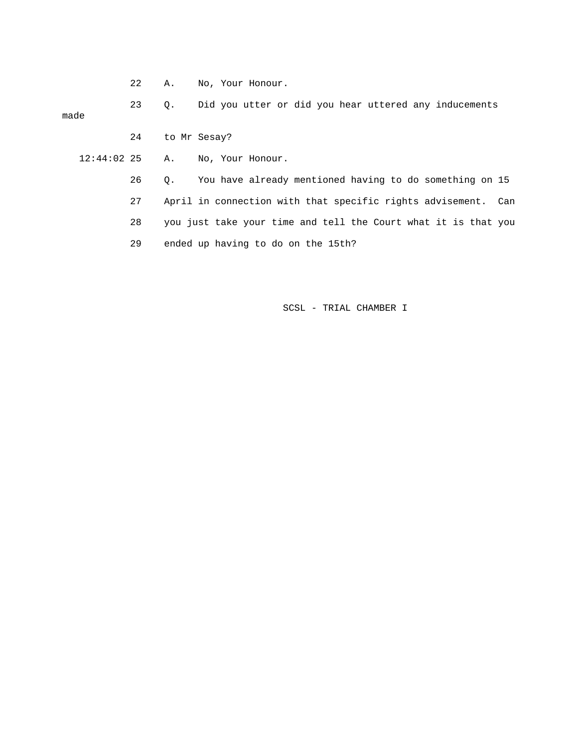22 A. No, Your Honour.

 23 Q. Did you utter or did you hear uttered any inducements made 24 to Mr Sesay?

12:44:02 25 A. No, Your Honour.

 26 Q. You have already mentioned having to do something on 15 27 April in connection with that specific rights advisement. Can 28 you just take your time and tell the Court what it is that you 29 ended up having to do on the 15th?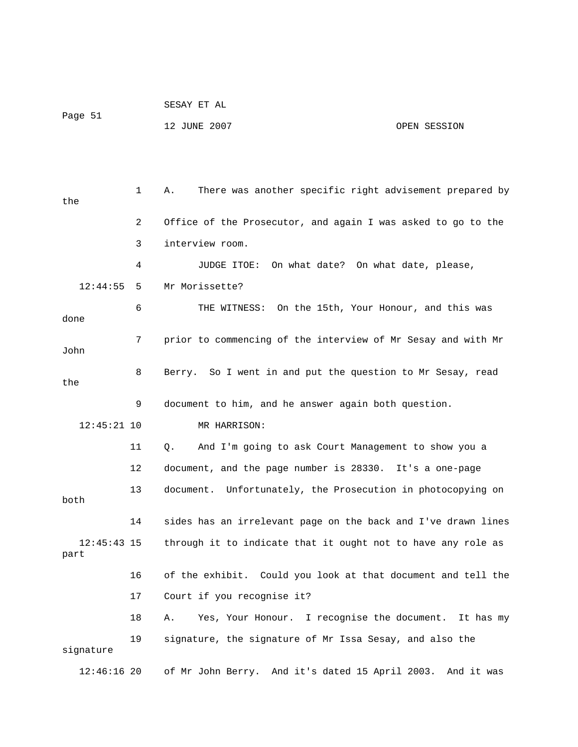|         | SESAY ET AL  |              |
|---------|--------------|--------------|
| Page 51 | 12 JUNE 2007 | OPEN SESSION |

 1 A. There was another specific right advisement prepared by the 2 Office of the Prosecutor, and again I was asked to go to the 3 interview room. 4 JUDGE ITOE: On what date? On what date, please, 12:44:55 5 Mr Morissette? 6 THE WITNESS: On the 15th, Your Honour, and this was done 7 prior to commencing of the interview of Mr Sesay and with Mr John 8 Berry. So I went in and put the question to Mr Sesay, read the 9 document to him, and he answer again both question. 12:45:21 10 MR HARRISON: 11 Q. And I'm going to ask Court Management to show you a 12 document, and the page number is 28330. It's a one-page 13 document. Unfortunately, the Prosecution in photocopying on both 14 sides has an irrelevant page on the back and I've drawn lines 12:45:43 15 through it to indicate that it ought not to have any role as part 16 of the exhibit. Could you look at that document and tell the 17 Court if you recognise it? 18 A. Yes, Your Honour. I recognise the document. It has my 19 signature, the signature of Mr Issa Sesay, and also the signature 12:46:16 20 of Mr John Berry. And it's dated 15 April 2003. And it was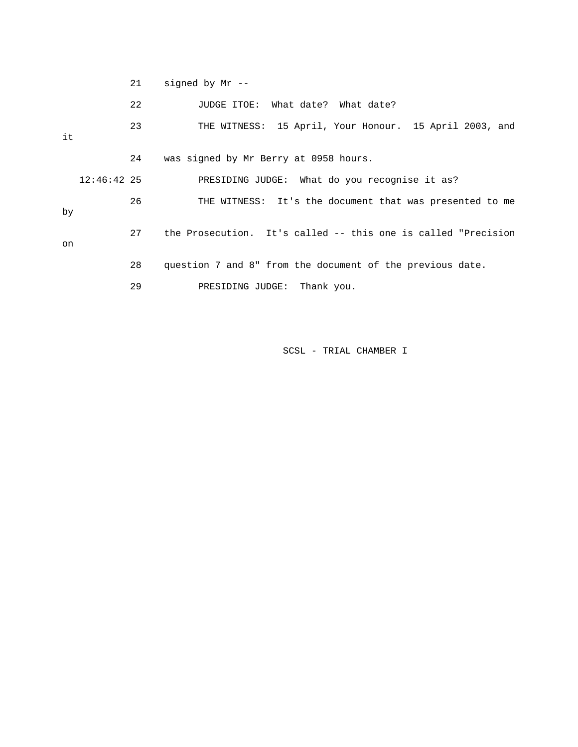|    |               | 21 | signed by $Mr$ --                                             |
|----|---------------|----|---------------------------------------------------------------|
|    |               | 22 | JUDGE ITOE: What date? What date?                             |
| it |               | 23 | THE WITNESS: 15 April, Your Honour. 15 April 2003, and        |
|    |               | 24 | was signed by Mr Berry at 0958 hours.                         |
|    | $12:46:42$ 25 |    | PRESIDING JUDGE: What do you recognise it as?                 |
| by |               | 26 | THE WITNESS: It's the document that was presented to me       |
| on |               | 27 | the Prosecution. It's called -- this one is called "Precision |
|    |               | 28 | question 7 and 8" from the document of the previous date.     |
|    |               | 29 | Thank you.<br>PRESIDING JUDGE:                                |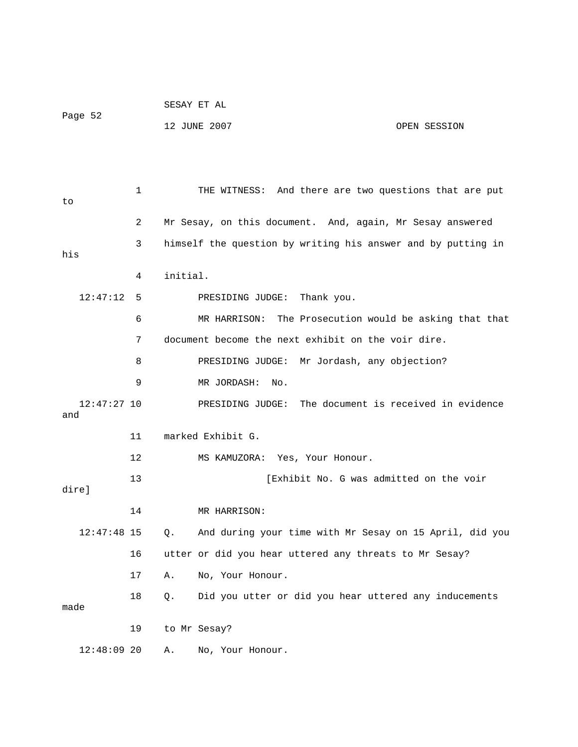|                    |    | SESAY ET AL                                                      |  |  |
|--------------------|----|------------------------------------------------------------------|--|--|
| Page 52            |    | 12 JUNE 2007<br>OPEN SESSION                                     |  |  |
|                    |    |                                                                  |  |  |
|                    |    |                                                                  |  |  |
|                    |    |                                                                  |  |  |
| to                 | 1  | THE WITNESS: And there are two questions that are put            |  |  |
|                    |    |                                                                  |  |  |
|                    | 2  | Mr Sesay, on this document. And, again, Mr Sesay answered        |  |  |
| his                | 3  | himself the question by writing his answer and by putting in     |  |  |
|                    | 4  | initial.                                                         |  |  |
|                    |    |                                                                  |  |  |
| 12:47:12           | 5  | Thank you.<br>PRESIDING JUDGE:                                   |  |  |
|                    | 6  | The Prosecution would be asking that that<br>MR HARRISON:        |  |  |
|                    | 7  | document become the next exhibit on the voir dire.               |  |  |
|                    | 8  | PRESIDING JUDGE: Mr Jordash, any objection?                      |  |  |
|                    | 9  | MR JORDASH:<br>No.                                               |  |  |
| 12:47:27 10<br>and |    | The document is received in evidence<br>PRESIDING JUDGE:         |  |  |
|                    | 11 | marked Exhibit G.                                                |  |  |
|                    | 12 | MS KAMUZORA: Yes, Your Honour.                                   |  |  |
|                    | 13 | [Exhibit No. G was admitted on the voir                          |  |  |
| dire]              |    |                                                                  |  |  |
|                    | 14 | MR HARRISON:                                                     |  |  |
| $12:47:48$ 15      |    | And during your time with Mr Sesay on 15 April, did you<br>$Q$ . |  |  |
|                    | 16 | utter or did you hear uttered any threats to Mr Sesay?           |  |  |
|                    | 17 | No, Your Honour.<br>Α.                                           |  |  |
|                    | 18 | Did you utter or did you hear uttered any inducements<br>Q.      |  |  |
| made               |    |                                                                  |  |  |
|                    | 19 | to Mr Sesay?                                                     |  |  |
| $12:48:09$ 20      |    | No, Your Honour.<br>Α.                                           |  |  |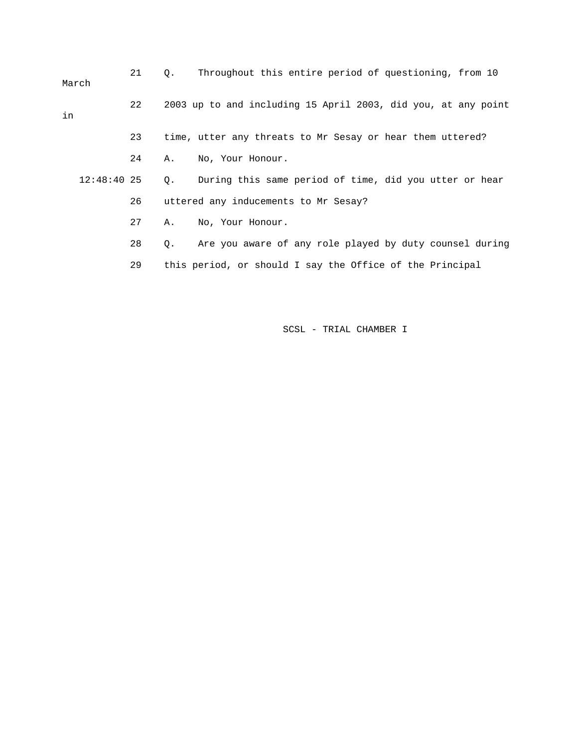| March         | 21 | Throughout this entire period of questioning, from 10<br>$\circ$ .   |
|---------------|----|----------------------------------------------------------------------|
| in            | 22 | 2003 up to and including 15 April 2003, did you, at any point        |
|               | 23 | time, utter any threats to Mr Sesay or hear them uttered?            |
|               | 24 | No, Your Honour.<br>Α.                                               |
| $12:48:40$ 25 |    | During this same period of time, did you utter or hear<br>Q.         |
|               | 26 | uttered any inducements to Mr Sesay?                                 |
|               | 27 | No, Your Honour.<br>Α.                                               |
|               | 28 | Are you aware of any role played by duty counsel during<br>$\circ$ . |
|               | 29 | this period, or should I say the Office of the Principal             |
|               |    |                                                                      |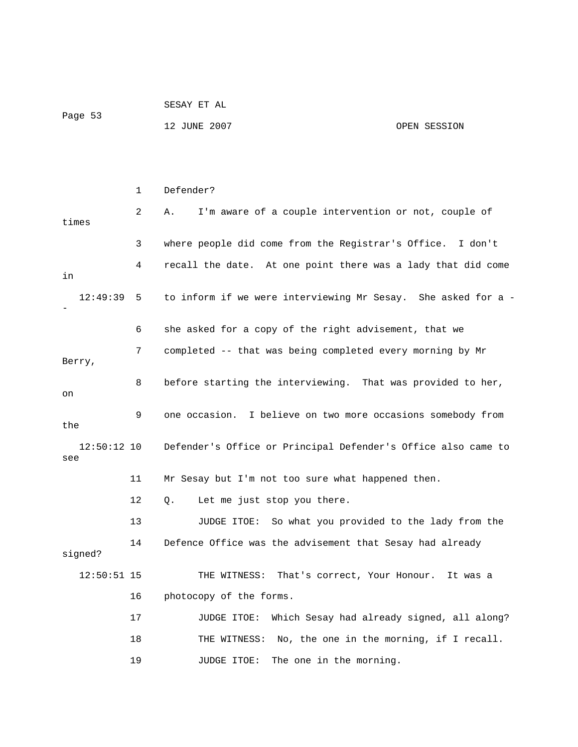| Page 53 | SESAY ET AL  |              |
|---------|--------------|--------------|
|         | 12 JUNE 2007 | OPEN SESSION |

|                      | $\mathbf{1}$ | Defender?                                                     |
|----------------------|--------------|---------------------------------------------------------------|
| times                | 2            | I'm aware of a couple intervention or not, couple of<br>Α.    |
|                      | 3            | where people did come from the Registrar's Office. I don't    |
| in                   | 4            | recall the date. At one point there was a lady that did come  |
| 12:49:39             | 5            | to inform if we were interviewing Mr Sesay. She asked for a - |
|                      | 6            | she asked for a copy of the right advisement, that we         |
| Berry,               | 7            | completed -- that was being completed every morning by Mr     |
| on                   | 8            | before starting the interviewing. That was provided to her,   |
| the                  | 9            | one occasion. I believe on two more occasions somebody from   |
| $12:50:12$ 10<br>see |              | Defender's Office or Principal Defender's Office also came to |
|                      | 11           | Mr Sesay but I'm not too sure what happened then.             |
|                      | 12           | Let me just stop you there.<br>Q.                             |
|                      | 13           | JUDGE ITOE: So what you provided to the lady from the         |
| signed?              | 14           | Defence Office was the advisement that Sesay had already      |
| $12:50:51$ 15        |              | That's correct, Your Honour.<br>THE WITNESS:<br>It was a      |
|                      | 16           | photocopy of the forms.                                       |
|                      | 17           | Which Sesay had already signed, all along?<br>JUDGE ITOE:     |
|                      | 18           | No, the one in the morning, if I recall.<br>THE WITNESS:      |
|                      | 19           | The one in the morning.<br>JUDGE ITOE:                        |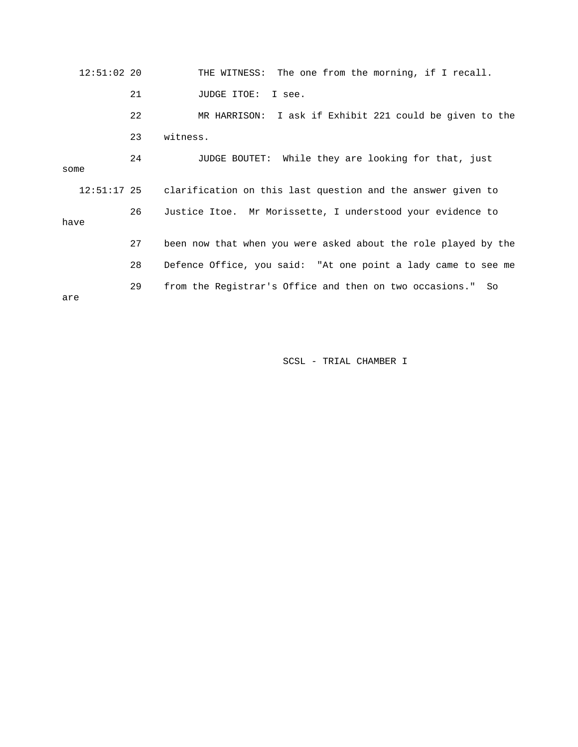12:51:02 20 THE WITNESS: The one from the morning, if I recall. 21 JUDGE ITOE: I see. 23 witness. 24 JUDGE BOUTET: While they are looking for that, just 12:51:17 25 clarification on this last question and the answer given to 28 Defence Office, you said: "At one point a lady came to see me 29 from the Registrar's Office and then on two occasions." So 22 MR HARRISON: I ask if Exhibit 221 could be given to the some 26 Justice Itoe. Mr Morissette, I understood your evidence to have 27 been now that when you were asked about the role played by the are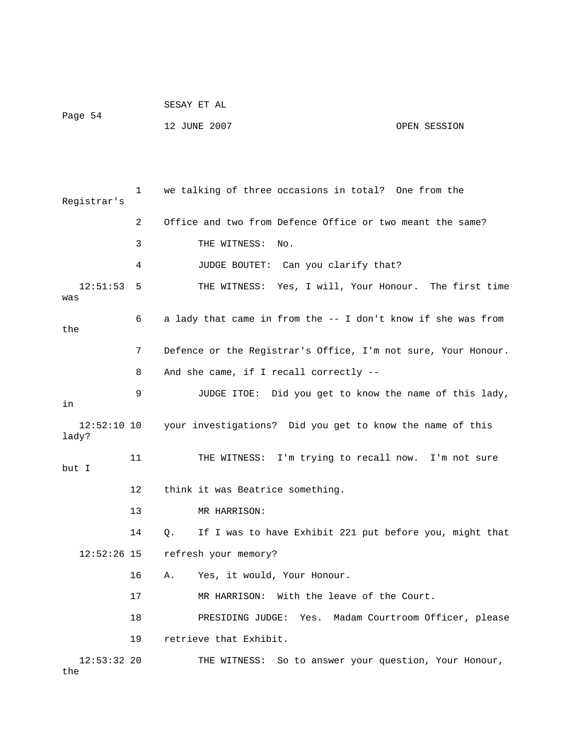|         | SESAY ET AL  |              |
|---------|--------------|--------------|
| Page 54 |              |              |
|         | 12 JUNE 2007 | OPEN SESSION |

 1 we talking of three occasions in total? One from the Registrar's 2 Office and two from Defence Office or two meant the same? 3 THE WITNESS: No. 4 JUDGE BOUTET: Can you clarify that? 12:51:53 5 THE WITNESS: Yes, I will, Your Honour. The first time was 6 a lady that came in from the -- I don't know if she was from the 7 Defence or the Registrar's Office, I'm not sure, Your Honour. 8 And she came, if I recall correctly -- 9 JUDGE ITOE: Did you get to know the name of this lady, in 12:52:10 10 your investigations? Did you get to know the name of this lady? 11 THE WITNESS: I'm trying to recall now. I'm not sure but I 12 think it was Beatrice something. 13 MR HARRISON: 14 Q. If I was to have Exhibit 221 put before you, might that 12:52:26 15 refresh your memory? 16 A. Yes, it would, Your Honour. 17 MR HARRISON: With the leave of the Court. 18 PRESIDING JUDGE: Yes. Madam Courtroom Officer, please 19 retrieve that Exhibit. 12:53:32 20 THE WITNESS: So to answer your question, Your Honour, the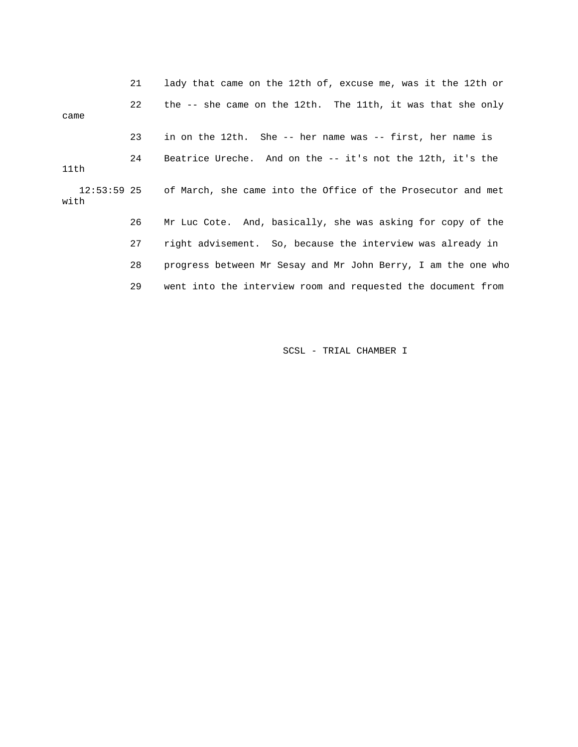21 lady that came on the 12th of, excuse me, was it the 12th or 22 the -- she came on the 12th. The 11th, it was that she only came 23 in on the 12th. She -- her name was -- first, her name is 24 Beatrice Ureche. And on the -- it's not the 12th, it's the 11th 12:53:59 25 of March, she came into the Office of the Prosecutor and met with 26 Mr Luc Cote. And, basically, she was asking for copy of the 27 right advisement. So, because the interview was already in 28 progress between Mr Sesay and Mr John Berry, I am the one who 29 went into the interview room and requested the document from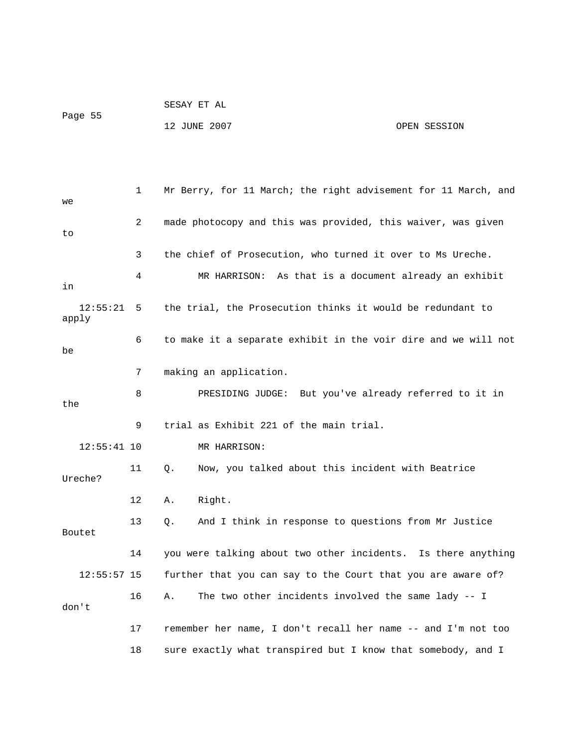| Page 55 | SESAY ET AL  |              |
|---------|--------------|--------------|
|         | 12 JUNE 2007 | OPEN SESSION |
|         |              |              |

| we                | 1  | Mr Berry, for 11 March; the right advisement for 11 March, and |
|-------------------|----|----------------------------------------------------------------|
| to                | 2  | made photocopy and this was provided, this waiver, was given   |
|                   | 3  | the chief of Prosecution, who turned it over to Ms Ureche.     |
| in                | 4  | MR HARRISON: As that is a document already an exhibit          |
| 12:55:21<br>apply | 5  | the trial, the Prosecution thinks it would be redundant to     |
| be                | 6  | to make it a separate exhibit in the voir dire and we will not |
|                   | 7  | making an application.                                         |
| the               | 8  | PRESIDING JUDGE: But you've already referred to it in          |
|                   | 9  | trial as Exhibit 221 of the main trial.                        |
| $12:55:41$ 10     |    | MR HARRISON:                                                   |
| Ureche?           | 11 | Now, you talked about this incident with Beatrice<br>Q.        |
|                   | 12 | Right.<br>Α.                                                   |
| Boutet            | 13 | And I think in response to questions from Mr Justice<br>Q.     |
|                   | 14 | you were talking about two other incidents. Is there anything  |
| $12:55:57$ 15     |    | further that you can say to the Court that you are aware of?   |
| don't             | 16 | The two other incidents involved the same lady -- I<br>Α.      |
|                   | 17 | remember her name, I don't recall her name -- and I'm not too  |
|                   | 18 | sure exactly what transpired but I know that somebody, and I   |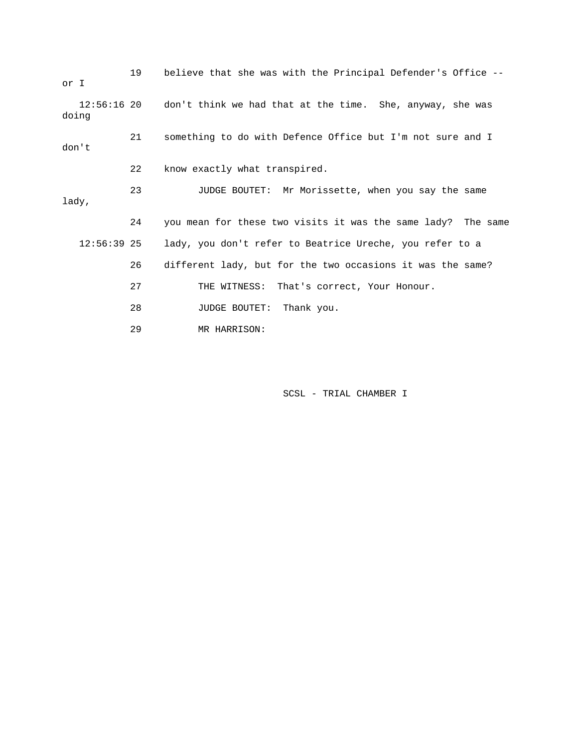| or I  |               | 19 | believe that she was with the Principal Defender's Office --          |
|-------|---------------|----|-----------------------------------------------------------------------|
| doing |               |    | 12:56:16 20 don't think we had that at the time. She, anyway, she was |
| don't |               | 21 | something to do with Defence Office but I'm not sure and I            |
|       |               | 22 | know exactly what transpired.                                         |
| lady, |               | 23 | JUDGE BOUTET: Mr Morissette, when you say the same                    |
|       |               | 24 | you mean for these two visits it was the same lady? The same          |
|       | $12:56:39$ 25 |    | lady, you don't refer to Beatrice Ureche, you refer to a              |
|       |               | 26 | different lady, but for the two occasions it was the same?            |
|       |               | 27 | THE WITNESS: That's correct, Your Honour.                             |
|       |               | 28 | <b>JUDGE BOUTET:</b><br>Thank you.                                    |
|       |               | 29 | MR HARRISON:                                                          |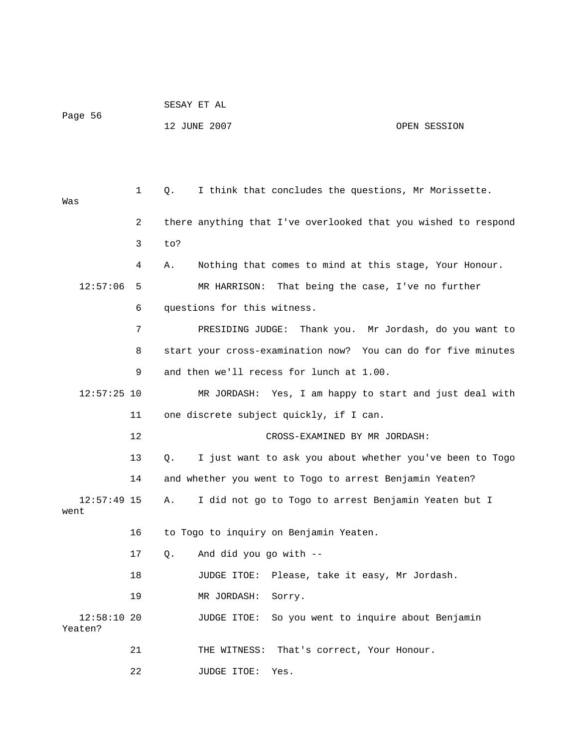| Page 56 |                | 12 JUNE 2007                                                   | OPEN SESSION |  |
|---------|----------------|----------------------------------------------------------------|--------------|--|
|         |                |                                                                |              |  |
| Was     | $\mathbf{1}$   | I think that concludes the questions, Mr Morissette.<br>О.     |              |  |
|         | $\overline{a}$ | there anything that I've overlooked that you wished to respond |              |  |
|         | 3              | to?                                                            |              |  |

SESAY ET AL

 4 A. Nothing that comes to mind at this stage, Your Honour. 12:57:06 5 MR HARRISON: That being the case, I've no further

 7 PRESIDING JUDGE: Thank you. Mr Jordash, do you want to 8 start your cross-examination now? You can do for five minutes 9 and then we'll recess for lunch at 1.00.

 12:57:25 10 MR JORDASH: Yes, I am happy to start and just deal with 11 one discrete subject quickly, if I can.

12 CROSS-EXAMINED BY MR JORDASH:

 13 Q. I just want to ask you about whether you've been to Togo 14 and whether you went to Togo to arrest Benjamin Yeaten?

 12:57:49 15 A. I did not go to Togo to arrest Benjamin Yeaten but I went

16 to Togo to inquiry on Benjamin Yeaten.

17 Q. And did you go with --

6 questions for this witness.

18 JUDGE ITOE: Please, take it easy, Mr Jordash.

19 MR JORDASH: Sorry.

 12:58:10 20 JUDGE ITOE: So you went to inquire about Benjamin Yeaten?

21 THE WITNESS: That's correct, Your Honour.

22 JUDGE ITOE: Yes.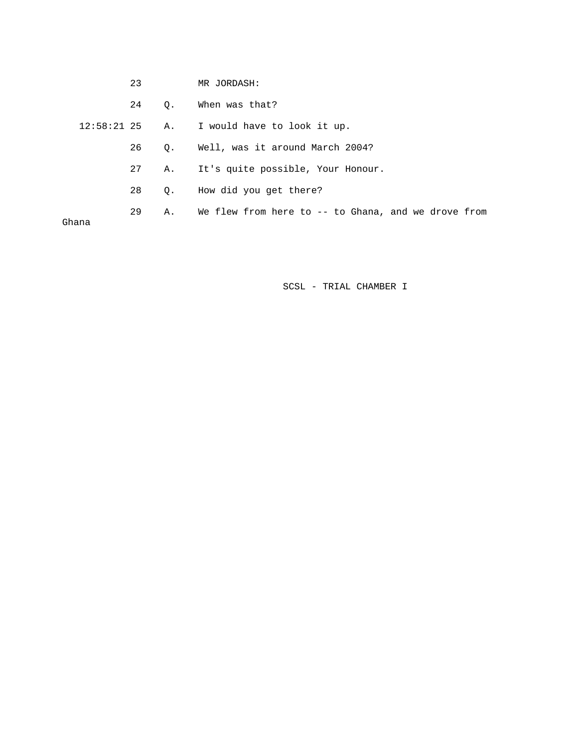|       | 23 |           | MR JORDASH:                                         |
|-------|----|-----------|-----------------------------------------------------|
|       | 24 | Q.        | When was that?                                      |
|       |    |           | 12:58:21 25 A. I would have to look it up.          |
|       | 26 | О.        | Well, was it around March 2004?                     |
|       | 27 | Α.        | It's quite possible, Your Honour.                   |
|       | 28 | $\circ$ . | How did you get there?                              |
| Ghana | 29 | Α.        | We flew from here to -- to Ghana, and we drove from |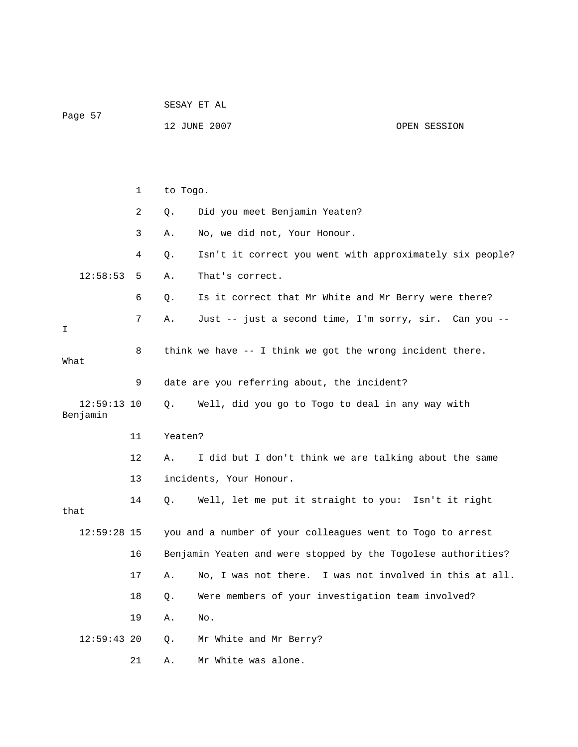|                           |    | SESAY ET AL |                                                               |                                    |  |
|---------------------------|----|-------------|---------------------------------------------------------------|------------------------------------|--|
| Page 57                   |    |             | 12 JUNE 2007                                                  | OPEN SESSION                       |  |
|                           |    |             |                                                               |                                    |  |
|                           |    |             |                                                               |                                    |  |
|                           | 1  | to Togo.    |                                                               |                                    |  |
|                           | 2  | Q.          | Did you meet Benjamin Yeaten?                                 |                                    |  |
|                           | 3  | Α.          | No, we did not, Your Honour.                                  |                                    |  |
|                           | 4  | Q.          | Isn't it correct you went with approximately six people?      |                                    |  |
| 12:58:53                  | 5  | Α.          | That's correct.                                               |                                    |  |
|                           | 6  | Q.          | Is it correct that Mr White and Mr Berry were there?          |                                    |  |
| I.                        | 7  | Α.          | Just -- just a second time, I'm sorry, sir. Can you --        |                                    |  |
| What                      | 8  |             | think we have -- I think we got the wrong incident there.     |                                    |  |
|                           | 9  |             | date are you referring about, the incident?                   |                                    |  |
| $12:59:13$ 10<br>Benjamin |    | Q.          | Well, did you go to Togo to deal in any way with              |                                    |  |
|                           | 11 | Yeaten?     |                                                               |                                    |  |
|                           | 12 | Α.          | I did but I don't think we are talking about the same         |                                    |  |
|                           | 13 |             | incidents, Your Honour.                                       |                                    |  |
| that                      | 14 | О.          | Well, let me put it straight to you: Isn't it right           |                                    |  |
| 12:59:28 15               |    |             | you and a number of your colleagues went to Togo to arrest    |                                    |  |
|                           | 16 |             | Benjamin Yeaten and were stopped by the Togolese authorities? |                                    |  |
|                           | 17 | Α.          | No, I was not there.                                          | I was not involved in this at all. |  |
|                           | 18 | Q.          | Were members of your investigation team involved?             |                                    |  |
|                           | 19 | Α.          | No.                                                           |                                    |  |
| $12:59:43$ 20             |    | Q.          | Mr White and Mr Berry?                                        |                                    |  |
|                           | 21 | Α.          | Mr White was alone.                                           |                                    |  |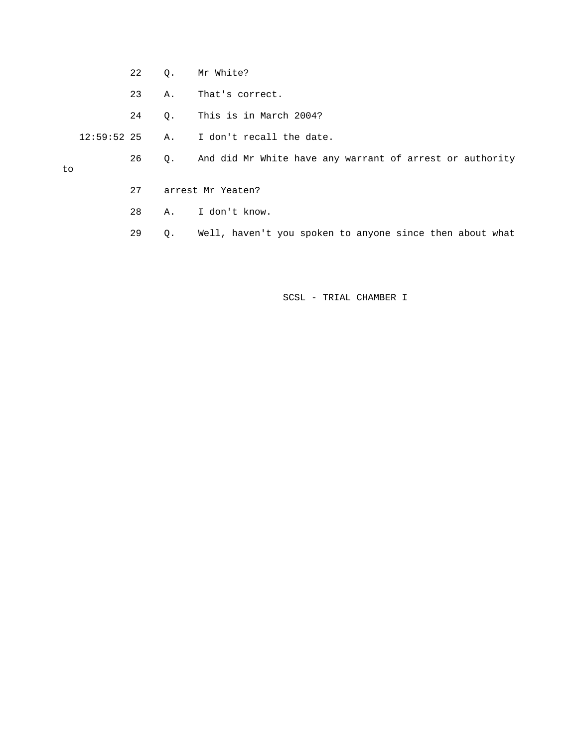- 22 Q. Mr White?
- 23 A. That's correct.
- 24 Q. This is in March 2004?
- 12:59:52 25 A. I don't recall the date.
	- 26 Q. And did Mr White have any warrant of arrest or authority

to

- 27 arrest Mr Yeaten?
- 28 A. I don't know.
- 29 Q. Well, haven't you spoken to anyone since then about what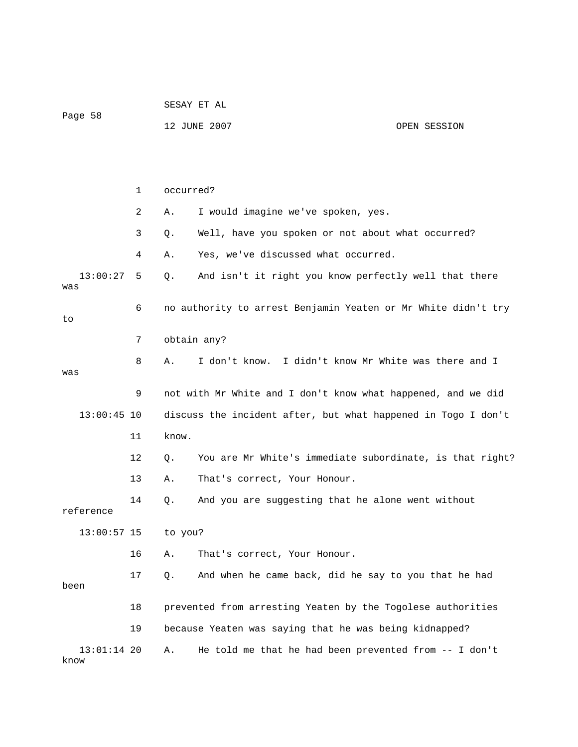| Page 58               |              | SESAY ET AL |                                                               |              |  |
|-----------------------|--------------|-------------|---------------------------------------------------------------|--------------|--|
|                       |              |             | 12 JUNE 2007                                                  | OPEN SESSION |  |
|                       |              |             |                                                               |              |  |
|                       |              |             |                                                               |              |  |
|                       | $\mathbf{1}$ | occurred?   |                                                               |              |  |
|                       | 2            | Α.          | I would imagine we've spoken, yes.                            |              |  |
|                       | 3            | Q.          | Well, have you spoken or not about what occurred?             |              |  |
|                       | 4            | Α.          | Yes, we've discussed what occurred.                           |              |  |
| 13:00:27<br>was       | 5            | Q.          | And isn't it right you know perfectly well that there         |              |  |
| to                    | 6            |             | no authority to arrest Benjamin Yeaten or Mr White didn't try |              |  |
|                       | 7            |             | obtain any?                                                   |              |  |
| was                   | 8            | Α.          | I don't know. I didn't know Mr White was there and I          |              |  |
|                       | 9            |             | not with Mr White and I don't know what happened, and we did  |              |  |
| $13:00:45$ 10         |              |             | discuss the incident after, but what happened in Togo I don't |              |  |
|                       | 11           | know.       |                                                               |              |  |
|                       | 12           | Q.          | You are Mr White's immediate subordinate, is that right?      |              |  |
|                       | 13           | Α.          | That's correct, Your Honour.                                  |              |  |
| reference             | 14           | Q.          | And you are suggesting that he alone went without             |              |  |
| $13:00:57$ 15         |              | to you?     |                                                               |              |  |
|                       | 16           | Α.          | That's correct, Your Honour.                                  |              |  |
| been                  | 17           | Q.          | And when he came back, did he say to you that he had          |              |  |
|                       | 18           |             | prevented from arresting Yeaten by the Togolese authorities   |              |  |
|                       | 19           |             | because Yeaten was saying that he was being kidnapped?        |              |  |
| $13:01:14$ 20<br>know |              | Α.          | He told me that he had been prevented from -- I don't         |              |  |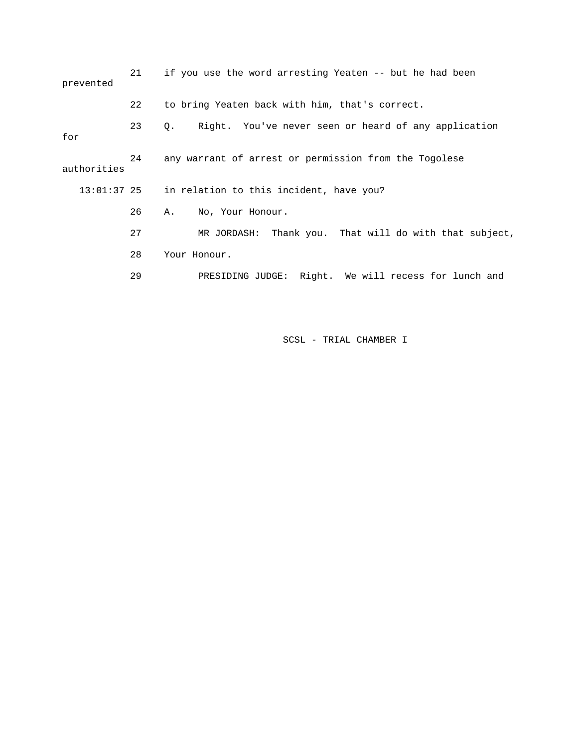| prevented     | 21 | if you use the word arresting Yeaten -- but he had been    |  |  |
|---------------|----|------------------------------------------------------------|--|--|
|               | 22 | to bring Yeaten back with him, that's correct.             |  |  |
| for           | 23 | Right. You've never seen or heard of any application<br>Q. |  |  |
| authorities   | 24 | any warrant of arrest or permission from the Togolese      |  |  |
| $13:01:37$ 25 |    | in relation to this incident, have you?                    |  |  |
|               | 26 | No, Your Honour.<br>Α.                                     |  |  |
|               | 27 | MR JORDASH: Thank you. That will do with that subject,     |  |  |
|               | 28 | Your Honour.                                               |  |  |
|               | 29 | PRESIDING JUDGE: Right. We will recess for lunch and       |  |  |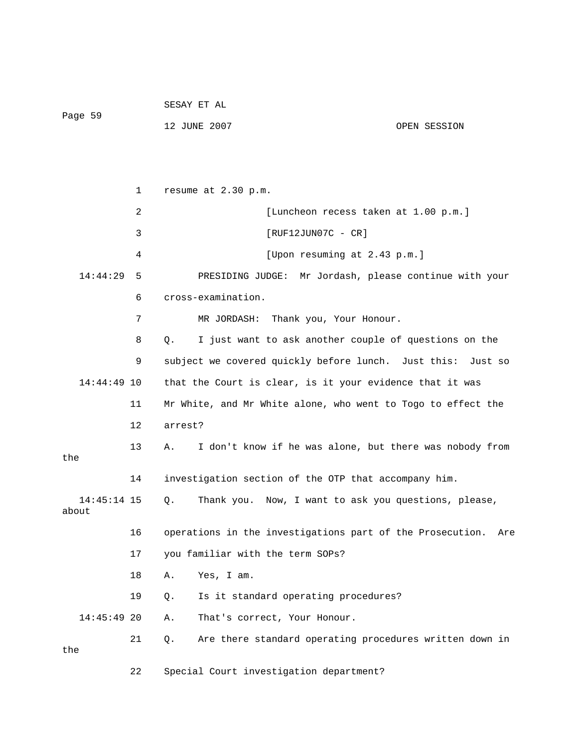| Page 59              |    | 12 JUNE 2007                                                  | OPEN SESSION |  |
|----------------------|----|---------------------------------------------------------------|--------------|--|
|                      |    |                                                               |              |  |
|                      | 1  | resume at 2.30 p.m.                                           |              |  |
|                      | 2  | [Luncheon recess taken at 1.00 p.m.]                          |              |  |
|                      | 3  | $[RUF12JUN07C - CR]$                                          |              |  |
|                      | 4  | [Upon resuming at 2.43 p.m.]                                  |              |  |
| 14:44:29             | 5  | PRESIDING JUDGE: Mr Jordash, please continue with your        |              |  |
|                      | 6  | cross-examination.                                            |              |  |
|                      | 7  | MR JORDASH: Thank you, Your Honour.                           |              |  |
|                      | 8  | Q.<br>I just want to ask another couple of questions on the   |              |  |
|                      | 9  | subject we covered quickly before lunch. Just this: Just so   |              |  |
| $14:44:49$ 10        |    | that the Court is clear, is it your evidence that it was      |              |  |
|                      | 11 | Mr White, and Mr White alone, who went to Togo to effect the  |              |  |
|                      | 12 | arrest?                                                       |              |  |
| the                  | 13 | I don't know if he was alone, but there was nobody from<br>А. |              |  |
|                      | 14 | investigation section of the OTP that accompany him.          |              |  |
| 14:45:14 15<br>about |    | Thank you. Now, I want to ask you questions, please,<br>Q.    |              |  |
|                      | 16 | operations in the investigations part of the Prosecution. Are |              |  |
|                      | 17 | you familiar with the term SOPs?                              |              |  |
|                      | 18 | Α.<br>Yes, I am.                                              |              |  |
|                      | 19 | Is it standard operating procedures?<br>Q.                    |              |  |
| 14:45:49 20          |    | That's correct, Your Honour.<br>Α.                            |              |  |
| the                  | 21 | Are there standard operating procedures written down in<br>Q. |              |  |
|                      | 22 | Special Court investigation department?                       |              |  |

SESAY ET AL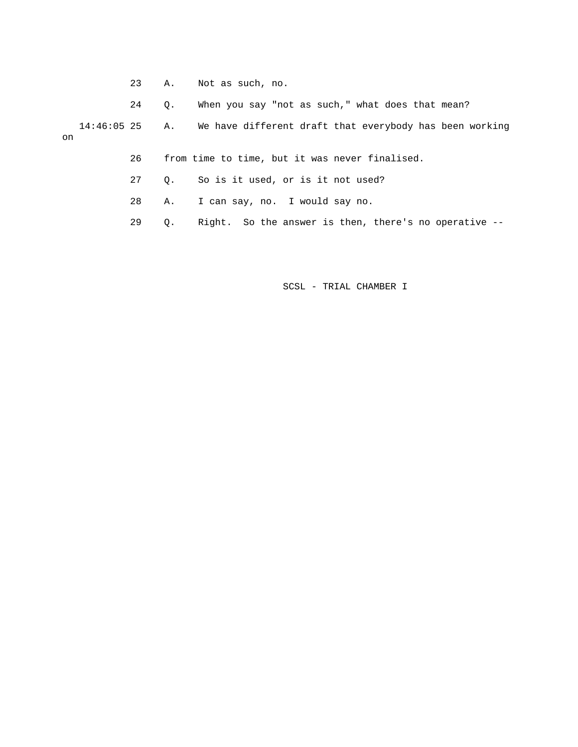- 23 A. Not as such, no.
- 24 Q. When you say "not as such," what does that mean?

 14:46:05 25 A. We have different draft that everybody has been working on

- 26 from time to time, but it was never finalised.
- 27 Q. So is it used, or is it not used?
- 28 A. I can say, no. I would say no.
- 29 Q. Right. So the answer is then, there's no operative --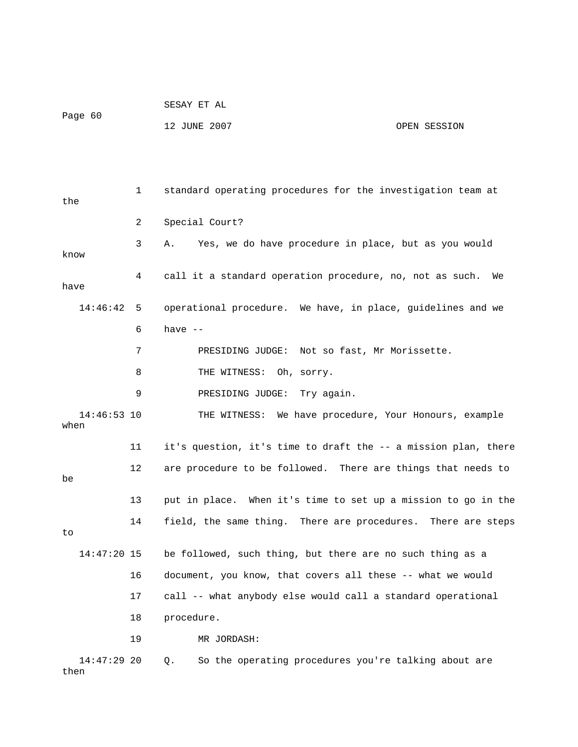| Page 60 | SESAY ET AL  |              |
|---------|--------------|--------------|
|         | 12 JUNE 2007 | OPEN SESSION |

 1 standard operating procedures for the investigation team at the 2 Special Court? 3 A. Yes, we do have procedure in place, but as you would know 4 call it a standard operation procedure, no, not as such. We have 14:46:42 5 operational procedure. We have, in place, guidelines and we  $6$  have  $-$  7 PRESIDING JUDGE: Not so fast, Mr Morissette. 8 THE WITNESS: Oh, sorry. 9 PRESIDING JUDGE: Try again. 14:46:53 10 THE WITNESS: We have procedure, Your Honours, example when 11 it's question, it's time to draft the -- a mission plan, there 12 are procedure to be followed. There are things that needs to be 13 put in place. When it's time to set up a mission to go in the 14 field, the same thing. There are procedures. There are steps to 14:47:20 15 be followed, such thing, but there are no such thing as a 16 document, you know, that covers all these -- what we would 17 call -- what anybody else would call a standard operational 18 procedure. 19 MR JORDASH: 14:47:29 20 Q. So the operating procedures you're talking about are then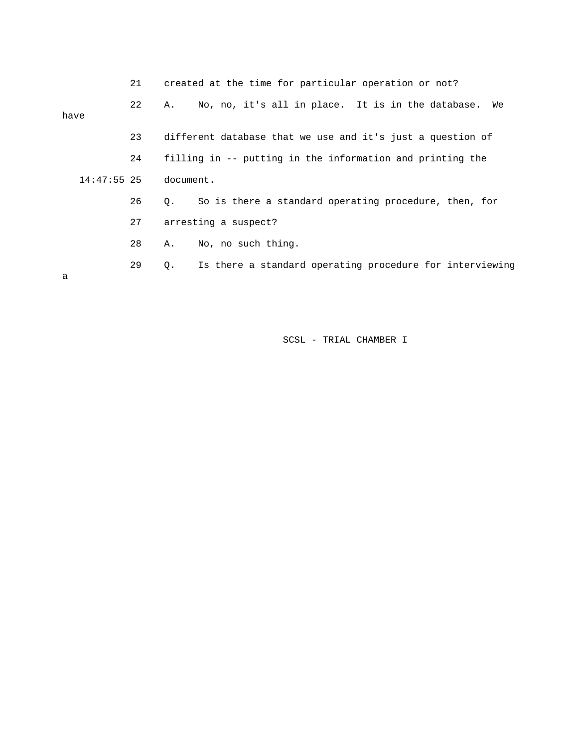|      |               | 21 |           | created at the time for particular operation or not?       |
|------|---------------|----|-----------|------------------------------------------------------------|
| have |               | 22 | A.        | No, no, it's all in place. It is in the database.<br>We    |
|      |               | 23 |           | different database that we use and it's just a question of |
|      |               | 24 |           | filling in -- putting in the information and printing the  |
|      | $14:47:55$ 25 |    | document. |                                                            |
|      |               | 26 | 0.        | So is there a standard operating procedure, then, for      |
|      |               | 27 |           | arresting a suspect?                                       |
|      |               | 28 | Α.        | No, no such thing.                                         |
| a    |               | 29 | Q.        | Is there a standard operating procedure for interviewing   |
|      |               |    |           |                                                            |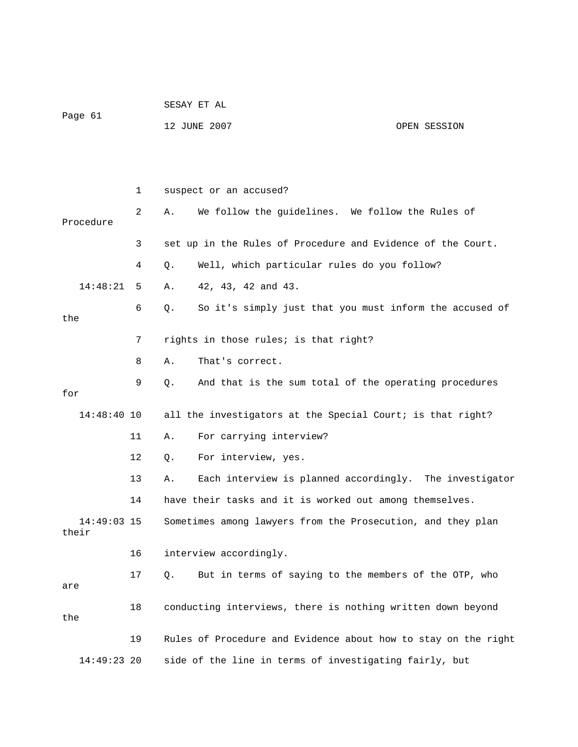| Page 61 | SESAY ET AL  |              |
|---------|--------------|--------------|
|         | 12 JUNE 2007 | OPEN SESSION |

|                        | 1              | suspect or an accused?                                         |
|------------------------|----------------|----------------------------------------------------------------|
| Procedure              | $\overline{2}$ | We follow the guidelines. We follow the Rules of<br>Α.         |
|                        | 3              | set up in the Rules of Procedure and Evidence of the Court.    |
|                        | 4              | Well, which particular rules do you follow?<br>Q.              |
| 14:48:21               | 5              | 42, 43, 42 and 43.<br>Α.                                       |
| the                    | 6              | So it's simply just that you must inform the accused of<br>Q.  |
|                        | 7              | rights in those rules; is that right?                          |
|                        | 8              | That's correct.<br>Α.                                          |
| for                    | 9              | And that is the sum total of the operating procedures<br>О.    |
| $14:48:40$ 10          |                | all the investigators at the Special Court; is that right?     |
|                        | 11             | For carrying interview?<br>Α.                                  |
|                        | 12             | For interview, yes.<br>Q.                                      |
|                        | 13             | Each interview is planned accordingly. The investigator<br>Α.  |
|                        | 14             | have their tasks and it is worked out among themselves.        |
| $14:49:03$ 15<br>their |                | Sometimes among lawyers from the Prosecution, and they plan    |
|                        | 16             | interview accordingly.                                         |
| are                    | 17             | But in terms of saying to the members of the OTP, who<br>О.    |
| the                    | 18             | conducting interviews, there is nothing written down beyond    |
|                        | 19             | Rules of Procedure and Evidence about how to stay on the right |
| 14:49:23 20            |                | side of the line in terms of investigating fairly, but         |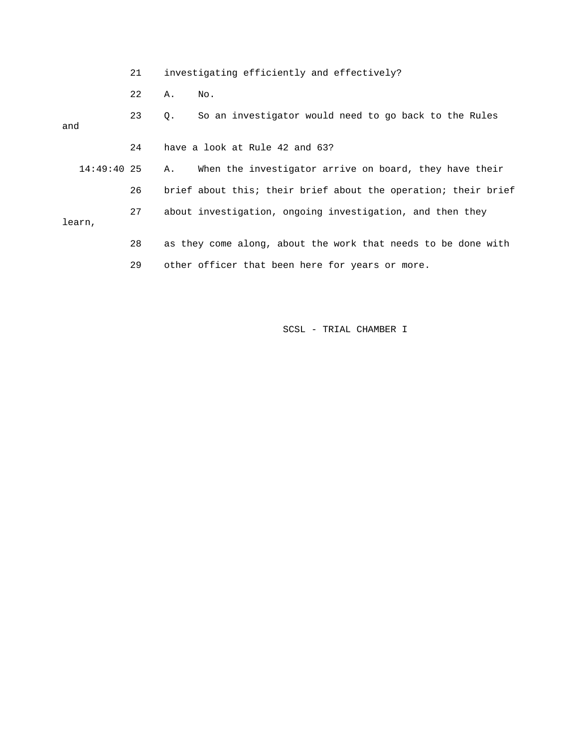|               | 21 | investigating efficiently and effectively?                     |
|---------------|----|----------------------------------------------------------------|
|               | 22 | Α.<br>No.                                                      |
| and           | 23 | So an investigator would need to go back to the Rules<br>Q.    |
|               | 24 | have a look at Rule 42 and 63?                                 |
| $14:49:40$ 25 |    | When the investigator arrive on board, they have their<br>Α.   |
|               | 26 | brief about this; their brief about the operation; their brief |
| learn,        | 27 | about investigation, ongoing investigation, and then they      |
|               | 28 | as they come along, about the work that needs to be done with  |
|               | 29 | other officer that been here for years or more.                |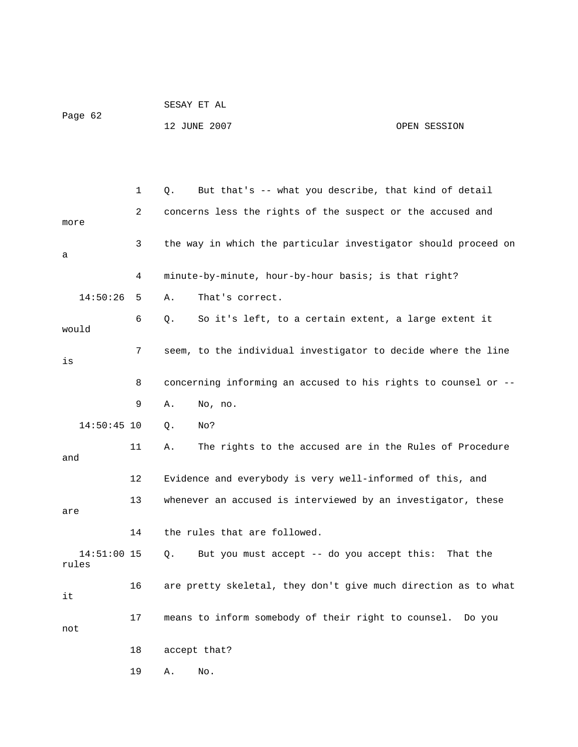| Page 62 | SESAY ET AL  |              |
|---------|--------------|--------------|
|         | 12 JUNE 2007 | OPEN SESSION |

|                        | 1  | But that's -- what you describe, that kind of detail<br>О.     |
|------------------------|----|----------------------------------------------------------------|
| more                   | 2  | concerns less the rights of the suspect or the accused and     |
| а                      | 3  | the way in which the particular investigator should proceed on |
|                        | 4  | minute-by-minute, hour-by-hour basis; is that right?           |
| 14:50:26               | 5  | That's correct.<br>Α.                                          |
| would                  | 6  | So it's left, to a certain extent, a large extent it<br>Q.     |
| is                     | 7  | seem, to the individual investigator to decide where the line  |
|                        | 8  | concerning informing an accused to his rights to counsel or -- |
|                        | 9  | No, no.<br>Α.                                                  |
| $14:50:45$ 10          |    | Q.<br>No?                                                      |
| and                    | 11 | The rights to the accused are in the Rules of Procedure<br>Α.  |
|                        | 12 | Evidence and everybody is very well-informed of this, and      |
| are                    | 13 | whenever an accused is interviewed by an investigator, these   |
|                        | 14 | the rules that are followed.                                   |
| $14:51:00$ 15<br>rules |    | Q.<br>But you must accept -- do you accept this: That the      |
| it                     | 16 | are pretty skeletal, they don't give much direction as to what |
| not                    | 17 | means to inform somebody of their right to counsel. Do you     |
|                        | 18 | accept that?                                                   |
|                        | 19 | Α.<br>No.                                                      |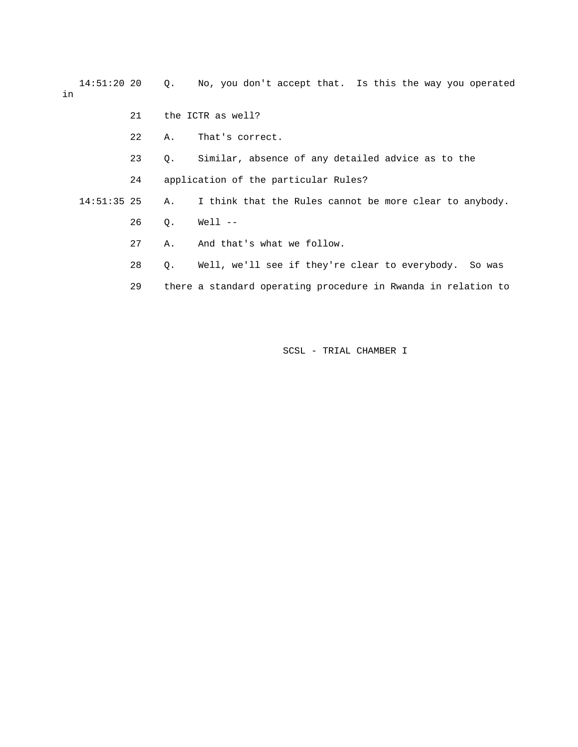14:51:20 20 Q. No, you don't accept that. Is this the way you operated in

- 21 the ICTR as well?
- 22 A. That's correct.
- 23 Q. Similar, absence of any detailed advice as to the
- 24 application of the particular Rules?
- 14:51:35 25 A. I think that the Rules cannot be more clear to anybody.
	- 26 Q. Well --
	- 27 A. And that's what we follow.
	- 28 Q. Well, we'll see if they're clear to everybody. So was
	- 29 there a standard operating procedure in Rwanda in relation to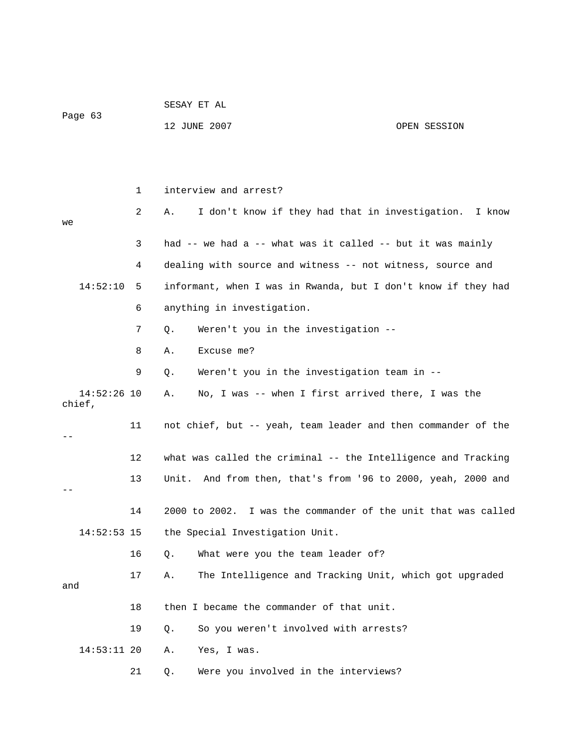| Page 63                 |    | SESAY ET AL                                                     |  |  |  |
|-------------------------|----|-----------------------------------------------------------------|--|--|--|
|                         |    | 12 JUNE 2007<br>OPEN SESSION                                    |  |  |  |
|                         |    |                                                                 |  |  |  |
|                         |    |                                                                 |  |  |  |
|                         | 1  | interview and arrest?                                           |  |  |  |
| we                      | 2  | I don't know if they had that in investigation.<br>I know<br>Α. |  |  |  |
|                         | 3  | had -- we had a -- what was it called -- but it was mainly      |  |  |  |
|                         | 4  | dealing with source and witness -- not witness, source and      |  |  |  |
| 14:52:10                | 5  | informant, when I was in Rwanda, but I don't know if they had   |  |  |  |
|                         | 6  | anything in investigation.                                      |  |  |  |
|                         | 7  | Weren't you in the investigation --<br>Q.                       |  |  |  |
|                         | 8  | Excuse me?<br>Α.                                                |  |  |  |
|                         | 9  | Weren't you in the investigation team in --<br>Q.               |  |  |  |
| $14:52:26$ 10<br>chief, |    | No, I was -- when I first arrived there, I was the<br>Α.        |  |  |  |
|                         | 11 | not chief, but -- yeah, team leader and then commander of the   |  |  |  |
|                         | 12 | what was called the criminal -- the Intelligence and Tracking   |  |  |  |
|                         | 13 | Unit. And from then, that's from '96 to 2000, yeah, 2000 and    |  |  |  |
|                         | 14 | 2000 to 2002. I was the commander of the unit that was called   |  |  |  |
| $14:52:53$ 15           |    | the Special Investigation Unit.                                 |  |  |  |
|                         | 16 | What were you the team leader of?<br>Q.                         |  |  |  |
| and                     | 17 | The Intelligence and Tracking Unit, which got upgraded<br>Α.    |  |  |  |
|                         | 18 | then I became the commander of that unit.                       |  |  |  |
|                         | 19 | So you weren't involved with arrests?<br>$Q$ .                  |  |  |  |
| $14:53:11$ 20           |    | Α.<br>Yes, I was.                                               |  |  |  |
|                         | 21 | Were you involved in the interviews?<br>Q.                      |  |  |  |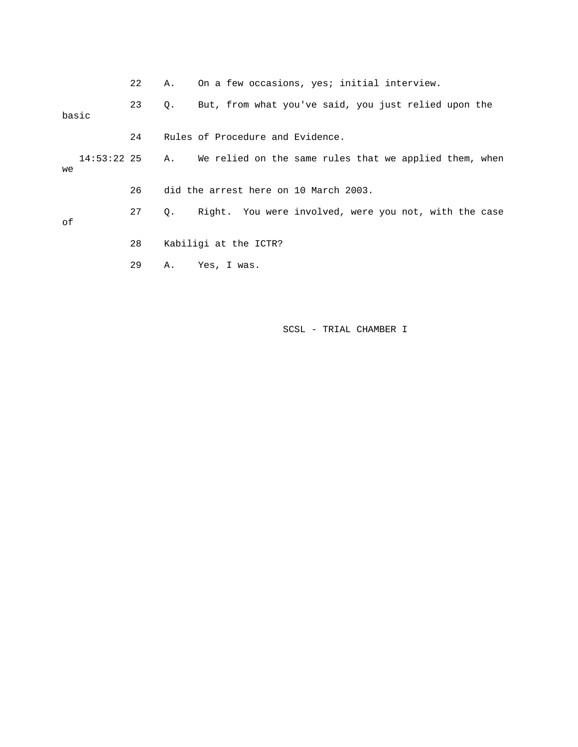|    |       | 22 | Α. | On a few occasions, yes; initial interview.                           |
|----|-------|----|----|-----------------------------------------------------------------------|
|    | basic | 23 | Q. | But, from what you've said, you just relied upon the                  |
|    |       | 24 |    | Rules of Procedure and Evidence.                                      |
| we |       |    |    | 14:53:22 25 A. We relied on the same rules that we applied them, when |
|    |       | 26 |    | did the arrest here on 10 March 2003.                                 |
| оf |       | 27 | 0. | Right. You were involved, were you not, with the case                 |
|    |       | 28 |    | Kabiligi at the ICTR?                                                 |
|    |       | 29 | Α. | Yes, I was.                                                           |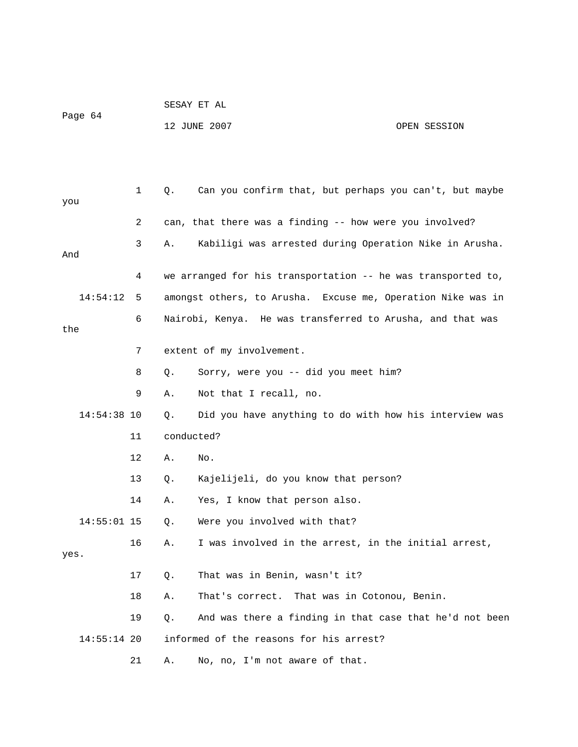| Page 64 | SESAY ET AL  |              |
|---------|--------------|--------------|
|         | 12 JUNE 2007 | OPEN SESSION |

| you  |               | $\mathbf 1$ | Q.         | Can you confirm that, but perhaps you can't, but maybe       |
|------|---------------|-------------|------------|--------------------------------------------------------------|
|      |               | 2           |            | can, that there was a finding -- how were you involved?      |
| And  |               | 3           | Α.         | Kabiligi was arrested during Operation Nike in Arusha.       |
|      |               | 4           |            | we arranged for his transportation -- he was transported to, |
|      | 14:54:12      | 5           |            | amongst others, to Arusha. Excuse me, Operation Nike was in  |
| the  |               | 6           |            | Nairobi, Kenya. He was transferred to Arusha, and that was   |
|      |               | 7           |            | extent of my involvement.                                    |
|      |               | 8           | О.         | Sorry, were you -- did you meet him?                         |
|      |               | 9           | Α.         | Not that I recall, no.                                       |
|      | $14:54:38$ 10 |             | Q.         | Did you have anything to do with how his interview was       |
|      |               | 11          | conducted? |                                                              |
|      |               | 12          | Α.         | No.                                                          |
|      |               | 13          | О.         | Kajelijeli, do you know that person?                         |
|      |               | 14          | Α.         | Yes, I know that person also.                                |
|      | $14:55:01$ 15 |             | Q.         | Were you involved with that?                                 |
| yes. |               | 16          | Α.         | I was involved in the arrest, in the initial arrest,         |
|      |               | 17          | Q.         | That was in Benin, wasn't it?                                |
|      |               | 18          | Α.         | That's correct.<br>That was in Cotonou, Benin.               |
|      |               | 19          | Q.         | And was there a finding in that case that he'd not been      |
|      | $14:55:14$ 20 |             |            | informed of the reasons for his arrest?                      |
|      |               | 21          | Α.         | No, no, I'm not aware of that.                               |
|      |               |             |            |                                                              |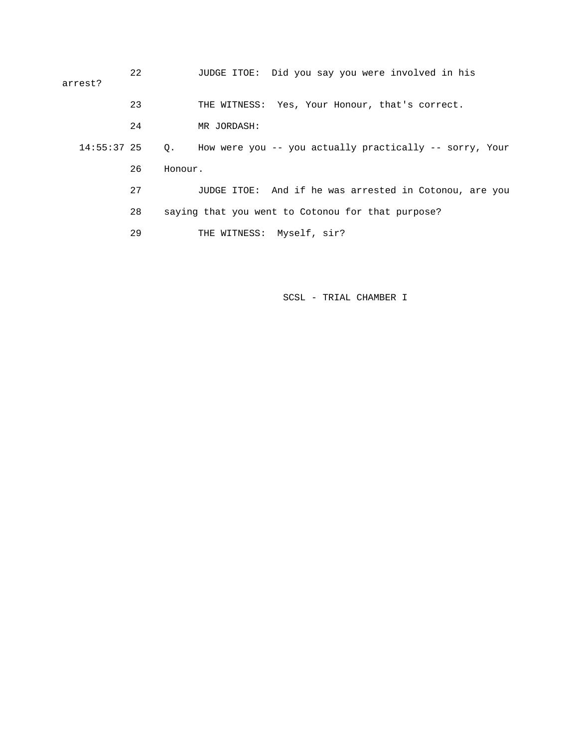| arrest?       | 22 | JUDGE ITOE: Did you say you were involved in his                       |
|---------------|----|------------------------------------------------------------------------|
|               | 23 | THE WITNESS: Yes, Your Honour, that's correct.                         |
|               | 24 | MR JORDASH:                                                            |
| $14:55:37$ 25 |    | How were you -- you actually practically -- sorry, Your<br>$Q_{\star}$ |
|               | 26 | Honour.                                                                |
|               | 27 | JUDGE ITOE: And if he was arrested in Cotonou, are you                 |
|               | 28 | saying that you went to Cotonou for that purpose?                      |
|               | 29 | THE WITNESS: Myself, sir?                                              |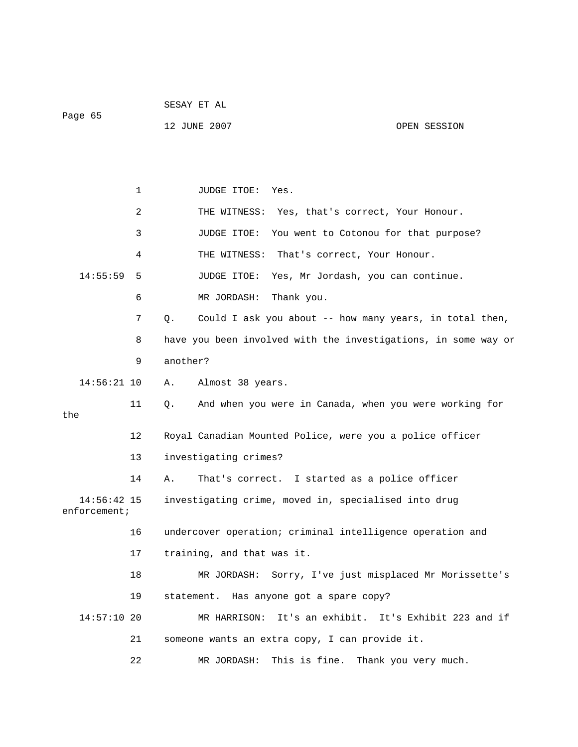|                               |             | SESAY ET AL                                                               |  |  |  |
|-------------------------------|-------------|---------------------------------------------------------------------------|--|--|--|
| Page 65                       |             | 12 JUNE 2007<br>OPEN SESSION                                              |  |  |  |
|                               |             |                                                                           |  |  |  |
|                               |             |                                                                           |  |  |  |
|                               | $\mathbf 1$ | JUDGE ITOE:<br>Yes.                                                       |  |  |  |
|                               | 2           | THE WITNESS:<br>Yes, that's correct, Your Honour.                         |  |  |  |
|                               | 3           | JUDGE ITOE:<br>You went to Cotonou for that purpose?                      |  |  |  |
|                               | 4           | THE WITNESS:<br>That's correct, Your Honour.                              |  |  |  |
| 14:55:59                      | 5           | JUDGE ITOE:<br>Yes, Mr Jordash, you can continue.                         |  |  |  |
|                               | 6           | MR JORDASH:<br>Thank you.                                                 |  |  |  |
|                               | 7           | Could I ask you about -- how many years, in total then,<br>Q <sub>1</sub> |  |  |  |
|                               | 8           | have you been involved with the investigations, in some way or            |  |  |  |
|                               | 9           | another?                                                                  |  |  |  |
| $14:56:21$ 10                 |             | Almost 38 years.<br>Α.                                                    |  |  |  |
| the                           | 11          | And when you were in Canada, when you were working for<br>Q.              |  |  |  |
|                               |             |                                                                           |  |  |  |
|                               | 12          | Royal Canadian Mounted Police, were you a police officer                  |  |  |  |
|                               | 13          | investigating crimes?                                                     |  |  |  |
|                               | 14          | That's correct. I started as a police officer<br>Α.                       |  |  |  |
| 14:56:42 15<br>$enfore$ ment; |             | investigating crime, moved in, specialised into drug                      |  |  |  |
|                               | 16          | undercover operation; criminal intelligence operation and                 |  |  |  |
|                               | 17          | training, and that was it.                                                |  |  |  |
|                               | 18          | Sorry, I've just misplaced Mr Morissette's<br>MR JORDASH:                 |  |  |  |
|                               | 19          | statement. Has anyone got a spare copy?                                   |  |  |  |
| $14:57:10$ 20                 |             | It's an exhibit. It's Exhibit 223 and if<br>MR HARRISON:                  |  |  |  |
|                               | 21          | someone wants an extra copy, I can provide it.                            |  |  |  |
|                               | 22          | This is fine. Thank you very much.<br>MR JORDASH:                         |  |  |  |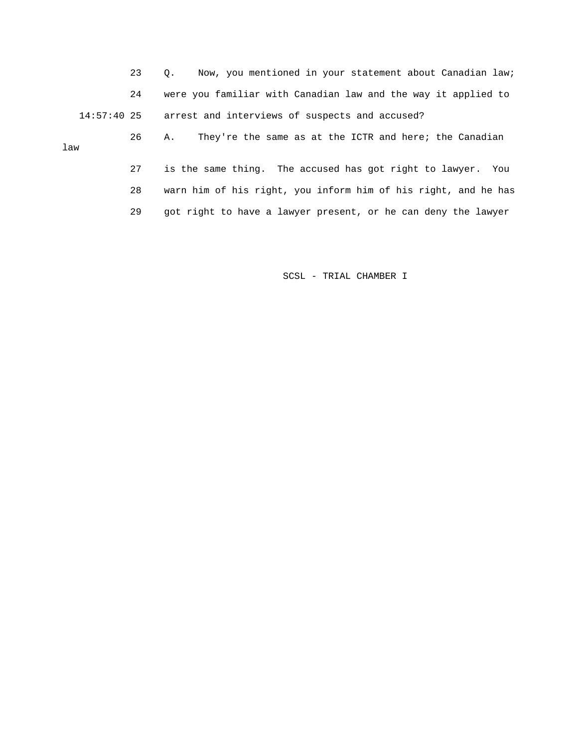23 Q. Now, you mentioned in your statement about Canadian law; 24 were you familiar with Canadian law and the way it applied to 14:57:40 25 arrest and interviews of suspects and accused?

 26 A. They're the same as at the ICTR and here; the Canadian 27 is the same thing. The accused has got right to lawyer. You law

> 28 warn him of his right, you inform him of his right, and he has 29 got right to have a lawyer present, or he can deny the lawyer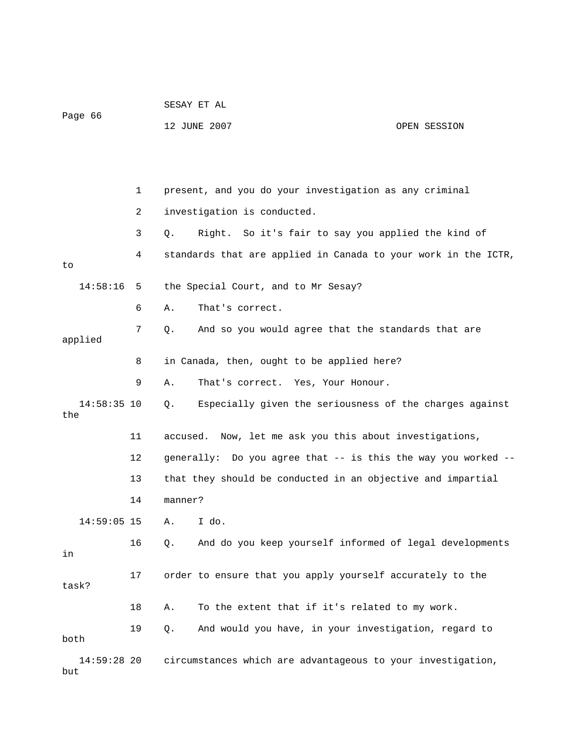|                      |    | SESAY ET AL                                                    |
|----------------------|----|----------------------------------------------------------------|
| Page 66              |    | 12 JUNE 2007<br>OPEN SESSION                                   |
|                      |    |                                                                |
|                      |    |                                                                |
|                      | 1  | present, and you do your investigation as any criminal         |
|                      | 2  | investigation is conducted.                                    |
|                      | 3  | Right. So it's fair to say you applied the kind of<br>Q.       |
| to                   | 4  | standards that are applied in Canada to your work in the ICTR, |
| 14:58:16             | 5  | the Special Court, and to Mr Sesay?                            |
|                      | 6  | That's correct.<br>Α.                                          |
| applied              | 7  | And so you would agree that the standards that are<br>О.       |
|                      | 8  | in Canada, then, ought to be applied here?                     |
|                      | 9  | That's correct. Yes, Your Honour.<br>Α.                        |
| $14:58:35$ 10<br>the |    | Especially given the seriousness of the charges against<br>Q.  |
|                      | 11 | accused. Now, let me ask you this about investigations,        |
|                      | 12 | generally: Do you agree that -- is this the way you worked --  |
|                      | 13 | that they should be conducted in an objective and impartial    |
|                      | 14 | manner?                                                        |
| $14:59:05$ 15        |    | A. I do.                                                       |
| in                   | 16 | And do you keep yourself informed of legal developments<br>Q.  |
| task?                | 17 | order to ensure that you apply yourself accurately to the      |
|                      | 18 | To the extent that if it's related to my work.<br>Α.           |
| both                 | 19 | And would you have, in your investigation, regard to<br>Q.     |
| $14:59:28$ 20<br>but |    | circumstances which are advantageous to your investigation,    |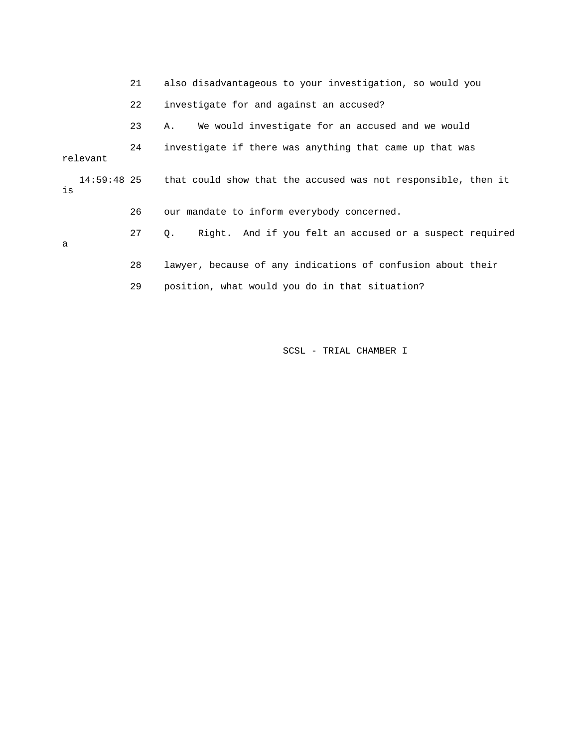|    |               | 21 | also disadvantageous to your investigation, so would you      |
|----|---------------|----|---------------------------------------------------------------|
|    |               | 22 | investigate for and against an accused?                       |
|    |               | 23 | We would investigate for an accused and we would<br>Α.        |
|    | relevant      | 24 | investigate if there was anything that came up that was       |
| is | $14:59:48$ 25 |    | that could show that the accused was not responsible, then it |
|    |               | 26 | our mandate to inform everybody concerned.                    |
| a  |               | 27 | Right. And if you felt an accused or a suspect required<br>О. |
|    |               | 28 | lawyer, because of any indications of confusion about their   |
|    |               | 29 | position, what would you do in that situation?                |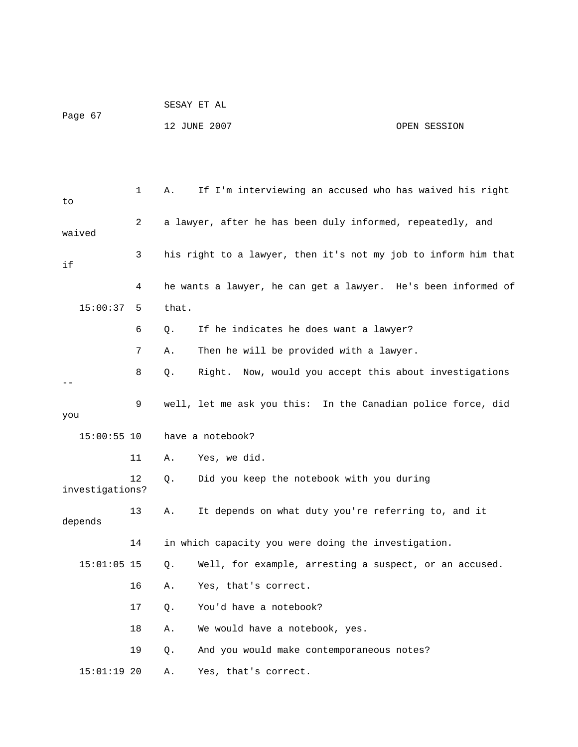|                 |    | SESAY ET AL |                                                                |              |  |  |
|-----------------|----|-------------|----------------------------------------------------------------|--------------|--|--|
| Page 67         |    |             | 12 JUNE 2007                                                   | OPEN SESSION |  |  |
|                 |    |             |                                                                |              |  |  |
|                 |    |             |                                                                |              |  |  |
|                 | 1  | Α.          | If I'm interviewing an accused who has waived his right        |              |  |  |
| to              |    |             |                                                                |              |  |  |
| waived          | 2  |             | a lawyer, after he has been duly informed, repeatedly, and     |              |  |  |
| if              | 3  |             | his right to a lawyer, then it's not my job to inform him that |              |  |  |
|                 | 4  |             | he wants a lawyer, he can get a lawyer. He's been informed of  |              |  |  |
| 15:00:37        | 5  | that.       |                                                                |              |  |  |
|                 | 6  | Q.          | If he indicates he does want a lawyer?                         |              |  |  |
|                 | 7  | Α.          | Then he will be provided with a lawyer.                        |              |  |  |
|                 | 8  | Q.          | Right. Now, would you accept this about investigations         |              |  |  |
| you             | 9  |             | well, let me ask you this: In the Canadian police force, did   |              |  |  |
| $15:00:55$ 10   |    |             | have a notebook?                                               |              |  |  |
|                 | 11 | Α.          | Yes, we did.                                                   |              |  |  |
| investigations? | 12 | Q.          | Did you keep the notebook with you during                      |              |  |  |
| depends         | 13 | Α.          | It depends on what duty you're referring to, and it            |              |  |  |
|                 | 14 |             | in which capacity you were doing the investigation.            |              |  |  |
| $15:01:05$ 15   |    | Q.          | Well, for example, arresting a suspect, or an accused.         |              |  |  |
|                 | 16 | Α.          | Yes, that's correct.                                           |              |  |  |
|                 | 17 | Q.          | You'd have a notebook?                                         |              |  |  |
|                 | 18 | Α.          | We would have a notebook, yes.                                 |              |  |  |
|                 | 19 | Q.          | And you would make contemporaneous notes?                      |              |  |  |
| $15:01:19$ 20   |    | Α.          | Yes, that's correct.                                           |              |  |  |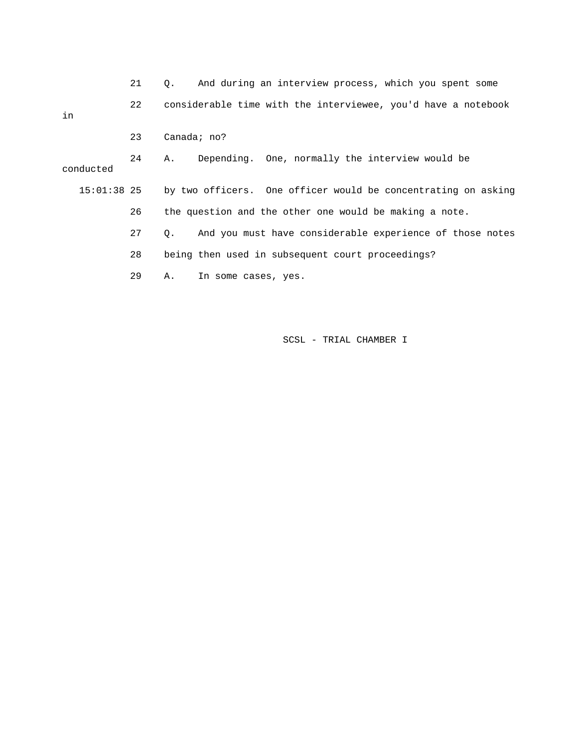|               | 21 | And during an interview process, which you spent some<br>0.       |
|---------------|----|-------------------------------------------------------------------|
| in            | 22 | considerable time with the interviewee, you'd have a notebook     |
|               | 23 | Canada; $no?$                                                     |
| conducted     | 24 | Depending. One, normally the interview would be<br>А.             |
| $15:01:38$ 25 |    | by two officers. One officer would be concentrating on asking     |
|               | 26 | the question and the other one would be making a note.            |
|               | 27 | And you must have considerable experience of those notes<br>$Q$ . |
|               | 28 | being then used in subsequent court proceedings?                  |
|               | 29 | Α.<br>In some cases, yes.                                         |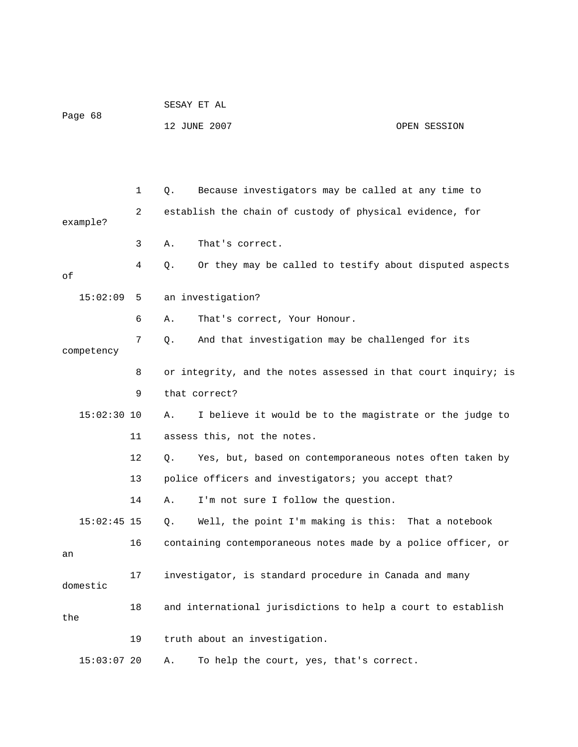| Page 68 | SESAY ET AL  |              |
|---------|--------------|--------------|
|         | 12 JUNE 2007 | OPEN SESSION |

 1 Q. Because investigators may be called at any time to 2 establish the chain of custody of physical evidence, for example? 3 A. That's correct. 4 Q. Or they may be called to testify about disputed aspects of 15:02:09 5 an investigation? 6 A. That's correct, Your Honour. 7 Q. And that investigation may be challenged for its competency 8 or integrity, and the notes assessed in that court inquiry; is 9 that correct? 15:02:30 10 A. I believe it would be to the magistrate or the judge to 11 assess this, not the notes. 12 Q. Yes, but, based on contemporaneous notes often taken by 13 police officers and investigators; you accept that? 14 A. I'm not sure I follow the question. 15:02:45 15 Q. Well, the point I'm making is this: That a notebook 16 containing contemporaneous notes made by a police officer, or an 17 investigator, is standard procedure in Canada and many domestic 18 and international jurisdictions to help a court to establish the 19 truth about an investigation. 15:03:07 20 A. To help the court, yes, that's correct.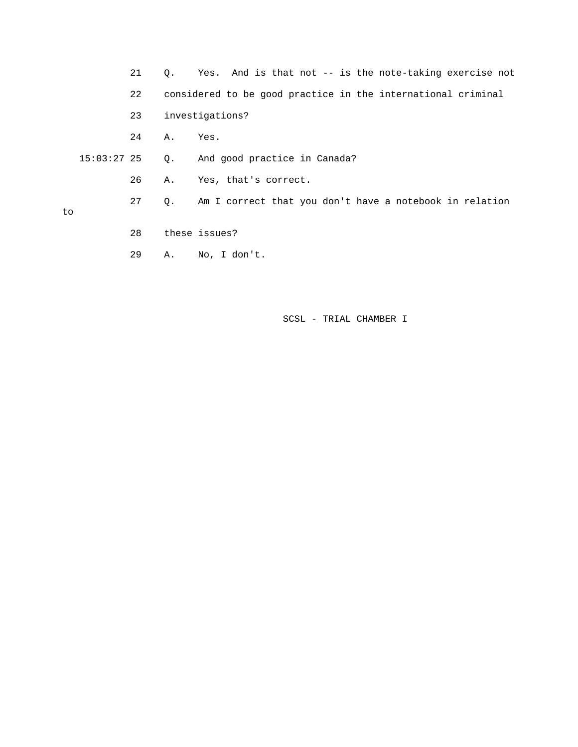- 21 Q. Yes. And is that not -- is the note-taking exercise not 22 considered to be good practice in the international criminal 23 investigations? 24 A. Yes. 15:03:27 25 Q. And good practice in Canada? 26 A. Yes, that's correct. 27 Q. Am I correct that you don't have a notebook in relation
- to
- 28 these issues?
- 29 A. No, I don't.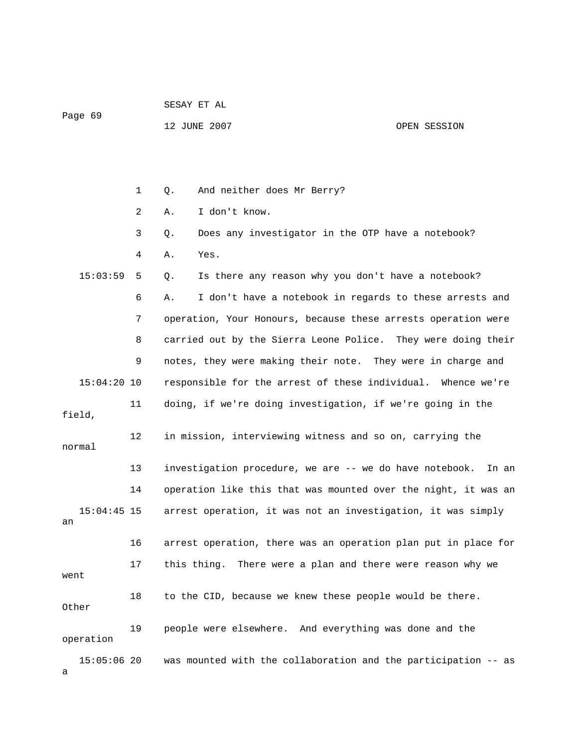|         |  |  | SESAY ET AL |  |  |
|---------|--|--|-------------|--|--|
| Page 69 |  |  |             |  |  |

12 JUNE 2007 OPEN SESSION

 1 Q. And neither does Mr Berry? 2 A. I don't know. 3 Q. Does any investigator in the OTP have a notebook? 4 A. Yes. 15:03:59 5 Q. Is there any reason why you don't have a notebook? 6 A. I don't have a notebook in regards to these arrests and 7 operation, Your Honours, because these arrests operation were 8 carried out by the Sierra Leone Police. They were doing their 9 notes, they were making their note. They were in charge and 15:04:20 10 responsible for the arrest of these individual. Whence we're 11 doing, if we're doing investigation, if we're going in the field, 12 in mission, interviewing witness and so on, carrying the normal 13 investigation procedure, we are -- we do have notebook. In an 14 operation like this that was mounted over the night, it was an 15:04:45 15 arrest operation, it was not an investigation, it was simply an 16 arrest operation, there was an operation plan put in place for 17 this thing. There were a plan and there were reason why we went 18 to the CID, because we knew these people would be there. Other 19 people were elsewhere. And everything was done and the operation 15:05:06 20 was mounted with the collaboration and the participation -- as a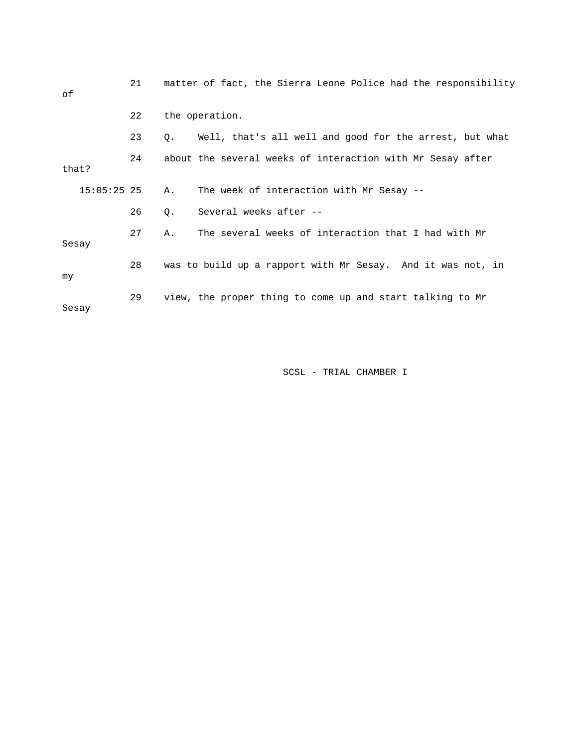| οf    |               | 21 |    | matter of fact, the Sierra Leone Police had the responsibility |
|-------|---------------|----|----|----------------------------------------------------------------|
|       |               | 22 |    | the operation.                                                 |
|       |               | 23 | Q. | Well, that's all well and good for the arrest, but what        |
| that? |               | 24 |    | about the several weeks of interaction with Mr Sesay after     |
|       | $15:05:25$ 25 |    | Α. | The week of interaction with Mr Sesay --                       |
|       |               | 26 | Q. | Several weeks after --                                         |
| Sesay |               | 27 | Α. | The several weeks of interaction that I had with Mr            |
| my    |               | 28 |    | was to build up a rapport with Mr Sesay. And it was not, in    |
| Sesay |               | 29 |    | view, the proper thing to come up and start talking to Mr      |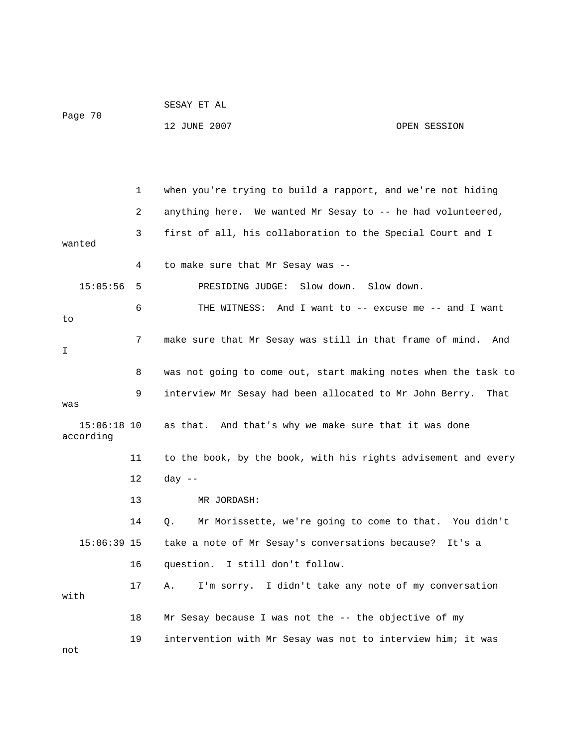|                            |    | 12 JUNE 2007                                                   | OPEN SESSION |
|----------------------------|----|----------------------------------------------------------------|--------------|
|                            |    |                                                                |              |
|                            |    |                                                                |              |
|                            | 1  | when you're trying to build a rapport, and we're not hiding    |              |
|                            | 2  | anything here. We wanted Mr Sesay to -- he had volunteered,    |              |
| wanted                     | 3  | first of all, his collaboration to the Special Court and I     |              |
|                            | 4  | to make sure that Mr Sesay was --                              |              |
| 15:05:56                   | 5  | PRESIDING JUDGE:<br>Slow down.<br>Slow down.                   |              |
| to                         | 6  | THE WITNESS: And I want to -- excuse me -- and I want          |              |
| I                          | 7  | make sure that Mr Sesay was still in that frame of mind.       | And          |
|                            | 8  | was not going to come out, start making notes when the task to |              |
| was                        | 9  | interview Mr Sesay had been allocated to Mr John Berry.        | That         |
| $15:06:18$ 10<br>according |    | as that. And that's why we make sure that it was done          |              |
|                            | 11 | to the book, by the book, with his rights advisement and every |              |
|                            | 12 | $day$ --                                                       |              |
|                            | 13 | MR JORDASH:                                                    |              |
|                            | 14 | Mr Morissette, we're going to come to that. You didn't<br>Q.   |              |
| $15:06:39$ 15              |    | take a note of Mr Sesay's conversations because?               | It's a       |
|                            | 16 | question. I still don't follow.                                |              |
| with                       | 17 | I'm sorry. I didn't take any note of my conversation<br>Α.     |              |
|                            | 18 | Mr Sesay because I was not the -- the objective of my          |              |
| not                        | 19 | intervention with Mr Sesay was not to interview him; it was    |              |

SESAY ET AL

Page 70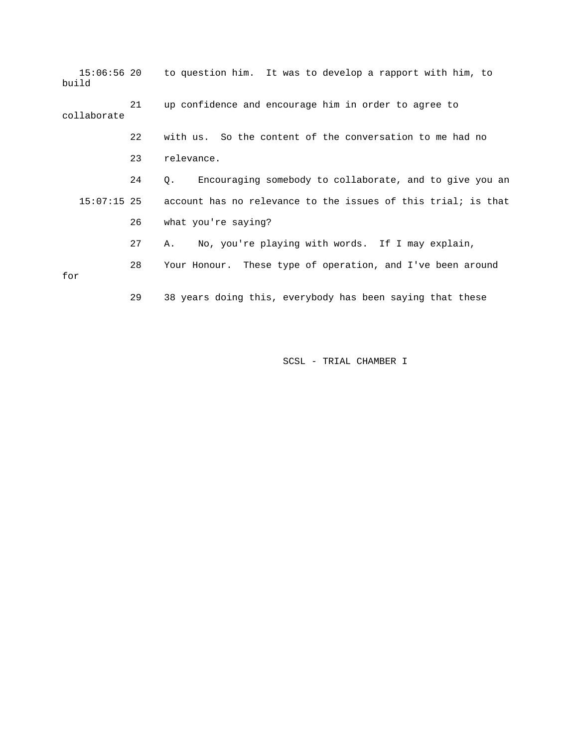15:06:56 20 to question him. It was to develop a rapport with him, to build 21 up confidence and encourage him in order to agree to collaborate 22 with us. So the content of the conversation to me had no 23 relevance. 24 Q. Encouraging somebody to collaborate, and to give you an 15:07:15 25 account has no relevance to the issues of this trial; is that 26 what you're saying? 27 A. No, you're playing with words. If I may explain, 28 Your Honour. These type of operation, and I've been around for

29 38 years doing this, everybody has been saying that these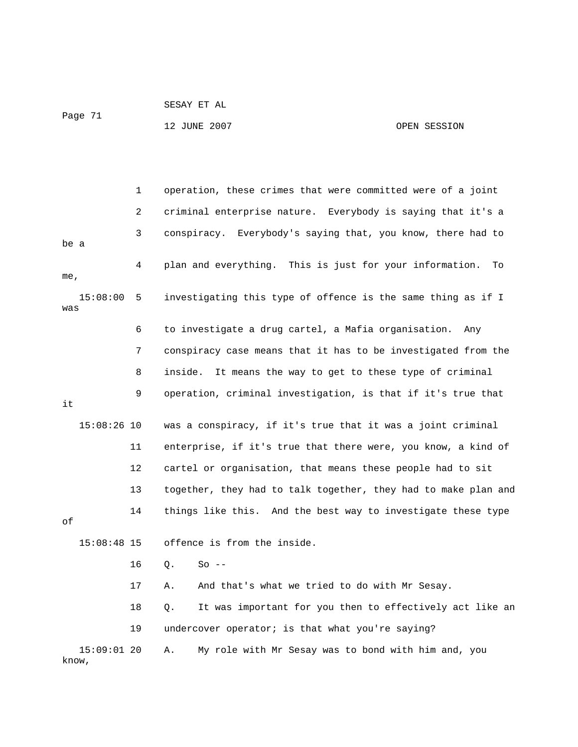```
 SESAY ET AL
```
Page 71

know,

## 12 JUNE 2007 OPEN SESSION

 1 operation, these crimes that were committed were of a joint 2 criminal enterprise nature. Everybody is saying that it's a 3 conspiracy. Everybody's saying that, you know, there had to 4 plan and everything. This is just for your information. To 15:08:00 5 investigating this type of offence is the same thing as if I 6 to investigate a drug cartel, a Mafia organisation. Any 7 conspiracy case means that it has to be investigated from the 9 operation, criminal investigation, is that if it's true that 15:08:26 10 was a conspiracy, if it's true that it was a joint criminal 11 enterprise, if it's true that there were, you know, a kind of 13 together, they had to talk together, they had to make plan and 14 things like this. And the best way to investigate these type 15:08:48 15 offence is from the inside. 17 A. And that's what we tried to do with Mr Sesay. 18 Q. It was important for you then to effectively act like an 15:09:01 20 A. My role with Mr Sesay was to bond with him and, you be a me, was 8 inside. It means the way to get to these type of criminal it 12 cartel or organisation, that means these people had to sit of 16 Q. So -- 19 undercover operator; is that what you're saying?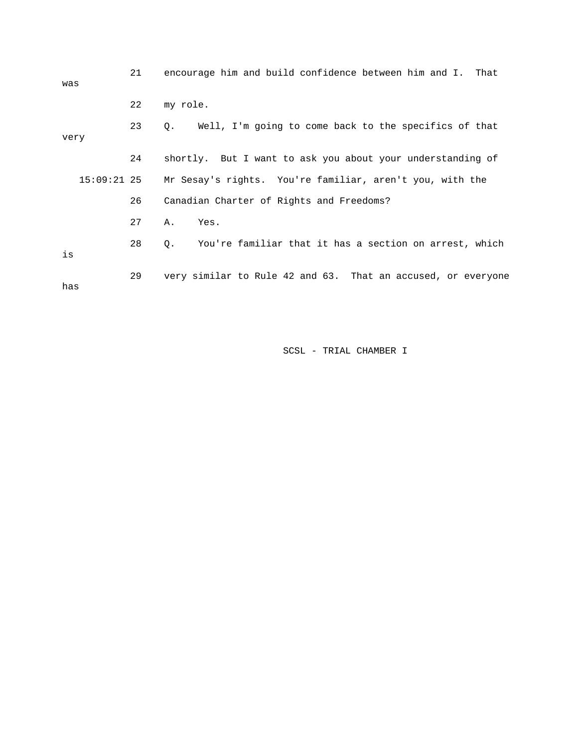| was  | 21 | encourage him and build confidence between him and I. That           |
|------|----|----------------------------------------------------------------------|
|      | 22 | my role.                                                             |
| very | 23 | Q. Well, I'm going to come back to the specifics of that             |
|      | 24 | shortly. But I want to ask you about your understanding of           |
|      |    | 15:09:21 25 Mr Sesay's rights. You're familiar, aren't you, with the |
|      | 26 | Canadian Charter of Rights and Freedoms?                             |
|      | 27 | Α.<br>Yes.                                                           |
| is   | 28 | You're familiar that it has a section on arrest, which<br>Q.         |
| has  | 29 | very similar to Rule 42 and 63. That an accused, or everyone         |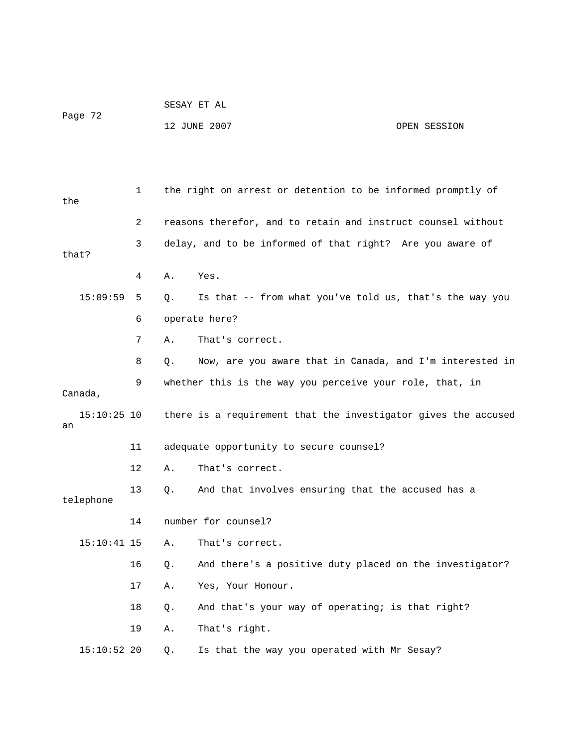|         | SESAY ET AL  |              |
|---------|--------------|--------------|
| Page 72 |              |              |
|         | 12 JUNE 2007 | OPEN SESSION |

 1 the right on arrest or detention to be informed promptly of the 2 reasons therefor, and to retain and instruct counsel without 3 delay, and to be informed of that right? Are you aware of that? 4 A. Yes. 15:09:59 5 Q. Is that -- from what you've told us, that's the way you 6 operate here? 7 A. That's correct. 8 Q. Now, are you aware that in Canada, and I'm interested in 9 whether this is the way you perceive your role, that, in Canada, 15:10:25 10 there is a requirement that the investigator gives the accused an 11 adequate opportunity to secure counsel? 12 A. That's correct. 13 Q. And that involves ensuring that the accused has a telephone 14 number for counsel? 15:10:41 15 A. That's correct. 16 Q. And there's a positive duty placed on the investigator? 17 A. Yes, Your Honour. 18 Q. And that's your way of operating; is that right? 15:10:52 20 Q. Is that the way you operated with Mr Sesay? 19 A. That's right.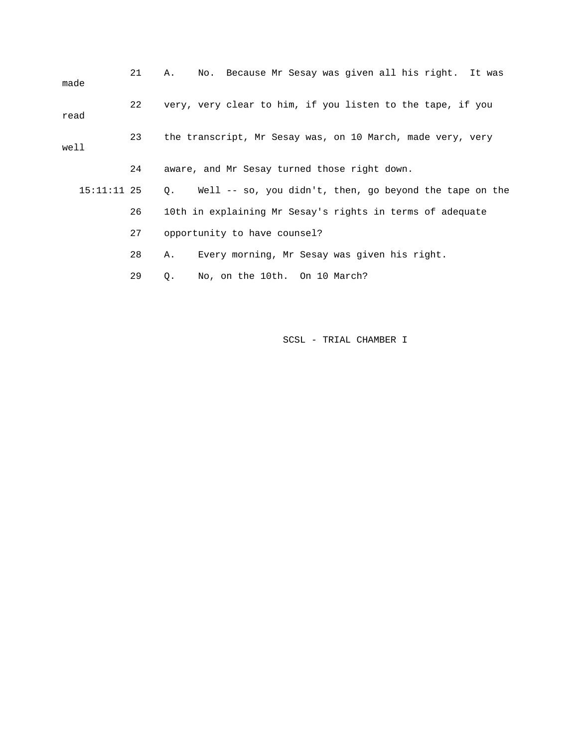| made          | 21 | No. Because Mr Sesay was given all his right. It was<br>Α. |
|---------------|----|------------------------------------------------------------|
| read          | 22 | very, very clear to him, if you listen to the tape, if you |
| well          | 23 | the transcript, Mr Sesay was, on 10 March, made very, very |
|               | 24 | aware, and Mr Sesay turned those right down.               |
| $15:11:11$ 25 |    | Q. Well -- so, you didn't, then, go beyond the tape on the |
|               | 26 | 10th in explaining Mr Sesay's rights in terms of adequate  |
|               | 27 | opportunity to have counsel?                               |
|               | 28 | Every morning, Mr Sesay was given his right.<br>Α.         |
|               | 29 | No, on the 10th. On 10 March?<br>О.                        |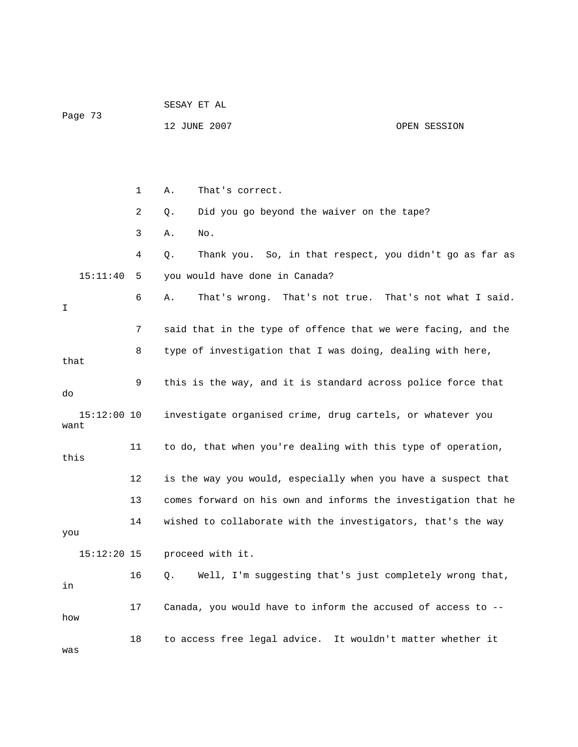|                       |    | SESAY ET AL                                                  |                                                                |  |  |
|-----------------------|----|--------------------------------------------------------------|----------------------------------------------------------------|--|--|
| Page 73               |    | 12 JUNE 2007                                                 | OPEN SESSION                                                   |  |  |
|                       |    |                                                              |                                                                |  |  |
|                       |    |                                                              |                                                                |  |  |
|                       | 1  | That's correct.<br>Α.                                        |                                                                |  |  |
|                       | 2  | Did you go beyond the waiver on the tape?<br>Q.              |                                                                |  |  |
|                       | 3  | No.<br>Α.                                                    |                                                                |  |  |
|                       | 4  | Q.                                                           | Thank you. So, in that respect, you didn't go as far as        |  |  |
| 15:11:40              | 5  | you would have done in Canada?                               |                                                                |  |  |
| I.                    | 6  | Α.                                                           | That's wrong. That's not true. That's not what I said.         |  |  |
|                       | 7  |                                                              | said that in the type of offence that we were facing, and the  |  |  |
| that                  | 8  | type of investigation that I was doing, dealing with here,   |                                                                |  |  |
| do                    | 9  | this is the way, and it is standard across police force that |                                                                |  |  |
| $15:12:00$ 10<br>want |    | investigate organised crime, drug cartels, or whatever you   |                                                                |  |  |
| this                  | 11 | to do, that when you're dealing with this type of operation, |                                                                |  |  |
|                       | 12 |                                                              | is the way you would, especially when you have a suspect that  |  |  |
|                       | 13 |                                                              | comes forward on his own and informs the investigation that he |  |  |
| you                   | 14 | wished to collaborate with the investigators, that's the way |                                                                |  |  |
| $15:12:20$ 15         |    | proceed with it.                                             |                                                                |  |  |
| in                    | 16 | Q.                                                           | Well, I'm suggesting that's just completely wrong that,        |  |  |
| how                   | 17 | Canada, you would have to inform the accused of access to -- |                                                                |  |  |
| was                   | 18 | to access free legal advice. It wouldn't matter whether it   |                                                                |  |  |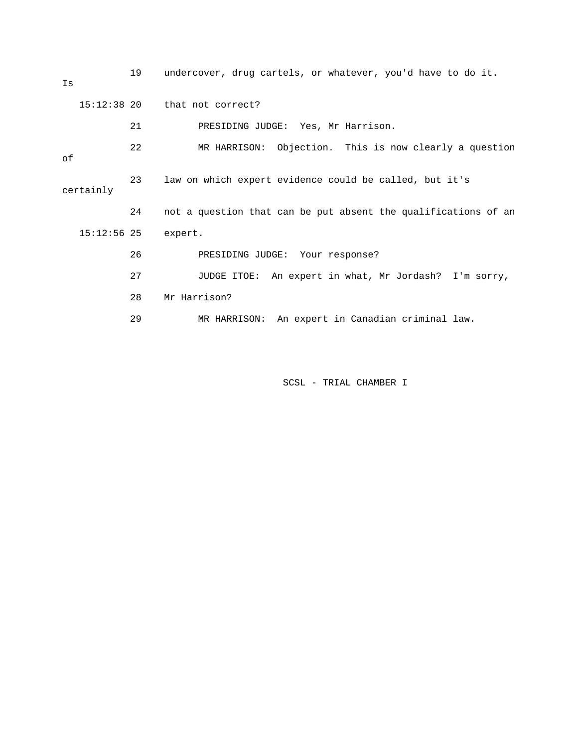| Is        | 19            | undercover, drug cartels, or whatever, you'd have to do it.    |
|-----------|---------------|----------------------------------------------------------------|
|           | $15:12:38$ 20 | that not correct?                                              |
|           | 21            | PRESIDING JUDGE: Yes, Mr Harrison.                             |
| οf        | 22            | MR HARRISON: Objection. This is now clearly a question         |
| certainly | 23            | law on which expert evidence could be called, but it's         |
|           | 24            | not a question that can be put absent the qualifications of an |
|           | $15:12:56$ 25 | expert.                                                        |
|           | 26            | PRESIDING JUDGE: Your response?                                |
|           | 27            | JUDGE ITOE: An expert in what, Mr Jordash?<br>I'm sorry,       |
|           | 28            | Mr Harrison?                                                   |
|           | 29            | MR HARRISON: An expert in Canadian criminal law.               |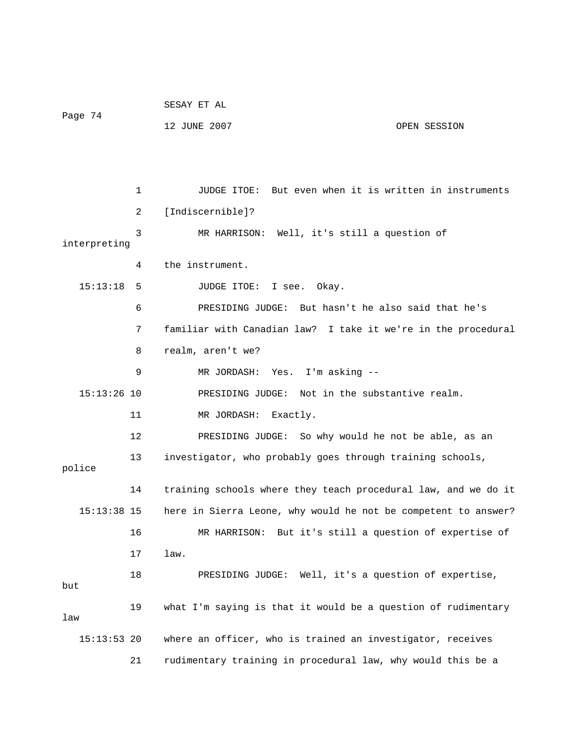|               |    | SESAY ET AL                                                    |
|---------------|----|----------------------------------------------------------------|
| Page 74       |    | 12 JUNE 2007<br>OPEN SESSION                                   |
|               |    |                                                                |
|               |    |                                                                |
|               | 1  | JUDGE ITOE: But even when it is written in instruments         |
|               | 2  | [Indiscernible]?                                               |
| interpreting  | 3  | MR HARRISON: Well, it's still a question of                    |
|               | 4  | the instrument.                                                |
| 15:13:18      | 5  | JUDGE ITOE:<br>I see.<br>Okay.                                 |
|               | 6  | PRESIDING JUDGE: But hasn't he also said that he's             |
|               | 7  | familiar with Canadian law? I take it we're in the procedural  |
|               | 8  | realm, aren't we?                                              |
|               | 9  | MR JORDASH: Yes. I'm asking --                                 |
| $15:13:26$ 10 |    | PRESIDING JUDGE: Not in the substantive realm.                 |
|               | 11 | MR JORDASH: Exactly.                                           |
|               | 12 | PRESIDING JUDGE: So why would he not be able, as an            |
| police        | 13 | investigator, who probably goes through training schools,      |
|               | 14 | training schools where they teach procedural law, and we do it |
| $15:13:38$ 15 |    | here in Sierra Leone, why would he not be competent to answer? |
|               | 16 | MR HARRISON: But it's still a question of expertise of         |
|               | 17 | law.                                                           |
| but           | 18 | PRESIDING JUDGE: Well, it's a question of expertise,           |
| law           | 19 | what I'm saying is that it would be a question of rudimentary  |
| $15:13:53$ 20 |    | where an officer, who is trained an investigator, receives     |
|               | 21 | rudimentary training in procedural law, why would this be a    |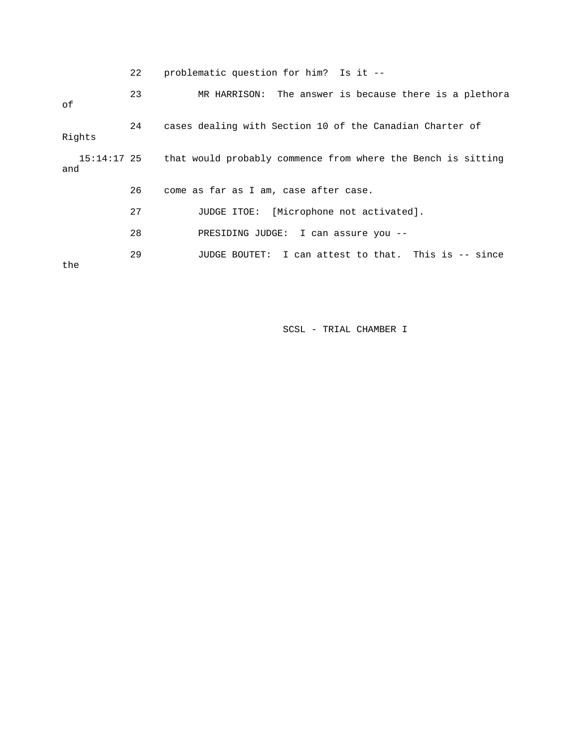|  | problematic question for him? Is it -- |  |  |
|--|----------------------------------------|--|--|
|--|----------------------------------------|--|--|

| οf                 | 23 | MR HARRISON: The answer is because there is a plethora       |
|--------------------|----|--------------------------------------------------------------|
| Rights             | 24 | cases dealing with Section 10 of the Canadian Charter of     |
| 15:14:17 25<br>and |    | that would probably commence from where the Bench is sitting |
|                    | 26 | come as far as I am, case after case.                        |
|                    | 27 | JUDGE ITOE: [Microphone not activated].                      |
|                    | 28 | PRESIDING JUDGE: I can assure you --                         |
| the                | 29 | JUDGE BOUTET: I can attest to that. This is -- since         |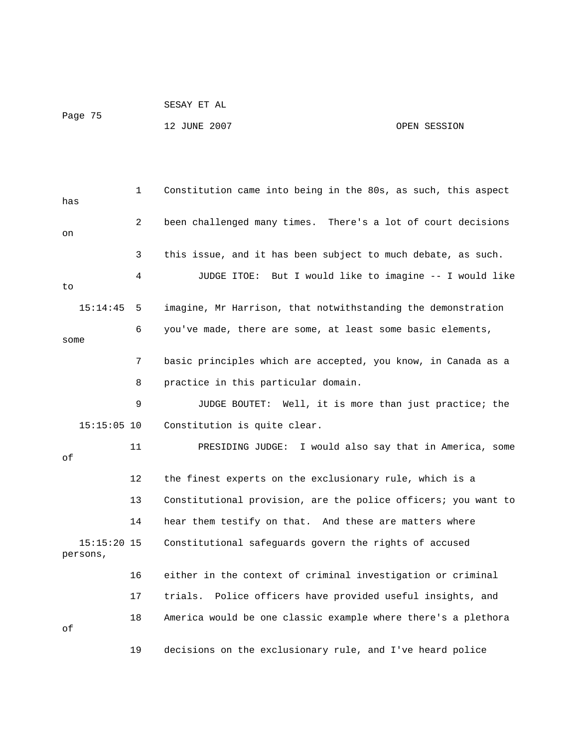1 Constitution came into being in the 80s, as such, this aspect has 2 been challenged many times. There's a lot of court decisions on 3 this issue, and it has been subject to much debate, as such. 4 JUDGE ITOE: But I would like to imagine -- I would like to 15:14:45 5 imagine, Mr Harrison, that notwithstanding the demonstration 6 you've made, there are some, at least some basic elements, some 7 basic principles which are accepted, you know, in Canada as a 8 practice in this particular domain. 9 JUDGE BOUTET: Well, it is more than just practice; the 15:15:05 10 Constitution is quite clear. 11 PRESIDING JUDGE: I would also say that in America, some of 12 the finest experts on the exclusionary rule, which is a 13 Constitutional provision, are the police officers; you want to 14 hear them testify on that. And these are matters where 15:15:20 15 Constitutional safeguards govern the rights of accused persons, 16 either in the context of criminal investigation or criminal 17 trials. Police officers have provided useful insights, and 18 America would be one classic example where there's a plethora of 19 decisions on the exclusionary rule, and I've heard police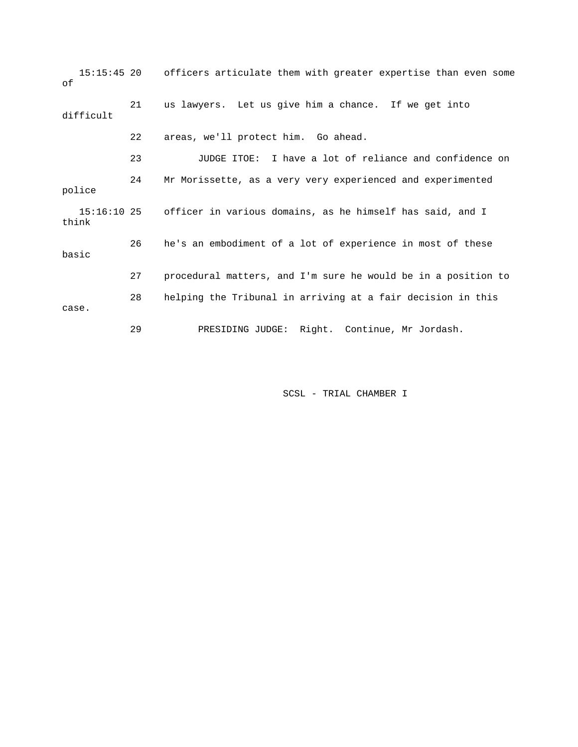15:15:45 20 officers articulate them with greater expertise than even some of 21 us lawyers. Let us give him a chance. If we get into difficult 22 areas, we'll protect him. Go ahead. 23 JUDGE ITOE: I have a lot of reliance and confidence on 24 Mr Morissette, as a very very experienced and experimented police 15:16:10 25 officer in various domains, as he himself has said, and I think 26 he's an embodiment of a lot of experience in most of these basic 27 procedural matters, and I'm sure he would be in a position to 28 helping the Tribunal in arriving at a fair decision in this case. 29 PRESIDING JUDGE: Right. Continue, Mr Jordash.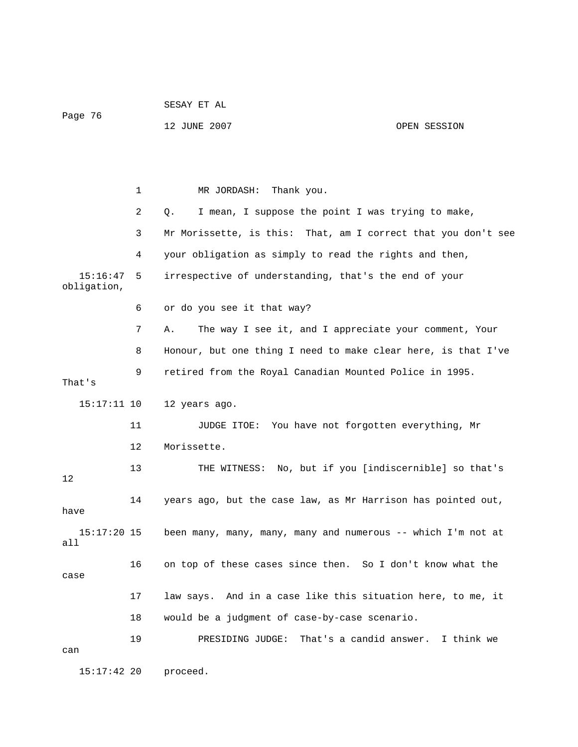| Page 76                 |    | 12 JUNE 2007                                                  | OPEN SESSION |
|-------------------------|----|---------------------------------------------------------------|--------------|
|                         |    |                                                               |              |
|                         | 1  | Thank you.<br>MR JORDASH:                                     |              |
|                         | 2  | I mean, I suppose the point I was trying to make,<br>Q.       |              |
|                         | 3  | Mr Morissette, is this: That, am I correct that you don't see |              |
|                         | 4  | your obligation as simply to read the rights and then,        |              |
| 15:16:47<br>obligation, | 5  | irrespective of understanding, that's the end of your         |              |
|                         | 6  | or do you see it that way?                                    |              |
|                         | 7  | The way I see it, and I appreciate your comment, Your<br>Α.   |              |
|                         | 8  | Honour, but one thing I need to make clear here, is that I've |              |
| That's                  | 9  | retired from the Royal Canadian Mounted Police in 1995.       |              |
| 15:17:11 10             |    | 12 years ago.                                                 |              |
|                         | 11 | You have not forgotten everything, Mr<br>JUDGE ITOE:          |              |
|                         | 12 | Morissette.                                                   |              |
| 12                      | 13 | THE WITNESS: No, but if you [indiscernible] so that's         |              |
| have                    | 14 | years ago, but the case law, as Mr Harrison has pointed out,  |              |
| $15:17:20$ 15<br>all    |    | been many, many, many, many and numerous -- which I'm not at  |              |
| case                    | 16 | on top of these cases since then. So I don't know what the    |              |
|                         | 17 | law says. And in a case like this situation here, to me, it   |              |
|                         | 18 | would be a judgment of case-by-case scenario.                 |              |
| can                     | 19 | PRESIDING JUDGE: That's a candid answer. I think we           |              |
|                         |    |                                                               |              |

SESAY ET AL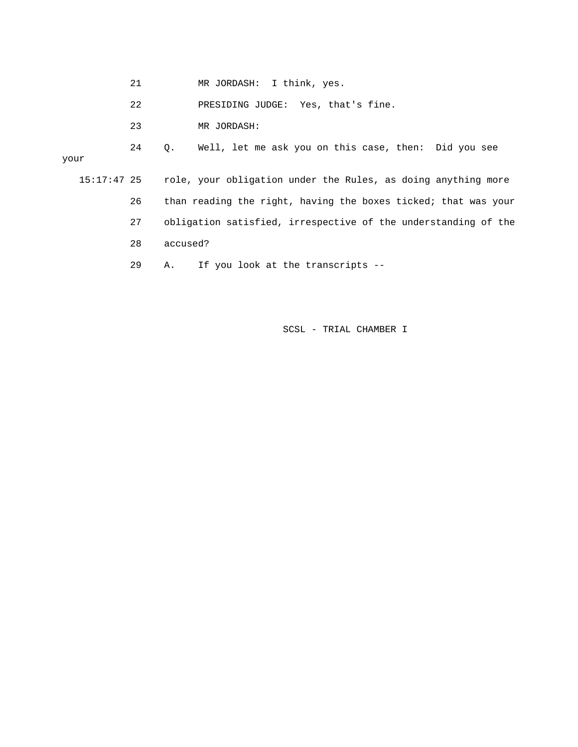- 21 MR JORDASH: I think, yes.
- 22 PRESIDING JUDGE: Yes, that's fine.
- 23 MR JORDASH:

 24 Q. Well, let me ask you on this case, then: Did you see your 15:17:47 25 role, your obligation under the Rules, as doing anything more 26 than reading the right, having the boxes ticked; that was your 27 obligation satisfied, irrespective of the understanding of the 28 accused?

29 A. If you look at the transcripts --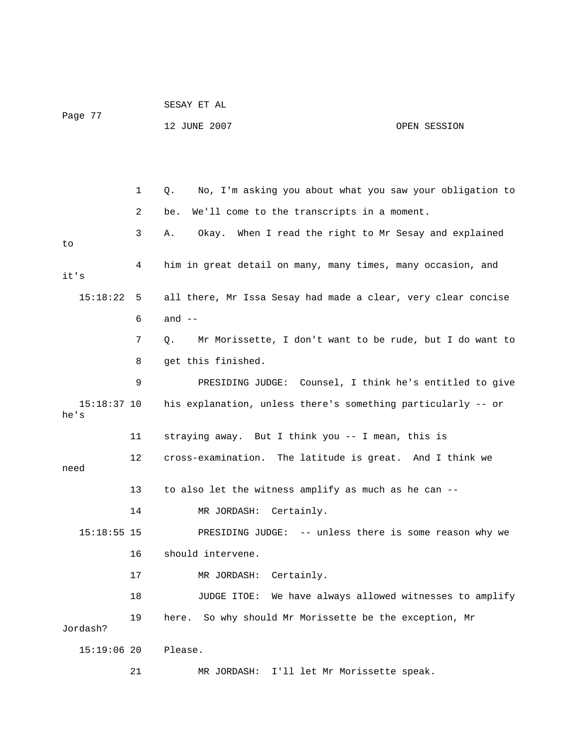|                       |    | SESAY ET AL                                                    |              |  |  |
|-----------------------|----|----------------------------------------------------------------|--------------|--|--|
| Page 77               |    | 12 JUNE 2007                                                   | OPEN SESSION |  |  |
|                       |    |                                                                |              |  |  |
|                       |    |                                                                |              |  |  |
|                       | 1  | No, I'm asking you about what you saw your obligation to<br>Q. |              |  |  |
|                       | 2  | We'll come to the transcripts in a moment.<br>be.              |              |  |  |
| to                    | 3  | Okay. When I read the right to Mr Sesay and explained<br>Α.    |              |  |  |
| it's                  | 4  | him in great detail on many, many times, many occasion, and    |              |  |  |
| 15:18:22              | 5  | all there, Mr Issa Sesay had made a clear, very clear concise  |              |  |  |
|                       | 6  | and $--$                                                       |              |  |  |
|                       | 7  | Mr Morissette, I don't want to be rude, but I do want to<br>Q. |              |  |  |
|                       | 8  | get this finished.                                             |              |  |  |
|                       | 9  | PRESIDING JUDGE: Counsel, I think he's entitled to give        |              |  |  |
| $15:18:37$ 10<br>he's |    | his explanation, unless there's something particularly -- or   |              |  |  |
|                       | 11 | straying away. But I think you -- I mean, this is              |              |  |  |
| need                  | 12 | cross-examination. The latitude is great. And I think we       |              |  |  |
|                       | 13 | to also let the witness amplify as much as he can --           |              |  |  |
|                       | 14 | MR JORDASH:<br>Certainly.                                      |              |  |  |
| $15:18:55$ 15         |    | PRESIDING JUDGE: -- unless there is some reason why we         |              |  |  |
|                       | 16 | should intervene.                                              |              |  |  |
|                       | 17 | Certainly.<br>MR JORDASH:                                      |              |  |  |
|                       | 18 | We have always allowed witnesses to amplify<br>JUDGE ITOE:     |              |  |  |
| Jordash?              | 19 | So why should Mr Morissette be the exception, Mr<br>here.      |              |  |  |
| $15:19:06$ 20         |    | Please.                                                        |              |  |  |
|                       | 21 | I'll let Mr Morissette speak.<br>MR JORDASH:                   |              |  |  |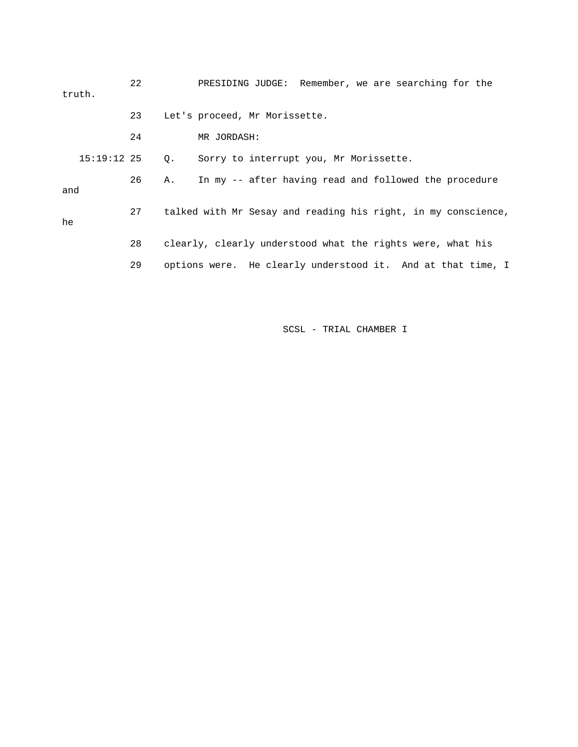| truth. |               | 22 |           | PRESIDING JUDGE: Remember, we are searching for the        |  |  |                                                               |  |
|--------|---------------|----|-----------|------------------------------------------------------------|--|--|---------------------------------------------------------------|--|
|        |               | 23 |           | Let's proceed, Mr Morissette.                              |  |  |                                                               |  |
|        |               | 24 |           | MR JORDASH:                                                |  |  |                                                               |  |
|        | $15:19:12$ 25 |    | $\circ$ . | Sorry to interrupt you, Mr Morissette.                     |  |  |                                                               |  |
| and    |               | 26 | Α.        |                                                            |  |  | In my -- after having read and followed the procedure         |  |
| he     |               | 27 |           |                                                            |  |  | talked with Mr Sesay and reading his right, in my conscience, |  |
|        |               | 28 |           | clearly, clearly understood what the rights were, what his |  |  |                                                               |  |
|        |               | 29 |           |                                                            |  |  | options were. He clearly understood it. And at that time, I   |  |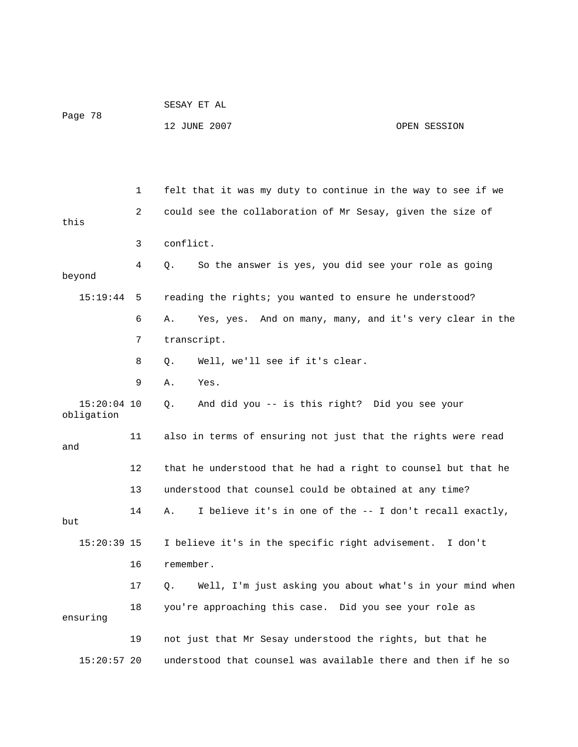|                             |    | SESAY ET AL                                                    |              |  |  |
|-----------------------------|----|----------------------------------------------------------------|--------------|--|--|
| Page 78                     |    | 12 JUNE 2007                                                   | OPEN SESSION |  |  |
|                             |    |                                                                |              |  |  |
|                             |    |                                                                |              |  |  |
|                             | 1  | felt that it was my duty to continue in the way to see if we   |              |  |  |
| this                        | 2  | could see the collaboration of Mr Sesay, given the size of     |              |  |  |
|                             | 3  | conflict.                                                      |              |  |  |
| beyond                      | 4  | So the answer is yes, you did see your role as going<br>О.     |              |  |  |
| 15:19:44                    | 5  | reading the rights; you wanted to ensure he understood?        |              |  |  |
|                             | 6  | Yes, yes. And on many, many, and it's very clear in the<br>Α.  |              |  |  |
|                             | 7  | transcript.                                                    |              |  |  |
|                             | 8  | Well, we'll see if it's clear.<br>Q.                           |              |  |  |
|                             | 9  | Yes.<br>Α.                                                     |              |  |  |
| $15:20:04$ 10<br>obligation |    | And did you -- is this right? Did you see your<br>Q.           |              |  |  |
| and                         | 11 | also in terms of ensuring not just that the rights were read   |              |  |  |
|                             | 12 | that he understood that he had a right to counsel but that he  |              |  |  |
|                             | 13 | understood that counsel could be obtained at any time?         |              |  |  |
| but                         | 14 | I believe it's in one of the -- I don't recall exactly,<br>Α.  |              |  |  |
| $15:20:39$ 15               |    | I believe it's in the specific right advisement. I don't       |              |  |  |
|                             | 16 | remember.                                                      |              |  |  |
|                             | 17 | Well, I'm just asking you about what's in your mind when<br>Q. |              |  |  |
| ensuring                    | 18 | you're approaching this case. Did you see your role as         |              |  |  |
|                             | 19 | not just that Mr Sesay understood the rights, but that he      |              |  |  |
| $15:20:57$ 20               |    | understood that counsel was available there and then if he so  |              |  |  |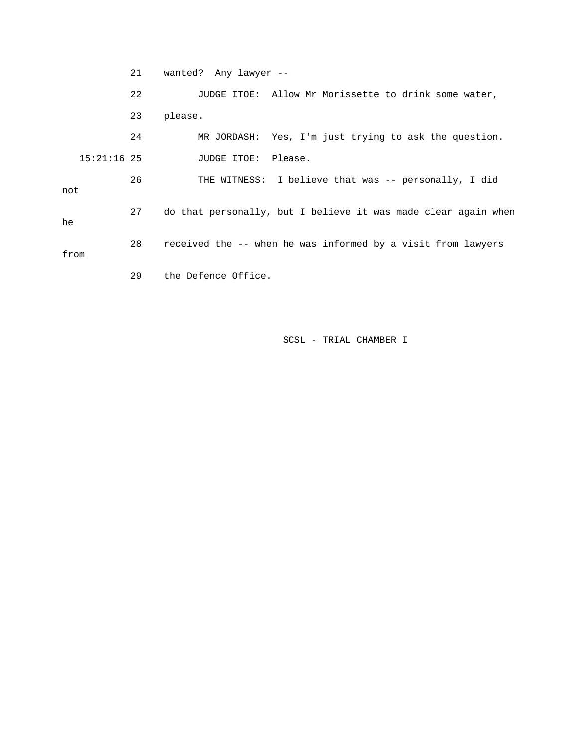21 wanted? Any lawyer -- 22 JUDGE ITOE: Allow Mr Morissette to drink some water, 23 please. 24 MR JORDASH: Yes, I'm just trying to ask the question. 15:21:16 25 JUDGE ITOE: Please. 26 THE WITNESS: I believe that was -- personally, I did not 27 do that personally, but I believe it was made clear again when he 28 received the -- when he was informed by a visit from lawyers from 29 the Defence Office.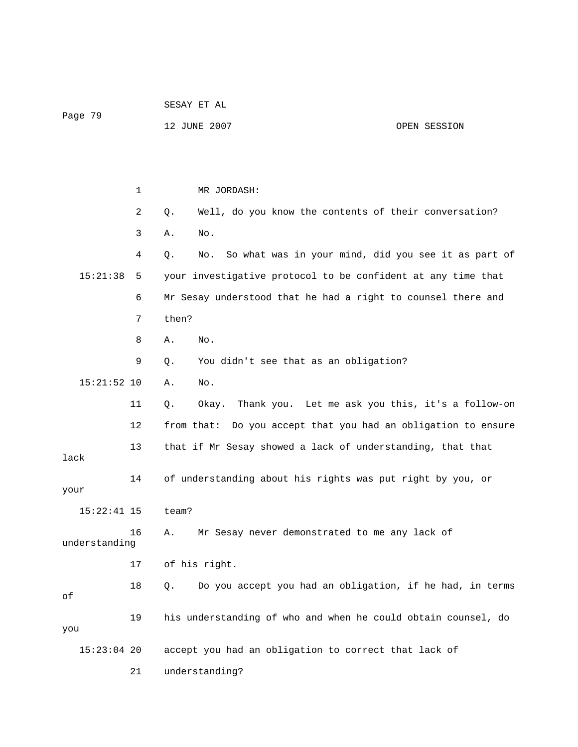|               |    | SESAY ET AL                                                       |              |  |  |
|---------------|----|-------------------------------------------------------------------|--------------|--|--|
| Page 79       |    | 12 JUNE 2007                                                      | OPEN SESSION |  |  |
|               |    |                                                                   |              |  |  |
|               |    |                                                                   |              |  |  |
|               | 1  | MR JORDASH:                                                       |              |  |  |
|               | 2  | Well, do you know the contents of their conversation?<br>Q.       |              |  |  |
|               | 3  | Α.<br>No.                                                         |              |  |  |
|               | 4  | So what was in your mind, did you see it as part of<br>Q.<br>No.  |              |  |  |
| 15:21:38      | 5  | your investigative protocol to be confident at any time that      |              |  |  |
|               | 6  | Mr Sesay understood that he had a right to counsel there and      |              |  |  |
|               | 7  | then?                                                             |              |  |  |
|               | 8  | No.<br>Α.                                                         |              |  |  |
|               | 9  | You didn't see that as an obligation?<br>Q.                       |              |  |  |
| $15:21:52$ 10 |    | Α.<br>No.                                                         |              |  |  |
|               | 11 | Okay. Thank you. Let me ask you this, it's a follow-on<br>Q.      |              |  |  |
|               | 12 | from that: Do you accept that you had an obligation to ensure     |              |  |  |
| lack          | 13 | that if Mr Sesay showed a lack of understanding, that that        |              |  |  |
|               | 14 | of understanding about his rights was put right by you, or        |              |  |  |
| your          |    |                                                                   |              |  |  |
| $15:22:41$ 15 |    | team?                                                             |              |  |  |
| understanding | 16 | Mr Sesay never demonstrated to me any lack of<br>Α.               |              |  |  |
|               | 17 | of his right.                                                     |              |  |  |
| оf            | 18 | Do you accept you had an obligation, if he had, in terms<br>$Q$ . |              |  |  |
| you           | 19 | his understanding of who and when he could obtain counsel, do     |              |  |  |
| $15:23:04$ 20 |    | accept you had an obligation to correct that lack of              |              |  |  |
|               | 21 | understanding?                                                    |              |  |  |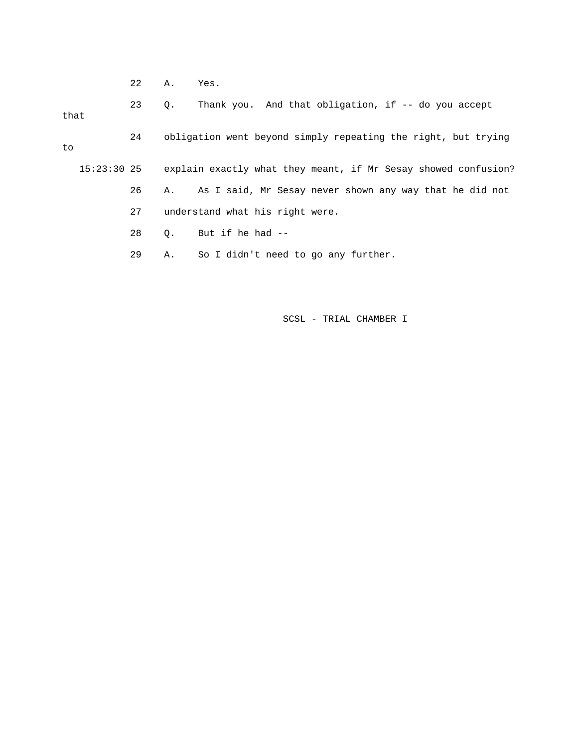22 A. Yes.

 23 Q. Thank you. And that obligation, if -- do you accept that 24 obligation went beyond simply repeating the right, but trying to 15:23:30 25 explain exactly what they meant, if Mr Sesay showed confusion? 26 A. As I said, Mr Sesay never shown any way that he did not 27 understand what his right were. 28 Q. But if he had -- 29 A. So I didn't need to go any further.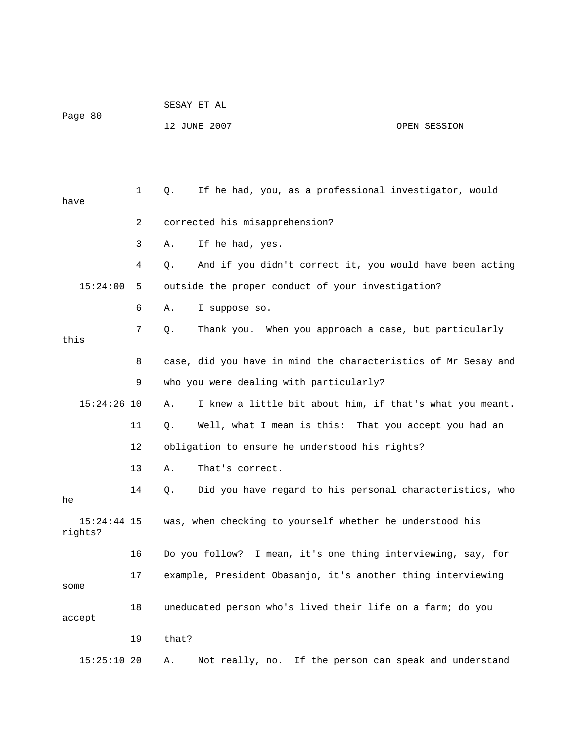| Page 80 | SESAY ET AL  |              |
|---------|--------------|--------------|
|         | 12 JUNE 2007 | OPEN SESSION |

| have                     | 1  | If he had, you, as a professional investigator, would<br>Q.     |
|--------------------------|----|-----------------------------------------------------------------|
|                          | 2  | corrected his misapprehension?                                  |
|                          | 3  | If he had, yes.<br>Α.                                           |
|                          | 4  | And if you didn't correct it, you would have been acting<br>Q.  |
| 15:24:00                 | 5  | outside the proper conduct of your investigation?               |
|                          | 6  | I suppose so.<br>Α.                                             |
| this                     | 7  | Thank you. When you approach a case, but particularly<br>Q.     |
|                          | 8  | case, did you have in mind the characteristics of Mr Sesay and  |
|                          | 9  | who you were dealing with particularly?                         |
| $15:24:26$ 10            |    | I knew a little bit about him, if that's what you meant.<br>Α.  |
|                          | 11 | Well, what I mean is this: That you accept you had an<br>Q.     |
|                          | 12 | obligation to ensure he understood his rights?                  |
|                          | 13 | That's correct.<br>Α.                                           |
| he                       | 14 | Did you have regard to his personal characteristics, who<br>Q.  |
| $15:24:44$ 15<br>rights? |    | was, when checking to yourself whether he understood his        |
|                          | 16 | Do you follow? I mean, it's one thing interviewing, say, for    |
| some                     | 17 | example, President Obasanjo, it's another thing interviewing    |
| accept                   | 18 | uneducated person who's lived their life on a farm; do you      |
|                          | 19 | that?                                                           |
| $15:25:10$ 20            |    | If the person can speak and understand<br>Not really, no.<br>Α. |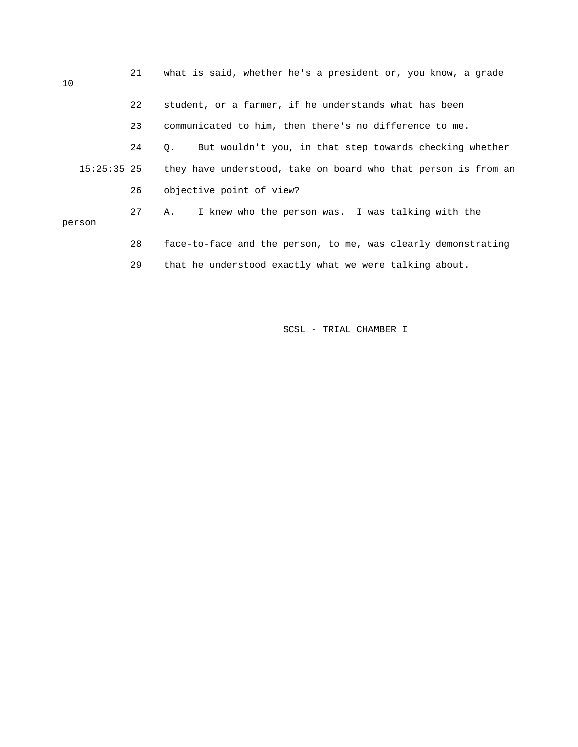| 10 |               | 21 | what is said, whether he's a president or, you know, a grade         |  |  |
|----|---------------|----|----------------------------------------------------------------------|--|--|
|    |               | 22 | student, or a farmer, if he understands what has been                |  |  |
|    |               | 23 | communicated to him, then there's no difference to me.               |  |  |
|    |               | 24 | But wouldn't you, in that step towards checking whether<br>$\circ$ . |  |  |
|    | $15:25:35$ 25 |    | they have understood, take on board who that person is from an       |  |  |
|    |               | 26 | objective point of view?                                             |  |  |
|    | person        | 27 | I knew who the person was. I was talking with the<br>A.              |  |  |
|    |               | 28 | face-to-face and the person, to me, was clearly demonstrating        |  |  |
|    |               | 29 | that he understood exactly what we were talking about.               |  |  |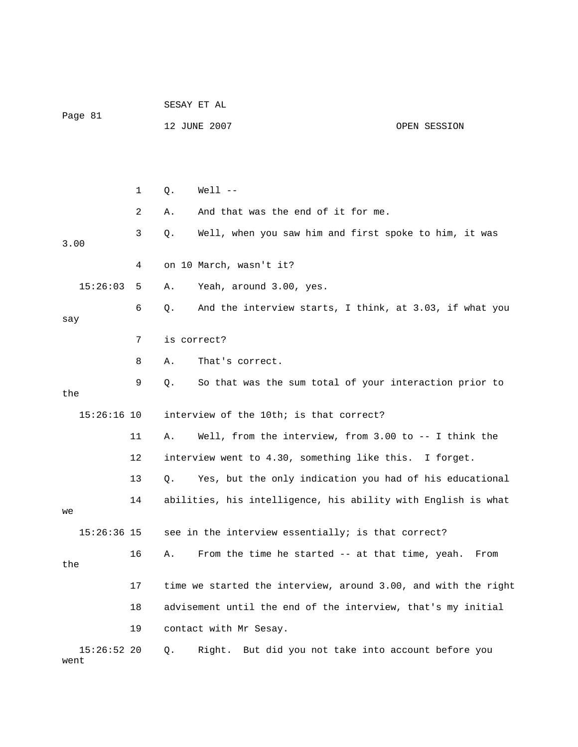|                       |    | SESAY ET AL |                                                                |              |  |
|-----------------------|----|-------------|----------------------------------------------------------------|--------------|--|
| Page 81               |    |             | 12 JUNE 2007                                                   | OPEN SESSION |  |
|                       |    |             |                                                                |              |  |
|                       |    |             |                                                                |              |  |
|                       | 1  | Q.          | $Well 1 - -$                                                   |              |  |
|                       | 2  | Α.          | And that was the end of it for me.                             |              |  |
| 3.00                  | 3  | Q.          | Well, when you saw him and first spoke to him, it was          |              |  |
|                       | 4  |             | on 10 March, wasn't it?                                        |              |  |
| 15:26:03              | 5  | Α.          | Yeah, around 3.00, yes.                                        |              |  |
| say                   | 6  | Q.          | And the interview starts, I think, at 3.03, if what you        |              |  |
|                       | 7  | is correct? |                                                                |              |  |
|                       | 8  | Α.          | That's correct.                                                |              |  |
| the                   | 9  | Q.          | So that was the sum total of your interaction prior to         |              |  |
| $15:26:16$ 10         |    |             | interview of the 10th; is that correct?                        |              |  |
|                       |    |             |                                                                |              |  |
|                       | 11 | Α.          | Well, from the interview, from 3.00 to -- I think the          |              |  |
|                       | 12 |             | interview went to 4.30, something like this. I forget.         |              |  |
|                       | 13 | Q.          | Yes, but the only indication you had of his educational        |              |  |
| we                    | 14 |             | abilities, his intelligence, his ability with English is what  |              |  |
| 15:26:36 15           |    |             | see in the interview essentially; is that correct?             |              |  |
| the                   | 16 | Α.          | From the time he started -- at that time, yeah.                | From         |  |
|                       | 17 |             | time we started the interview, around 3.00, and with the right |              |  |
|                       | 18 |             | advisement until the end of the interview, that's my initial   |              |  |
|                       | 19 |             | contact with Mr Sesay.                                         |              |  |
| $15:26:52$ 20<br>went |    | Q.          | Right. But did you not take into account before you            |              |  |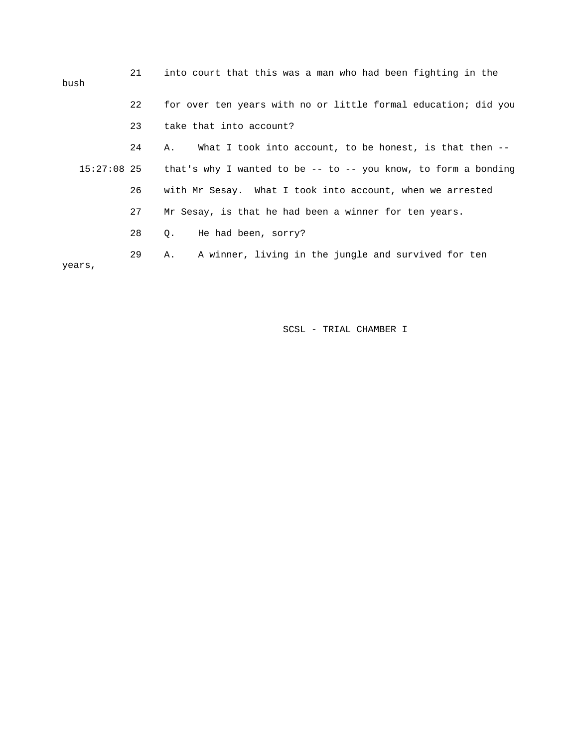| 21 | into court that this was a man who had been fighting in the                  |
|----|------------------------------------------------------------------------------|
| 22 | for over ten years with no or little formal education; did you               |
| 23 | take that into account?                                                      |
| 24 | What I took into account, to be honest, is that then $-$ -<br>Α.             |
|    | $15:27:08$ 25 that's why I wanted to be -- to -- you know, to form a bonding |
| 26 | with Mr Sesay. What I took into account, when we arrested                    |
| 27 | Mr Sesay, is that he had been a winner for ten years.                        |
| 28 | He had been, sorry?<br>$Q_{\star}$                                           |
| 29 | A winner, living in the jungle and survived for ten<br>Α.                    |
|    |                                                                              |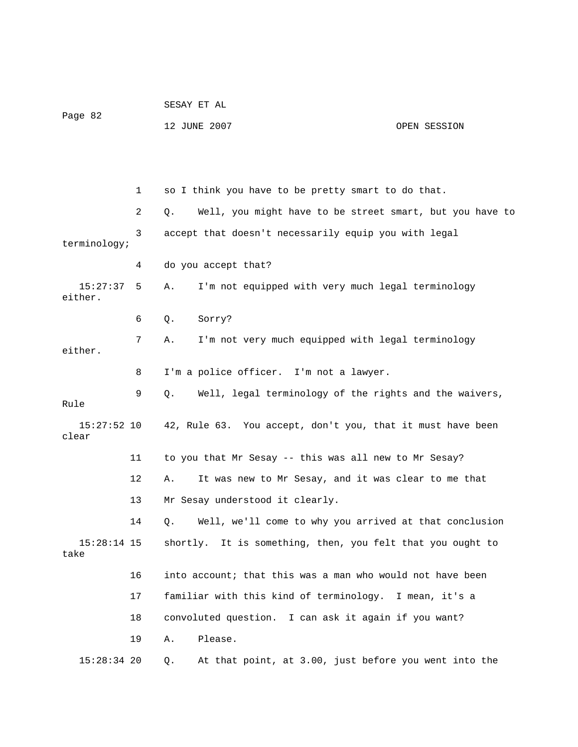|                        |    | SESAY ET AL                                                    |              |  |
|------------------------|----|----------------------------------------------------------------|--------------|--|
| Page 82                |    | 12 JUNE 2007                                                   | OPEN SESSION |  |
|                        |    |                                                                |              |  |
|                        | 1  | so I think you have to be pretty smart to do that.             |              |  |
|                        | 2  | Well, you might have to be street smart, but you have to<br>Q. |              |  |
| terminology;           | 3  | accept that doesn't necessarily equip you with legal           |              |  |
|                        | 4  | do you accept that?                                            |              |  |
| 15:27:37<br>either.    | 5  | I'm not equipped with very much legal terminology<br>Α.        |              |  |
|                        | 6  | Sorry?<br>Q.                                                   |              |  |
| either.                | 7  | I'm not very much equipped with legal terminology<br>Α.        |              |  |
|                        | 8  | I'm a police officer. I'm not a lawyer.                        |              |  |
| Rule                   | 9  | Well, legal terminology of the rights and the waivers,<br>Q.   |              |  |
| $15:27:52$ 10<br>clear |    | 42, Rule 63. You accept, don't you, that it must have been     |              |  |
|                        | 11 | to you that Mr Sesay -- this was all new to Mr Sesay?          |              |  |
|                        | 12 | It was new to Mr Sesay, and it was clear to me that<br>Α.      |              |  |
|                        | 13 | Mr Sesay understood it clearly.                                |              |  |
|                        | 14 | Well, we'll come to why you arrived at that conclusion<br>Q.   |              |  |
| $15:28:14$ 15<br>take  |    | shortly. It is something, then, you felt that you ought to     |              |  |
|                        | 16 | into account; that this was a man who would not have been      |              |  |
|                        | 17 | familiar with this kind of terminology. I mean, it's a         |              |  |
|                        | 18 | convoluted question. I can ask it again if you want?           |              |  |
|                        | 19 | Please.<br>Α.                                                  |              |  |
| $15:28:34$ 20          |    | At that point, at 3.00, just before you went into the<br>Q.    |              |  |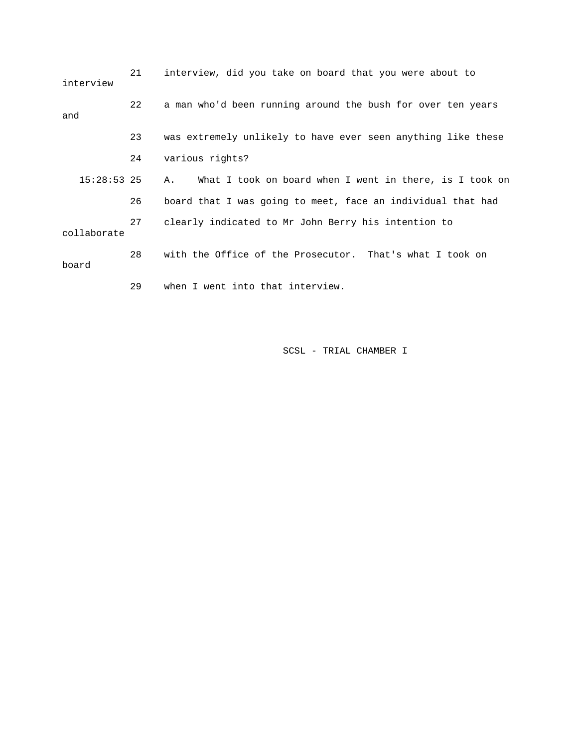| interview     | 21 | interview, did you take on board that you were about to       |
|---------------|----|---------------------------------------------------------------|
| and           | 22 | a man who'd been running around the bush for over ten years   |
|               | 23 | was extremely unlikely to have ever seen anything like these  |
|               | 24 | various rights?                                               |
| $15:28:53$ 25 |    | What I took on board when I went in there, is I took on<br>Α. |
|               | 26 | board that I was going to meet, face an individual that had   |
| collaborate   | 27 | clearly indicated to Mr John Berry his intention to           |
| board         | 28 | with the Office of the Prosecutor. That's what I took on      |
|               | 29 | when I went into that interview.                              |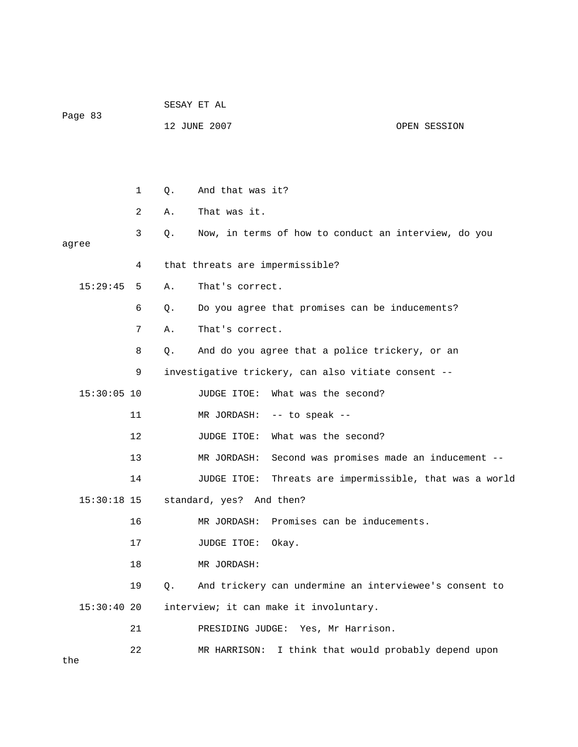|               |    | SESAY ET AL |                                                          |                                             |  |
|---------------|----|-------------|----------------------------------------------------------|---------------------------------------------|--|
| Page 83       |    |             | 12 JUNE 2007                                             | OPEN SESSION                                |  |
|               |    |             |                                                          |                                             |  |
|               |    |             |                                                          |                                             |  |
|               | 1  | Q.          | And that was it?                                         |                                             |  |
|               | 2  | Α.          | That was it.                                             |                                             |  |
| agree         | 3  | Q.          | Now, in terms of how to conduct an interview, do you     |                                             |  |
|               | 4  |             | that threats are impermissible?                          |                                             |  |
| 15:29:45      | 5  | Α.          | That's correct.                                          |                                             |  |
|               | 6  | Q.          | Do you agree that promises can be inducements?           |                                             |  |
|               | 7  | Α.          | That's correct.                                          |                                             |  |
|               | 8  | Q.          | And do you agree that a police trickery, or an           |                                             |  |
|               | 9  |             | investigative trickery, can also vitiate consent --      |                                             |  |
| $15:30:05$ 10 |    |             | JUDGE ITOE:<br>What was the second?                      |                                             |  |
|               | 11 |             | MR JORDASH: -- to speak --                               |                                             |  |
|               | 12 |             | What was the second?<br>JUDGE ITOE:                      |                                             |  |
|               | 13 |             | Second was promises made an inducement --<br>MR JORDASH: |                                             |  |
|               | 14 |             | JUDGE ITOE:                                              | Threats are impermissible, that was a world |  |
| 15:30:18 15   |    |             | standard, yes? And then?                                 |                                             |  |
|               | 16 |             | MR JORDASH: Promises can be inducements.                 |                                             |  |
|               | 17 |             | JUDGE ITOE:<br>Okay.                                     |                                             |  |
|               | 18 |             | MR JORDASH:                                              |                                             |  |
|               | 19 | Q.          | And trickery can undermine an interviewee's consent to   |                                             |  |
| 15:30:4020    |    |             | interview; it can make it involuntary.                   |                                             |  |
|               | 21 |             | PRESIDING JUDGE: Yes, Mr Harrison.                       |                                             |  |
|               | 22 |             | I think that would probably depend upon<br>MR HARRISON:  |                                             |  |

the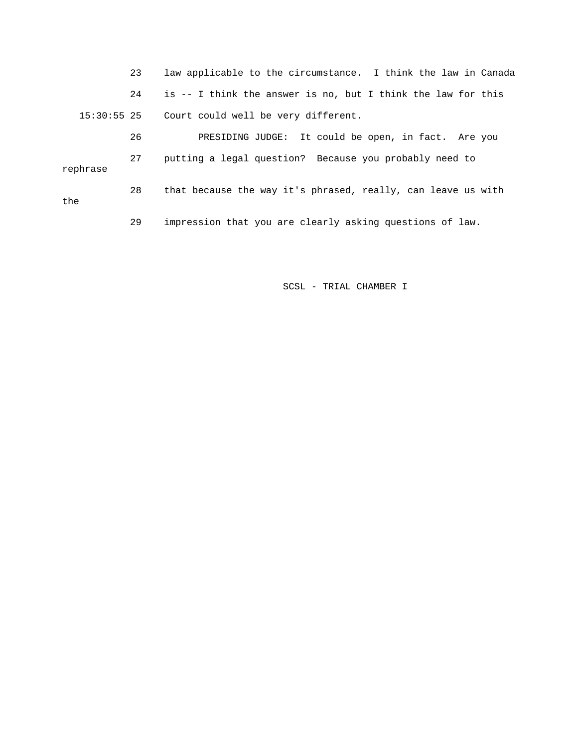23 law applicable to the circumstance. I think the law in Canada 24 is -- I think the answer is no, but I think the law for this 15:30:55 25 Court could well be very different. 26 PRESIDING JUDGE: It could be open, in fact. Are you 27 putting a legal question? Because you probably need to rephrase 28 that because the way it's phrased, really, can leave us with 29 impression that you are clearly asking questions of law. the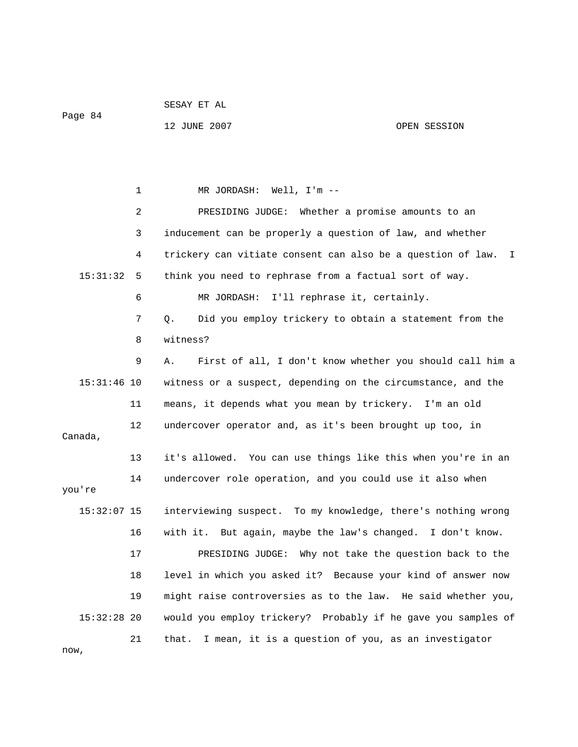| Page 84 |  |  |
|---------|--|--|

SESAY ET AL

12 JUNE 2007 OPEN SESSION

 1 MR JORDASH: Well, I'm -- 2 PRESIDING JUDGE: Whether a promise amounts to an 3 inducement can be properly a question of law, and whether 4 trickery can vitiate consent can also be a question of law. I 15:31:32 5 think you need to rephrase from a factual sort of way. 6 MR JORDASH: I'll rephrase it, certainly. 7 Q. Did you employ trickery to obtain a statement from the 8 witness? 9 A. First of all, I don't know whether you should call him a 15:31:46 10 witness or a suspect, depending on the circumstance, and the 11 means, it depends what you mean by trickery. I'm an old 12 undercover operator and, as it's been brought up too, in Canada, 13 it's allowed. You can use things like this when you're in an 14 undercover role operation, and you could use it also when you're 15:32:07 15 interviewing suspect. To my knowledge, there's nothing wrong 16 with it. But again, maybe the law's changed. I don't know. 17 PRESIDING JUDGE: Why not take the question back to the 18 level in which you asked it? Because your kind of answer now 19 might raise controversies as to the law. He said whether you, 15:32:28 20 would you employ trickery? Probably if he gave you samples of 21 that. I mean, it is a question of you, as an investigator now,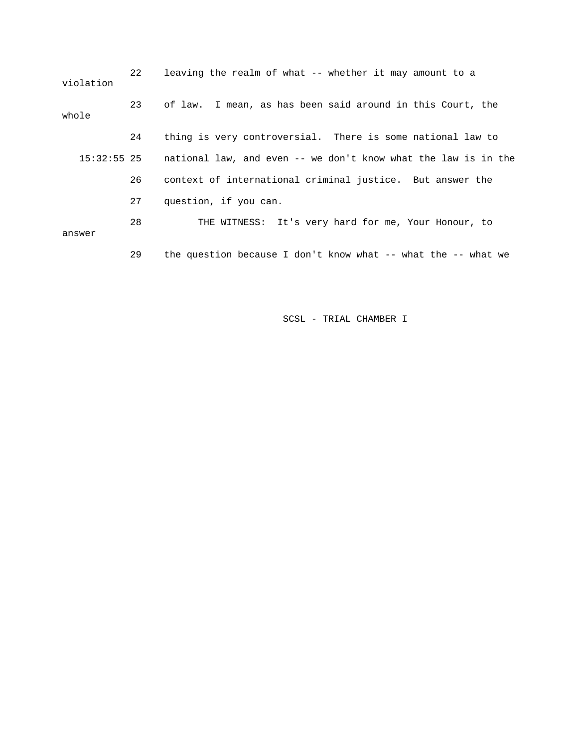| violation | $22^{\circ}$ | leaving the realm of what -- whether it may amount to a                    |
|-----------|--------------|----------------------------------------------------------------------------|
| whole     | 23           | of law. I mean, as has been said around in this Court, the                 |
|           | 24           | thing is very controversial. There is some national law to                 |
|           |              | 15:32:55 25 mational law, and even -- we don't know what the law is in the |
|           | 26           | context of international criminal justice. But answer the                  |
|           | 27           | question, if you can.                                                      |
| answer    | 28           | THE WITNESS: It's very hard for me, Your Honour, to                        |
|           | 29           | the question because I don't know what $--$ what the $--$ what we          |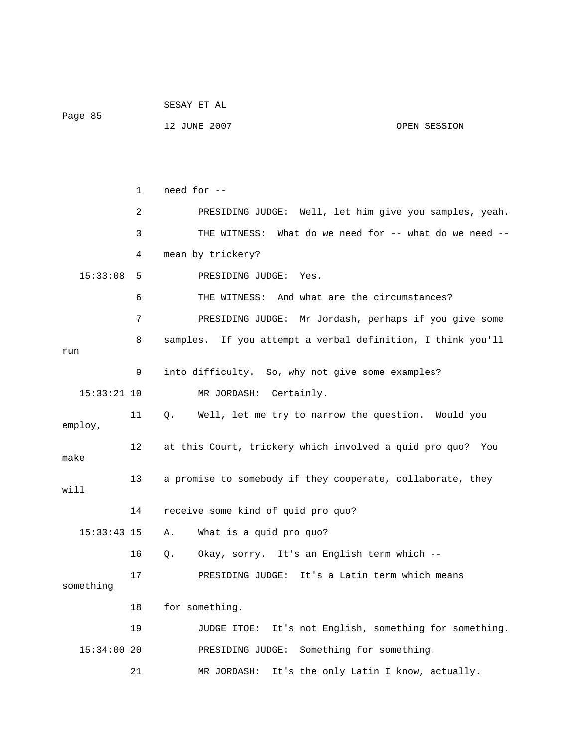|               |              | SESAY ET AL                                                 |  |
|---------------|--------------|-------------------------------------------------------------|--|
| Page 85       |              | 12 JUNE 2007<br>OPEN SESSION                                |  |
|               |              |                                                             |  |
|               |              |                                                             |  |
|               | $\mathbf{1}$ | need for --                                                 |  |
|               | 2            | PRESIDING JUDGE: Well, let him give you samples, yeah.      |  |
|               | 3            | What do we need for -- what do we need --<br>THE WITNESS:   |  |
|               | 4            | mean by trickery?                                           |  |
| 15:33:08      | 5            | PRESIDING JUDGE:<br>Yes.                                    |  |
|               | 6            | And what are the circumstances?<br>THE WITNESS:             |  |
|               | 7            | PRESIDING JUDGE: Mr Jordash, perhaps if you give some       |  |
|               | 8            | samples. If you attempt a verbal definition, I think you'll |  |
| run           |              |                                                             |  |
|               | 9            | into difficulty. So, why not give some examples?            |  |
| $15:33:21$ 10 |              | MR JORDASH: Certainly.                                      |  |
| employ,       | 11           | Well, let me try to narrow the question. Would you<br>Q.    |  |
| make          | 12           | at this Court, trickery which involved a quid pro quo? You  |  |
| will          | 13           | a promise to somebody if they cooperate, collaborate, they  |  |
|               | 14           | receive some kind of quid pro quo?                          |  |
| $15:33:43$ 15 |              | What is a quid pro quo?<br>Α.                               |  |
|               | 16           | Okay, sorry. It's an English term which --<br>Q.            |  |
| something     | 17           | It's a Latin term which means<br>PRESIDING JUDGE:           |  |
|               | 18           | for something.                                              |  |
|               | 19           | It's not English, something for something.<br>JUDGE ITOE:   |  |
| $15:34:00$ 20 |              | Something for something.<br>PRESIDING JUDGE:                |  |
|               | 21           | It's the only Latin I know, actually.<br>MR JORDASH:        |  |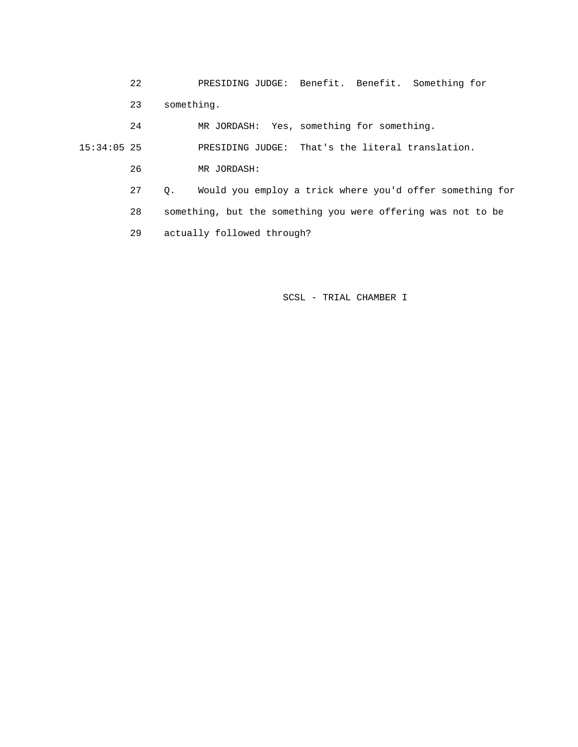22 PRESIDING JUDGE: Benefit. Benefit. Something for 23 something.

24 MR JORDASH: Yes, something for something.

15:34:05 25 PRESIDING JUDGE: That's the literal translation.

26 MR JORDASH:

 27 Q. Would you employ a trick where you'd offer something for 28 something, but the something you were offering was not to be 29 actually followed through?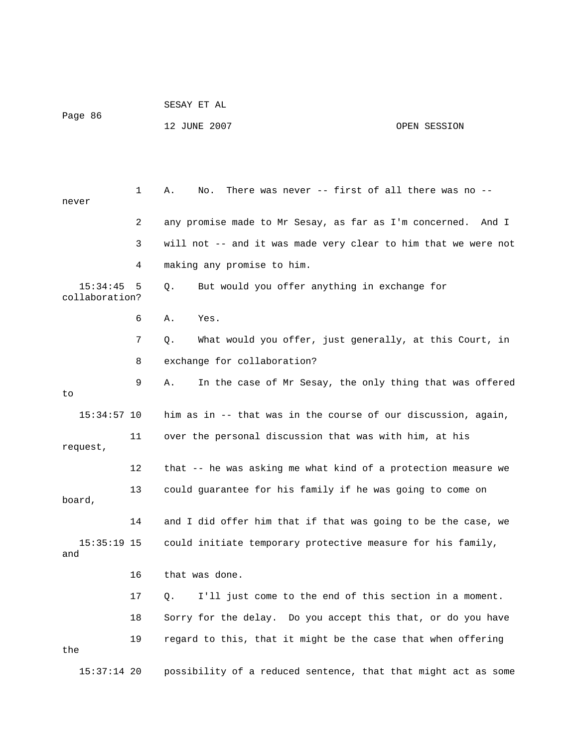| Page 86                    |    | 12 JUNE 2007                                                   | OPEN SESSION |
|----------------------------|----|----------------------------------------------------------------|--------------|
|                            |    |                                                                |              |
| never                      | 1  | There was never -- first of all there was no --<br>Α.<br>No.   |              |
|                            | 2  | any promise made to Mr Sesay, as far as I'm concerned. And I   |              |
|                            | 3  | will not -- and it was made very clear to him that we were not |              |
|                            | 4  | making any promise to him.                                     |              |
| 15:34:45<br>collaboration? | 5  | But would you offer anything in exchange for<br>Q.             |              |
|                            | 6  | Yes.<br>Α.                                                     |              |
|                            | 7  | What would you offer, just generally, at this Court, in<br>Q.  |              |
|                            | 8  | exchange for collaboration?                                    |              |
| to                         | 9  | In the case of Mr Sesay, the only thing that was offered<br>Α. |              |
| $15:34:57$ 10              |    | him as in -- that was in the course of our discussion, again,  |              |
| request,                   | 11 | over the personal discussion that was with him, at his         |              |
|                            | 12 | that -- he was asking me what kind of a protection measure we  |              |
| board,                     | 13 | could guarantee for his family if he was going to come on      |              |
|                            | 14 | and I did offer him that if that was going to be the case, we  |              |
| $15:35:19$ 15<br>and       |    | could initiate temporary protective measure for his family,    |              |
|                            | 16 | that was done.                                                 |              |
|                            | 17 | I'll just come to the end of this section in a moment.<br>Q.   |              |
|                            | 18 | Sorry for the delay. Do you accept this that, or do you have   |              |
| the                        | 19 | regard to this, that it might be the case that when offering   |              |
| $15:37:14$ 20              |    | possibility of a reduced sentence, that that might act as some |              |

SESAY ET AL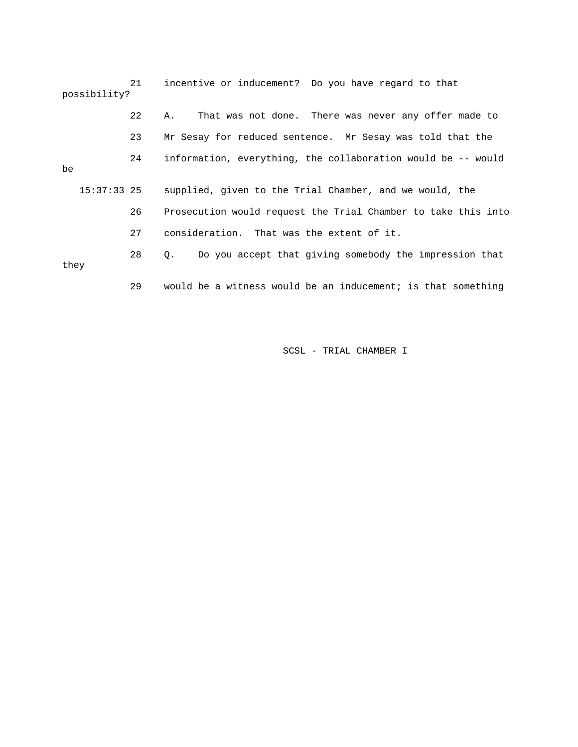21 incentive or inducement? Do you have regard to that possibility? 22 A. That was not done. There was never any offer made to 23 Mr Sesay for reduced sentence. Mr Sesay was told that the 24 information, everything, the collaboration would be -- would 15:37:33 25 supplied, given to the Trial Chamber, and we would, the 27 consideration. That was the extent of it. 28 Q. Do you accept that giving somebody the impression that 29 would be a witness would be an inducement; is that something be 26 Prosecution would request the Trial Chamber to take this into they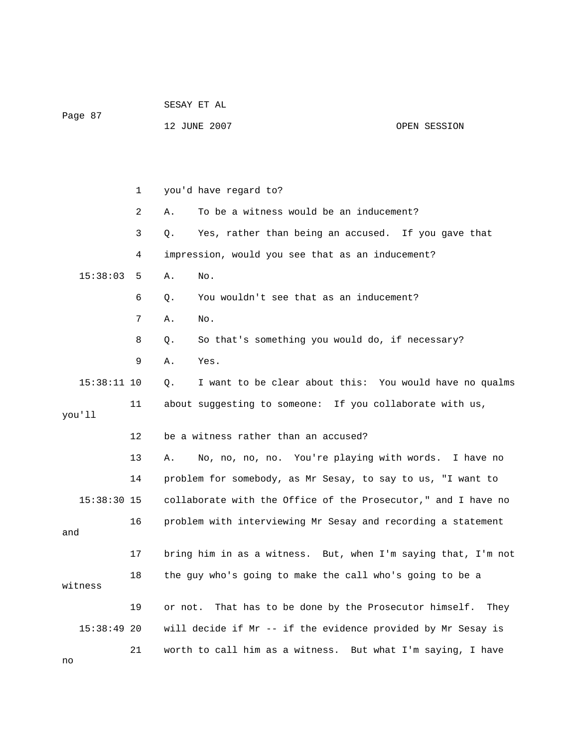|               |    | SESAY ET AL                                                   |              |  |  |
|---------------|----|---------------------------------------------------------------|--------------|--|--|
| Page 87       |    | 12 JUNE 2007                                                  | OPEN SESSION |  |  |
|               |    |                                                               |              |  |  |
|               |    |                                                               |              |  |  |
|               | 1  | you'd have regard to?                                         |              |  |  |
|               | 2  | To be a witness would be an inducement?<br>Α.                 |              |  |  |
|               | 3  | Yes, rather than being an accused. If you gave that<br>Q.     |              |  |  |
|               | 4  | impression, would you see that as an inducement?              |              |  |  |
| 15:38:03      | 5  | No.<br>Α.                                                     |              |  |  |
|               | 6  | You wouldn't see that as an inducement?<br>Q.                 |              |  |  |
|               | 7  | Α.<br>No.                                                     |              |  |  |
|               | 8  | So that's something you would do, if necessary?<br>Q.         |              |  |  |
|               | 9  | Yes.<br>Α.                                                    |              |  |  |
| $15:38:11$ 10 |    | Q.<br>I want to be clear about this: You would have no qualms |              |  |  |
|               | 11 | about suggesting to someone: If you collaborate with us,      |              |  |  |
| you'll        |    |                                                               |              |  |  |
|               | 12 | be a witness rather than an accused?                          |              |  |  |
|               | 13 | No, no, no, no. You're playing with words.<br>Α.              | I have no    |  |  |
|               | 14 | problem for somebody, as Mr Sesay, to say to us, "I want to   |              |  |  |
| $15:38:30$ 15 |    | collaborate with the Office of the Prosecutor," and I have no |              |  |  |
|               | 16 | problem with interviewing Mr Sesay and recording a statement  |              |  |  |
| and           |    |                                                               |              |  |  |
|               | 17 | bring him in as a witness. But, when I'm saying that, I'm not |              |  |  |
| witness       | 18 | the guy who's going to make the call who's going to be a      |              |  |  |
|               | 19 | That has to be done by the Prosecutor himself.<br>or not.     | They         |  |  |
| $15:38:49$ 20 |    | will decide if Mr -- if the evidence provided by Mr Sesay is  |              |  |  |
|               | 21 | worth to call him as a witness. But what I'm saying, I have   |              |  |  |

no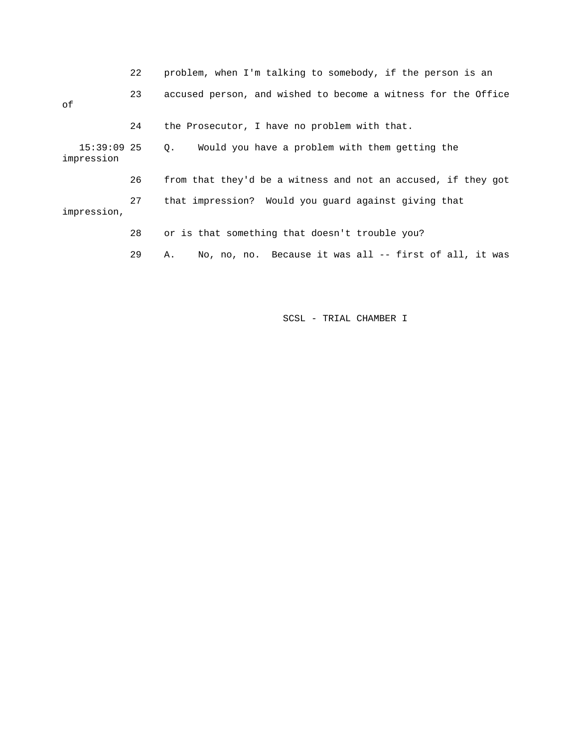|                             | 22 | problem, when I'm talking to somebody, if the person is an    |  |
|-----------------------------|----|---------------------------------------------------------------|--|
| оf                          | 23 | accused person, and wished to become a witness for the Office |  |
|                             | 24 | the Prosecutor, I have no problem with that.                  |  |
| $15:39:09$ 25<br>impression |    | Would you have a problem with them getting the<br>Q.          |  |
|                             | 26 | from that they'd be a witness and not an accused, if they got |  |
| impression,                 | 27 | that impression? Would you quard against giving that          |  |
|                             | 28 | or is that something that doesn't trouble you?                |  |
|                             | 29 | No, no, no. Because it was all -- first of all, it was<br>Α.  |  |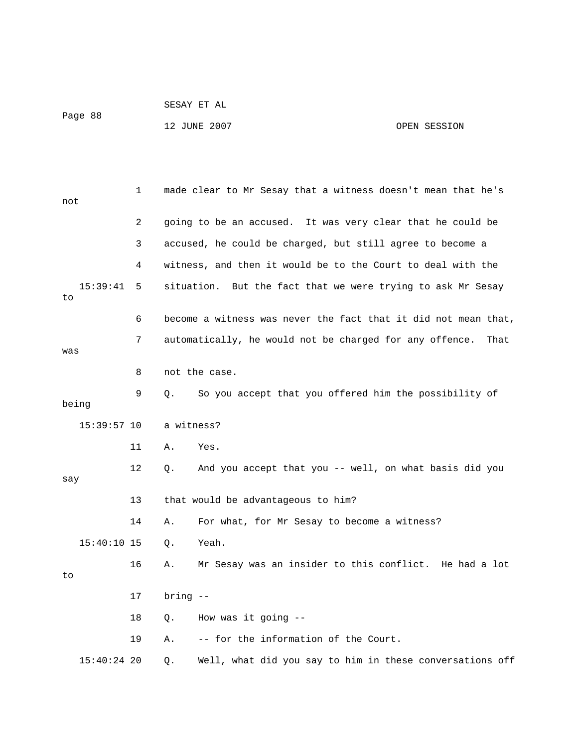| Page 88 | SESAY ET AL  |              |
|---------|--------------|--------------|
|         | 12 JUNE 2007 | OPEN SESSION |

| not |                                                                      | 1  | made clear to Mr Sesay that a witness doesn't mean that he's   |  |  |  |
|-----|----------------------------------------------------------------------|----|----------------------------------------------------------------|--|--|--|
|     |                                                                      | 2  | going to be an accused. It was very clear that he could be     |  |  |  |
|     |                                                                      | 3  | accused, he could be charged, but still agree to become a      |  |  |  |
|     |                                                                      | 4  | witness, and then it would be to the Court to deal with the    |  |  |  |
| to  | 15:39:41                                                             | 5  | situation. But the fact that we were trying to ask Mr Sesay    |  |  |  |
|     |                                                                      | 6  | become a witness was never the fact that it did not mean that, |  |  |  |
| was | 7<br>automatically, he would not be charged for any offence.<br>That |    |                                                                |  |  |  |
|     |                                                                      | 8  | not the case.                                                  |  |  |  |
|     | being                                                                | 9  | О.<br>So you accept that you offered him the possibility of    |  |  |  |
|     | $15:39:57$ 10                                                        |    | a witness?                                                     |  |  |  |
|     |                                                                      | 11 | Α.<br>Yes.                                                     |  |  |  |
| say |                                                                      | 12 | And you accept that you -- well, on what basis did you<br>Q.   |  |  |  |
|     |                                                                      | 13 | that would be advantageous to him?                             |  |  |  |
|     |                                                                      | 14 | Α.<br>For what, for Mr Sesay to become a witness?              |  |  |  |
|     | $15:40:10$ 15                                                        |    | Yeah.<br>Q.                                                    |  |  |  |
| to  |                                                                      | 16 | Mr Sesay was an insider to this conflict. He had a lot<br>Α.   |  |  |  |
|     |                                                                      | 17 | $bring - -$                                                    |  |  |  |
|     |                                                                      | 18 | How was it going $-$<br>$\circ$ .                              |  |  |  |
|     |                                                                      | 19 | -- for the information of the Court.<br>Α.                     |  |  |  |
|     | $15:40:24$ 20                                                        |    | Well, what did you say to him in these conversations off<br>Q. |  |  |  |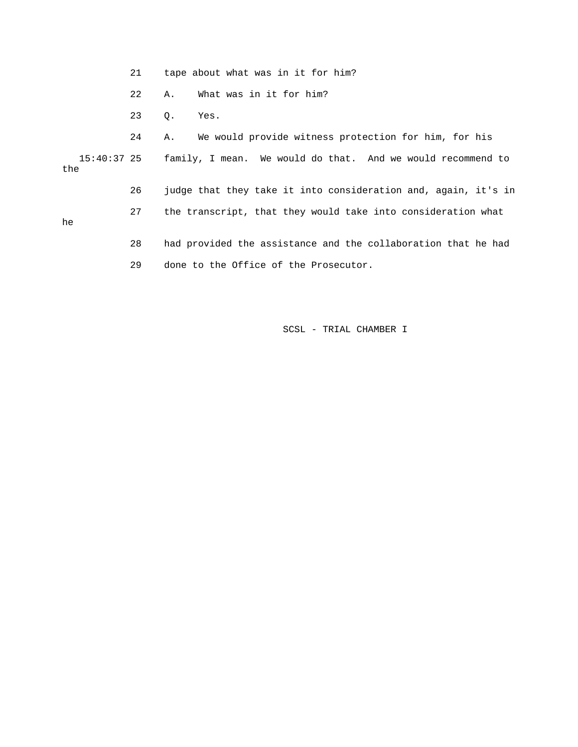|     | 21 | tape about what was in it for him?                                      |  |
|-----|----|-------------------------------------------------------------------------|--|
|     | 22 | What was in it for him?<br>Α.                                           |  |
|     | 23 | Q.<br>Yes.                                                              |  |
|     | 24 | We would provide witness protection for him, for his<br>Α.              |  |
| the |    | 15:40:37 25 family, I mean. We would do that. And we would recommend to |  |
|     | 26 | judge that they take it into consideration and, again, it's in          |  |
| he  | 27 | the transcript, that they would take into consideration what            |  |
|     | 28 | had provided the assistance and the collaboration that he had           |  |
|     | 29 | done to the Office of the Prosecutor.                                   |  |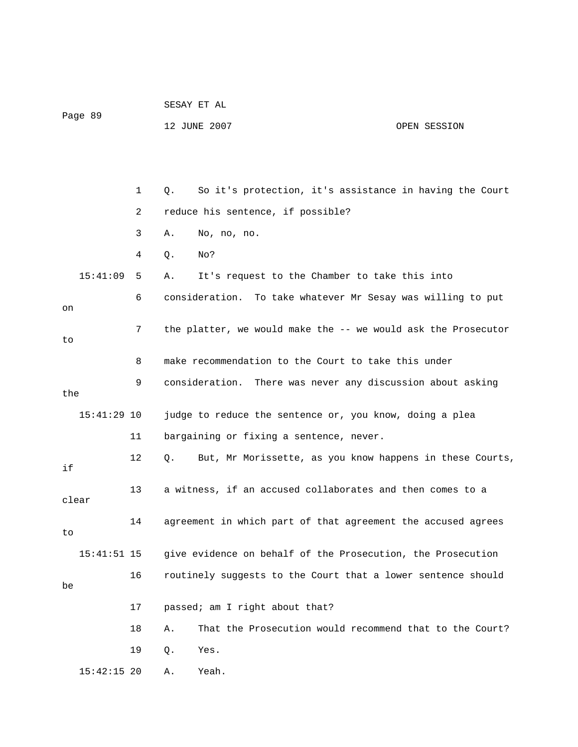|               |    | SESAY ET AL                                                    |              |  |
|---------------|----|----------------------------------------------------------------|--------------|--|
| Page 89       |    | 12 JUNE 2007                                                   | OPEN SESSION |  |
|               |    |                                                                |              |  |
|               |    |                                                                |              |  |
|               | 1  | So it's protection, it's assistance in having the Court<br>Q.  |              |  |
|               | 2  | reduce his sentence, if possible?                              |              |  |
|               | 3  | No, no, no.<br>Α.                                              |              |  |
|               | 4  | No?<br>Q.                                                      |              |  |
| 15:41:09      | 5  | It's request to the Chamber to take this into<br>Α.            |              |  |
| on            | 6  | consideration. To take whatever Mr Sesay was willing to put    |              |  |
| to            | 7  | the platter, we would make the -- we would ask the Prosecutor  |              |  |
|               | 8  | make recommendation to the Court to take this under            |              |  |
|               | 9  | consideration. There was never any discussion about asking     |              |  |
| the           |    |                                                                |              |  |
| $15:41:29$ 10 |    | judge to reduce the sentence or, you know, doing a plea        |              |  |
|               | 11 | bargaining or fixing a sentence, never.                        |              |  |
| if            | 12 | But, Mr Morissette, as you know happens in these Courts,<br>Q. |              |  |
| clear         | 13 | a witness, if an accused collaborates and then comes to a      |              |  |
| to            | 14 | agreement in which part of that agreement the accused agrees   |              |  |
| $15:41:51$ 15 |    | give evidence on behalf of the Prosecution, the Prosecution    |              |  |
| be            | 16 | routinely suggests to the Court that a lower sentence should   |              |  |
|               | 17 | passed; am I right about that?                                 |              |  |
|               | 18 | That the Prosecution would recommend that to the Court?<br>Α.  |              |  |
|               | 19 | Yes.<br>Q.                                                     |              |  |
| $15:42:15$ 20 |    | Yeah.<br>Α.                                                    |              |  |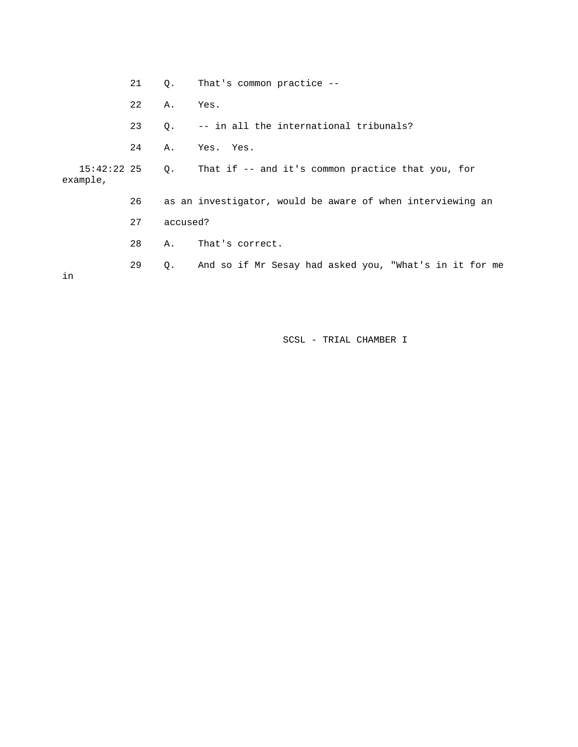21 Q. That's common practice --

22 A. Yes.

23 Q. -- in all the international tribunals?

24 A. Yes. Yes.

 15:42:22 25 Q. That if -- and it's common practice that you, for example,

26 as an investigator, would be aware of when interviewing an

27 accused?

28 A. That's correct.

29 Q. And so if Mr Sesay had asked you, "What's in it for me

in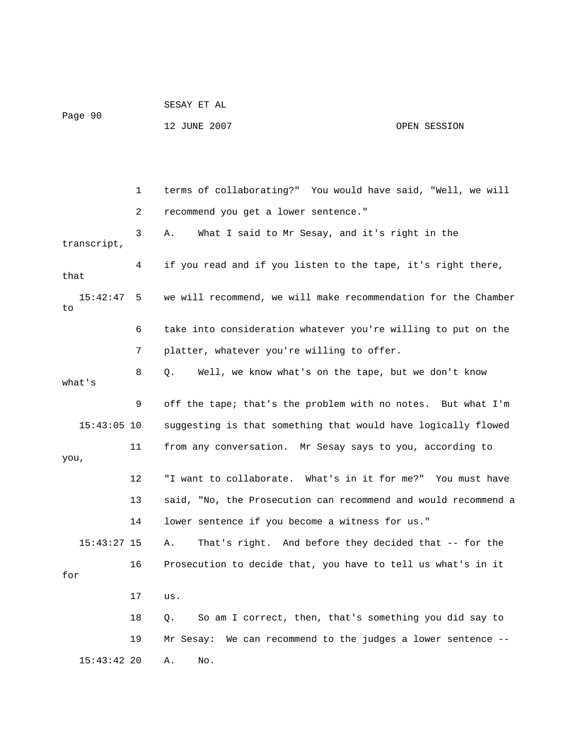| Page 90     |                                | 12 JUNE 2007<br>OPEN SESSION                                                                         |  |
|-------------|--------------------------------|------------------------------------------------------------------------------------------------------|--|
|             | $\mathbf{1}$<br>$\overline{2}$ | terms of collaborating?" You would have said, "Well, we will<br>recommend you get a lower sentence." |  |
| transcript, | 3                              | What I said to Mr Sesay, and it's right in the<br>Α.                                                 |  |

SESAY ET AL

 4 if you read and if you listen to the tape, it's right there, that 15:42:47 5 we will recommend, we will make recommendation for the Chamber to

 6 take into consideration whatever you're willing to put on the 7 platter, whatever you're willing to offer.

 8 Q. Well, we know what's on the tape, but we don't know what's

 9 off the tape; that's the problem with no notes. But what I'm 15:43:05 10 suggesting is that something that would have logically flowed 11 from any conversation. Mr Sesay says to you, according to you,

 12 "I want to collaborate. What's in it for me?" You must have 13 said, "No, the Prosecution can recommend and would recommend a 14 lower sentence if you become a witness for us."

 15:43:27 15 A. That's right. And before they decided that -- for the 16 Prosecution to decide that, you have to tell us what's in it for

 17 us. 18 Q. So am I correct, then, that's something you did say to 19 Mr Sesay: We can recommend to the judges a lower sentence -- 15:43:42 20 A. No.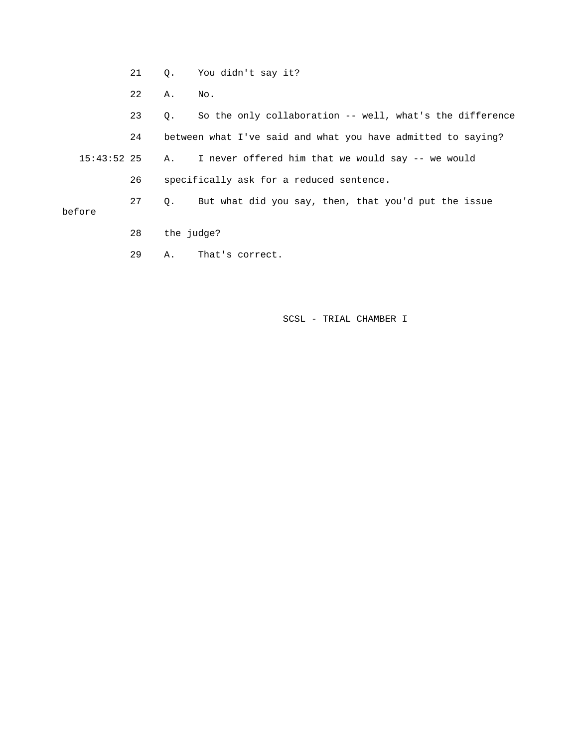- 21 Q. You didn't say it?
- 22 A. No.

 23 Q. So the only collaboration -- well, what's the difference 24 between what I've said and what you have admitted to saying? 15:43:52 25 A. I never offered him that we would say -- we would 26 specifically ask for a reduced sentence. 27 Q. But what did you say, then, that you'd put the issue before

- 28 the judge?
- 29 A. That's correct.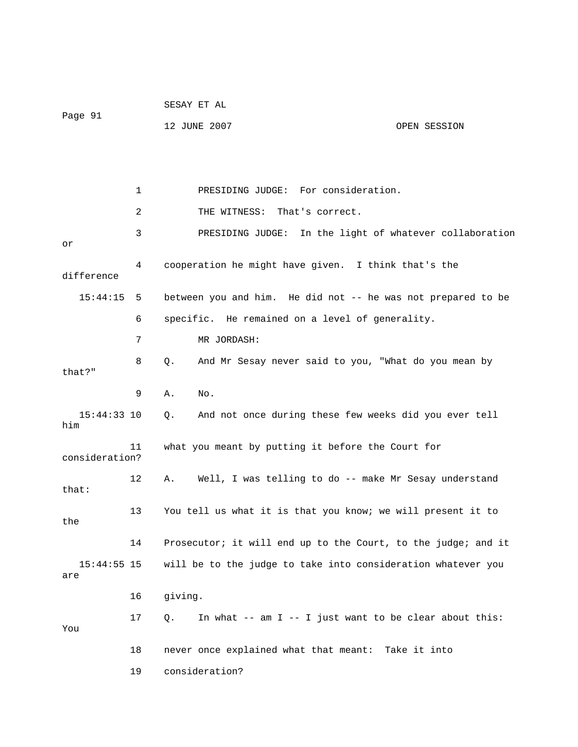|                      |    | SESAY ET AL                                                   |              |
|----------------------|----|---------------------------------------------------------------|--------------|
| Page 91              |    | 12 JUNE 2007                                                  | OPEN SESSION |
|                      |    |                                                               |              |
|                      |    |                                                               |              |
|                      | 1  | PRESIDING JUDGE: For consideration.                           |              |
|                      | 2  | THE WITNESS: That's correct.                                  |              |
| or                   | 3  | PRESIDING JUDGE: In the light of whatever collaboration       |              |
| difference           | 4  | cooperation he might have given. I think that's the           |              |
| 15:44:15             | 5  | between you and him. He did not -- he was not prepared to be  |              |
|                      | 6  | specific. He remained on a level of generality.               |              |
|                      | 7  | MR JORDASH:                                                   |              |
| that?"               | 8  | And Mr Sesay never said to you, "What do you mean by<br>$Q$ . |              |
|                      | 9  | Α.<br>No.                                                     |              |
| $15:44:33$ 10<br>him |    | And not once during these few weeks did you ever tell<br>Q.   |              |
| consideration?       | 11 | what you meant by putting it before the Court for             |              |
| that:                | 12 | Well, I was telling to do -- make Mr Sesay understand<br>А.   |              |
| the                  | 13 | You tell us what it is that you know; we will present it to   |              |
|                      | 14 | Prosecutor; it will end up to the Court, to the judge; and it |              |
| $15:44:55$ 15<br>are |    | will be to the judge to take into consideration whatever you  |              |
|                      | 16 | giving.                                                       |              |
| You                  | 17 | In what -- am I -- I just want to be clear about this:<br>Q.  |              |
|                      | 18 | never once explained what that meant: Take it into            |              |
|                      | 19 | consideration?                                                |              |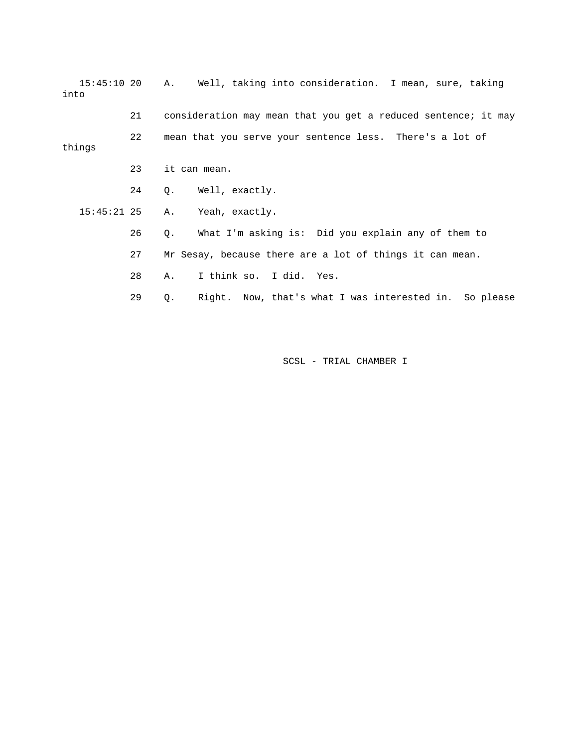| $15:45:10$ 20<br>into |    | Α. | Well, taking into consideration. I mean, sure, taking          |
|-----------------------|----|----|----------------------------------------------------------------|
|                       | 21 |    | consideration may mean that you get a reduced sentence; it may |
| things                | 22 |    | mean that you serve your sentence less. There's a lot of       |
|                       | 23 |    | it can mean.                                                   |
|                       | 24 |    | Q. Well, exactly.                                              |
| $15:45:21$ 25         |    | A. | Yeah, exactly.                                                 |
|                       | 26 | Q. | What I'm asking is: Did you explain any of them to             |
|                       | 27 |    | Mr Sesay, because there are a lot of things it can mean.       |
|                       | 28 | А. | I think so. I did. Yes.                                        |
|                       | 29 | О. | Right. Now, that's what I was interested in.<br>So please      |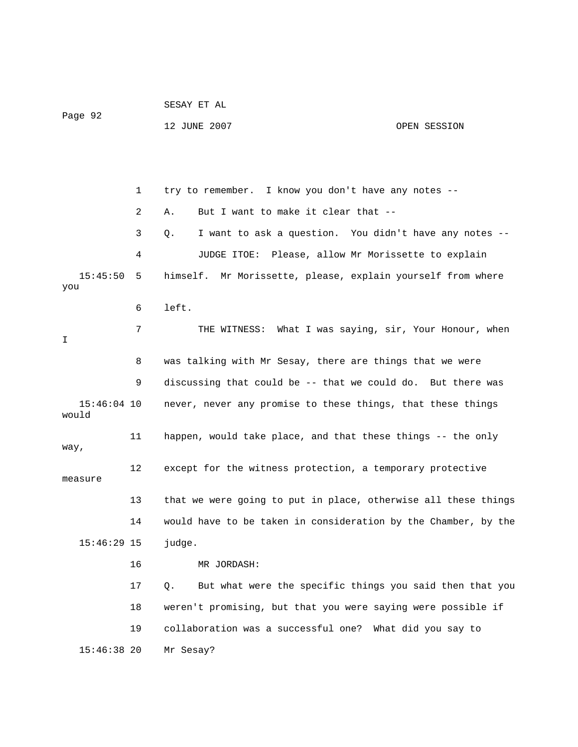|                        |              | SESAY ET AL                                                    |              |  |  |  |  |
|------------------------|--------------|----------------------------------------------------------------|--------------|--|--|--|--|
| Page 92                |              | 12 JUNE 2007                                                   | OPEN SESSION |  |  |  |  |
|                        |              |                                                                |              |  |  |  |  |
|                        |              |                                                                |              |  |  |  |  |
|                        | $\mathbf{1}$ | try to remember. I know you don't have any notes --            |              |  |  |  |  |
|                        | 2            | But I want to make it clear that --<br>Α.                      |              |  |  |  |  |
|                        | 3            | I want to ask a question. You didn't have any notes --<br>Q.   |              |  |  |  |  |
|                        | 4            | JUDGE ITOE: Please, allow Mr Morissette to explain             |              |  |  |  |  |
| 15:45:50<br>you        | 5            | himself. Mr Morissette, please, explain yourself from where    |              |  |  |  |  |
|                        | 6            | left.                                                          |              |  |  |  |  |
| Ι                      | 7            | THE WITNESS: What I was saying, sir, Your Honour, when         |              |  |  |  |  |
|                        | 8            | was talking with Mr Sesay, there are things that we were       |              |  |  |  |  |
|                        | 9            | discussing that could be -- that we could do. But there was    |              |  |  |  |  |
| $15:46:04$ 10<br>would |              | never, never any promise to these things, that these things    |              |  |  |  |  |
| way,                   | 11           | happen, would take place, and that these things -- the only    |              |  |  |  |  |
| measure                | 12           | except for the witness protection, a temporary protective      |              |  |  |  |  |
|                        | 13           | that we were going to put in place, otherwise all these things |              |  |  |  |  |
|                        | 14           | would have to be taken in consideration by the Chamber, by the |              |  |  |  |  |
| $15:46:29$ 15          |              | judge.                                                         |              |  |  |  |  |
|                        | 16           | MR JORDASH:                                                    |              |  |  |  |  |
|                        | 17           | But what were the specific things you said then that you<br>Q. |              |  |  |  |  |
|                        | 18           | weren't promising, but that you were saying were possible if   |              |  |  |  |  |
|                        | 19           | collaboration was a successful one? What did you say to        |              |  |  |  |  |
| $15:46:38$ 20          |              | Mr Sesay?                                                      |              |  |  |  |  |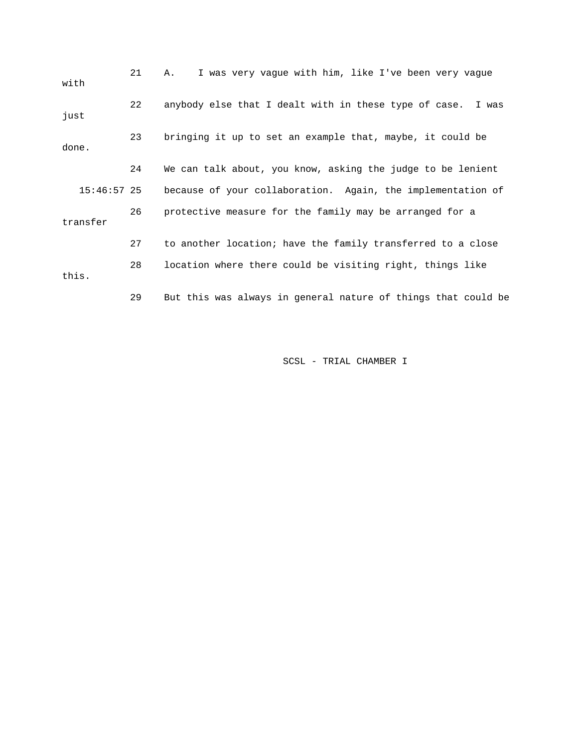| with          | 21 | I was very vaque with him, like I've been very vaque<br>Α.    |
|---------------|----|---------------------------------------------------------------|
| just          | 22 | anybody else that I dealt with in these type of case. I was   |
| done.         | 23 | bringing it up to set an example that, maybe, it could be     |
|               | 24 | We can talk about, you know, asking the judge to be lenient   |
| $15:46:57$ 25 |    | because of your collaboration. Again, the implementation of   |
| transfer      | 26 | protective measure for the family may be arranged for a       |
|               | 27 | to another location; have the family transferred to a close   |
| this.         | 28 | location where there could be visiting right, things like     |
|               | 29 | But this was always in general nature of things that could be |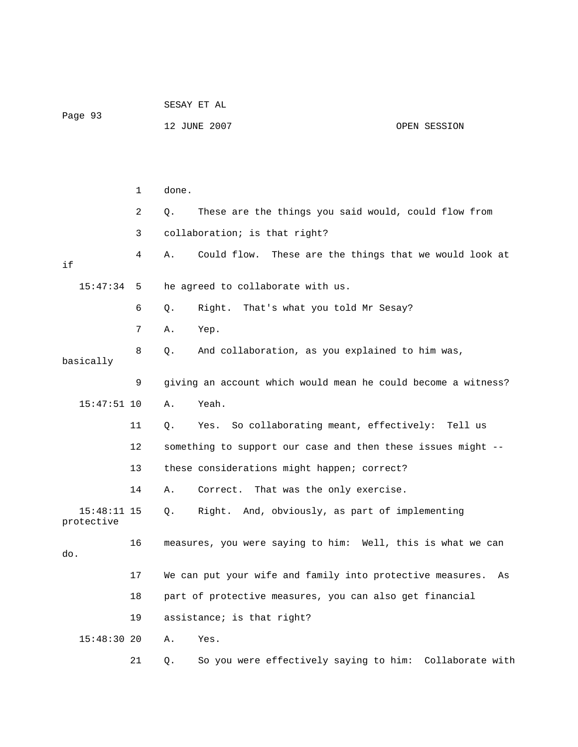| Page 93                     |    | SESAY ET AL |                                                               |              |  |  |
|-----------------------------|----|-------------|---------------------------------------------------------------|--------------|--|--|
|                             |    |             | 12 JUNE 2007                                                  | OPEN SESSION |  |  |
|                             |    |             |                                                               |              |  |  |
|                             |    |             |                                                               |              |  |  |
|                             | 1  | done.       |                                                               |              |  |  |
|                             | 2  | Q.          | These are the things you said would, could flow from          |              |  |  |
|                             | 3  |             | collaboration; is that right?                                 |              |  |  |
| if                          | 4  | Α.          | Could flow. These are the things that we would look at        |              |  |  |
| 15:47:34                    | 5  |             | he agreed to collaborate with us.                             |              |  |  |
|                             | 6  | Q.          | That's what you told Mr Sesay?<br>Right.                      |              |  |  |
|                             | 7  | Α.          | Yep.                                                          |              |  |  |
| basically                   | 8  | Q.          | And collaboration, as you explained to him was,               |              |  |  |
|                             | 9  |             | giving an account which would mean he could become a witness? |              |  |  |
| $15:47:51$ 10               |    | Α.          | Yeah.                                                         |              |  |  |
|                             | 11 | Q.          | So collaborating meant, effectively: Tell us<br>Yes.          |              |  |  |
|                             | 12 |             | something to support our case and then these issues might --  |              |  |  |
|                             | 13 |             | these considerations might happen; correct?                   |              |  |  |
|                             | 14 | Α.          | That was the only exercise.<br>Correct.                       |              |  |  |
| $15:48:11$ 15<br>protective |    | $Q$ .       | Right. And, obviously, as part of implementing                |              |  |  |
| do.                         | 16 |             | measures, you were saying to him: Well, this is what we can   |              |  |  |
|                             | 17 |             | We can put your wife and family into protective measures.     | As           |  |  |
|                             | 18 |             | part of protective measures, you can also get financial       |              |  |  |
|                             | 19 |             | assistance; is that right?                                    |              |  |  |
| $15:48:30$ 20               |    | Α.          | Yes.                                                          |              |  |  |
|                             | 21 | Q.          | So you were effectively saying to him: Collaborate with       |              |  |  |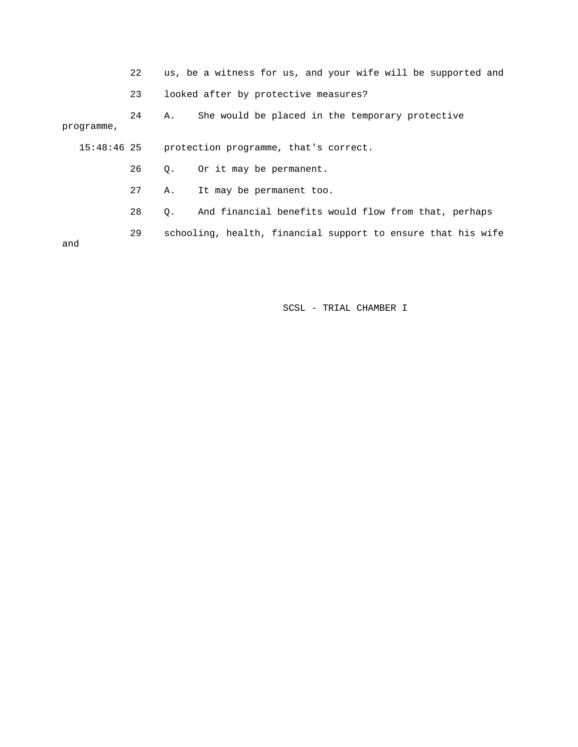22 us, be a witness for us, and your wife will be supported and

23 looked after by protective measures?

 24 A. She would be placed in the temporary protective programme,

15:48:46 25 protection programme, that's correct.

26 Q. Or it may be permanent.

27 A. It may be permanent too.

28 Q. And financial benefits would flow from that, perhaps

 29 schooling, health, financial support to ensure that his wife and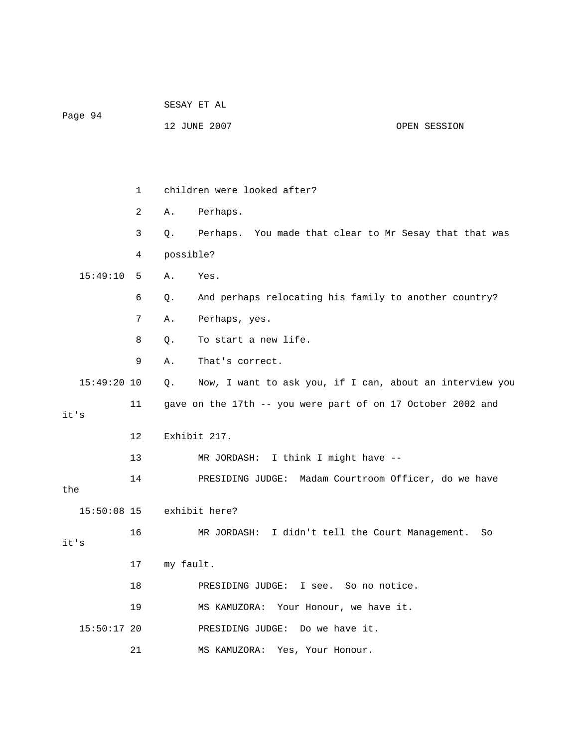|               |              | SESAY ET AL |                                                             |              |  |  |
|---------------|--------------|-------------|-------------------------------------------------------------|--------------|--|--|
| Page 94       |              |             | 12 JUNE 2007                                                | OPEN SESSION |  |  |
|               |              |             |                                                             |              |  |  |
|               |              |             |                                                             |              |  |  |
|               | $\mathbf{1}$ |             | children were looked after?                                 |              |  |  |
|               | 2            | Α.          | Perhaps.                                                    |              |  |  |
|               | 3            | Q.          | Perhaps. You made that clear to Mr Sesay that that was      |              |  |  |
|               | 4            | possible?   |                                                             |              |  |  |
| 15:49:10      | 5            | Α.          | Yes.                                                        |              |  |  |
|               | 6            | Q.          | And perhaps relocating his family to another country?       |              |  |  |
|               | 7            | Α.          | Perhaps, yes.                                               |              |  |  |
|               | 8            | Q.          | To start a new life.                                        |              |  |  |
|               | 9            | Α.          | That's correct.                                             |              |  |  |
| $15:49:20$ 10 |              | Q.          | Now, I want to ask you, if I can, about an interview you    |              |  |  |
| it's          | 11           |             | gave on the 17th -- you were part of on 17 October 2002 and |              |  |  |
|               | 12           |             | Exhibit 217.                                                |              |  |  |
|               | 13           |             | I think I might have --<br>MR JORDASH:                      |              |  |  |
|               |              |             |                                                             |              |  |  |
| the           | 14           |             | PRESIDING JUDGE: Madam Courtroom Officer, do we have        |              |  |  |
| $15:50:08$ 15 |              |             | exhibit here?                                               |              |  |  |
|               | 16           |             | MR JORDASH: I didn't tell the Court Management.             | So           |  |  |
| it's          |              |             |                                                             |              |  |  |
|               | 17           | my fault.   |                                                             |              |  |  |
|               | 18           |             | PRESIDING JUDGE: I see. So no notice.                       |              |  |  |
|               | 19           |             | MS KAMUZORA: Your Honour, we have it.                       |              |  |  |
| $15:50:17$ 20 |              |             | Do we have it.<br>PRESIDING JUDGE:                          |              |  |  |
|               | 21           |             | MS KAMUZORA:<br>Yes, Your Honour.                           |              |  |  |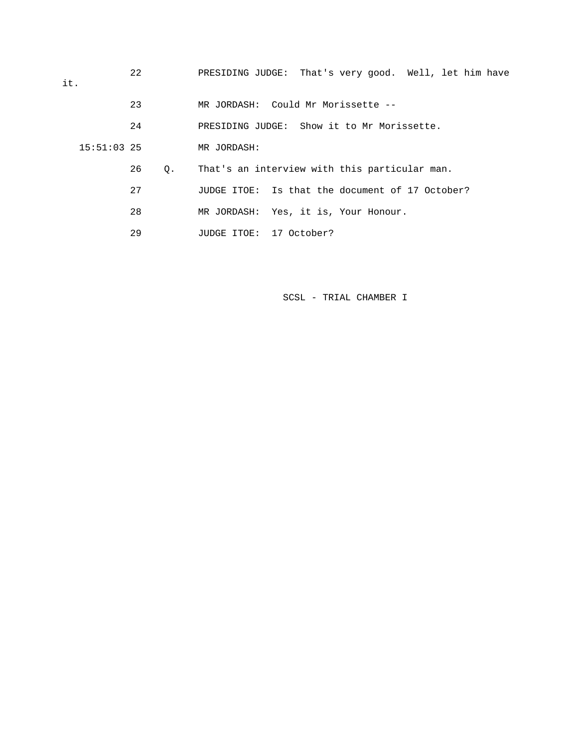| it. |               | 22 |    | PRESIDING JUDGE: That's very good. Well, let him have |  |  |  |  |
|-----|---------------|----|----|-------------------------------------------------------|--|--|--|--|
|     |               | 23 |    | MR JORDASH: Could Mr Morissette --                    |  |  |  |  |
|     |               | 24 |    | PRESIDING JUDGE: Show it to Mr Morissette.            |  |  |  |  |
|     | $15:51:03$ 25 |    |    | MR JORDASH:                                           |  |  |  |  |
|     |               | 26 | О. | That's an interview with this particular man.         |  |  |  |  |
|     |               | 27 |    | JUDGE ITOE: Is that the document of 17 October?       |  |  |  |  |
|     |               | 28 |    | MR JORDASH: Yes, it is, Your Honour.                  |  |  |  |  |
|     |               | 29 |    | JUDGE ITOE: 17 October?                               |  |  |  |  |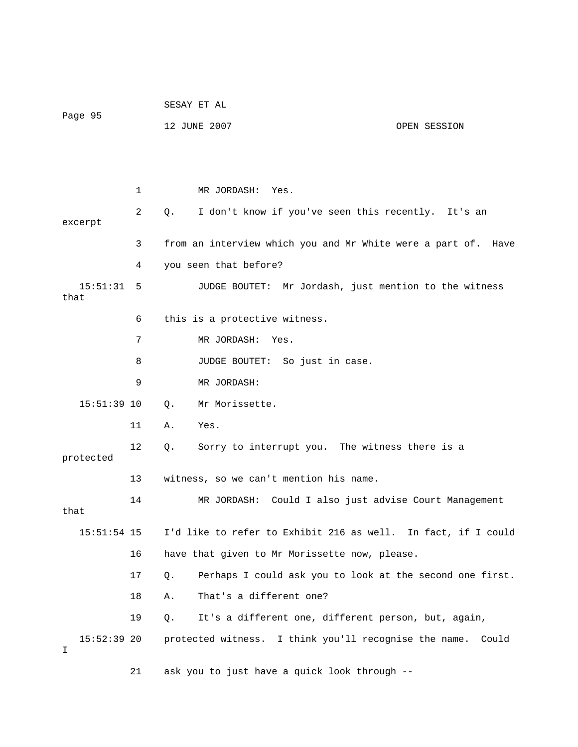|                    |    | SESAY ET AL                  |                                                               |       |  |  |  |
|--------------------|----|------------------------------|---------------------------------------------------------------|-------|--|--|--|
| Page 95            |    | 12 JUNE 2007<br>OPEN SESSION |                                                               |       |  |  |  |
|                    |    |                              |                                                               |       |  |  |  |
|                    |    |                              |                                                               |       |  |  |  |
|                    | 1  |                              | MR JORDASH: Yes.                                              |       |  |  |  |
| excerpt            | 2  | $Q_{\star}$                  | I don't know if you've seen this recently. It's an            |       |  |  |  |
|                    | 3  |                              | from an interview which you and Mr White were a part of. Have |       |  |  |  |
|                    | 4  |                              | you seen that before?                                         |       |  |  |  |
| 15:51:31 5<br>that |    |                              | JUDGE BOUTET: Mr Jordash, just mention to the witness         |       |  |  |  |
|                    | 6  |                              | this is a protective witness.                                 |       |  |  |  |
|                    | 7  |                              | MR JORDASH: Yes.                                              |       |  |  |  |
|                    | 8  |                              | JUDGE BOUTET: So just in case.                                |       |  |  |  |
|                    | 9  |                              | MR JORDASH:                                                   |       |  |  |  |
| $15:51:39$ 10      |    | $Q_{\star}$                  | Mr Morissette.                                                |       |  |  |  |
|                    | 11 | Α.                           | Yes.                                                          |       |  |  |  |
| protected          | 12 | Q.                           | Sorry to interrupt you. The witness there is a                |       |  |  |  |
|                    | 13 |                              | witness, so we can't mention his name.                        |       |  |  |  |
| that               | 14 |                              | MR JORDASH: Could I also just advise Court Management         |       |  |  |  |
| $15:51:54$ 15      |    |                              | I'd like to refer to Exhibit 216 as well. In fact, if I could |       |  |  |  |
|                    | 16 |                              | have that given to Mr Morissette now, please.                 |       |  |  |  |
|                    | 17 | Q.                           | Perhaps I could ask you to look at the second one first.      |       |  |  |  |
|                    | 18 | Α.                           | That's a different one?                                       |       |  |  |  |
|                    | 19 | Q.                           | It's a different one, different person, but, again,           |       |  |  |  |
| $15:52:39$ 20<br>I |    |                              | protected witness. I think you'll recognise the name.         | Could |  |  |  |

21 ask you to just have a quick look through --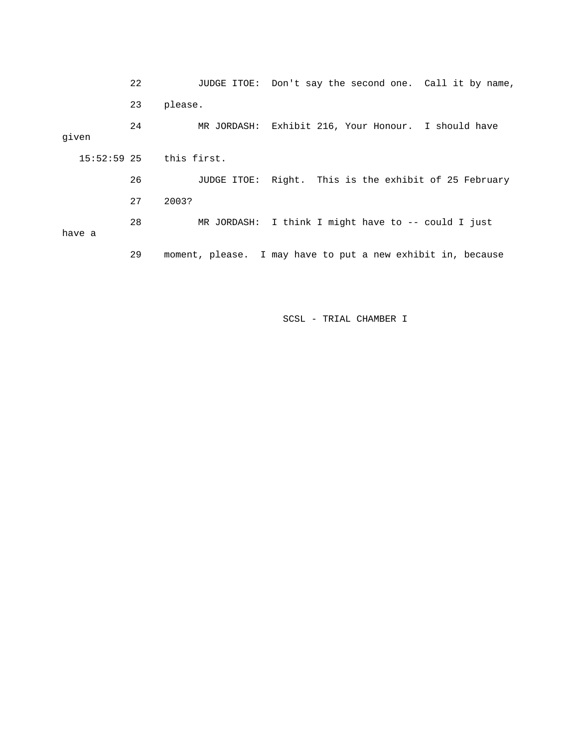|       |                             | 22 |         |  |  | JUDGE ITOE: Don't say the second one. Call it by name,      |
|-------|-----------------------------|----|---------|--|--|-------------------------------------------------------------|
|       |                             | 23 | please. |  |  |                                                             |
| given |                             | 24 |         |  |  | MR JORDASH: Exhibit 216, Your Honour. I should have         |
|       | $15:52:59$ $25$ this first. |    |         |  |  |                                                             |
|       |                             | 26 |         |  |  | JUDGE ITOE: Right. This is the exhibit of 25 February       |
|       |                             | 27 | 2003?   |  |  |                                                             |
|       | have a                      | 28 |         |  |  | MR JORDASH: I think I might have to $-$ - could I just      |
|       |                             | 29 |         |  |  | moment, please. I may have to put a new exhibit in, because |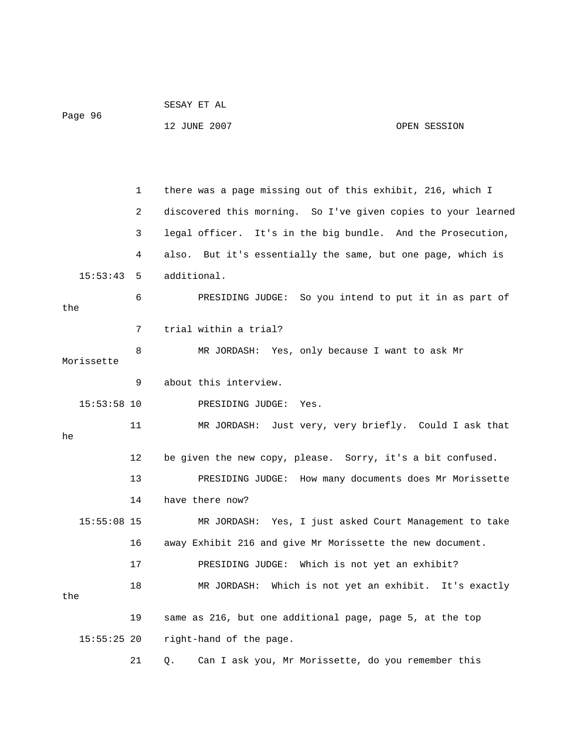|               |    | SESAY ET AL                                                   |              |  |  |  |
|---------------|----|---------------------------------------------------------------|--------------|--|--|--|
| Page 96       |    | 12 JUNE 2007                                                  | OPEN SESSION |  |  |  |
|               |    |                                                               |              |  |  |  |
|               |    |                                                               |              |  |  |  |
|               | 1  | there was a page missing out of this exhibit, 216, which I    |              |  |  |  |
|               | 2  | discovered this morning. So I've given copies to your learned |              |  |  |  |
|               | 3  | legal officer. It's in the big bundle. And the Prosecution,   |              |  |  |  |
|               | 4  | also. But it's essentially the same, but one page, which is   |              |  |  |  |
| 15:53:43      | 5  | additional.                                                   |              |  |  |  |
|               | 6  | PRESIDING JUDGE: So you intend to put it in as part of        |              |  |  |  |
| the           |    |                                                               |              |  |  |  |
|               | 7  | trial within a trial?                                         |              |  |  |  |
| Morissette    | 8  | MR JORDASH: Yes, only because I want to ask Mr                |              |  |  |  |
|               | 9  | about this interview.                                         |              |  |  |  |
| $15:53:58$ 10 |    | PRESIDING JUDGE:<br>Yes.                                      |              |  |  |  |
|               | 11 | MR JORDASH: Just very, very briefly. Could I ask that         |              |  |  |  |
| he            |    |                                                               |              |  |  |  |
|               | 12 | be given the new copy, please. Sorry, it's a bit confused.    |              |  |  |  |
|               | 13 | PRESIDING JUDGE: How many documents does Mr Morissette        |              |  |  |  |
|               | 14 | have there now?                                               |              |  |  |  |
| $15:55:08$ 15 |    | MR JORDASH: Yes, I just asked Court Management to take        |              |  |  |  |
|               | 16 | away Exhibit 216 and give Mr Morissette the new document.     |              |  |  |  |
|               | 17 | PRESIDING JUDGE:<br>Which is not yet an exhibit?              |              |  |  |  |
|               | 18 | MR JORDASH: Which is not yet an exhibit. It's exactly         |              |  |  |  |
| the           |    |                                                               |              |  |  |  |
|               | 19 | same as 216, but one additional page, page 5, at the top      |              |  |  |  |
| $15:55:25$ 20 |    | right-hand of the page.                                       |              |  |  |  |
|               | 21 | Can I ask you, Mr Morissette, do you remember this<br>Q.      |              |  |  |  |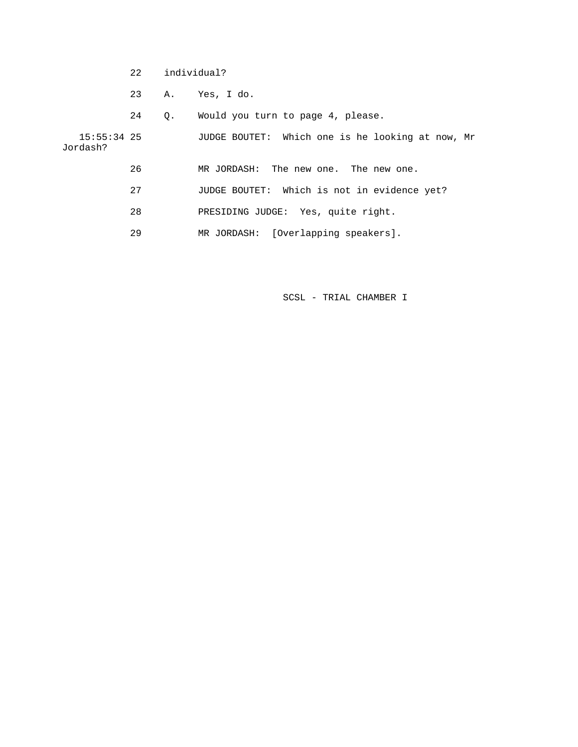- 22 individual?
- 23 A. Yes, I do.
- 24 Q. Would you turn to page 4, please.

 15:55:34 25 JUDGE BOUTET: Which one is he looking at now, Mr Jordash?

- 26 MR JORDASH: The new one. The new one.
- 27 JUDGE BOUTET: Which is not in evidence yet?
- 28 PRESIDING JUDGE: Yes, quite right.
- 29 MR JORDASH: [Overlapping speakers].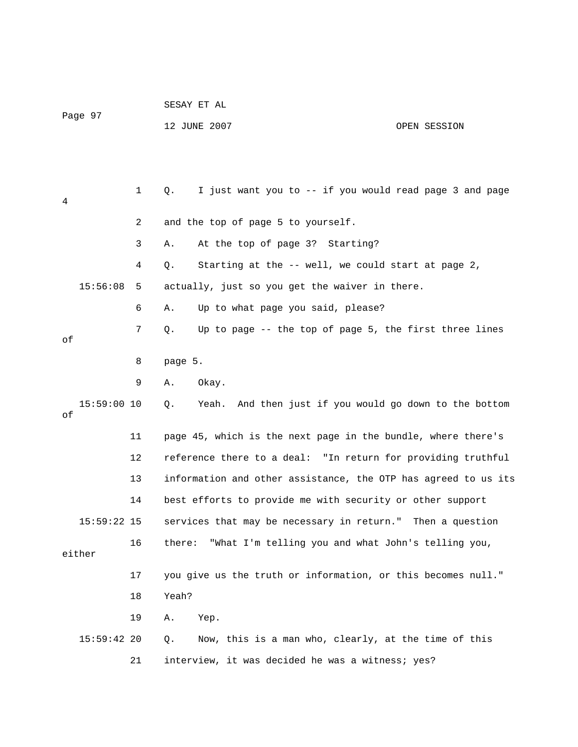| Page 97 |               |    | SESAY ET AL                                                    |              |  |  |  |  |
|---------|---------------|----|----------------------------------------------------------------|--------------|--|--|--|--|
|         |               |    | 12 JUNE 2007                                                   | OPEN SESSION |  |  |  |  |
|         |               |    |                                                                |              |  |  |  |  |
|         |               |    |                                                                |              |  |  |  |  |
| 4       |               | 1  | I just want you to -- if you would read page 3 and page<br>Q.  |              |  |  |  |  |
|         |               | 2  | and the top of page 5 to yourself.                             |              |  |  |  |  |
|         |               | 3  | At the top of page 3? Starting?<br>Α.                          |              |  |  |  |  |
|         |               | 4  | Starting at the -- well, we could start at page 2,<br>Q.       |              |  |  |  |  |
|         | 15:56:08      | 5  | actually, just so you get the waiver in there.                 |              |  |  |  |  |
|         |               | 6  | Up to what page you said, please?<br>Α.                        |              |  |  |  |  |
| оf      |               | 7  | Up to page -- the top of page 5, the first three lines<br>Q.   |              |  |  |  |  |
|         |               | 8  | page 5.                                                        |              |  |  |  |  |
|         |               | 9  | Okay.<br>Α.                                                    |              |  |  |  |  |
|         | $15:59:00$ 10 |    | Yeah. And then just if you would go down to the bottom<br>Q.   |              |  |  |  |  |
| оf      |               |    |                                                                |              |  |  |  |  |
|         |               | 11 | page 45, which is the next page in the bundle, where there's   |              |  |  |  |  |
|         |               | 12 | reference there to a deal: "In return for providing truthful   |              |  |  |  |  |
|         |               | 13 | information and other assistance, the OTP has agreed to us its |              |  |  |  |  |
|         |               | 14 | best efforts to provide me with security or other support      |              |  |  |  |  |
|         | $15:59:22$ 15 |    | services that may be necessary in return." Then a question     |              |  |  |  |  |
|         | either        | 16 | there:<br>"What I'm telling you and what John's telling you,   |              |  |  |  |  |
|         |               | 17 | you give us the truth or information, or this becomes null."   |              |  |  |  |  |
|         |               | 18 | Yeah?                                                          |              |  |  |  |  |
|         |               | 19 | Α.<br>Yep.                                                     |              |  |  |  |  |
|         | $15:59:42$ 20 |    | Now, this is a man who, clearly, at the time of this<br>$Q$ .  |              |  |  |  |  |
|         |               | 21 | interview, it was decided he was a witness; yes?               |              |  |  |  |  |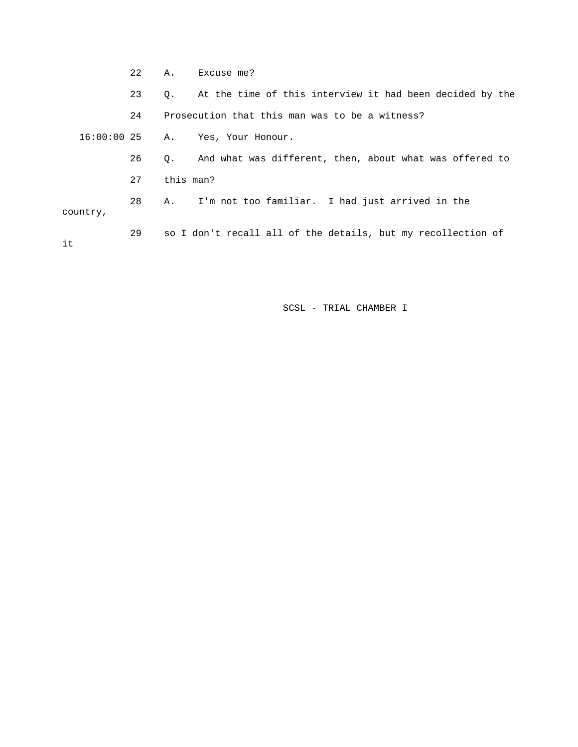22 A. Excuse me? 23 Q. At the time of this interview it had been decided by the 24 Prosecution that this man was to be a witness? 16:00:00 25 A. Yes, Your Honour. 26 Q. And what was different, then, about what was offered to 27 this man? 28 A. I'm not too familiar. I had just arrived in the country, 29 so I don't recall all of the details, but my recollection of it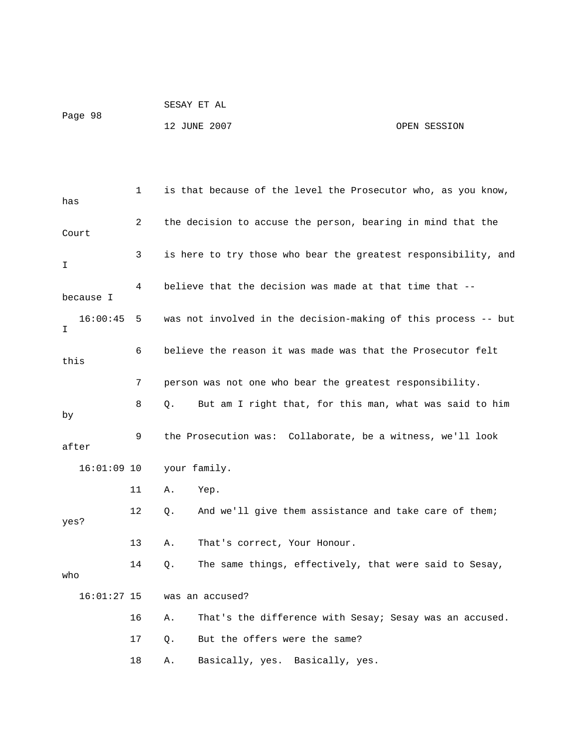| Page 98 | SESAY ET AL  |              |
|---------|--------------|--------------|
|         | 12 JUNE 2007 | OPEN SESSION |

| has           | 1  | is that because of the level the Prosecutor who, as you know,  |  |  |
|---------------|----|----------------------------------------------------------------|--|--|
| Court         | 2  | the decision to accuse the person, bearing in mind that the    |  |  |
| I             | 3  | is here to try those who bear the greatest responsibility, and |  |  |
| because I     | 4  | believe that the decision was made at that time that --        |  |  |
| 16:00:45<br>I | 5  | was not involved in the decision-making of this process -- but |  |  |
| this          | 6  | believe the reason it was made was that the Prosecutor felt    |  |  |
|               | 7  | person was not one who bear the greatest responsibility.       |  |  |
| by            | 8  | But am I right that, for this man, what was said to him<br>Q.  |  |  |
| after         | 9  | the Prosecution was: Collaborate, be a witness, we'll look     |  |  |
| $16:01:09$ 10 |    | your family.                                                   |  |  |
|               | 11 | Yep.<br>Α.                                                     |  |  |
| yes?          | 12 | Q.<br>And we'll give them assistance and take care of them;    |  |  |
|               | 13 | That's correct, Your Honour.<br>Α.                             |  |  |
| who           | 14 | The same things, effectively, that were said to Sesay,<br>Q.   |  |  |
| $16:01:27$ 15 |    | was an accused?                                                |  |  |
|               | 16 | Α.<br>That's the difference with Sesay; Sesay was an accused.  |  |  |
|               | 17 | But the offers were the same?<br>Q.                            |  |  |
|               | 18 | Basically, yes. Basically, yes.<br>Α.                          |  |  |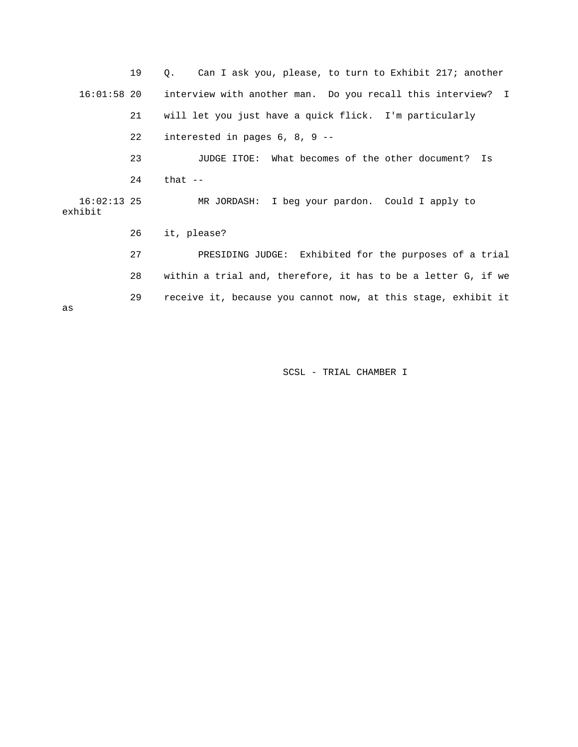19 Q. Can I ask you, please, to turn to Exhibit 217; another 16:01:58 20 interview with another man. Do you recall this interview? I 21 will let you just have a quick flick. I'm particularly 22 interested in pages 6, 8, 9 -- 23 JUDGE ITOE: What becomes of the other document? Is 24 that -- 16:02:13 25 MR JORDASH: I beg your pardon. Could I apply to exhibit 26 it, please? 27 PRESIDING JUDGE: Exhibited for the purposes of a trial 28 within a trial and, therefore, it has to be a letter G, if we 29 receive it, because you cannot now, at this stage, exhibit it as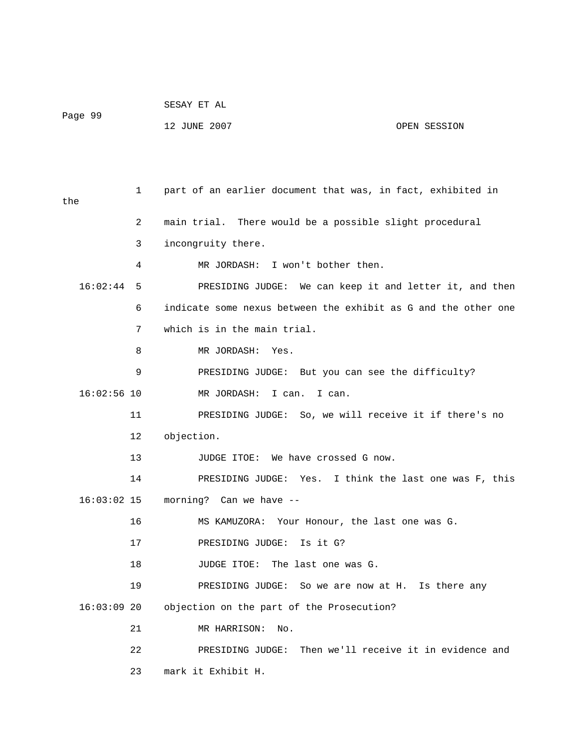| Page 99 | SESAY ET AL  |              |
|---------|--------------|--------------|
|         | 12 JUNE 2007 | OPEN SESSION |

 1 part of an earlier document that was, in fact, exhibited in the 2 main trial. There would be a possible slight procedural 3 incongruity there. 4 MR JORDASH: I won't bother then. 16:02:44 5 PRESIDING JUDGE: We can keep it and letter it, and then 6 indicate some nexus between the exhibit as G and the other one 7 which is in the main trial. 8 MR JORDASH: Yes. 9 PRESIDING JUDGE: But you can see the difficulty? 16:02:56 10 MR JORDASH: I can. I can. 11 PRESIDING JUDGE: So, we will receive it if there's no 12 objection. 13 JUDGE ITOE: We have crossed G now. 14 PRESIDING JUDGE: Yes. I think the last one was F, this 16 MS KAMUZORA: Your Honour, the last one was G. 17 PRESIDING JUDGE: Is it G? 18 JUDGE ITOE: The last one was G. 19 PRESIDING JUDGE: So we are now at H. Is there any 16:03:09 20 objection on the part of the Prosecution? 22 PRESIDING JUDGE: Then we'll receive it in evidence and 16:03:02 15 morning? Can we have -- 21 MR HARRISON: No.

23 mark it Exhibit H.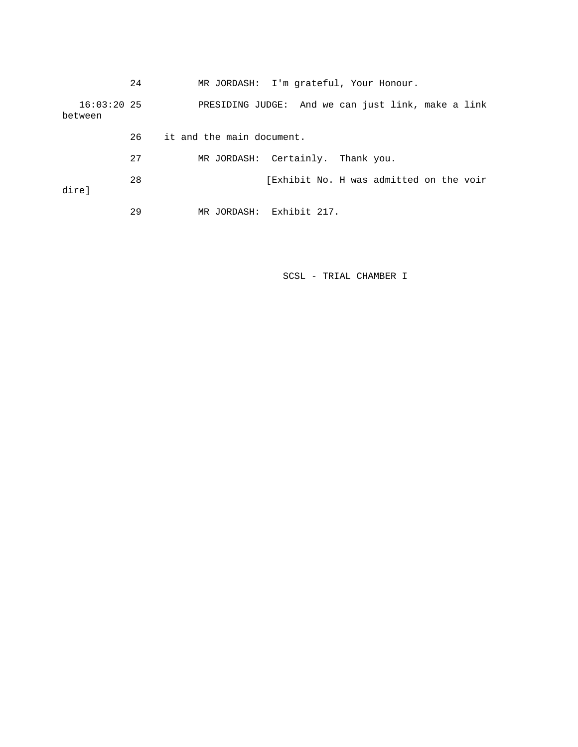|                          | 24 | MR JORDASH: I'm grateful, Your Honour.             |  |  |
|--------------------------|----|----------------------------------------------------|--|--|
| $16:03:20$ 25<br>between |    | PRESIDING JUDGE: And we can just link, make a link |  |  |
|                          | 26 | it and the main document.                          |  |  |
|                          | 27 | MR JORDASH: Certainly. Thank you.                  |  |  |
| dire]                    | 28 | [Exhibit No. H was admitted on the voir            |  |  |
|                          | 29 | Exhibit 217.<br>MR JORDASH:                        |  |  |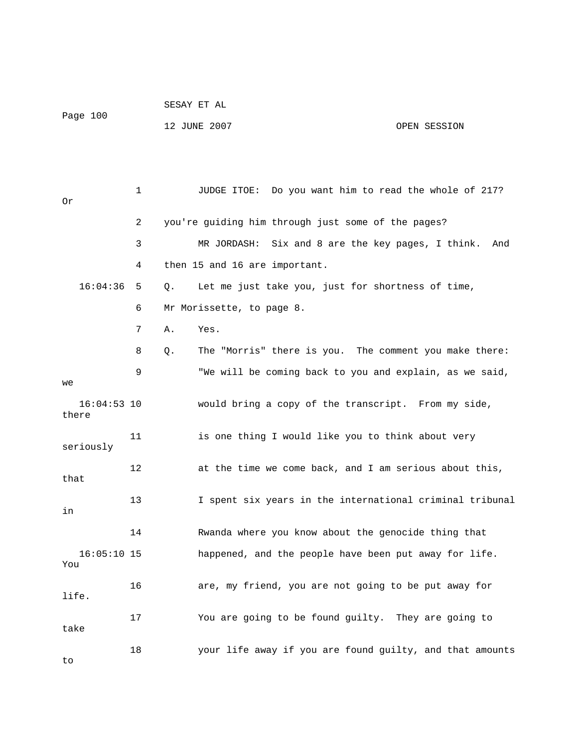| Page 100               |    | SESAY ET AL                  |                                                          |     |  |
|------------------------|----|------------------------------|----------------------------------------------------------|-----|--|
|                        |    | 12 JUNE 2007<br>OPEN SESSION |                                                          |     |  |
|                        |    |                              |                                                          |     |  |
|                        |    |                              |                                                          |     |  |
| 0r                     | 1  |                              | JUDGE ITOE: Do you want him to read the whole of 217?    |     |  |
|                        | 2  |                              | you're guiding him through just some of the pages?       |     |  |
|                        | 3  |                              | Six and 8 are the key pages, I think.<br>MR JORDASH:     | And |  |
|                        | 4  |                              | then 15 and 16 are important.                            |     |  |
| 16:04:36               | 5  | Q.                           | Let me just take you, just for shortness of time,        |     |  |
|                        | 6  |                              | Mr Morissette, to page 8.                                |     |  |
|                        | 7  | Α.                           | Yes.                                                     |     |  |
|                        | 8  | Q.                           | The "Morris" there is you. The comment you make there:   |     |  |
| we                     | 9  |                              | "We will be coming back to you and explain, as we said,  |     |  |
| $16:04:53$ 10<br>there |    |                              | would bring a copy of the transcript. From my side,      |     |  |
| seriously              | 11 |                              | is one thing I would like you to think about very        |     |  |
| that                   | 12 |                              | at the time we come back, and I am serious about this,   |     |  |
| in                     | 13 |                              | I spent six years in the international criminal tribunal |     |  |
|                        | 14 |                              | Rwanda where you know about the genocide thing that      |     |  |
| $16:05:10$ 15<br>You   |    |                              | happened, and the people have been put away for life.    |     |  |
| life.                  | 16 |                              | are, my friend, you are not going to be put away for     |     |  |
| take                   | 17 |                              | You are going to be found guilty. They are going to      |     |  |
| to                     | 18 |                              | your life away if you are found guilty, and that amounts |     |  |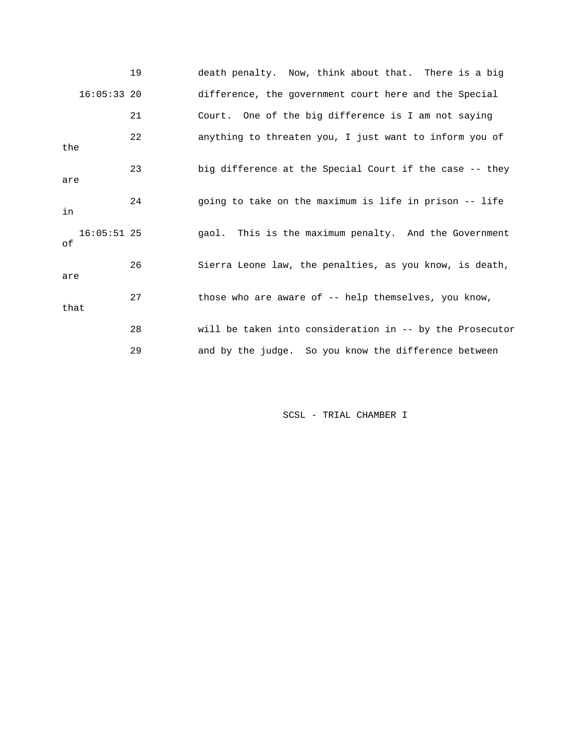|                     | 19 | death penalty. Now, think about that. There is a big     |
|---------------------|----|----------------------------------------------------------|
| $16:05:33$ 20       |    | difference, the government court here and the Special    |
|                     | 21 | Court. One of the big difference is I am not saying      |
| the                 | 22 | anything to threaten you, I just want to inform you of   |
| are                 | 23 | big difference at the Special Court if the case -- they  |
| in                  | 24 | going to take on the maximum is life in prison -- life   |
| $16:05:51$ 25<br>оf |    | gaol. This is the maximum penalty. And the Government    |
| are                 | 26 | Sierra Leone law, the penalties, as you know, is death,  |
| that                | 27 | those who are aware of -- help themselves, you know,     |
|                     | 28 | will be taken into consideration in -- by the Prosecutor |
|                     | 29 | and by the judge. So you know the difference between     |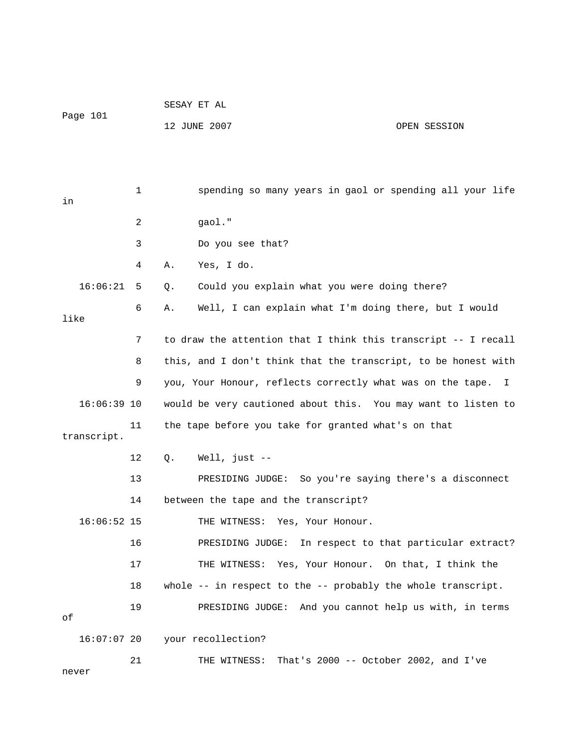| Page 101      |    | SESAY ET AL                                                      |  |  |  |
|---------------|----|------------------------------------------------------------------|--|--|--|
|               |    | 12 JUNE 2007<br>OPEN SESSION                                     |  |  |  |
|               |    |                                                                  |  |  |  |
|               |    |                                                                  |  |  |  |
| in            | 1  | spending so many years in gaol or spending all your life         |  |  |  |
|               | 2  | gaol."                                                           |  |  |  |
|               | 3  | Do you see that?                                                 |  |  |  |
|               | 4  | Yes, I do.<br>Α.                                                 |  |  |  |
| 16:06:21      | 5  | Could you explain what you were doing there?<br>Q.               |  |  |  |
| like          | 6  | Well, I can explain what I'm doing there, but I would<br>Α.      |  |  |  |
|               | 7  | to draw the attention that I think this transcript -- I recall   |  |  |  |
|               |    |                                                                  |  |  |  |
|               | 8  | this, and I don't think that the transcript, to be honest with   |  |  |  |
|               | 9  | you, Your Honour, reflects correctly what was on the tape.<br>I. |  |  |  |
| $16:06:39$ 10 |    | would be very cautioned about this. You may want to listen to    |  |  |  |
| transcript.   | 11 | the tape before you take for granted what's on that              |  |  |  |
|               | 12 | Well, just $--$<br>Q.                                            |  |  |  |
|               | 13 | PRESIDING JUDGE: So you're saying there's a disconnect           |  |  |  |
|               | 14 | between the tape and the transcript?                             |  |  |  |
| $16:06:52$ 15 |    | THE WITNESS: Yes, Your Honour.                                   |  |  |  |
|               | 16 | In respect to that particular extract?<br>PRESIDING JUDGE:       |  |  |  |
|               | 17 | THE WITNESS: Yes, Your Honour. On that, I think the              |  |  |  |
|               | 18 | whole $--$ in respect to the $--$ probably the whole transcript. |  |  |  |
| оf            | 19 | PRESIDING JUDGE: And you cannot help us with, in terms           |  |  |  |
| 16:07:0720    |    | your recollection?                                               |  |  |  |
|               | 21 | That's 2000 -- October 2002, and I've<br>THE WITNESS:            |  |  |  |
| never         |    |                                                                  |  |  |  |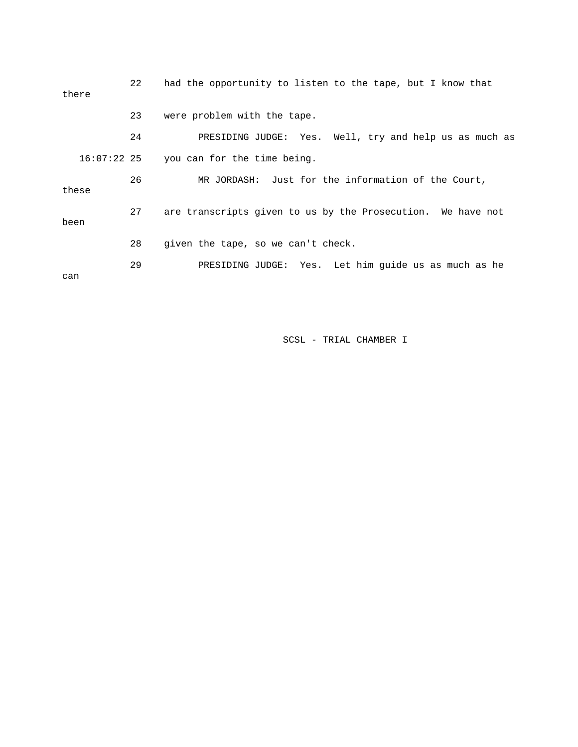| there       | 22 | had the opportunity to listen to the tape, but I know that  |
|-------------|----|-------------------------------------------------------------|
|             | 23 | were problem with the tape.                                 |
|             | 24 | PRESIDING JUDGE: Yes. Well, try and help us as much as      |
| 16:07:22 25 |    | you can for the time being.                                 |
| these       | 26 | MR JORDASH: Just for the information of the Court,          |
| been        | 27 | are transcripts given to us by the Prosecution. We have not |
|             | 28 | given the tape, so we can't check.                          |
| can         | 29 | PRESIDING JUDGE: Yes. Let him guide us as much as he        |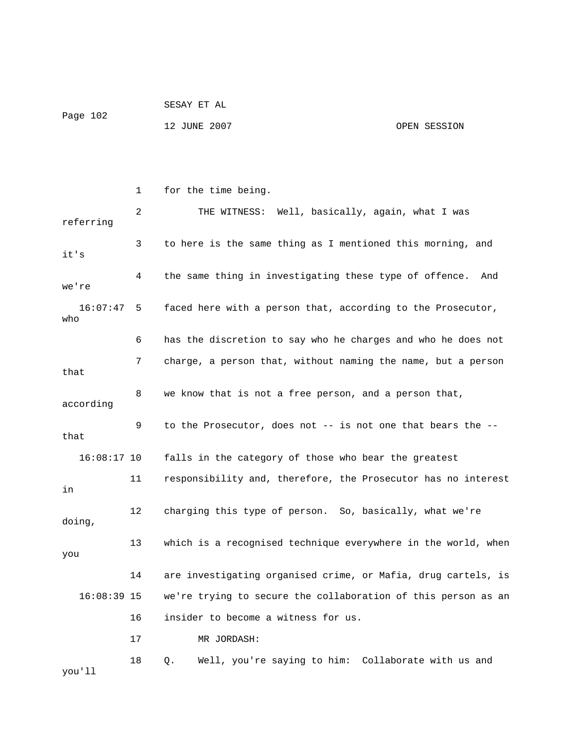|          | SESAY ET AL  |              |
|----------|--------------|--------------|
| Page 102 |              |              |
|          | 12 JUNE 2007 | OPEN SESSION |

|                                           | 1  | for the time being.                                           |
|-------------------------------------------|----|---------------------------------------------------------------|
| referring                                 | 2  | THE WITNESS: Well, basically, again, what I was               |
| it's                                      | 3  | to here is the same thing as I mentioned this morning, and    |
| we're                                     | 4  | the same thing in investigating these type of offence.<br>And |
| 16:07:47<br>who                           | 5  | faced here with a person that, according to the Prosecutor,   |
|                                           | 6  | has the discretion to say who he charges and who he does not  |
| that                                      | 7  | charge, a person that, without naming the name, but a person  |
| according                                 | 8  | we know that is not a free person, and a person that,         |
| that                                      | 9  | to the Prosecutor, does not -- is not one that bears the --   |
| $16:08:17$ 10                             |    | falls in the category of those who bear the greatest          |
| in                                        | 11 | responsibility and, therefore, the Prosecutor has no interest |
| doing,                                    | 12 | charging this type of person. So, basically, what we're       |
| you                                       | 13 | which is a recognised technique everywhere in the world, when |
|                                           | 14 | are investigating organised crime, or Mafia, drug cartels, is |
| $16:08:39$ 15                             |    | we're trying to secure the collaboration of this person as an |
| 16<br>insider to become a witness for us. |    |                                                               |
|                                           | 17 | MR JORDASH:                                                   |
|                                           | 18 | Well, you're saying to him: Collaborate with us and<br>Q.     |

you'll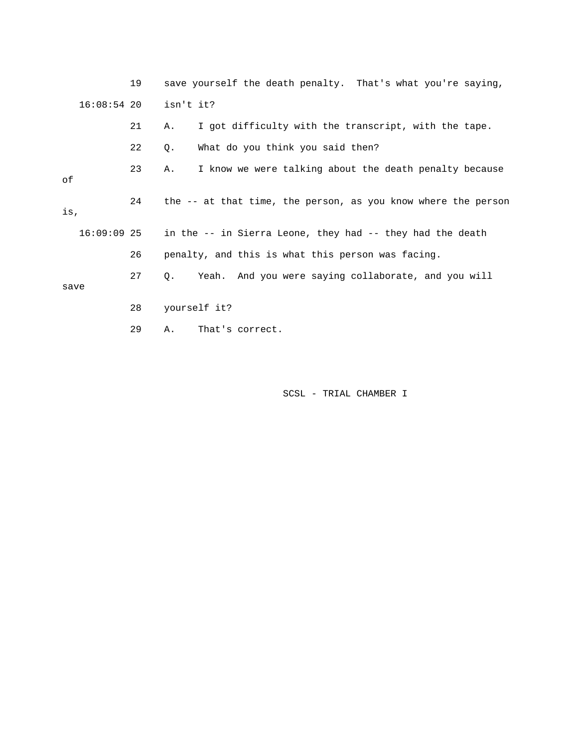19 save yourself the death penalty. That's what you're saying, 16:08:54 20 isn't it? 21 A. I got difficulty with the transcript, with the tape. 22 Q. What do you think you said then? 23 A. I know we were talking about the death penalty because of 24 the -- at that time, the person, as you know where the person is, 16:09:09 25 in the -- in Sierra Leone, they had -- they had the death 26 penalty, and this is what this person was facing. 27 Q. Yeah. And you were saying collaborate, and you will save 28 yourself it? 29 A. That's correct.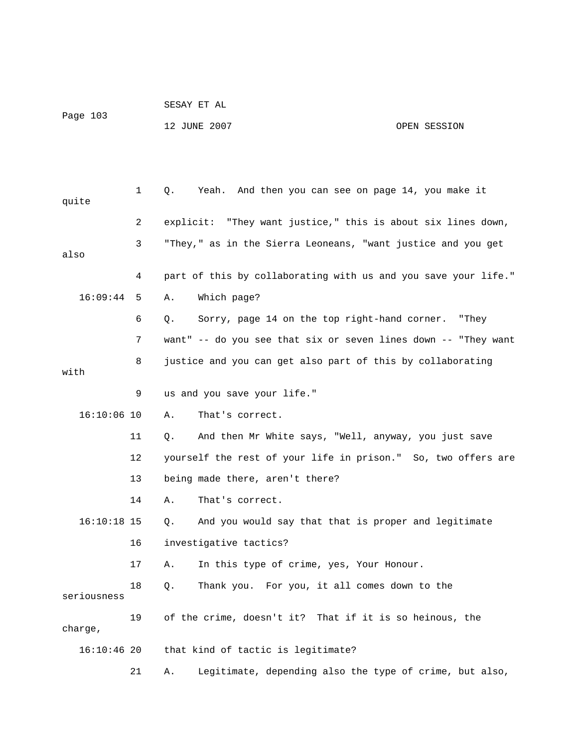| Page 103 | SESAY ET AL  |              |
|----------|--------------|--------------|
|          | 12 JUNE 2007 | OPEN SESSION |

| quite         | 1                                                   | Yeah. And then you can see on page 14, you make it<br>Q.       |  |
|---------------|-----------------------------------------------------|----------------------------------------------------------------|--|
|               | $\overline{2}$                                      | explicit: "They want justice," this is about six lines down,   |  |
| also          | 3                                                   | "They," as in the Sierra Leoneans, "want justice and you get   |  |
|               | 4                                                   | part of this by collaborating with us and you save your life." |  |
| 16:09:44      | 5                                                   | Which page?<br>Α.                                              |  |
|               | 6                                                   | Sorry, page 14 on the top right-hand corner. "They<br>Q.       |  |
|               | 7                                                   | want" -- do you see that six or seven lines down -- "They want |  |
| with          | 8                                                   | justice and you can get also part of this by collaborating     |  |
|               | 9                                                   | us and you save your life."                                    |  |
| $16:10:06$ 10 |                                                     | Α.<br>That's correct.                                          |  |
|               | 11                                                  | And then Mr White says, "Well, anyway, you just save<br>Q.     |  |
|               | 12                                                  | yourself the rest of your life in prison." So, two offers are  |  |
|               | 13                                                  | being made there, aren't there?                                |  |
|               | 14                                                  | Α.<br>That's correct.                                          |  |
| $16:10:18$ 15 |                                                     | And you would say that that is proper and legitimate<br>Q.     |  |
|               | 16                                                  | investigative tactics?                                         |  |
|               | 17                                                  | In this type of crime, yes, Your Honour.<br>Α.                 |  |
| seriousness   | 18                                                  | Thank you. For you, it all comes down to the<br>Q.             |  |
| charge,       | 19                                                  | of the crime, doesn't it? That if it is so heinous, the        |  |
|               | that kind of tactic is legitimate?<br>$16:10:46$ 20 |                                                                |  |
|               | 21                                                  | Legitimate, depending also the type of crime, but also,<br>Α.  |  |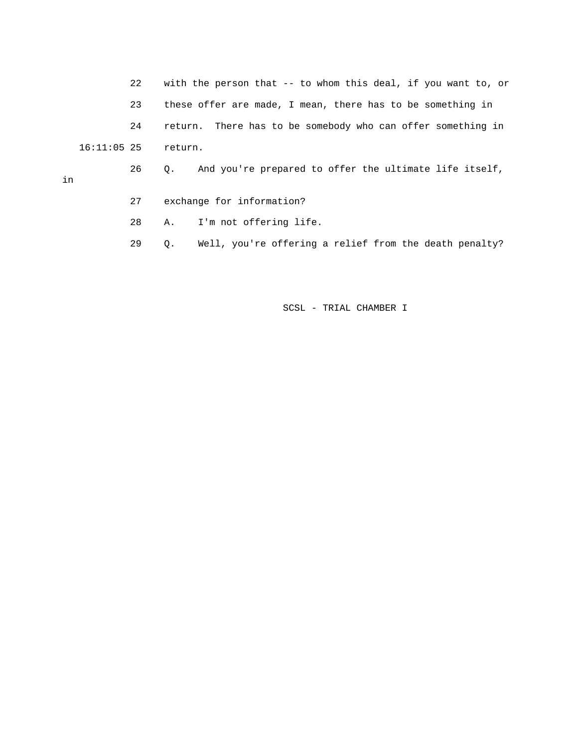22 with the person that -- to whom this deal, if you want to, or 23 these offer are made, I mean, there has to be something in 24 return. There has to be somebody who can offer something in 16:11:05 25 return. 26 Q. And you're prepared to offer the ultimate life itself, in

- 27 exchange for information?
- 28 A. I'm not offering life.
- 29 Q. Well, you're offering a relief from the death penalty?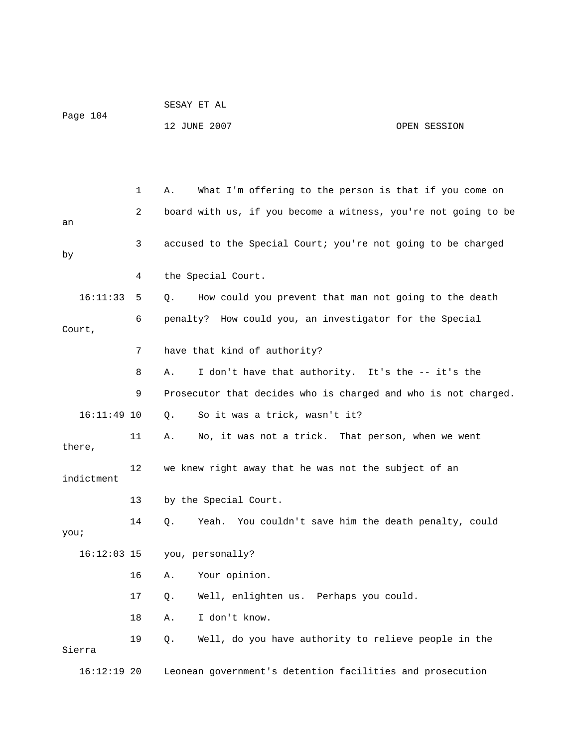| Page 104      |    | 12 JUNE 2007                                                   | OPEN SESSION |
|---------------|----|----------------------------------------------------------------|--------------|
|               |    |                                                                |              |
|               | 1  | What I'm offering to the person is that if you come on<br>Α.   |              |
|               |    |                                                                |              |
| an            | 2  | board with us, if you become a witness, you're not going to be |              |
| by            | 3  | accused to the Special Court; you're not going to be charged   |              |
|               | 4  | the Special Court.                                             |              |
| 16:11:33      | 5  | How could you prevent that man not going to the death<br>Q.    |              |
| Court,        | 6  | penalty? How could you, an investigator for the Special        |              |
|               | 7  | have that kind of authority?                                   |              |
|               | 8  | I don't have that authority. It's the -- it's the<br>Α.        |              |
|               | 9  | Prosecutor that decides who is charged and who is not charged. |              |
| $16:11:49$ 10 |    | So it was a trick, wasn't it?<br>Q.                            |              |
| there,        | 11 | No, it was not a trick. That person, when we went<br>Α.        |              |
| indictment    | 12 | we knew right away that he was not the subject of an           |              |
|               | 13 | by the Special Court.                                          |              |
| you;          | 14 | Yeah. You couldn't save him the death penalty, could<br>Q.     |              |
| $16:12:03$ 15 |    | you, personally?                                               |              |
|               | 16 | Your opinion.<br>Α.                                            |              |
|               | 17 | Well, enlighten us. Perhaps you could.<br>Q.                   |              |
|               | 18 | I don't know.<br>Α.                                            |              |
| Sierra        | 19 | Well, do you have authority to relieve people in the<br>Q.     |              |
| $16:12:19$ 20 |    | Leonean government's detention facilities and prosecution      |              |

SESAY ET AL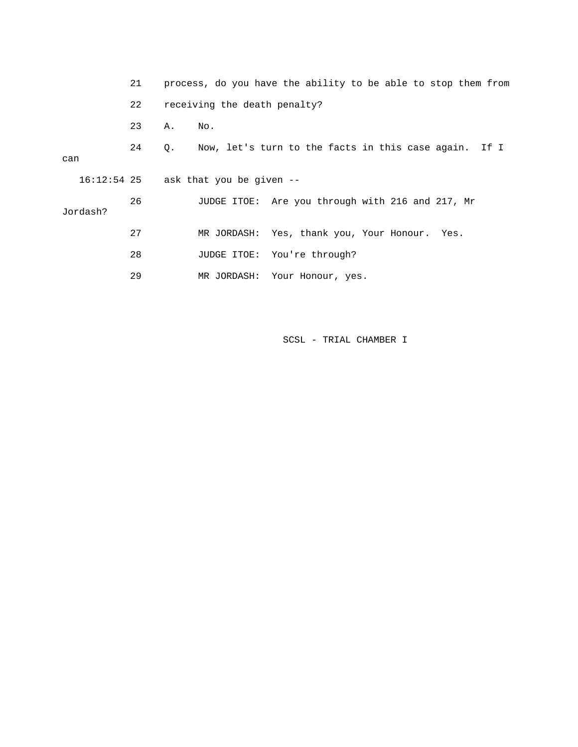|          | 21 | process, do you have the ability to be able to stop them from |
|----------|----|---------------------------------------------------------------|
|          | 22 | receiving the death penalty?                                  |
|          | 23 | Α.<br>No.                                                     |
| can      | 24 | Now, let's turn to the facts in this case again. If I<br>Q.   |
|          |    | $16:12:54$ 25 ask that you be given --                        |
| Jordash? | 26 | JUDGE ITOE: Are you through with 216 and 217, Mr              |
|          | 27 | MR JORDASH: Yes, thank you, Your Honour. Yes.                 |
|          | 28 | JUDGE ITOE: You're through?                                   |
|          | 29 | MR JORDASH:<br>Your Honour, yes.                              |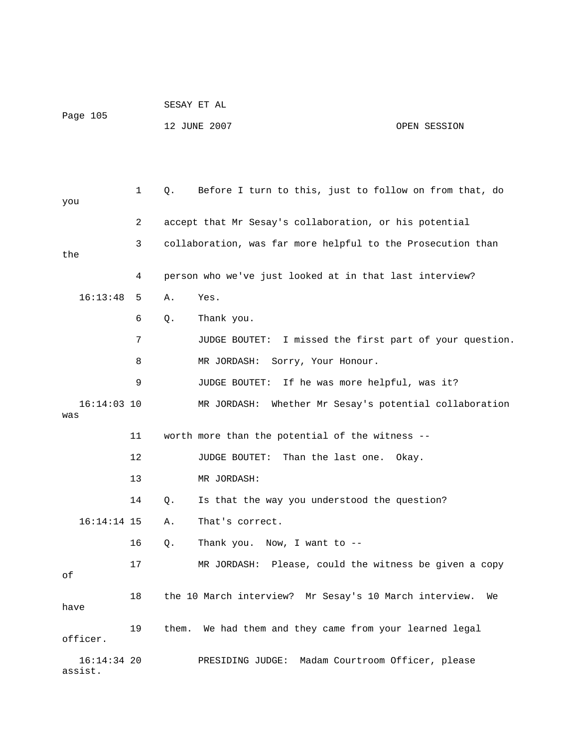| Page 105 | SESAY ET AL  |              |
|----------|--------------|--------------|
|          | 12 JUNE 2007 | OPEN SESSION |

| you                      | 1  | О. | Before I turn to this, just to follow on from that, do       |
|--------------------------|----|----|--------------------------------------------------------------|
|                          | 2  |    | accept that Mr Sesay's collaboration, or his potential       |
| the                      | 3  |    | collaboration, was far more helpful to the Prosecution than  |
|                          | 4  |    | person who we've just looked at in that last interview?      |
| 16:13:48                 | 5  | Α. | Yes.                                                         |
|                          | 6  | Q. | Thank you.                                                   |
|                          | 7  |    | JUDGE BOUTET: I missed the first part of your question.      |
|                          | 8  |    | MR JORDASH:<br>Sorry, Your Honour.                           |
|                          | 9  |    | JUDGE BOUTET:<br>If he was more helpful, was it?             |
| $16:14:03$ 10<br>was     |    |    | Whether Mr Sesay's potential collaboration<br>MR JORDASH:    |
|                          | 11 |    | worth more than the potential of the witness --              |
|                          | 12 |    | Than the last one. Okay.<br>JUDGE BOUTET:                    |
|                          | 13 |    | MR JORDASH:                                                  |
|                          | 14 | Q. | Is that the way you understood the question?                 |
| $16:14:14$ 15            |    | Α. | That's correct.                                              |
|                          | 16 | Q. | Thank you. Now, I want to --                                 |
| оf                       | 17 |    | MR JORDASH: Please, could the witness be given a copy        |
| have                     | 18 |    | the 10 March interview? Mr Sesay's 10 March interview.<br>We |
| officer.                 | 19 |    | them. We had them and they came from your learned legal      |
| $16:14:34$ 20<br>assist. |    |    | Madam Courtroom Officer, please<br>PRESIDING JUDGE:          |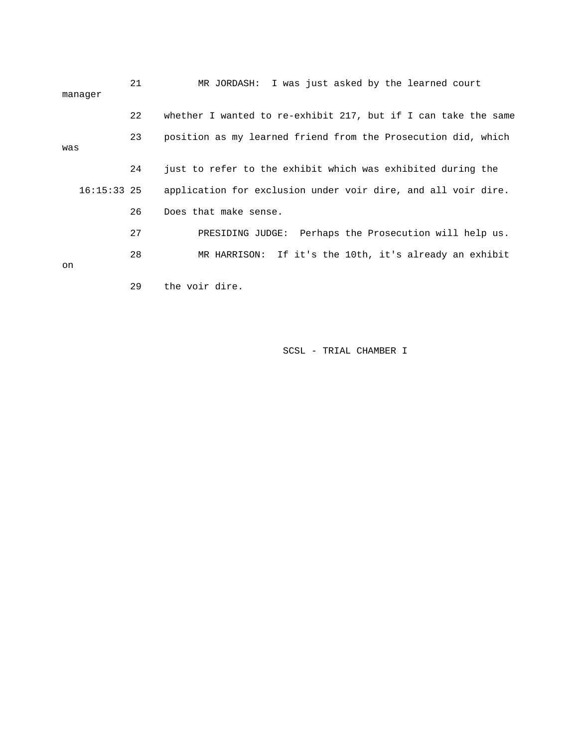| manager       | 21 | MR JORDASH: I was just asked by the learned court              |
|---------------|----|----------------------------------------------------------------|
|               | 22 | whether I wanted to re-exhibit 217, but if I can take the same |
| was           | 23 | position as my learned friend from the Prosecution did, which  |
|               | 24 | just to refer to the exhibit which was exhibited during the    |
| $16:15:33$ 25 |    | application for exclusion under voir dire, and all voir dire.  |
|               | 26 | Does that make sense.                                          |
|               | 27 | PRESIDING JUDGE: Perhaps the Prosecution will help us.         |
| on            | 28 | MR HARRISON: If it's the 10th, it's already an exhibit         |
|               | 29 | the voir dire.                                                 |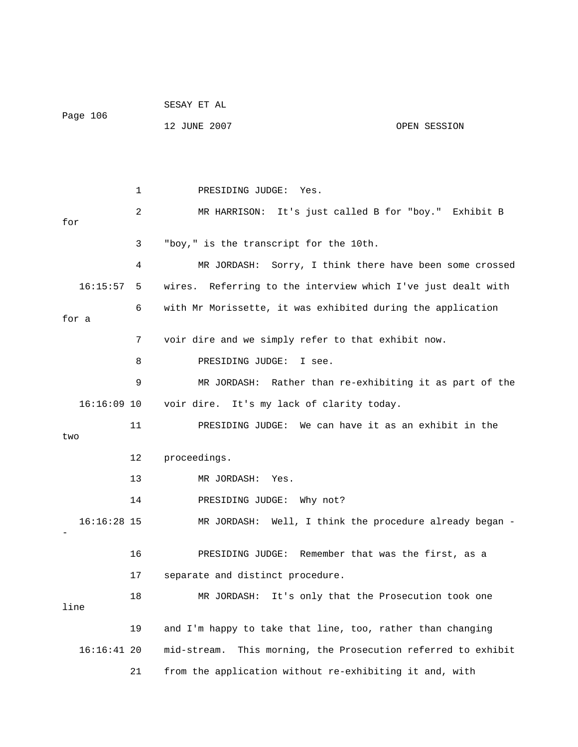| Page 106      |    | SESAY ET AL                                                      |              |  |  |
|---------------|----|------------------------------------------------------------------|--------------|--|--|
|               |    | 12 JUNE 2007                                                     | OPEN SESSION |  |  |
|               |    |                                                                  |              |  |  |
|               |    |                                                                  |              |  |  |
|               | 1  | PRESIDING JUDGE:<br>Yes.                                         |              |  |  |
| for           | 2  | MR HARRISON: It's just called B for "boy." Exhibit B             |              |  |  |
|               | 3  | "boy," is the transcript for the 10th.                           |              |  |  |
|               | 4  | MR JORDASH:<br>Sorry, I think there have been some crossed       |              |  |  |
| 16:15:57      | 5  | wires. Referring to the interview which I've just dealt with     |              |  |  |
| for a         | 6  | with Mr Morissette, it was exhibited during the application      |              |  |  |
|               | 7  | voir dire and we simply refer to that exhibit now.               |              |  |  |
|               | 8  | PRESIDING JUDGE:<br>I see.                                       |              |  |  |
|               | 9  | MR JORDASH: Rather than re-exhibiting it as part of the          |              |  |  |
| $16:16:09$ 10 |    | voir dire. It's my lack of clarity today.                        |              |  |  |
|               | 11 | PRESIDING JUDGE: We can have it as an exhibit in the             |              |  |  |
| two           |    |                                                                  |              |  |  |
|               | 12 | proceedings.                                                     |              |  |  |
|               | 13 | MR JORDASH:<br>Yes.                                              |              |  |  |
|               | 14 | PRESIDING JUDGE: Why not?                                        |              |  |  |
| $16:16:28$ 15 |    | MR JORDASH: Well, I think the procedure already began -          |              |  |  |
|               | 16 | Remember that was the first, as a<br>PRESIDING JUDGE:            |              |  |  |
|               | 17 | separate and distinct procedure.                                 |              |  |  |
| line          | 18 | It's only that the Prosecution took one<br>MR JORDASH:           |              |  |  |
|               | 19 | and I'm happy to take that line, too, rather than changing       |              |  |  |
| $16:16:41$ 20 |    | This morning, the Prosecution referred to exhibit<br>mid-stream. |              |  |  |
|               | 21 | from the application without re-exhibiting it and, with          |              |  |  |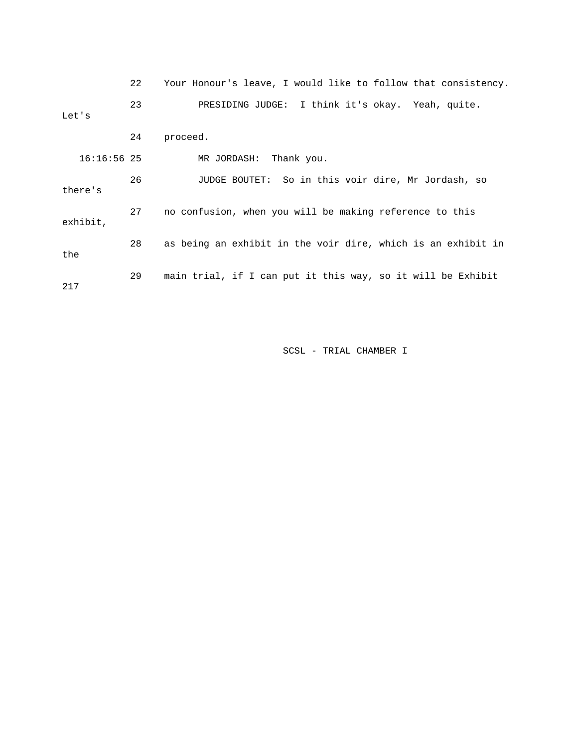|       |               | 22 | Your Honour's leave, I would like to follow that consistency. |
|-------|---------------|----|---------------------------------------------------------------|
| Let's |               | 23 | PRESIDING JUDGE: I think it's okay. Yeah, quite.              |
|       |               | 24 | proceed.                                                      |
|       | $16:16:56$ 25 |    | MR JORDASH:<br>Thank you.                                     |
|       | there's       | 26 | JUDGE BOUTET: So in this voir dire, Mr Jordash, so            |
|       | exhibit,      | 27 | no confusion, when you will be making reference to this       |
| the   |               | 28 | as being an exhibit in the voir dire, which is an exhibit in  |
| 217   |               | 29 | main trial, if I can put it this way, so it will be Exhibit   |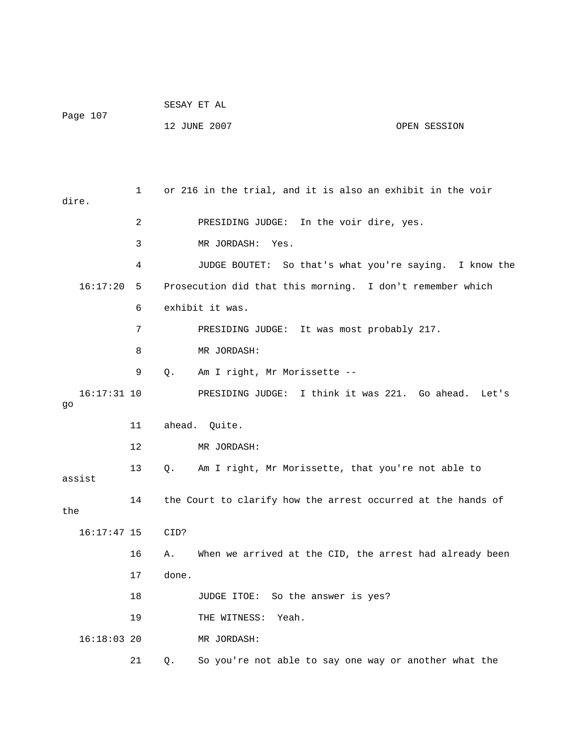|                     |    |       | SESAY ET AL                                                  |                                          |
|---------------------|----|-------|--------------------------------------------------------------|------------------------------------------|
| Page 107            |    |       | 12 JUNE 2007                                                 | OPEN SESSION                             |
|                     |    |       |                                                              |                                          |
|                     |    |       |                                                              |                                          |
| dire.               | 1  |       | or 216 in the trial, and it is also an exhibit in the voir   |                                          |
|                     | 2  |       | PRESIDING JUDGE: In the voir dire, yes.                      |                                          |
|                     | 3  |       | MR JORDASH: Yes.                                             |                                          |
|                     | 4  |       | JUDGE BOUTET:                                                | So that's what you're saying. I know the |
| 16:17:20            | 5  |       | Prosecution did that this morning. I don't remember which    |                                          |
|                     | 6  |       | exhibit it was.                                              |                                          |
|                     | 7  |       | PRESIDING JUDGE: It was most probably 217.                   |                                          |
|                     | 8  |       | MR JORDASH:                                                  |                                          |
|                     | 9  | Q.    | Am I right, Mr Morissette --                                 |                                          |
| $16:17:31$ 10<br>go |    |       | PRESIDING JUDGE: I think it was 221. Go ahead. Let's         |                                          |
|                     | 11 |       | ahead. Quite.                                                |                                          |
|                     | 12 |       | MR JORDASH:                                                  |                                          |
| assist              | 13 | Q.    | Am I right, Mr Morissette, that you're not able to           |                                          |
| the                 | 14 |       | the Court to clarify how the arrest occurred at the hands of |                                          |
| $16:17:47$ 15       |    | CID?  |                                                              |                                          |
|                     | 16 | Α.    | When we arrived at the CID, the arrest had already been      |                                          |
|                     | 17 | done. |                                                              |                                          |
|                     | 18 |       | JUDGE ITOE: So the answer is yes?                            |                                          |
|                     | 19 |       | Yeah.<br>THE WITNESS:                                        |                                          |
| $16:18:03$ 20       |    |       | MR JORDASH:                                                  |                                          |
|                     | 21 | Q.    | So you're not able to say one way or another what the        |                                          |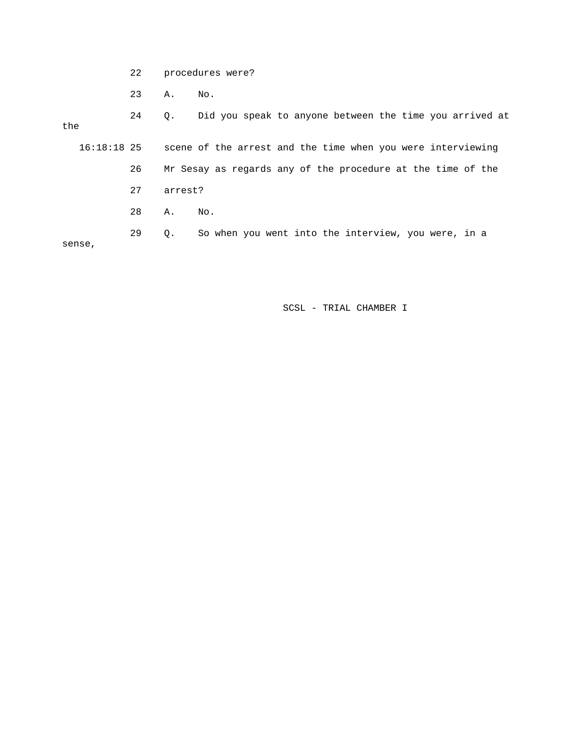- 22 procedures were?
- 23 A. No.

 24 Q. Did you speak to anyone between the time you arrived at the 16:18:18 25 scene of the arrest and the time when you were interviewing

 26 Mr Sesay as regards any of the procedure at the time of the 27 arrest? 28 A. No.

 29 Q. So when you went into the interview, you were, in a sense,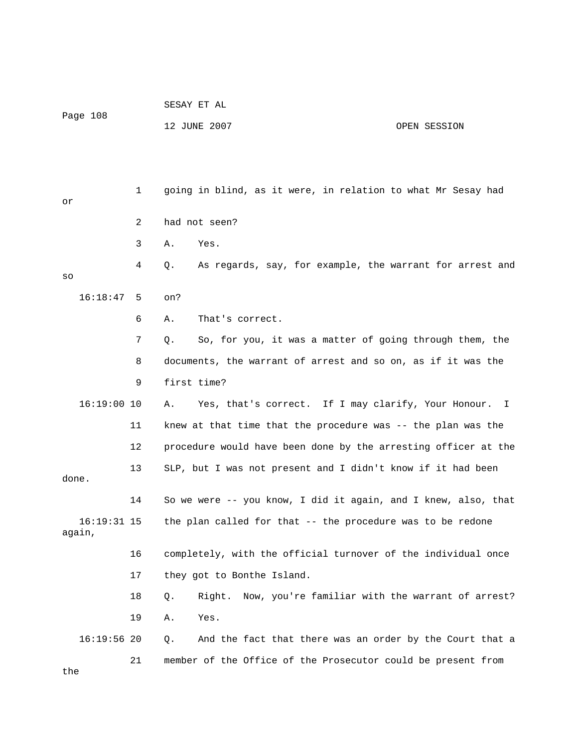| raye 100                |             | 12 JUNE 2007                                                   | OPEN SESSION |
|-------------------------|-------------|----------------------------------------------------------------|--------------|
| or                      | $\mathbf 1$ | going in blind, as it were, in relation to what Mr Sesay had   |              |
|                         | 2           | had not seen?                                                  |              |
|                         | 3           | Yes.<br>Α.                                                     |              |
| SO                      | 4           | As regards, say, for example, the warrant for arrest and<br>Q. |              |
| 16:18:47                | 5           | on?                                                            |              |
|                         | 6           | That's correct.<br>Α.                                          |              |
|                         | 7           | So, for you, it was a matter of going through them, the<br>Q.  |              |
|                         | 8           | documents, the warrant of arrest and so on, as if it was the   |              |
|                         | 9           | first time?                                                    |              |
| $16:19:00$ 10           |             | Yes, that's correct. If I may clarify, Your Honour. I<br>Α.    |              |
|                         | 11          | knew at that time that the procedure was $-$ the plan was the  |              |
|                         | 12          | procedure would have been done by the arresting officer at the |              |
| done.                   | 13          | SLP, but I was not present and I didn't know if it had been    |              |
|                         | 14          | So we were -- you know, I did it again, and I knew, also, that |              |
| $16:19:31$ 15<br>again, |             | the plan called for that -- the procedure was to be redone     |              |
|                         | 16          | completely, with the official turnover of the individual once  |              |
|                         | 17          | they got to Bonthe Island.                                     |              |
|                         | 18          | Right. Now, you're familiar with the warrant of arrest?<br>Q.  |              |
|                         | 19          | Yes.<br>Α.                                                     |              |
| $16:19:56$ 20           |             | And the fact that there was an order by the Court that a<br>Q. |              |
| the                     | 21          | member of the Office of the Prosecutor could be present from   |              |

SESAY ET AL

Page 108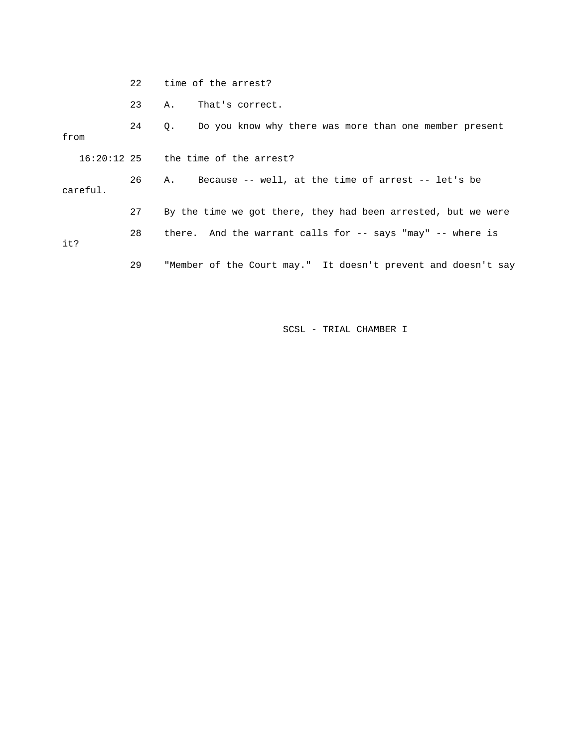|          | 2.2 <sub>1</sub> | time of the arrest?                                                   |
|----------|------------------|-----------------------------------------------------------------------|
|          | 23               | That's correct.<br>Α.                                                 |
| from     | 24               | Do you know why there was more than one member present<br>$Q_{\star}$ |
|          |                  | $16:20:12$ 25 the time of the arrest?                                 |
| careful. | 26               | Because -- well, at the time of arrest -- let's be<br>А.              |
|          | 27               | By the time we got there, they had been arrested, but we were         |
| it?      | 28               | there. And the warrant calls for -- says "may" -- where is            |
|          | 29               | "Member of the Court may." It doesn't prevent and doesn't say         |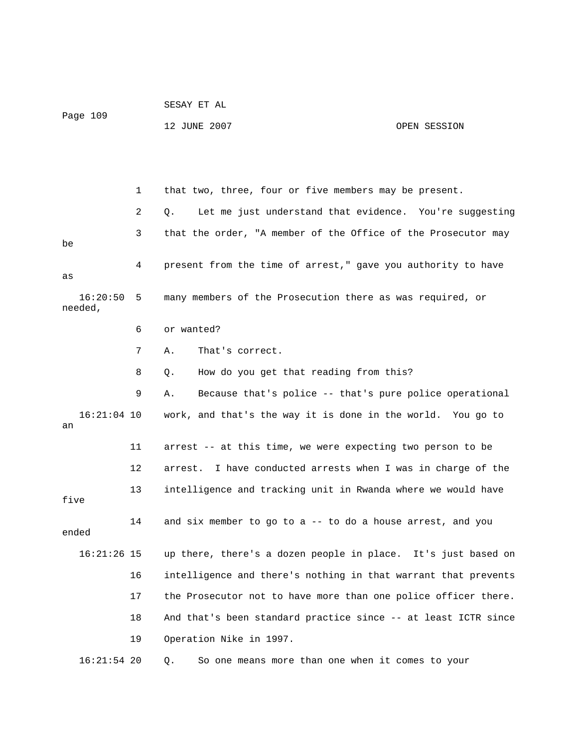|                     |    | SESAY ET AL                                                     |              |  |  |  |  |  |
|---------------------|----|-----------------------------------------------------------------|--------------|--|--|--|--|--|
| Page 109            |    | 12 JUNE 2007                                                    | OPEN SESSION |  |  |  |  |  |
|                     |    |                                                                 |              |  |  |  |  |  |
|                     |    |                                                                 |              |  |  |  |  |  |
|                     |    |                                                                 |              |  |  |  |  |  |
|                     | 1  | that two, three, four or five members may be present.           |              |  |  |  |  |  |
|                     | 2  | Let me just understand that evidence. You're suggesting<br>О.   |              |  |  |  |  |  |
| be                  | 3  | that the order, "A member of the Office of the Prosecutor may   |              |  |  |  |  |  |
| as                  | 4  | present from the time of arrest," gave you authority to have    |              |  |  |  |  |  |
| 16:20:50<br>needed, | 5  | many members of the Prosecution there as was required, or       |              |  |  |  |  |  |
|                     | 6  | or wanted?                                                      |              |  |  |  |  |  |
|                     | 7  | That's correct.<br>Α.                                           |              |  |  |  |  |  |
|                     | 8  | How do you get that reading from this?<br>Q.                    |              |  |  |  |  |  |
|                     | 9  | Because that's police -- that's pure police operational<br>Α.   |              |  |  |  |  |  |
| $16:21:04$ 10<br>an |    | work, and that's the way it is done in the world. You go to     |              |  |  |  |  |  |
|                     | 11 | arrest -- at this time, we were expecting two person to be      |              |  |  |  |  |  |
|                     | 12 | I have conducted arrests when I was in charge of the<br>arrest. |              |  |  |  |  |  |
| five                | 13 | intelligence and tracking unit in Rwanda where we would have    |              |  |  |  |  |  |
| ended               | 14 | and six member to go to a -- to do a house arrest, and you      |              |  |  |  |  |  |
| $16:21:26$ 15       |    | up there, there's a dozen people in place. It's just based on   |              |  |  |  |  |  |
|                     | 16 | intelligence and there's nothing in that warrant that prevents  |              |  |  |  |  |  |
|                     | 17 | the Prosecutor not to have more than one police officer there.  |              |  |  |  |  |  |
|                     | 18 | And that's been standard practice since -- at least ICTR since  |              |  |  |  |  |  |
|                     | 19 | Operation Nike in 1997.                                         |              |  |  |  |  |  |
| $16:21:54$ 20       |    | So one means more than one when it comes to your<br>Q.          |              |  |  |  |  |  |

SESAY ET AL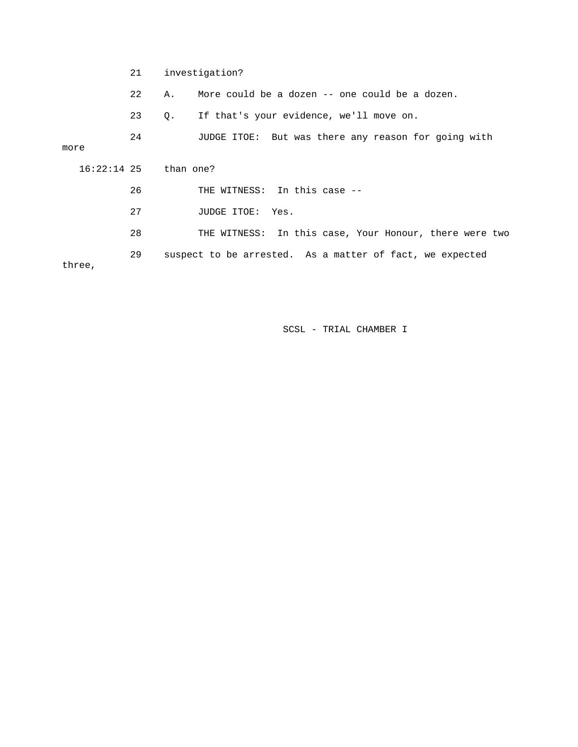21 investigation?

22 A. More could be a dozen -- one could be a dozen.

23 Q. If that's your evidence, we'll move on.

 24 JUDGE ITOE: But was there any reason for going with more 16:22:14 25 than one? 26 THE WITNESS: In this case -- 27 JUDGE ITOE: Yes.

 28 THE WITNESS: In this case, Your Honour, there were two 29 suspect to be arrested. As a matter of fact, we expected three,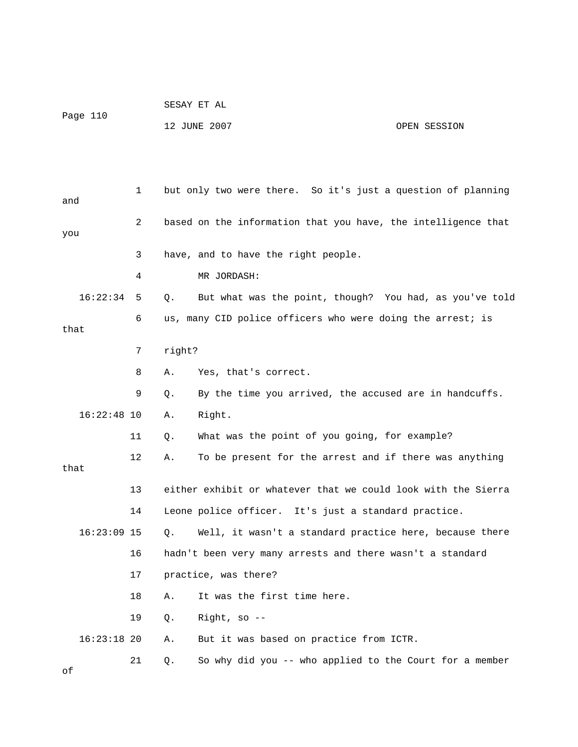|          | SESAY ET AL  |              |
|----------|--------------|--------------|
| Page 110 |              |              |
|          | 12 JUNE 2007 | OPEN SESSION |

| and  |               | 1  |        | but only two were there. So it's just a question of planning  |
|------|---------------|----|--------|---------------------------------------------------------------|
| you  |               | 2  |        | based on the information that you have, the intelligence that |
|      |               | 3  |        | have, and to have the right people.                           |
|      |               | 4  |        | MR JORDASH:                                                   |
|      | 16:22:34      | 5  | Q.     | But what was the point, though? You had, as you've told       |
| that |               | 6  |        | us, many CID police officers who were doing the arrest; is    |
|      |               | 7  | right? |                                                               |
|      |               | 8  | Α.     | Yes, that's correct.                                          |
|      |               | 9  | Q.     | By the time you arrived, the accused are in handcuffs.        |
|      | $16:22:48$ 10 |    | Α.     | Right.                                                        |
|      |               | 11 | Q.     | What was the point of you going, for example?                 |
| that |               | 12 | Α.     | To be present for the arrest and if there was anything        |
|      |               | 13 |        | either exhibit or whatever that we could look with the Sierra |
|      |               | 14 |        | Leone police officer. It's just a standard practice.          |
|      | $16:23:09$ 15 |    | О.     | Well, it wasn't a standard practice here, because there       |
|      |               | 16 |        | hadn't been very many arrests and there wasn't a standard     |
|      |               | 17 |        | practice, was there?                                          |
|      |               | 18 | Α.     | It was the first time here.                                   |
|      |               | 19 | Q.     | Right, so $-$                                                 |
|      | $16:23:18$ 20 |    | Α.     | But it was based on practice from ICTR.                       |
| оf   |               | 21 | Q.     | So why did you -- who applied to the Court for a member       |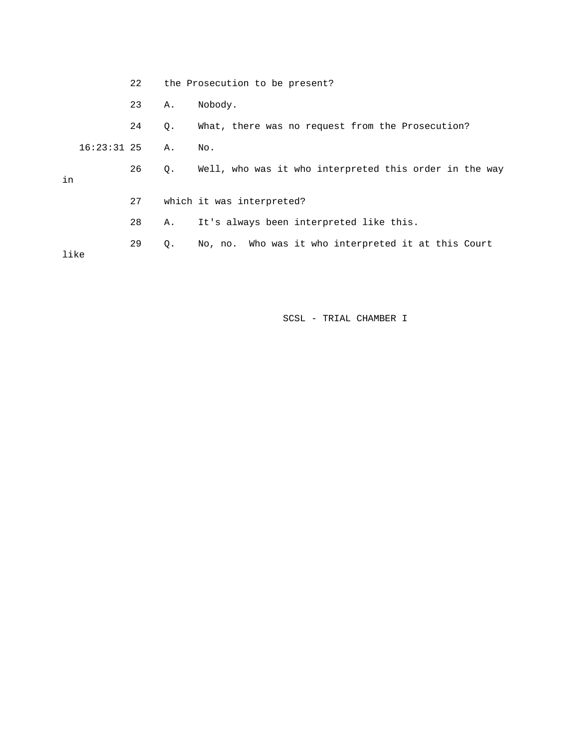|      |               | 22 |    | the Prosecution to be present?                         |
|------|---------------|----|----|--------------------------------------------------------|
|      |               | 23 | Α. | Nobody.                                                |
|      |               | 24 | Q. | What, there was no request from the Prosecution?       |
|      | $16:23:31$ 25 |    | Α. | No.                                                    |
| in   |               | 26 | Q. | Well, who was it who interpreted this order in the way |
|      |               | 27 |    | which it was interpreted?                              |
|      |               | 28 | Α. | It's always been interpreted like this.                |
| like |               | 29 | Q. | No, no. Who was it who interpreted it at this Court    |
|      |               |    |    |                                                        |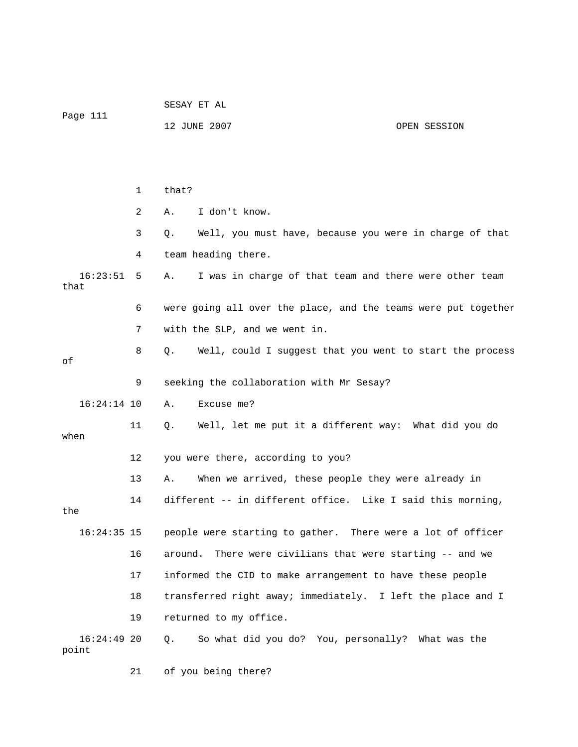| Page 111               |              | SESAY ET AL                                                       |  |  |  |  |  |  |  |
|------------------------|--------------|-------------------------------------------------------------------|--|--|--|--|--|--|--|
|                        |              | 12 JUNE 2007<br>OPEN SESSION                                      |  |  |  |  |  |  |  |
|                        |              |                                                                   |  |  |  |  |  |  |  |
|                        |              |                                                                   |  |  |  |  |  |  |  |
|                        | $\mathbf{1}$ | that?                                                             |  |  |  |  |  |  |  |
|                        | 2            | I don't know.<br>Α.                                               |  |  |  |  |  |  |  |
|                        | 3            | Well, you must have, because you were in charge of that<br>Q.     |  |  |  |  |  |  |  |
|                        | 4            | team heading there.                                               |  |  |  |  |  |  |  |
| 16:23:51<br>that       | 5            | I was in charge of that team and there were other team<br>Α.      |  |  |  |  |  |  |  |
|                        | 6            | were going all over the place, and the teams were put together    |  |  |  |  |  |  |  |
|                        | 7            | with the SLP, and we went in.                                     |  |  |  |  |  |  |  |
| оf                     | 8            | $Q$ .<br>Well, could I suggest that you went to start the process |  |  |  |  |  |  |  |
|                        | 9            | seeking the collaboration with Mr Sesay?                          |  |  |  |  |  |  |  |
| $16:24:14$ 10          |              | Excuse me?<br>Α.                                                  |  |  |  |  |  |  |  |
| when                   | 11           | Well, let me put it a different way: What did you do<br>Q.        |  |  |  |  |  |  |  |
|                        | 12           | you were there, according to you?                                 |  |  |  |  |  |  |  |
|                        | 13           | When we arrived, these people they were already in<br>Α.          |  |  |  |  |  |  |  |
| the                    | 14           | different -- in different office. Like I said this morning,       |  |  |  |  |  |  |  |
| $16:24:35$ 15          |              | people were starting to gather. There were a lot of officer       |  |  |  |  |  |  |  |
|                        | 16           | There were civilians that were starting -- and we<br>around.      |  |  |  |  |  |  |  |
|                        | 17           | informed the CID to make arrangement to have these people         |  |  |  |  |  |  |  |
|                        | 18           | transferred right away; immediately. I left the place and I       |  |  |  |  |  |  |  |
|                        | 19           | returned to my office.                                            |  |  |  |  |  |  |  |
| $16:24:49$ 20<br>point |              | So what did you do? You, personally? What was the<br>$Q$ .        |  |  |  |  |  |  |  |

21 of you being there?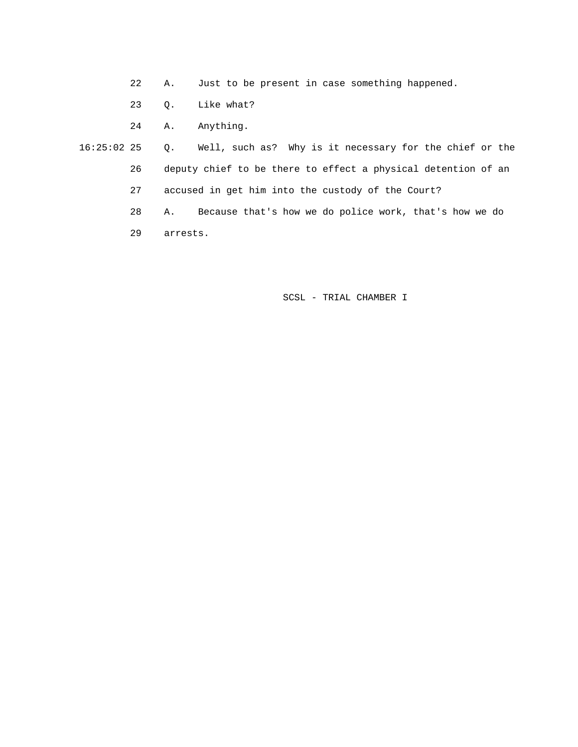- 22 A. Just to be present in case something happened.
- 23 Q. Like what?
- 24 A. Anything.

 16:25:02 25 Q. Well, such as? Why is it necessary for the chief or the 26 deputy chief to be there to effect a physical detention of an 27 accused in get him into the custody of the Court? 28 A. Because that's how we do police work, that's how we do

29 arrests.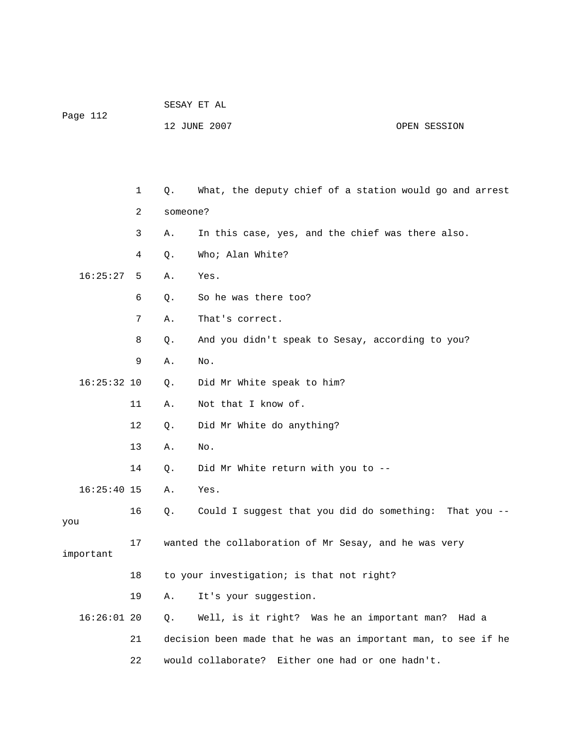| Page 112 | SESAY ET AL  |              |
|----------|--------------|--------------|
|          | 12 JUNE 2007 | OPEN SESSION |

|               | 1  | Q.       | What, the deputy chief of a station would go and arrest       |
|---------------|----|----------|---------------------------------------------------------------|
|               | 2  | someone? |                                                               |
|               | 3  | Α.       | In this case, yes, and the chief was there also.              |
|               | 4  | Q.       | Who; Alan White?                                              |
| 16:25:27      | 5  | Α.       | Yes.                                                          |
|               | 6  | Q.       | So he was there too?                                          |
|               | 7  | Α.       | That's correct.                                               |
|               | 8  | Ο.       | And you didn't speak to Sesay, according to you?              |
|               | 9  | Α.       | No.                                                           |
| $16:25:32$ 10 |    | Q.       | Did Mr White speak to him?                                    |
|               | 11 | Α.       | Not that I know of.                                           |
|               | 12 | Q.       | Did Mr White do anything?                                     |
|               | 13 | Α.       | No.                                                           |
|               | 14 | Q.       | Did Mr White return with you to --                            |
| $16:25:40$ 15 |    | Α.       | Yes.                                                          |
| you           | 16 | Q.       | Could I suggest that you did do something: That you --        |
| important     | 17 |          | wanted the collaboration of Mr Sesay, and he was very         |
|               | 18 |          | to your investigation; is that not right?                     |
|               | 19 | Α.       | It's your suggestion.                                         |
| $16:26:01$ 20 |    | Q.       | Well, is it right? Was he an important man?<br>Had a          |
|               | 21 |          | decision been made that he was an important man, to see if he |
|               | 22 |          | would collaborate?<br>Either one had or one hadn't.           |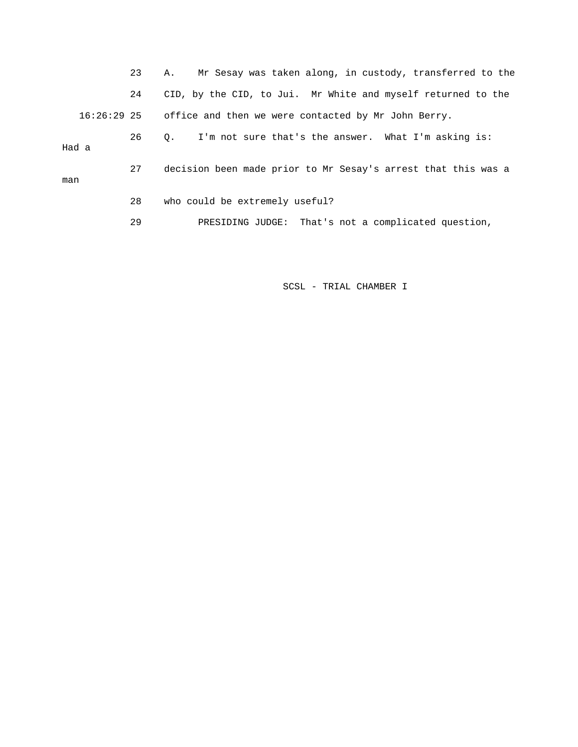23 A. Mr Sesay was taken along, in custody, transferred to the 24 CID, by the CID, to Jui. Mr White and myself returned to the 16:26:29 25 office and then we were contacted by Mr John Berry. 26 Q. I'm not sure that's the answer. What I'm asking is: Had a 27 decision been made prior to Mr Sesay's arrest that this was a man 28 who could be extremely useful? 29 PRESIDING JUDGE: That's not a complicated question,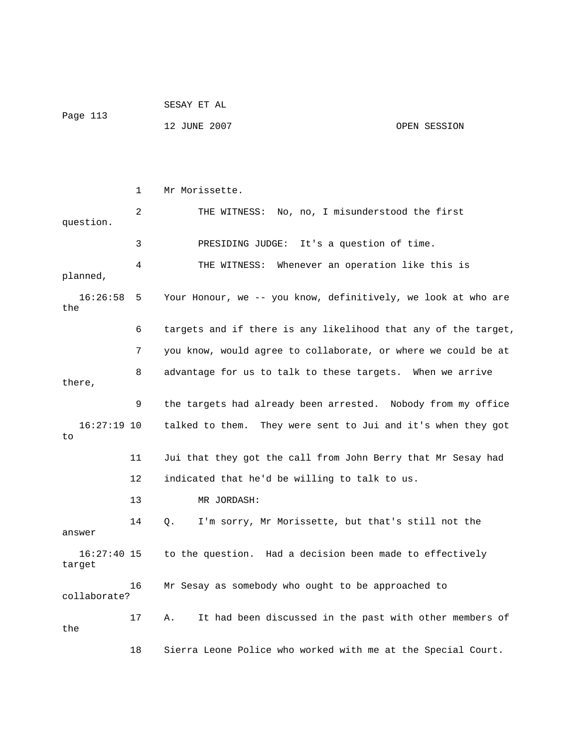|          | SESAY ET AL  |              |
|----------|--------------|--------------|
| Page 113 |              |              |
|          | 12 JUNE 2007 | OPEN SESSION |

 1 Mr Morissette. 2 THE WITNESS: No, no, I misunderstood the first question. 3 PRESIDING JUDGE: It's a question of time. 4 THE WITNESS: Whenever an operation like this is planned, 16:26:58 5 Your Honour, we -- you know, definitively, we look at who are the 6 targets and if there is any likelihood that any of the target, 7 you know, would agree to collaborate, or where we could be at 8 advantage for us to talk to these targets. When we arrive there, 9 the targets had already been arrested. Nobody from my office 16:27:19 10 talked to them. They were sent to Jui and it's when they got to 11 Jui that they got the call from John Berry that Mr Sesay had 12 indicated that he'd be willing to talk to us. 13 MR JORDASH: 14 Q. I'm sorry, Mr Morissette, but that's still not the answer 16:27:40 15 to the question. Had a decision been made to effectively target 16 Mr Sesay as somebody who ought to be approached to collaborate? 17 A. It had been discussed in the past with other members of the 18 Sierra Leone Police who worked with me at the Special Court.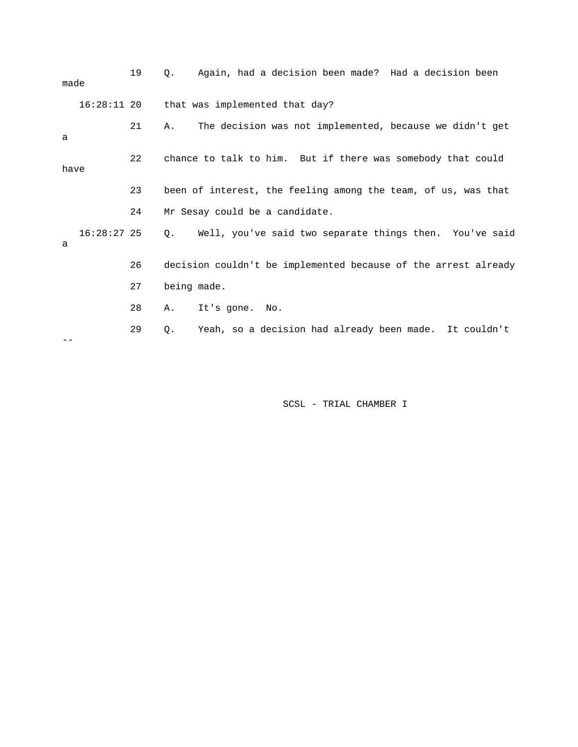| made |               | 19                                                          | Again, had a decision been made? Had a decision been<br>Ο.           |
|------|---------------|-------------------------------------------------------------|----------------------------------------------------------------------|
|      | $16:28:11$ 20 |                                                             | that was implemented that day?                                       |
| a    |               | 21                                                          | The decision was not implemented, because we didn't get<br>Α.        |
| have |               | chance to talk to him. But if there was somebody that could |                                                                      |
|      |               | 23                                                          | been of interest, the feeling among the team, of us, was that        |
|      |               | 24                                                          | Mr Sesay could be a candidate.                                       |
| a    | $16:28:27$ 25 |                                                             | Well, you've said two separate things then. You've said<br>$\circ$ . |
|      |               | 26                                                          | decision couldn't be implemented because of the arrest already       |
|      |               | 27                                                          | being made.                                                          |
|      |               | 28                                                          | It's gone.<br>Α.<br>No.                                              |
|      |               | 29                                                          | Yeah, so a decision had already been made. It couldn't<br>Q.         |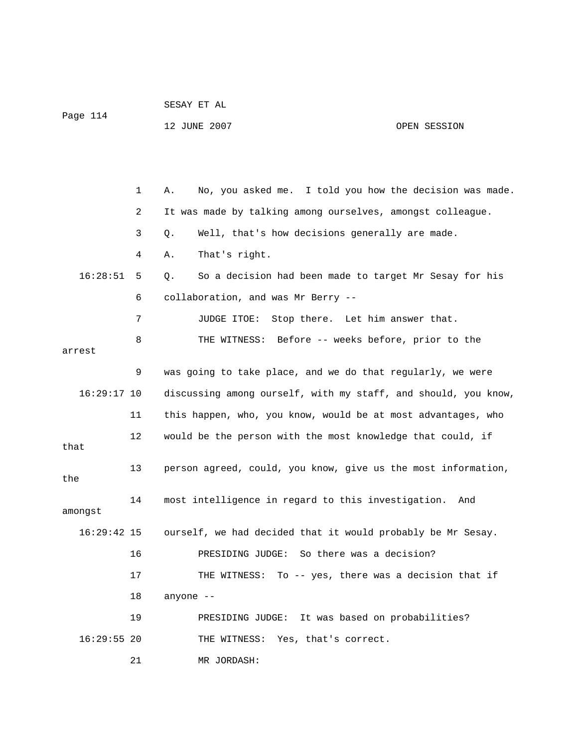| Page 114 |    |              |  |  |  |  |                                                         |  |
|----------|----|--------------|--|--|--|--|---------------------------------------------------------|--|
|          |    | 12 JUNE 2007 |  |  |  |  | OPEN SESSION                                            |  |
|          |    |              |  |  |  |  |                                                         |  |
|          |    |              |  |  |  |  |                                                         |  |
|          |    |              |  |  |  |  |                                                         |  |
|          |    |              |  |  |  |  |                                                         |  |
|          | Α. |              |  |  |  |  | No, you asked me. I told you how the decision was made. |  |

SESAY ET AL

 2 It was made by talking among ourselves, amongst colleague. 3 Q. Well, that's how decisions generally are made. 4 A. That's right. 16:28:51 5 Q. So a decision had been made to target Mr Sesay for his 6 collaboration, and was Mr Berry -- 7 JUDGE ITOE: Stop there. Let him answer that. 8 THE WITNESS: Before -- weeks before, prior to the arrest 9 was going to take place, and we do that regularly, we were 16:29:17 10 discussing among ourself, with my staff, and should, you know, 11 this happen, who, you know, would be at most advantages, who 12 would be the person with the most knowledge that could, if that 13 person agreed, could, you know, give us the most information, the 14 most intelligence in regard to this investigation. And amongst 16:29:42 15 ourself, we had decided that it would probably be Mr Sesay. 16 PRESIDING JUDGE: So there was a decision? 17 THE WITNESS: To -- yes, there was a decision that if 18 anyone -- 19 PRESIDING JUDGE: It was based on probabilities? 16:29:55 20 THE WITNESS: Yes, that's correct. 21 MR JORDASH: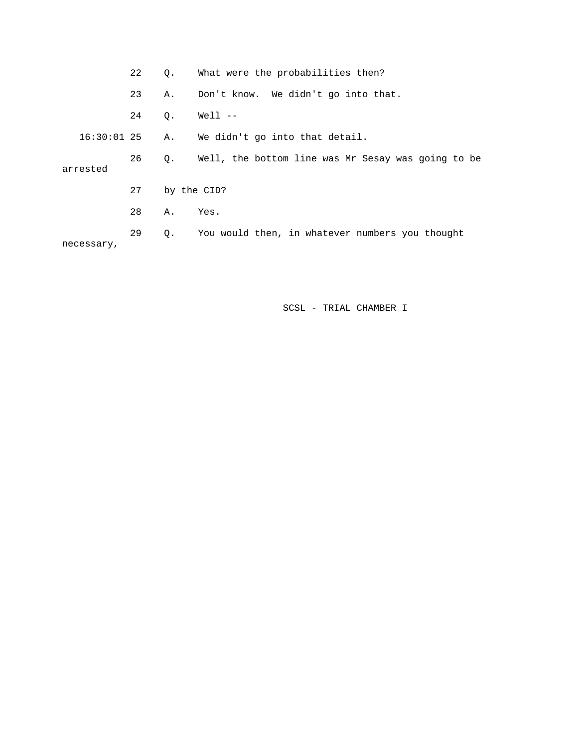|               | 22 | Q.          | What were the probabilities then?                  |
|---------------|----|-------------|----------------------------------------------------|
|               | 23 | Α.          | Don't know. We didn't go into that.                |
|               | 24 | Q.          | Well --                                            |
| $16:30:01$ 25 |    | Α.          | We didn't go into that detail.                     |
| arrested      | 26 | Q.          | Well, the bottom line was Mr Sesay was going to be |
|               | 27 | by the CID? |                                                    |
|               | 28 | Α.          | Yes.                                               |
| necessary,    | 29 | Q.          | You would then, in whatever numbers you thought    |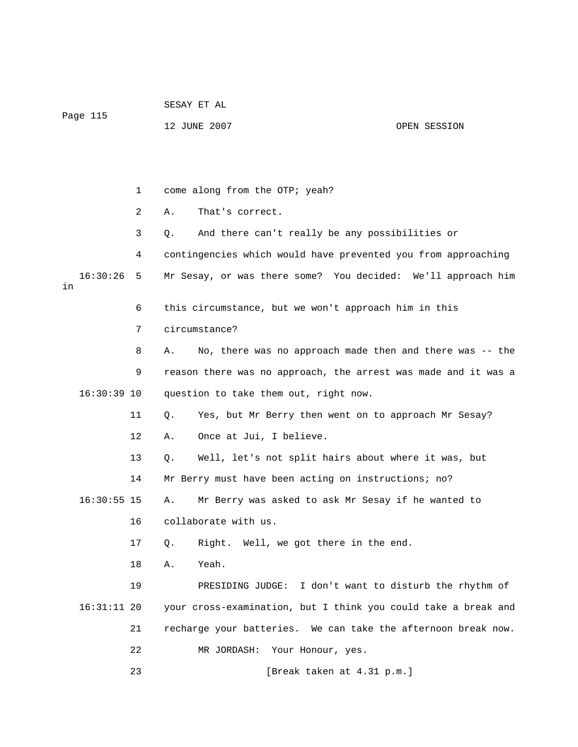| Page 115       |    | SESAY ET AL                                                    |  |  |  |  |  |  |
|----------------|----|----------------------------------------------------------------|--|--|--|--|--|--|
|                |    | 12 JUNE 2007<br>OPEN SESSION                                   |  |  |  |  |  |  |
|                |    |                                                                |  |  |  |  |  |  |
|                |    |                                                                |  |  |  |  |  |  |
|                | 1  | come along from the OTP; yeah?                                 |  |  |  |  |  |  |
|                | 2  | That's correct.<br>Α.                                          |  |  |  |  |  |  |
|                | 3  | And there can't really be any possibilities or<br>Q.           |  |  |  |  |  |  |
|                | 4  | contingencies which would have prevented you from approaching  |  |  |  |  |  |  |
| 16:30:26<br>in | 5  | Mr Sesay, or was there some? You decided: We'll approach him   |  |  |  |  |  |  |
|                | 6  | this circumstance, but we won't approach him in this           |  |  |  |  |  |  |
|                | 7  | circumstance?                                                  |  |  |  |  |  |  |
|                | 8  | No, there was no approach made then and there was -- the<br>Α. |  |  |  |  |  |  |
|                | 9  | reason there was no approach, the arrest was made and it was a |  |  |  |  |  |  |
| $16:30:39$ 10  |    | question to take them out, right now.                          |  |  |  |  |  |  |
|                | 11 | Yes, but Mr Berry then went on to approach Mr Sesay?<br>Q.     |  |  |  |  |  |  |
|                | 12 | Once at Jui, I believe.<br>Α.                                  |  |  |  |  |  |  |
|                | 13 | Well, let's not split hairs about where it was, but<br>Q.      |  |  |  |  |  |  |
|                | 14 | Mr Berry must have been acting on instructions; no?            |  |  |  |  |  |  |
| $16:30:55$ 15  |    | Mr Berry was asked to ask Mr Sesay if he wanted to<br>Α.       |  |  |  |  |  |  |
|                | 16 | collaborate with us.                                           |  |  |  |  |  |  |
|                | 17 | Right. Well, we got there in the end.<br>Q.                    |  |  |  |  |  |  |
|                | 18 | Yeah.<br>Α.                                                    |  |  |  |  |  |  |
|                | 19 | PRESIDING JUDGE: I don't want to disturb the rhythm of         |  |  |  |  |  |  |
| $16:31:11$ 20  |    | your cross-examination, but I think you could take a break and |  |  |  |  |  |  |
|                | 21 | recharge your batteries. We can take the afternoon break now.  |  |  |  |  |  |  |
|                | 22 | MR JORDASH:<br>Your Honour, yes.                               |  |  |  |  |  |  |
|                | 23 | [Break taken at 4.31 p.m.]                                     |  |  |  |  |  |  |
|                |    |                                                                |  |  |  |  |  |  |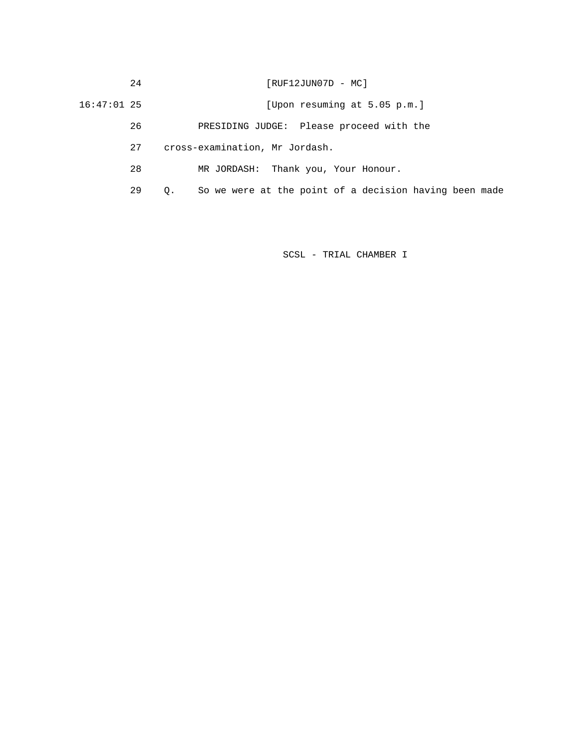24 [RUF12JUN07D - MC]

16:47:01 25 [Upon resuming at 5.05 p.m.]

26 PRESIDING JUDGE: Please proceed with the

27 cross-examination, Mr Jordash.

28 MR JORDASH: Thank you, Your Honour.

29 Q. So we were at the point of a decision having been made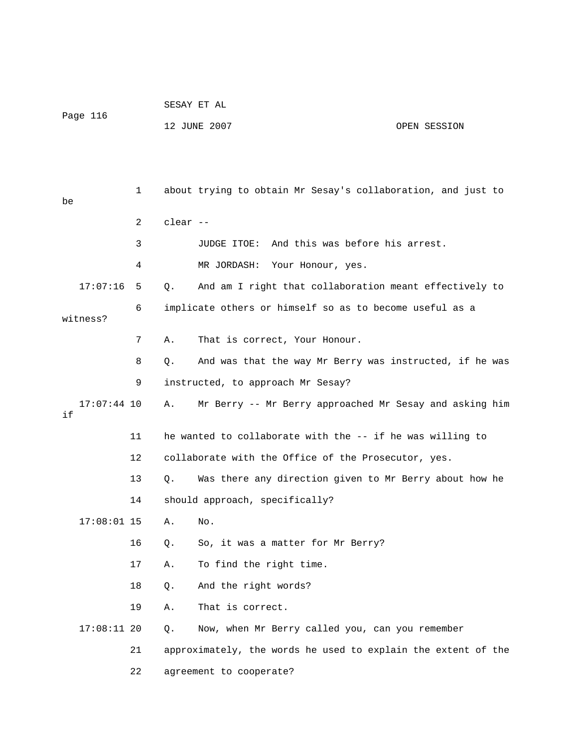|          | SESAY ET AL  |              |  |
|----------|--------------|--------------|--|
| Page 116 |              |              |  |
|          | 12 JUNE 2007 | OPEN SESSION |  |

 1 about trying to obtain Mr Sesay's collaboration, and just to be 2 clear -- 3 JUDGE ITOE: And this was before his arrest. 4 MR JORDASH: Your Honour, yes. 17:07:16 5 Q. And am I right that collaboration meant effectively to 6 implicate others or himself so as to become useful as a witness? 7 A. That is correct, Your Honour. 8 Q. And was that the way Mr Berry was instructed, if he was 9 instructed, to approach Mr Sesay? 17:07:44 10 A. Mr Berry -- Mr Berry approached Mr Sesay and asking him if 11 he wanted to collaborate with the -- if he was willing to 12 collaborate with the Office of the Prosecutor, yes. 13 Q. Was there any direction given to Mr Berry about how he 14 should approach, specifically? 17:08:01 15 A. No. 16 Q. So, it was a matter for Mr Berry? 17 A. To find the right time. 18 Q. And the right words? 19 A. That is correct. 17:08:11 20 Q. Now, when Mr Berry called you, can you remember 21 approximately, the words he used to explain the extent of the

22 agreement to cooperate?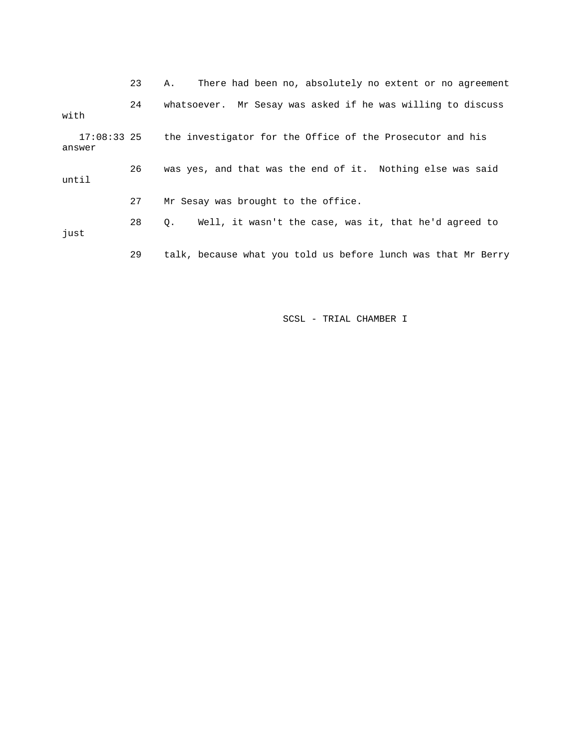23 A. There had been no, absolutely no extent or no agreement 24 whatsoever. Mr Sesay was asked if he was willing to discuss with 17:08:33 25 the investigator for the Office of the Prosecutor and his answer 26 was yes, and that was the end of it. Nothing else was said until 27 Mr Sesay was brought to the office. 28 Q. Well, it wasn't the case, was it, that he'd agreed to just 29 talk, because what you told us before lunch was that Mr Berry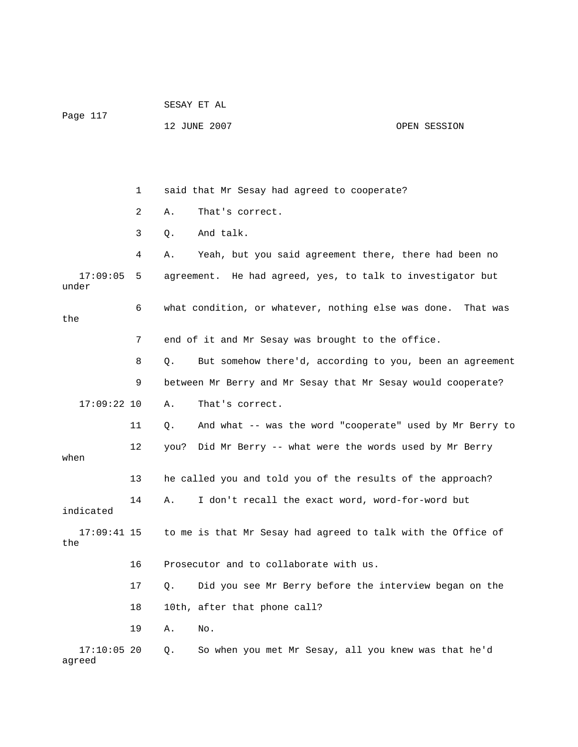| Page 117                |    | SESAY ET AL |                                                              |              |
|-------------------------|----|-------------|--------------------------------------------------------------|--------------|
|                         |    |             | 12 JUNE 2007                                                 | OPEN SESSION |
|                         |    |             |                                                              |              |
|                         |    |             |                                                              |              |
|                         | 1  |             | said that Mr Sesay had agreed to cooperate?                  |              |
|                         | 2  | Α.          | That's correct.                                              |              |
|                         | 3  | Q.          | And talk.                                                    |              |
|                         | 4  | Α.          | Yeah, but you said agreement there, there had been no        |              |
| 17:09:05<br>under       | 5  |             | agreement. He had agreed, yes, to talk to investigator but   |              |
| the                     | 6  |             | what condition, or whatever, nothing else was done.          | That was     |
|                         | 7  |             | end of it and Mr Sesay was brought to the office.            |              |
|                         | 8  | Q.          | But somehow there'd, according to you, been an agreement     |              |
|                         | 9  |             | between Mr Berry and Mr Sesay that Mr Sesay would cooperate? |              |
| $17:09:22$ 10           |    | Α.          | That's correct.                                              |              |
|                         | 11 | Q.          | And what -- was the word "cooperate" used by Mr Berry to     |              |
| when                    | 12 | you?        | Did Mr Berry -- what were the words used by Mr Berry         |              |
|                         | 13 |             | he called you and told you of the results of the approach?   |              |
| indicated               | 14 | Α.          | I don't recall the exact word, word-for-word but             |              |
| $17:09:41$ 15<br>the    |    |             | to me is that Mr Sesay had agreed to talk with the Office of |              |
|                         | 16 |             | Prosecutor and to collaborate with us.                       |              |
|                         | 17 | Q.          | Did you see Mr Berry before the interview began on the       |              |
|                         | 18 |             | 10th, after that phone call?                                 |              |
|                         | 19 | Α.          | No.                                                          |              |
| $17:10:05$ 20<br>agreed |    | Q.          | So when you met Mr Sesay, all you knew was that he'd         |              |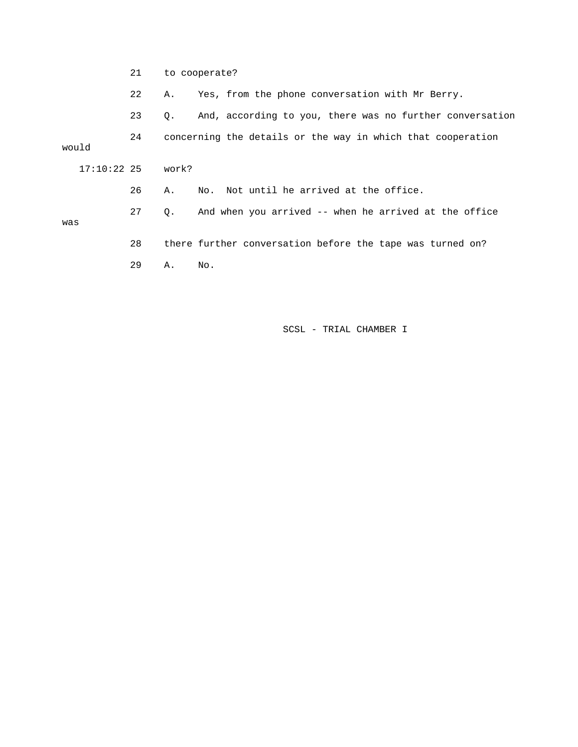21 to cooperate?

22 A. Yes, from the phone conversation with Mr Berry.

23 Q. And, according to you, there was no further conversation

 24 concerning the details or the way in which that cooperation 17:10:22 25 work? 26 A. No. Not until he arrived at the office. 29 A. No. would 27 Q. And when you arrived -- when he arrived at the office was 28 there further conversation before the tape was turned on?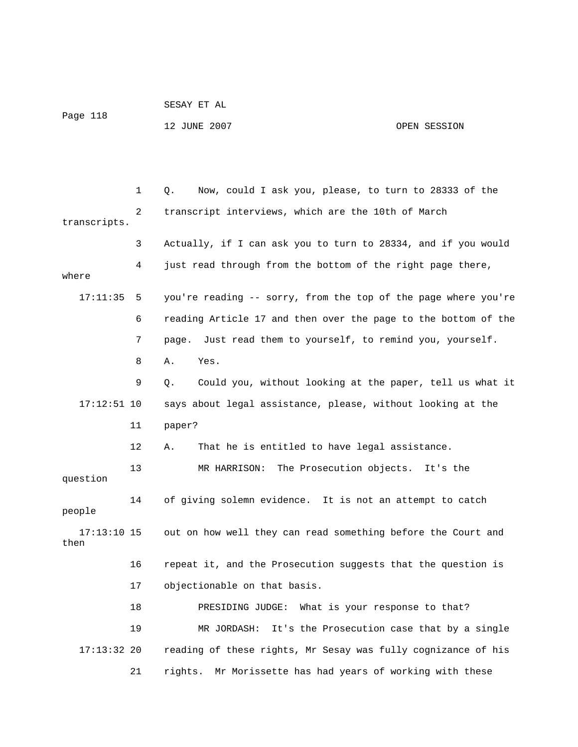|          | SESAY ET AL  |              |
|----------|--------------|--------------|
| Page 118 |              |              |
|          | 12 JUNE 2007 | OPEN SESSION |

|                       | 1  | Now, could I ask you, please, to turn to 28333 of the<br>Q.    |
|-----------------------|----|----------------------------------------------------------------|
|                       | 2  | transcript interviews, which are the 10th of March             |
| transcripts.          |    |                                                                |
|                       | 3  | Actually, if I can ask you to turn to 28334, and if you would  |
| where                 | 4  | just read through from the bottom of the right page there,     |
| 17:11:35              | 5  | you're reading -- sorry, from the top of the page where you're |
|                       | 6  | reading Article 17 and then over the page to the bottom of the |
|                       | 7  | page. Just read them to yourself, to remind you, yourself.     |
|                       | 8  | Α.<br>Yes.                                                     |
|                       | 9  | Could you, without looking at the paper, tell us what it<br>Q. |
| $17:12:51$ 10         |    | says about legal assistance, please, without looking at the    |
|                       | 11 | paper?                                                         |
|                       | 12 | That he is entitled to have legal assistance.<br>Α.            |
| question              | 13 | MR HARRISON: The Prosecution objects. It's the                 |
| people                | 14 | of giving solemn evidence. It is not an attempt to catch       |
| $17:13:10$ 15<br>then |    | out on how well they can read something before the Court and   |
|                       | 16 | repeat it, and the Prosecution suggests that the question is   |
|                       | 17 | objectionable on that basis.                                   |
|                       | 18 | What is your response to that?<br>PRESIDING JUDGE:             |
|                       | 19 | It's the Prosecution case that by a single<br>MR JORDASH:      |
| $17:13:32$ 20         |    | reading of these rights, Mr Sesay was fully cognizance of his  |
|                       | 21 | Mr Morissette has had years of working with these<br>rights.   |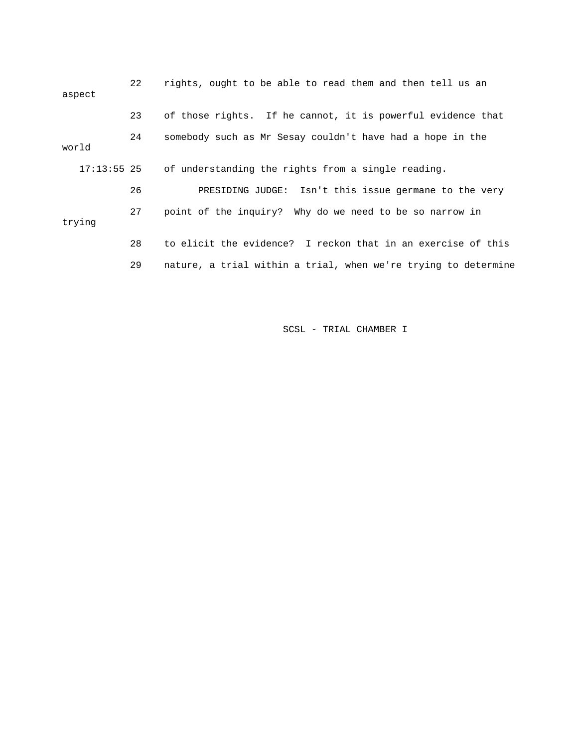| aspect        | 22 | rights, ought to be able to read them and then tell us an      |
|---------------|----|----------------------------------------------------------------|
|               | 23 | of those rights. If he cannot, it is powerful evidence that    |
| world         | 24 | somebody such as Mr Sesay couldn't have had a hope in the      |
| $17:13:55$ 25 |    | of understanding the rights from a single reading.             |
|               | 26 | PRESIDING JUDGE: Isn't this issue germane to the very          |
| trying        | 27 | point of the inquiry? Why do we need to be so narrow in        |
|               | 28 | to elicit the evidence? I reckon that in an exercise of this   |
|               | 29 | nature, a trial within a trial, when we're trying to determine |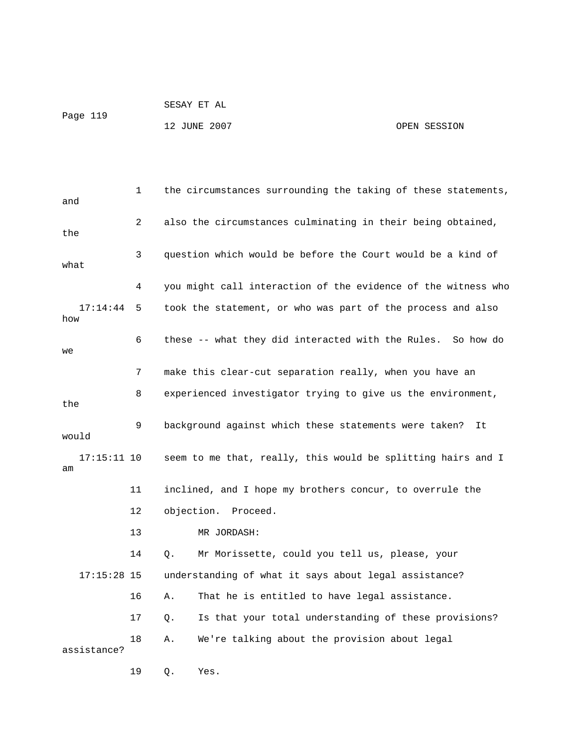## 12 JUNE 2007 OPEN SESSION

 1 the circumstances surrounding the taking of these statements, and 2 also the circumstances culminating in their being obtained, the 3 question which would be before the Court would be a kind of what 4 you might call interaction of the evidence of the witness who 17:14:44 5 took the statement, or who was part of the process and also how 6 these -- what they did interacted with the Rules. So how do we 7 make this clear-cut separation really, when you have an 8 experienced investigator trying to give us the environment, the 9 background against which these statements were taken? It would 17:15:11 10 seem to me that, really, this would be splitting hairs and I am 11 inclined, and I hope my brothers concur, to overrule the 12 objection. Proceed. 13 MR JORDASH: 14 Q. Mr Morissette, could you tell us, please, your 17:15:28 15 understanding of what it says about legal assistance? 16 A. That he is entitled to have legal assistance. 17 Q. Is that your total understanding of these provisions? 18 A. We're talking about the provision about legal assistance? 19 Q. Yes.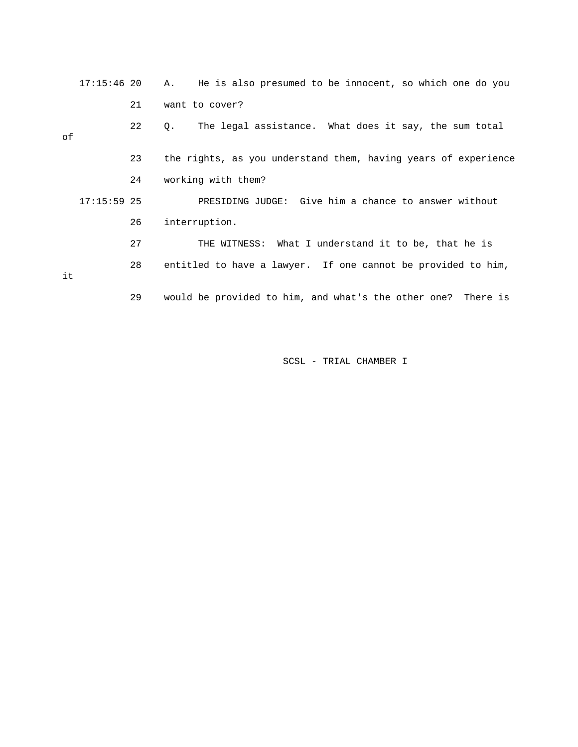17:15:46 20 A. He is also presumed to be innocent, so which one do you 21 want to cover?

 22 Q. The legal assistance. What does it say, the sum total of 23 the rights, as you understand them, having years of experience 24 working with them? 17:15:59 25 PRESIDING JUDGE: Give him a chance to answer without 26 interruption. 27 THE WITNESS: What I understand it to be, that he is 28 entitled to have a lawyer. If one cannot be provided to him, it

29 would be provided to him, and what's the other one? There is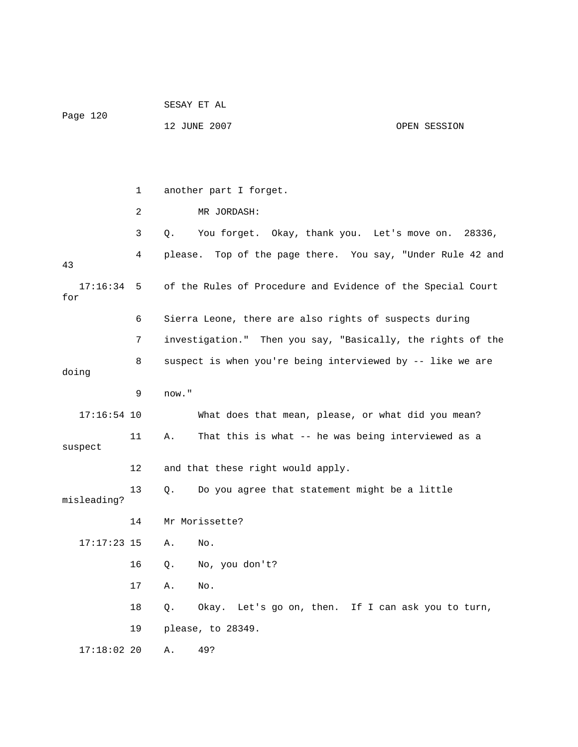|                     |    | SESAY ET AL |                                                             |              |
|---------------------|----|-------------|-------------------------------------------------------------|--------------|
| Page 120            |    |             | 12 JUNE 2007                                                | OPEN SESSION |
|                     |    |             |                                                             |              |
|                     |    |             |                                                             |              |
|                     | 1  |             | another part I forget.                                      |              |
|                     | 2  |             | MR JORDASH:                                                 |              |
|                     | 3  | Q.          | You forget. Okay, thank you. Let's move on. 28336,          |              |
| 43                  | 4  |             | please. Top of the page there. You say, "Under Rule 42 and  |              |
| $17:16:34$ 5<br>for |    |             | of the Rules of Procedure and Evidence of the Special Court |              |
|                     | 6  |             | Sierra Leone, there are also rights of suspects during      |              |
|                     | 7  |             | investigation." Then you say, "Basically, the rights of the |              |
| doing               | 8  |             | suspect is when you're being interviewed by -- like we are  |              |
|                     | 9  | now."       |                                                             |              |
| $17:16:54$ 10       |    |             | What does that mean, please, or what did you mean?          |              |
| suspect             | 11 | Α.          | That this is what -- he was being interviewed as a          |              |
|                     | 12 |             | and that these right would apply.                           |              |
| misleading?         | 13 | Q.          | Do you agree that statement might be a little               |              |
|                     | 14 |             | Mr Morissette?                                              |              |
| $17:17:23$ 15       |    | Α.          | No.                                                         |              |
|                     | 16 | Q.          | No, you don't?                                              |              |
|                     | 17 | Α.          | No.                                                         |              |
|                     | 18 | Q.          | Okay. Let's go on, then. If I can ask you to turn,          |              |
|                     | 19 |             | please, to 28349.                                           |              |
| $17:18:02$ 20       |    | Α.          | 49?                                                         |              |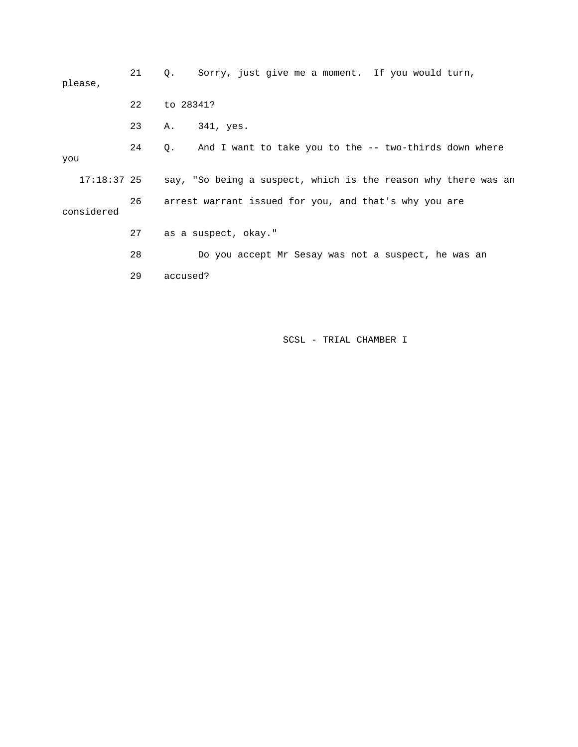| please,     | 21 | Sorry, just give me a moment. If you would turn,<br>$\circ$ .  |
|-------------|----|----------------------------------------------------------------|
|             | 22 | to 28341?                                                      |
|             | 23 | 341, yes.<br>Α.                                                |
| you         | 24 | And I want to take you to the $-$ two-thirds down where<br>Q.  |
| 17:18:37 25 |    | say, "So being a suspect, which is the reason why there was an |
| considered  | 26 | arrest warrant issued for you, and that's why you are          |
|             | 27 | as a suspect, okay."                                           |
|             | 28 | Do you accept Mr Sesay was not a suspect, he was an            |
|             | 29 | accused?                                                       |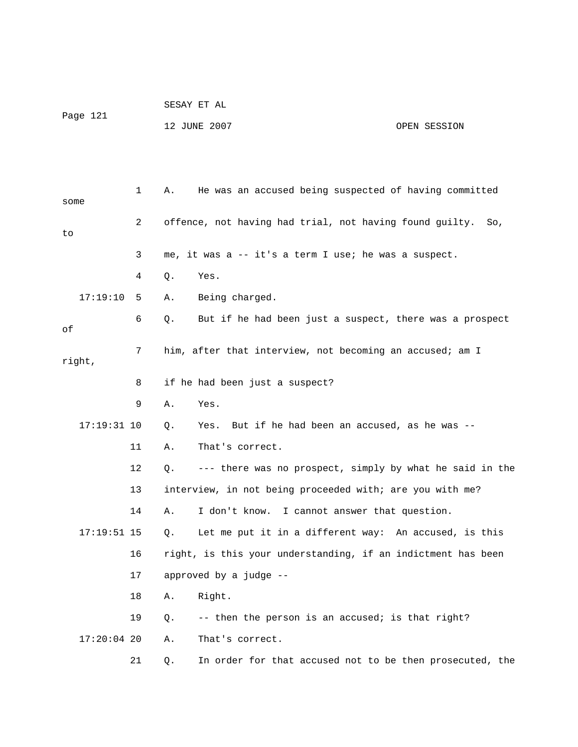| Page 121 | SESAY ET AL  |              |
|----------|--------------|--------------|
|          | 12 JUNE 2007 | OPEN SESSION |

| some |               | 1              | Α.             | He was an accused being suspected of having committed        |
|------|---------------|----------------|----------------|--------------------------------------------------------------|
| to   |               | $\overline{2}$ |                | offence, not having had trial, not having found guilty. So,  |
|      |               | 3              |                | me, it was a -- it's a term I use; he was a suspect.         |
|      |               | 4              | Q.             | Yes.                                                         |
|      | 17:19:10      | 5              | Α.             | Being charged.                                               |
| οf   |               | 6              | Q.             | But if he had been just a suspect, there was a prospect      |
|      | right,        | 7              |                | him, after that interview, not becoming an accused; am I     |
|      |               | 8              |                | if he had been just a suspect?                               |
|      |               | 9              | Α.             | Yes.                                                         |
|      | $17:19:31$ 10 |                | Q.             | Yes. But if he had been an accused, as he was --             |
|      |               | 11             | Α.             | That's correct.                                              |
|      |               | 12             | Q.             | --- there was no prospect, simply by what he said in the     |
|      |               | 13             |                | interview, in not being proceeded with; are you with me?     |
|      |               | 14             | Α.             | I don't know. I cannot answer that question.                 |
|      | $17:19:51$ 15 |                | Q <sub>z</sub> | Let me put it in a different way: An accused, is this        |
|      |               | 16             |                | right, is this your understanding, if an indictment has been |
|      |               | 17             |                | approved by a judge --                                       |
|      |               | 18             | Α.             | Right.                                                       |
|      |               | 19             | Q.             | -- then the person is an accused; is that right?             |
|      | $17:20:04$ 20 |                | Α.             | That's correct.                                              |
|      |               | 21             | Q.             | In order for that accused not to be then prosecuted, the     |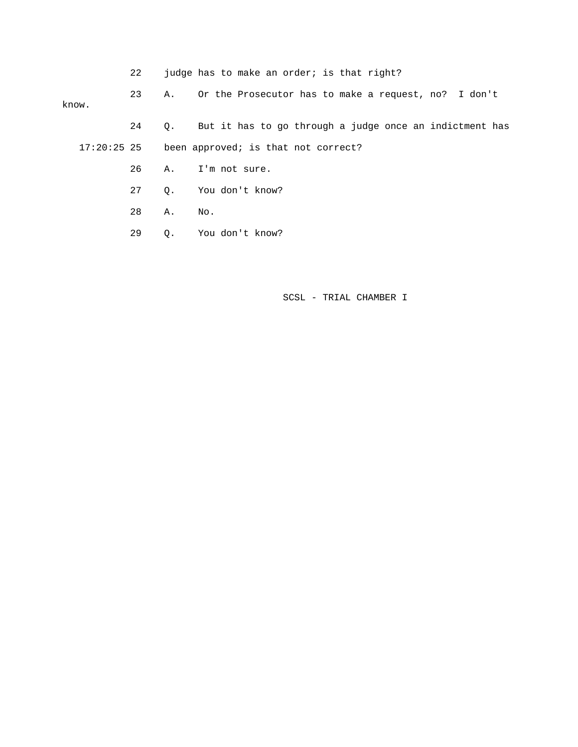22 judge has to make an order; is that right?

 23 A. Or the Prosecutor has to make a request, no? I don't 24 Q. But it has to go through a judge once an indictment has know.

17:20:25 25 been approved; is that not correct?

- 26 A. I'm not sure.
- 27 Q. You don't know?

28 A. No.

29 Q. You don't know?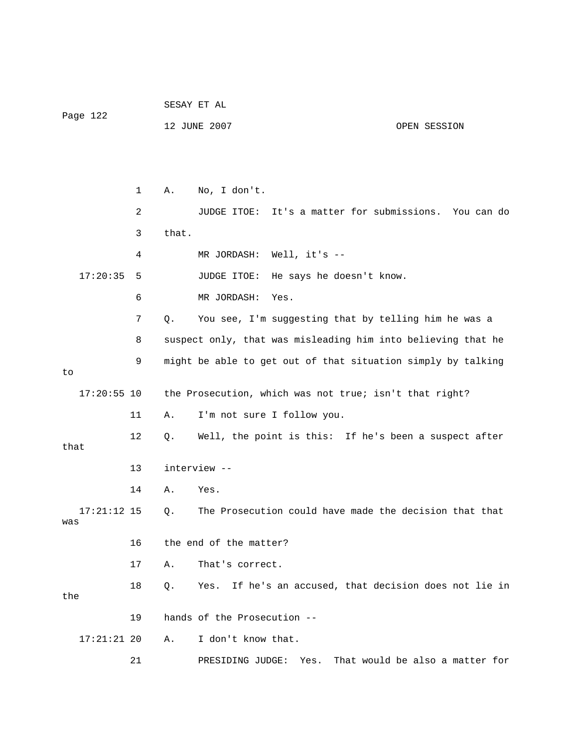|                      |              | SESAY ET AL |                                                              |  |
|----------------------|--------------|-------------|--------------------------------------------------------------|--|
| Page 122             |              |             | 12 JUNE 2007<br>OPEN SESSION                                 |  |
|                      |              |             |                                                              |  |
|                      |              |             |                                                              |  |
|                      | $\mathbf{1}$ | Α.          | No, I don't.                                                 |  |
|                      | 2            |             | JUDGE ITOE: It's a matter for submissions. You can do        |  |
|                      | 3            | that.       |                                                              |  |
|                      | 4            |             | MR JORDASH: Well, it's --                                    |  |
| 17:20:35             | 5            |             | JUDGE ITOE:<br>He says he doesn't know.                      |  |
|                      | 6            |             | MR JORDASH:<br>Yes.                                          |  |
|                      | 7            | Q.          | You see, I'm suggesting that by telling him he was a         |  |
|                      | 8            |             | suspect only, that was misleading him into believing that he |  |
|                      | 9            |             | might be able to get out of that situation simply by talking |  |
| to<br>$17:20:55$ 10  |              |             | the Prosecution, which was not true; isn't that right?       |  |
|                      |              |             |                                                              |  |
|                      | 11           | Α.          | I'm not sure I follow you.                                   |  |
| that                 | 12           | Q.          | Well, the point is this: If he's been a suspect after        |  |
|                      | 13           |             | interview --                                                 |  |
|                      | 14           | Α.          | Yes.                                                         |  |
| $17:21:12$ 15<br>was |              | Q.          | The Prosecution could have made the decision that that       |  |
|                      | 16           |             | the end of the matter?                                       |  |
|                      | 17           | Α.          | That's correct.                                              |  |
| the                  | 18           | Q.          | If he's an accused, that decision does not lie in<br>Yes.    |  |
|                      | 19           |             | hands of the Prosecution --                                  |  |
| $17:21:21$ 20        |              | Α.          | I don't know that.                                           |  |
|                      | 21           |             | That would be also a matter for<br>Yes.<br>PRESIDING JUDGE:  |  |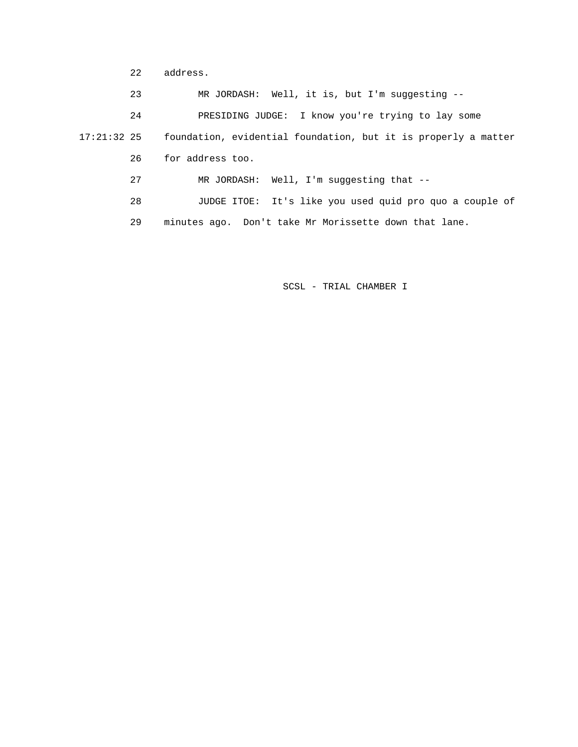22 address.

 23 MR JORDASH: Well, it is, but I'm suggesting -- 24 PRESIDING JUDGE: I know you're trying to lay some 17:21:32 25 foundation, evidential foundation, but it is properly a matter 26 for address too. 27 MR JORDASH: Well, I'm suggesting that -- 28 JUDGE ITOE: It's like you used quid pro quo a couple of 29 minutes ago. Don't take Mr Morissette down that lane.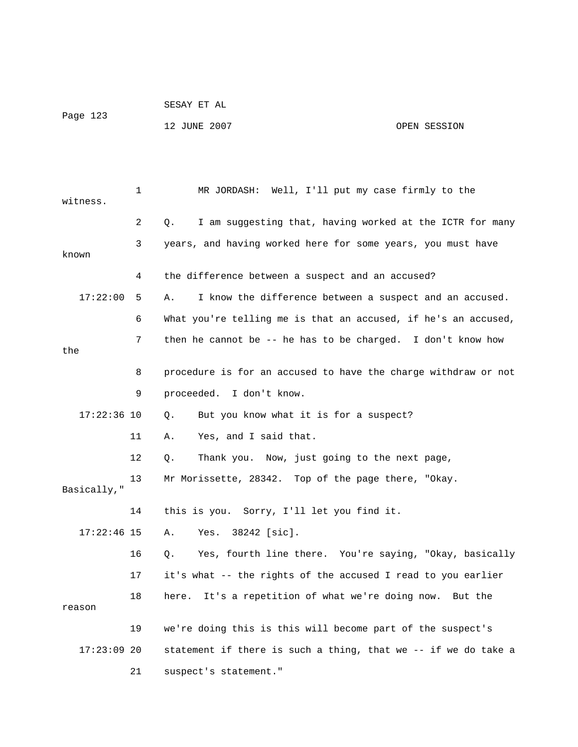|          | SESAY ET AL  |              |
|----------|--------------|--------------|
| Page 123 |              |              |
|          | 12 JUNE 2007 | OPEN SESSION |

| witness.      | $\mathbf 1$ | MR JORDASH: Well, I'll put my case firmly to the               |
|---------------|-------------|----------------------------------------------------------------|
|               | 2           | I am suggesting that, having worked at the ICTR for many<br>О. |
| known         | 3           | years, and having worked here for some years, you must have    |
|               | 4           | the difference between a suspect and an accused?               |
| 17:22:00      | 5           | Α.<br>I know the difference between a suspect and an accused.  |
|               | 6           | What you're telling me is that an accused, if he's an accused, |
| the           | 7           | then he cannot be -- he has to be charged. I don't know how    |
|               | 8           | procedure is for an accused to have the charge withdraw or not |
|               | 9           | proceeded. I don't know.                                       |
| $17:22:36$ 10 |             | But you know what it is for a suspect?<br>О.                   |
|               | 11          | Yes, and I said that.<br>Α.                                    |
|               | 12          | Thank you. Now, just going to the next page,<br>Q.             |
| Basically,"   | 13          | Mr Morissette, 28342. Top of the page there, "Okay.            |
|               | 14          | this is you. Sorry, I'll let you find it.                      |
| $17:22:46$ 15 |             | 38242 [sic].<br>Α.<br>Yes.                                     |
|               | 16          | Yes, fourth line there. You're saying, "Okay, basically<br>О.  |
|               | 17          | it's what -- the rights of the accused I read to you earlier   |
| reason        | 18          | It's a repetition of what we're doing now. But the<br>here.    |
|               | 19          | we're doing this is this will become part of the suspect's     |
| $17:23:09$ 20 |             | statement if there is such a thing, that we -- if we do take a |
|               | 21          | suspect's statement."                                          |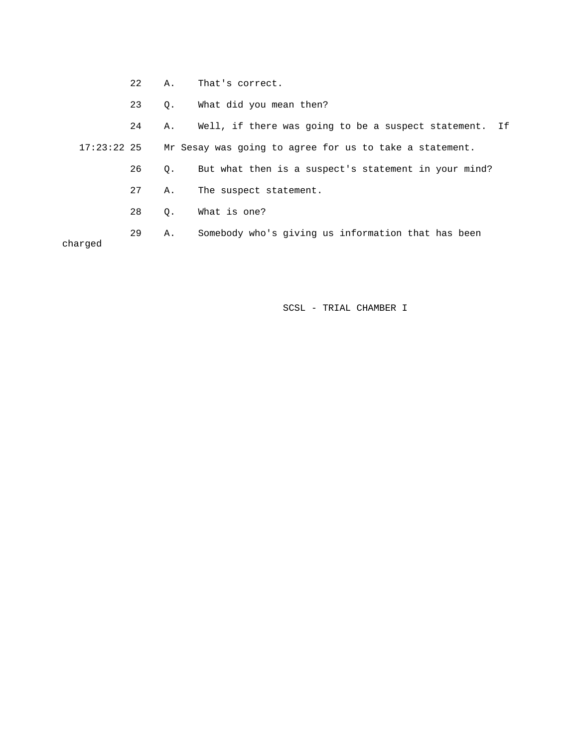- 22 A. That's correct.
- 23 Q. What did you mean then?

 24 A. Well, if there was going to be a suspect statement. If 17:23:22 25 Mr Sesay was going to agree for us to take a statement. 26 Q. But what then is a suspect's statement in your mind? 27 A. The suspect statement. 28 Q. What is one?

 29 A. Somebody who's giving us information that has been charged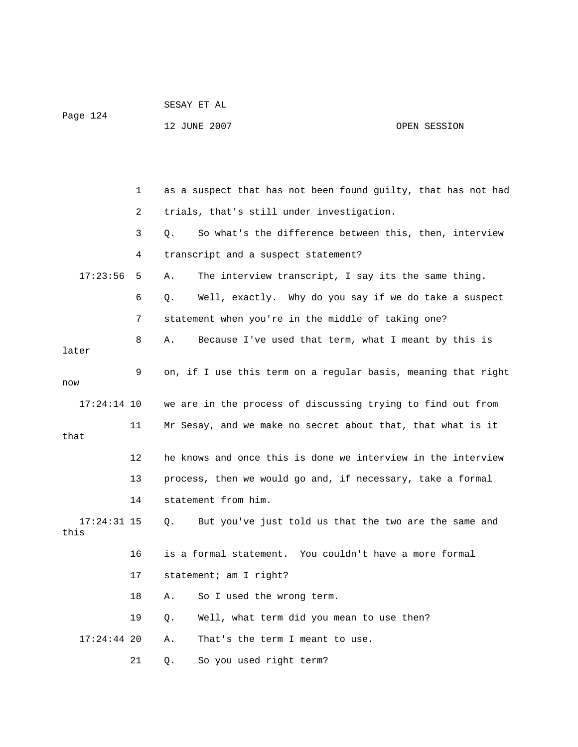|          | SESAY ET AL |  |
|----------|-------------|--|
| Page 124 |             |  |

12 JUNE 2007 OPEN SESSION

 1 as a suspect that has not been found guilty, that has not had 2 trials, that's still under investigation. 3 Q. So what's the difference between this, then, interview 4 transcript and a suspect statement? 17:23:56 5 A. The interview transcript, I say its the same thing. 6 Q. Well, exactly. Why do you say if we do take a suspect 7 statement when you're in the middle of taking one? 8 A. Because I've used that term, what I meant by this is later 9 on, if I use this term on a regular basis, meaning that right now 17:24:14 10 we are in the process of discussing trying to find out from 11 Mr Sesay, and we make no secret about that, that what is it that 12 he knows and once this is done we interview in the interview 13 process, then we would go and, if necessary, take a formal 14 statement from him. 17:24:31 15 Q. But you've just told us that the two are the same and this 16 is a formal statement. You couldn't have a more formal 17 statement; am I right? 18 A. So I used the wrong term. 19 Q. Well, what term did you mean to use then? 17:24:44 20 A. That's the term I meant to use. 21 Q. So you used right term?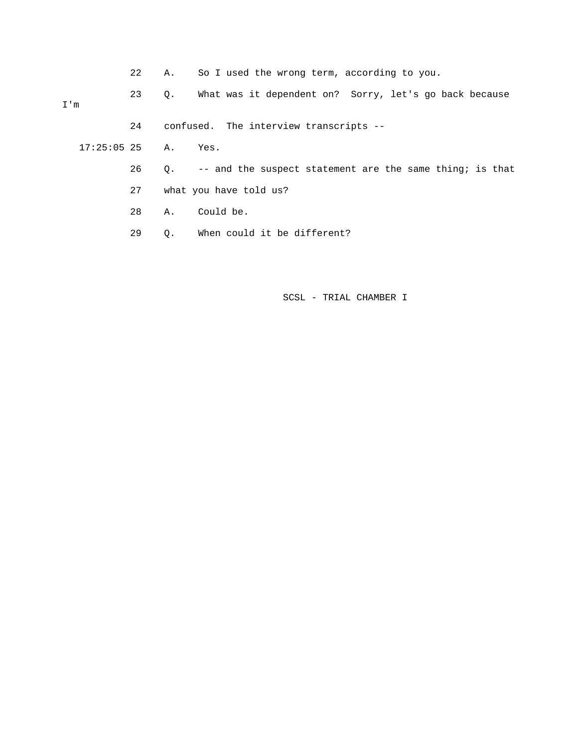22 A. So I used the wrong term, according to you.

 23 Q. What was it dependent on? Sorry, let's go back because I'm

24 confused. The interview transcripts --

17:25:05 25 A. Yes.

- 26 Q. -- and the suspect statement are the same thing; is that
- 27 what you have told us?

28 A. Could be.

29 Q. When could it be different?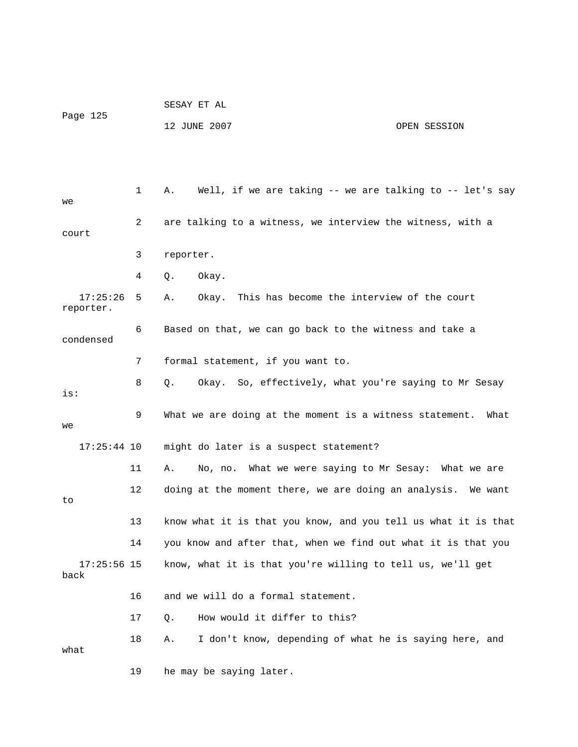|                       |              | SESAY ET AL                                                    |  |
|-----------------------|--------------|----------------------------------------------------------------|--|
| Page 125              |              | 12 JUNE 2007<br>OPEN SESSION                                   |  |
|                       |              |                                                                |  |
|                       |              |                                                                |  |
| we                    | $\mathbf{1}$ | Well, if we are taking -- we are talking to -- let's say<br>Α. |  |
| court                 | 2            | are talking to a witness, we interview the witness, with a     |  |
|                       | 3            | reporter.                                                      |  |
|                       | 4            | Okay.<br>Q.                                                    |  |
| 17:25:26<br>reporter. | 5            | Okay. This has become the interview of the court<br>Α.         |  |
| condensed             | 6            | Based on that, we can go back to the witness and take a        |  |
|                       | 7            | formal statement, if you want to.                              |  |
| is:                   | 8            | Okay. So, effectively, what you're saying to Mr Sesay<br>Q.    |  |
| we                    | 9            | What we are doing at the moment is a witness statement. What   |  |
| $17:25:44$ 10         |              | might do later is a suspect statement?                         |  |
|                       | 11           | No, no. What we were saying to Mr Sesay: What we are<br>Α.     |  |
| to                    | 12           | doing at the moment there, we are doing an analysis. We want   |  |
|                       | 13           | know what it is that you know, and you tell us what it is that |  |
|                       | 14           | you know and after that, when we find out what it is that you  |  |
| $17:25:56$ 15<br>back |              | know, what it is that you're willing to tell us, we'll get     |  |
|                       | 16           | and we will do a formal statement.                             |  |
|                       | 17           | How would it differ to this?<br>Q.                             |  |
| what                  | 18           | I don't know, depending of what he is saying here, and<br>Α.   |  |
|                       | 19           | he may be saying later.                                        |  |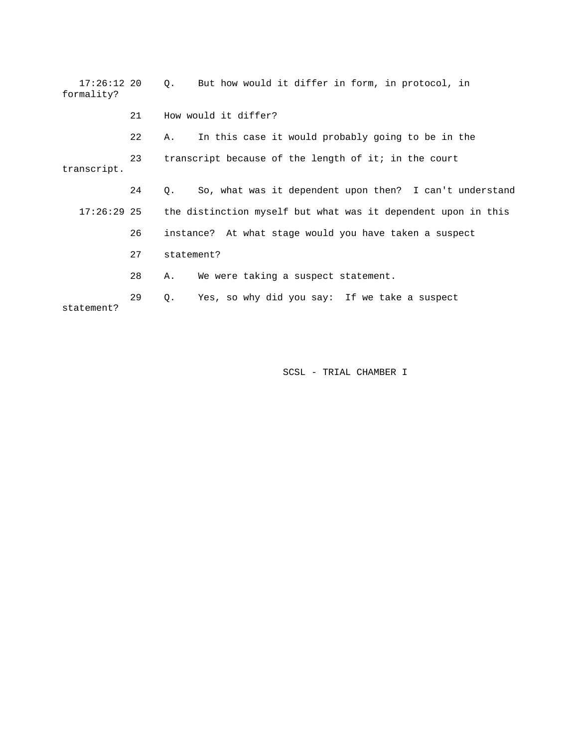| $17:26:12$ 20<br>formality? |    | Q. But how would it differ in form, in protocol, in           |
|-----------------------------|----|---------------------------------------------------------------|
|                             | 21 | How would it differ?                                          |
|                             | 22 | In this case it would probably going to be in the<br>Α.       |
| transcript.                 | 23 | transcript because of the length of it; in the court          |
|                             | 24 | So, what was it dependent upon then? I can't understand<br>Q. |
| $17:26:29$ 25               |    | the distinction myself but what was it dependent upon in this |
|                             | 26 | instance? At what stage would you have taken a suspect        |
|                             | 27 | statement?                                                    |
|                             | 28 | We were taking a suspect statement.<br>Α.                     |
| statement?                  | 29 | Yes, so why did you say: If we take a suspect<br>Q.           |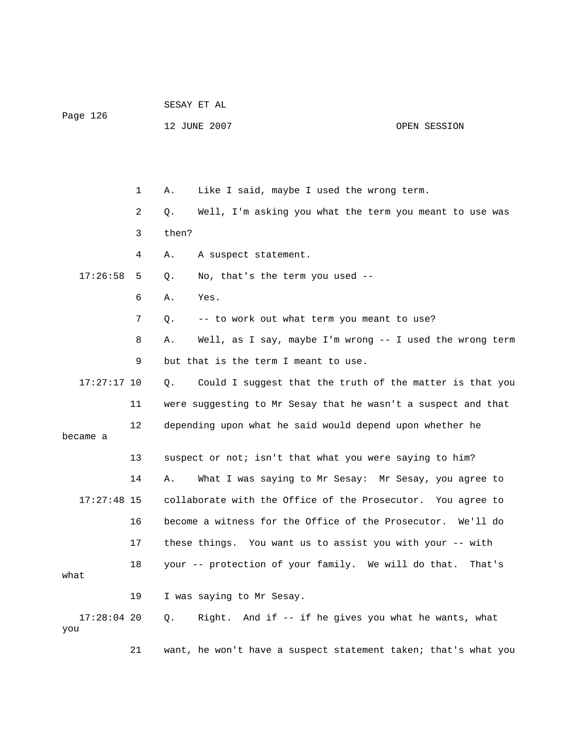|                      |    | SESAY ET AL |                                                               |              |
|----------------------|----|-------------|---------------------------------------------------------------|--------------|
| Page 126             |    |             | 12 JUNE 2007                                                  | OPEN SESSION |
|                      |    |             |                                                               |              |
|                      |    |             |                                                               |              |
|                      | 1  | Α.          | Like I said, maybe I used the wrong term.                     |              |
|                      | 2  | Q.          | Well, I'm asking you what the term you meant to use was       |              |
|                      | 3  | then?       |                                                               |              |
| 17:26:58             | 4  | Α.          | A suspect statement.                                          |              |
|                      | 5  | Q.          | No, that's the term you used --                               |              |
|                      | 6  | Α.          | Yes.                                                          |              |
|                      | 7  | Q.          | -- to work out what term you meant to use?                    |              |
|                      | 8  | Α.          | Well, as I say, maybe I'm wrong -- I used the wrong term      |              |
|                      | 9  |             | but that is the term I meant to use.                          |              |
| $17:27:17$ 10        |    | Q.          | Could I suggest that the truth of the matter is that you      |              |
|                      | 11 |             | were suggesting to Mr Sesay that he wasn't a suspect and that |              |
| became a             | 12 |             | depending upon what he said would depend upon whether he      |              |
|                      | 13 |             | suspect or not; isn't that what you were saying to him?       |              |
| $17:27:48$ 15        | 14 | Α.          | What I was saying to Mr Sesay: Mr Sesay, you agree to         |              |
|                      |    |             | collaborate with the Office of the Prosecutor. You agree to   |              |
|                      | 16 |             | become a witness for the Office of the Prosecutor. We'll do   |              |
|                      | 17 |             | these things. You want us to assist you with your -- with     |              |
| what                 | 18 |             | your -- protection of your family. We will do that.           | That's       |
|                      | 19 |             | I was saying to Mr Sesay.                                     |              |
| $17:28:04$ 20<br>you |    | Q.          | Right. And if -- if he gives you what he wants, what          |              |

21 want, he won't have a suspect statement taken; that's what you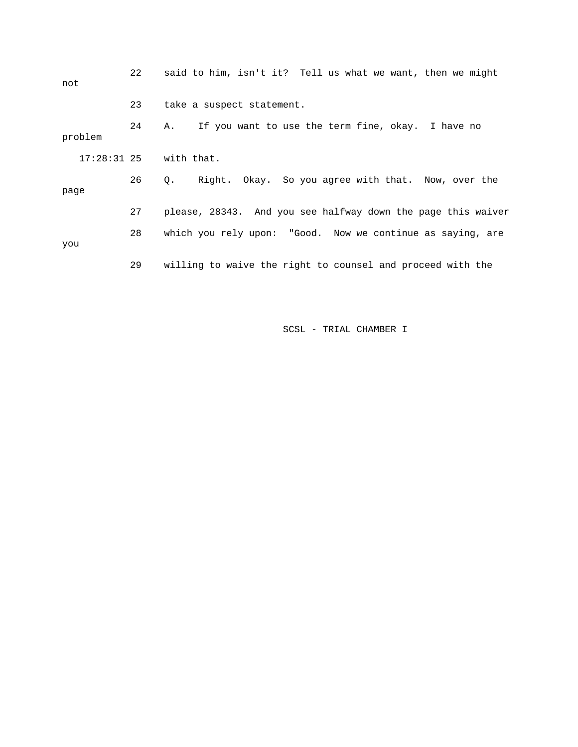| not     | 22 | said to him, isn't it? Tell us what we want, then we might   |
|---------|----|--------------------------------------------------------------|
|         | 23 | take a suspect statement.                                    |
| problem | 24 | If you want to use the term fine, okay. I have no<br>Α.      |
|         |    | $17:28:31$ $25$ with that.                                   |
| page    | 26 | Right. Okay. So you agree with that. Now, over the<br>Q.     |
|         | 27 | please, 28343. And you see halfway down the page this waiver |
| you     | 28 | which you rely upon: "Good. Now we continue as saying, are   |
|         | 29 | willing to waive the right to counsel and proceed with the   |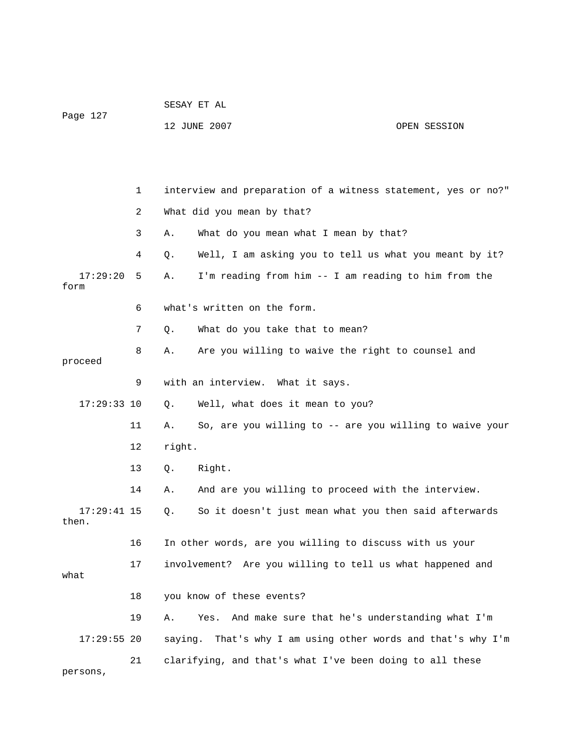| Page 127               |    | 12 JUNE 2007 |                                                               | OPEN SESSION |
|------------------------|----|--------------|---------------------------------------------------------------|--------------|
|                        |    |              |                                                               |              |
|                        | 1  |              | interview and preparation of a witness statement, yes or no?" |              |
|                        | 2  |              | What did you mean by that?                                    |              |
|                        | 3  | Α.           | What do you mean what I mean by that?                         |              |
|                        | 4  | Q.           | Well, I am asking you to tell us what you meant by it?        |              |
| 17:29:20<br>form       | 5  | Α.           | I'm reading from him -- I am reading to him from the          |              |
|                        | 6  |              | what's written on the form.                                   |              |
|                        | 7  | Q.           | What do you take that to mean?                                |              |
| proceed                | 8  | Α.           | Are you willing to waive the right to counsel and             |              |
|                        | 9  |              | with an interview. What it says.                              |              |
| $17:29:33$ 10          |    | Q.           | Well, what does it mean to you?                               |              |
|                        | 11 | Α.           | So, are you willing to -- are you willing to waive your       |              |
|                        | 12 | right.       |                                                               |              |
|                        | 13 | Q.           | Right.                                                        |              |
|                        | 14 | Α.           | And are you willing to proceed with the interview.            |              |
| $17:29:41$ 15<br>then. |    | Q.           | So it doesn't just mean what you then said afterwards         |              |
|                        | 16 |              | In other words, are you willing to discuss with us your       |              |
| what                   | 17 |              | involvement? Are you willing to tell us what happened and     |              |
|                        | 18 |              | you know of these events?                                     |              |
|                        | 19 | Α.           | And make sure that he's understanding what I'm<br>Yes.        |              |
| $17:29:55$ 20          |    | saying.      | That's why I am using other words and that's why I'm          |              |
| persons,               | 21 |              | clarifying, and that's what I've been doing to all these      |              |

SESAY ET AL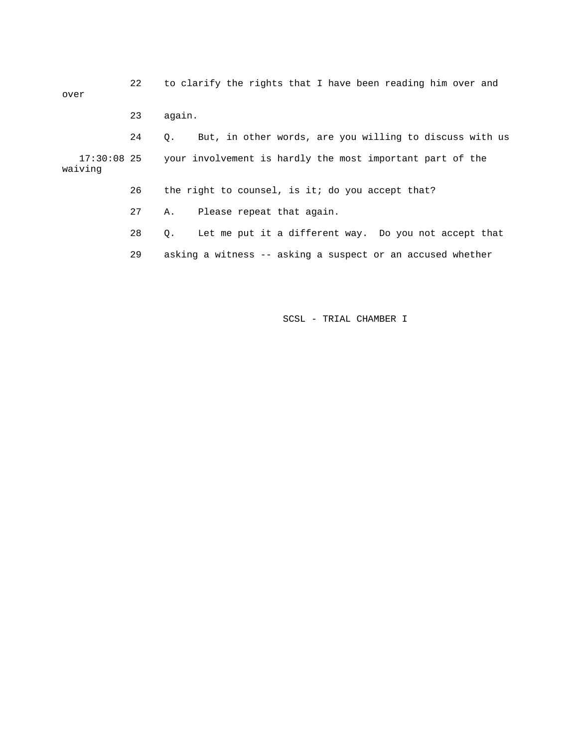| over                   | 22 | to clarify the rights that I have been reading him over and        |
|------------------------|----|--------------------------------------------------------------------|
|                        | 23 | again.                                                             |
|                        | 24 | But, in other words, are you willing to discuss with us<br>О.      |
| 17:30:08 25<br>waiving |    | your involvement is hardly the most important part of the          |
|                        | 26 | the right to counsel, is it; do you accept that?                   |
|                        | 27 | A. Please repeat that again.                                       |
|                        | 28 | Let me put it a different way. Do you not accept that<br>$\circ$ . |
|                        | 29 | asking a witness -- asking a suspect or an accused whether         |

SCSL - TRIAL CHAMBER I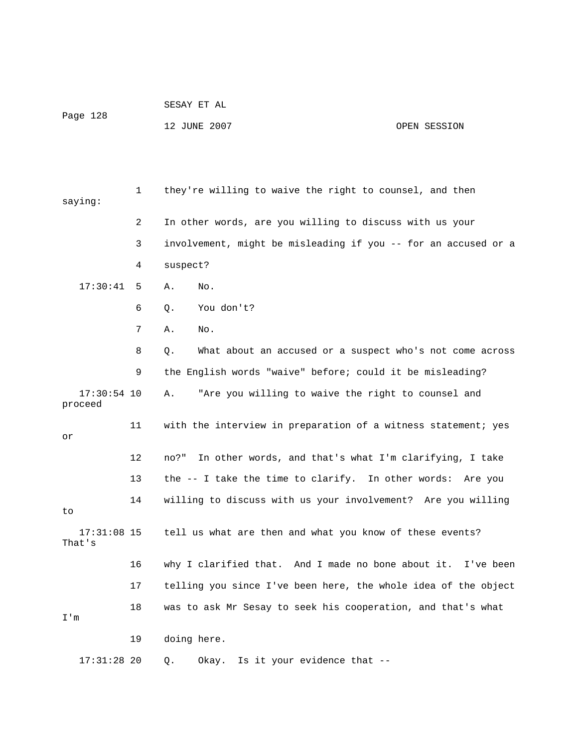| Page 128 | SESAY ET AL  |              |
|----------|--------------|--------------|
|          | 12 JUNE 2007 | OPEN SESSION |

| saying:                  | 1  | they're willing to waive the right to counsel, and then         |
|--------------------------|----|-----------------------------------------------------------------|
|                          | 2  | In other words, are you willing to discuss with us your         |
|                          | 3  | involvement, might be misleading if you -- for an accused or a  |
|                          | 4  | suspect?                                                        |
| 17:30:41                 | 5  | Α.<br>No.                                                       |
|                          | 6  | You don't?<br>Q.                                                |
|                          | 7  | Α.<br>No.                                                       |
|                          | 8  | What about an accused or a suspect who's not come across<br>Q.  |
|                          | 9  | the English words "waive" before; could it be misleading?       |
| $17:30:54$ 10<br>proceed |    | "Are you willing to waive the right to counsel and<br>Α.        |
| or                       | 11 | with the interview in preparation of a witness statement; yes   |
|                          | 12 | In other words, and that's what I'm clarifying, I take<br>no?"  |
|                          | 13 | the -- I take the time to clarify. In other words: Are you      |
| to                       | 14 | willing to discuss with us your involvement? Are you willing    |
| 17:31:08 15<br>That's    |    | tell us what are then and what you know of these events?        |
|                          | 16 | why I clarified that. And I made no bone about it.<br>I've been |
|                          | 17 | telling you since I've been here, the whole idea of the object  |
| I'm                      | 18 | was to ask Mr Sesay to seek his cooperation, and that's what    |
|                          | 19 | doing here.                                                     |
| $17:31:28$ 20            |    | Is it your evidence that --<br>Okay.<br>Q.                      |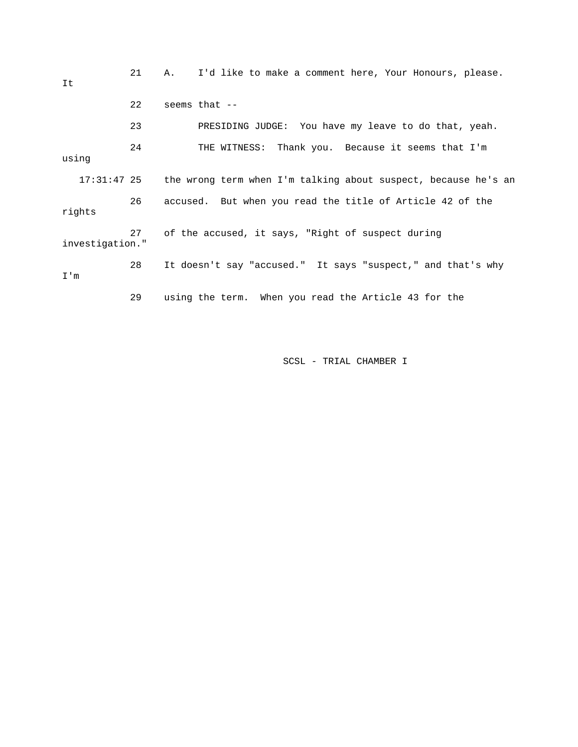| It              | 21 | I'd like to make a comment here, Your Honours, please.<br>Α.   |
|-----------------|----|----------------------------------------------------------------|
|                 | 22 | seems that $--$                                                |
|                 | 23 | PRESIDING JUDGE: You have my leave to do that, yeah.           |
| using           | 24 | THE WITNESS: Thank you. Because it seems that I'm              |
| $17:31:47$ 25   |    | the wrong term when I'm talking about suspect, because he's an |
| rights          | 26 | accused. But when you read the title of Article 42 of the      |
| investigation." | 27 | of the accused, it says, "Right of suspect during              |
| I'm             | 28 | It doesn't say "accused." It says "suspect," and that's why    |
|                 | 29 | using the term. When you read the Article 43 for the           |

SCSL - TRIAL CHAMBER I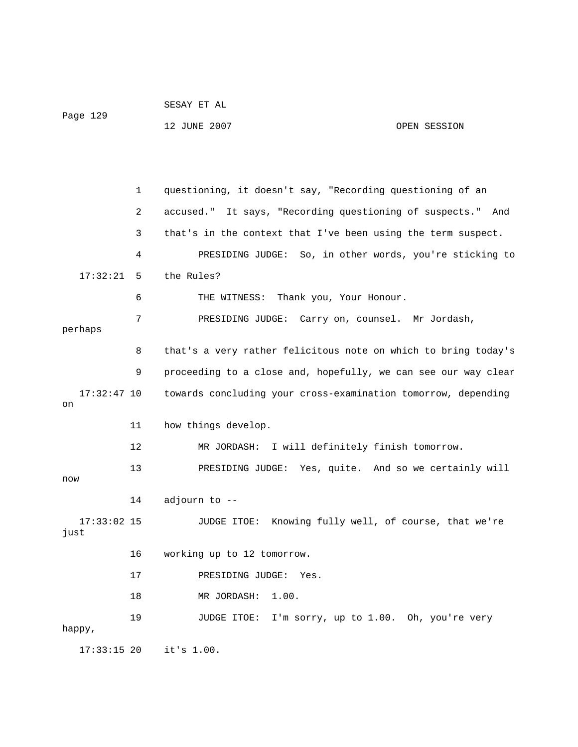|                       |    | SESAY ET AL                                                    |  |  |  |
|-----------------------|----|----------------------------------------------------------------|--|--|--|
| Page 129              |    | 12 JUNE 2007<br>OPEN SESSION                                   |  |  |  |
|                       |    |                                                                |  |  |  |
|                       |    |                                                                |  |  |  |
|                       | 1  | questioning, it doesn't say, "Recording questioning of an      |  |  |  |
|                       | 2  | accused." It says, "Recording questioning of suspects." And    |  |  |  |
|                       | 3  | that's in the context that I've been using the term suspect.   |  |  |  |
|                       | 4  | PRESIDING JUDGE: So, in other words, you're sticking to        |  |  |  |
| 17:32:21              | 5  | the Rules?                                                     |  |  |  |
|                       | 6  | Thank you, Your Honour.<br>THE WITNESS:                        |  |  |  |
| perhaps               | 7  | PRESIDING JUDGE: Carry on, counsel. Mr Jordash,                |  |  |  |
|                       | 8  | that's a very rather felicitous note on which to bring today's |  |  |  |
|                       | 9  | proceeding to a close and, hopefully, we can see our way clear |  |  |  |
| $17:32:47$ 10<br>on   |    | towards concluding your cross-examination tomorrow, depending  |  |  |  |
|                       | 11 | how things develop.                                            |  |  |  |
|                       | 12 | MR JORDASH: I will definitely finish tomorrow.                 |  |  |  |
| now                   | 13 | PRESIDING JUDGE: Yes, quite. And so we certainly will          |  |  |  |
|                       | 14 | adjourn to --                                                  |  |  |  |
| $17:33:02$ 15<br>just |    | JUDGE ITOE: Knowing fully well, of course, that we're          |  |  |  |
|                       | 16 | working up to 12 tomorrow.                                     |  |  |  |
|                       | 17 | PRESIDING JUDGE:<br>Yes.                                       |  |  |  |
|                       | 18 | MR JORDASH: 1.00.                                              |  |  |  |
|                       | 19 | JUDGE ITOE: I'm sorry, up to 1.00. Oh, you're very             |  |  |  |
| happy,                |    |                                                                |  |  |  |
| $17:33:15$ 20         |    | it's 1.00.                                                     |  |  |  |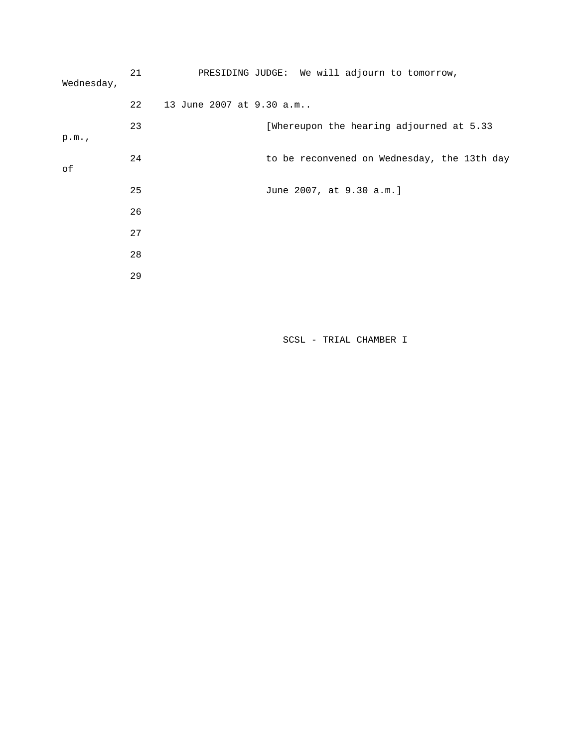| Wednesday, | 21 | PRESIDING JUDGE: We will adjourn to tomorrow, |
|------------|----|-----------------------------------------------|
|            | 22 | 13 June 2007 at 9.30 a.m                      |
| p.m.       | 23 | [Whereupon the hearing adjourned at 5.33      |
| оf         | 24 | to be reconvened on Wednesday, the 13th day   |
|            | 25 | June 2007, at 9.30 a.m.]                      |
|            | 26 |                                               |
|            | 27 |                                               |
|            | 28 |                                               |
|            | 29 |                                               |

SCSL - TRIAL CHAMBER I